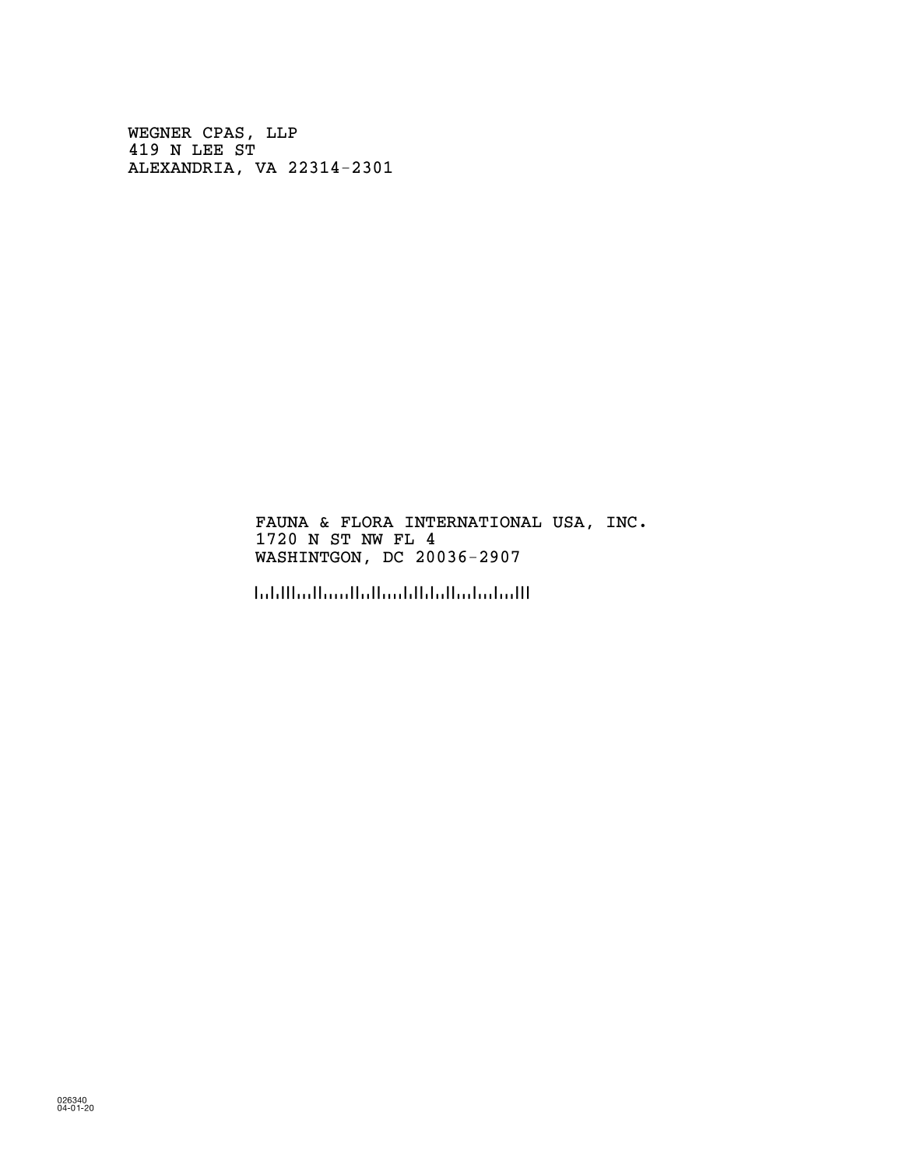WEGNER CPAS, LLP 419 N LEE ST ALEXANDRIA, VA 22314-2301

> FAUNA & FLORA INTERNATIONAL USA, INC. 1720 N ST NW FL 4 WASHINTGON, DC 20036-2907

!2003629071!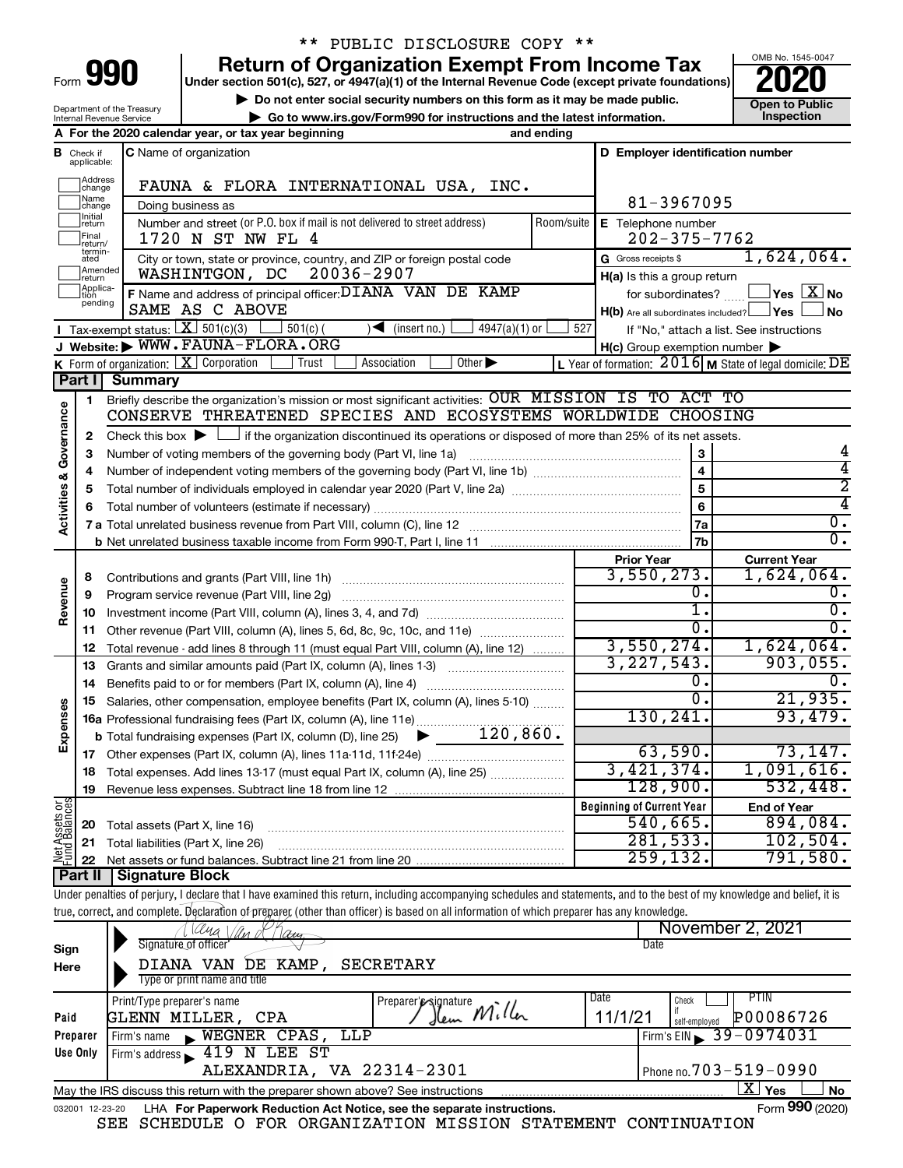| Form |  |  |
|------|--|--|

## \*\* PUBLIC DISCLOSURE COPY \*\*

**990** Return of Organization Exempt From Income Tax <br>
Under section 501(c), 527, or 4947(a)(1) of the Internal Revenue Code (except private foundations)<br> **PO20** 

▶ Do not enter social security numbers on this form as it may be made public.<br>
▶ Go to www.irs.gov/Form990 for instructions and the latest information. **Department in the latest** information. **| Go to www.irs.gov/Form990 for instructions and the latest information. Inspection**



Department of the Treasury Internal Revenue Service

|                                    |                                  | A For the 2020 calendar year, or tax year beginning<br>and ending                                                                                                          |                                                     |                                                           |
|------------------------------------|----------------------------------|----------------------------------------------------------------------------------------------------------------------------------------------------------------------------|-----------------------------------------------------|-----------------------------------------------------------|
|                                    | <b>B</b> Check if<br>applicable: | C Name of organization                                                                                                                                                     | D Employer identification number                    |                                                           |
|                                    | Address<br>change                | FAUNA & FLORA INTERNATIONAL USA, INC.                                                                                                                                      |                                                     |                                                           |
|                                    | Name<br>change                   | Doing business as                                                                                                                                                          | 81-3967095                                          |                                                           |
|                                    | Initial<br>return                | Number and street (or P.O. box if mail is not delivered to street address)<br>Room/suite                                                                                   | E Telephone number                                  |                                                           |
|                                    | Final<br>return/                 | 1720 N ST NW FL 4                                                                                                                                                          | $202 - 375 - 7762$                                  |                                                           |
|                                    | termin-<br>ated                  | City or town, state or province, country, and ZIP or foreign postal code                                                                                                   | G Gross receipts \$                                 | 1,624,064.                                                |
|                                    | Amended<br>return                | 20036-2907<br>WASHINTGON, DC                                                                                                                                               | H(a) Is this a group return                         |                                                           |
|                                    | Applica-<br>tion                 | F Name and address of principal officer: DIANA VAN DE KAMP                                                                                                                 |                                                     | for subordinates? $\Box$ <b>Yes</b> $X$ <b>No</b>         |
|                                    | pending                          | SAME AS C ABOVE                                                                                                                                                            | H(b) Are all subordinates included? Ves             | ⊿No                                                       |
|                                    |                                  | Tax-exempt status: $X \mid 501(c)(3)$<br>$4947(a)(1)$ or<br>$501(c)$ (<br>$\sqrt{\bullet}$ (insert no.)                                                                    | 527                                                 | If "No," attach a list. See instructions                  |
|                                    |                                  | J Website: WWW.FAUNA-FLORA.ORG                                                                                                                                             | $H(c)$ Group exemption number $\blacktriangleright$ |                                                           |
|                                    |                                  | Other $\blacktriangleright$<br><b>K</b> Form of organization: $X$ Corporation<br>Trust<br>Association                                                                      |                                                     | L Year of formation: $2016$ M State of legal domicile: DE |
|                                    | Part II                          | <b>Summary</b>                                                                                                                                                             |                                                     |                                                           |
|                                    |                                  |                                                                                                                                                                            |                                                     |                                                           |
|                                    | 1                                | Briefly describe the organization's mission or most significant activities: OUR MISSION IS TO ACT TO<br>CONSERVE THREATENED SPECIES AND ECOSYSTEMS WORLDWIDE CHOOSING      |                                                     |                                                           |
| <b>Activities &amp; Governance</b> |                                  |                                                                                                                                                                            |                                                     |                                                           |
|                                    | 2                                | Check this box $\blacktriangleright$ $\Box$ if the organization discontinued its operations or disposed of more than 25% of its net assets.                                |                                                     |                                                           |
|                                    | з                                | Number of voting members of the governing body (Part VI, line 1a)                                                                                                          | 3                                                   |                                                           |
|                                    | 4                                |                                                                                                                                                                            | $\overline{\mathbf{4}}$                             | 4                                                         |
|                                    | 5                                |                                                                                                                                                                            | 5                                                   | 2                                                         |
|                                    | 6                                |                                                                                                                                                                            | 6                                                   | 4                                                         |
|                                    |                                  |                                                                                                                                                                            | 7a                                                  | $\overline{0}$ .                                          |
|                                    |                                  |                                                                                                                                                                            | 7b                                                  | σ.                                                        |
|                                    |                                  |                                                                                                                                                                            | <b>Prior Year</b>                                   | <b>Current Year</b>                                       |
|                                    | 8                                |                                                                                                                                                                            | 3,550,273.                                          | $1,624,064$ .                                             |
|                                    | 9                                | Program service revenue (Part VIII, line 2g)                                                                                                                               | 0.                                                  | О.                                                        |
| Revenue                            | 10                               |                                                                                                                                                                            | 1.                                                  | $\overline{0}$ .                                          |
|                                    | 11                               | Other revenue (Part VIII, column (A), lines 5, 6d, 8c, 9c, 10c, and 11e)                                                                                                   | Ο.                                                  | $\mathbf{0}$ .                                            |
|                                    | 12                               | Total revenue - add lines 8 through 11 (must equal Part VIII, column (A), line 12)                                                                                         | 3,550,274.                                          | 1,624,064.                                                |
|                                    | 13                               | Grants and similar amounts paid (Part IX, column (A), lines 1-3)                                                                                                           | 3, 227, 543.                                        | 903,055.                                                  |
|                                    | 14                               | Benefits paid to or for members (Part IX, column (A), line 4)                                                                                                              | 0.                                                  | 0.                                                        |
|                                    | 15                               | Salaries, other compensation, employee benefits (Part IX, column (A), lines 5-10)                                                                                          | 0.                                                  | 21,935.                                                   |
| Expenses                           |                                  |                                                                                                                                                                            | 130, 241.                                           | 93,479.                                                   |
|                                    |                                  |                                                                                                                                                                            |                                                     |                                                           |
|                                    |                                  |                                                                                                                                                                            | 63,590.                                             | 73, 147.                                                  |
|                                    |                                  | 18 Total expenses. Add lines 13-17 (must equal Part IX, column (A), line 25)                                                                                               | 3,421,374.                                          | 1,091,616.                                                |
|                                    | 19                               |                                                                                                                                                                            | 128,900.                                            | 532,448.                                                  |
| Net Assets or<br>Fund Balances     |                                  |                                                                                                                                                                            | <b>Beginning of Current Year</b>                    | <b>End of Year</b>                                        |
|                                    | 20                               | Total assets (Part X, line 16)                                                                                                                                             | 540,665.                                            | 894,084.                                                  |
|                                    | 21                               | Total liabilities (Part X, line 26)                                                                                                                                        | 281,533.                                            | 102,504.                                                  |
|                                    | 22                               |                                                                                                                                                                            | 259, 132.                                           | 791,580.                                                  |
|                                    | <b>Part II</b>                   | <b>Signature Block</b>                                                                                                                                                     |                                                     |                                                           |
|                                    |                                  | Under penalties of perjury, I declare that I have examined this return, including accompanying schedules and statements, and to the best of my knowledge and belief, it is |                                                     |                                                           |
|                                    |                                  | true, correct, and complete. Declaration of preparer (other than officer) is based on all information of which preparer has any knowledge.                                 |                                                     |                                                           |
|                                    |                                  | au                                                                                                                                                                         |                                                     | November 2, 2021                                          |
| Sign                               |                                  | Signature of officer'                                                                                                                                                      | Date                                                |                                                           |
| Here                               |                                  | DIANA VAN DE KAMP,<br><b>SECRETARY</b>                                                                                                                                     |                                                     |                                                           |
|                                    |                                  | Type or print name and title                                                                                                                                               |                                                     |                                                           |
|                                    |                                  | Print/Type preparer's name<br>Preparer's signature                                                                                                                         | Date<br>Check                                       | PTIN                                                      |
| Paid                               |                                  | Hem Miller<br>GLENN MILLER, CPA                                                                                                                                            | if<br>11/1/21<br>self-employed                      | P00086726                                                 |
|                                    | Preparer                         | WEGNER CPAS,<br>LLP<br>Firm's name                                                                                                                                         |                                                     | Firm's EIN 39-0974031                                     |
|                                    | Use Only                         | Firm's address $\blacktriangleright$ 419 N LEE ST                                                                                                                          |                                                     |                                                           |
|                                    |                                  | ALEXANDRIA, VA 22314-2301                                                                                                                                                  |                                                     | Phone no. 703-519-0990                                    |
|                                    |                                  | May the IRS discuss this return with the preparer shown above? See instructions                                                                                            |                                                     | $\overline{\text{X}}$ Yes<br>No                           |
|                                    |                                  |                                                                                                                                                                            |                                                     |                                                           |

|  |  | 032001 12-23-20 LHA For Paperwork Reduction Act Notice, see the separate instructions. |  | Form 990 (2020) |
|--|--|----------------------------------------------------------------------------------------|--|-----------------|
|  |  | SEE SCHEDULE O FOR ORGANIZATION MISSION STATEMENT CONTINUATION                         |  |                 |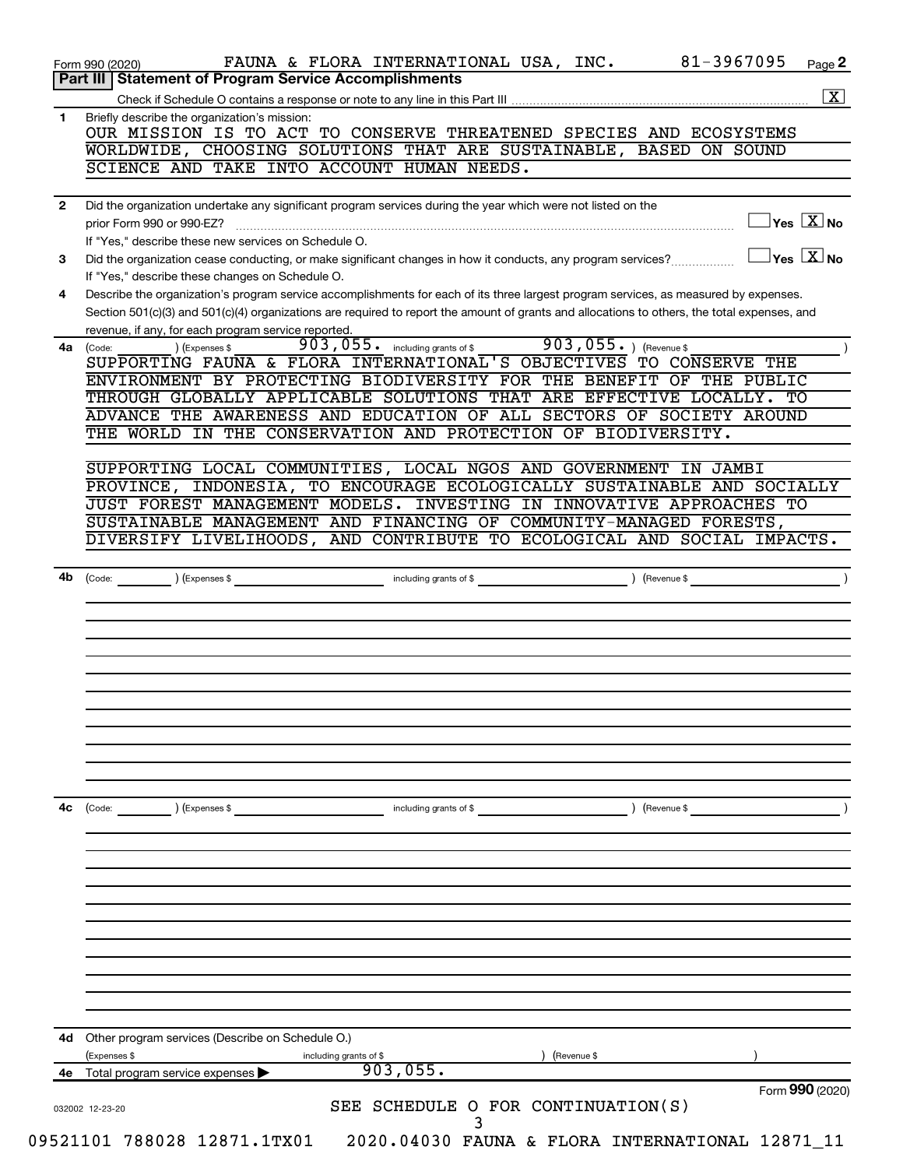|                                                                                                                                                                                                                                                                                                                                                                                                                                                                                                                                                                                                                                                                                                                                                                                                                                                                                                                                                                                                                                                                                                                                                                                                                                                                                                                                                                                                      | 81-3967095<br>FAUNA & FLORA INTERNATIONAL USA, INC.<br>Page 2                                                                                                    |
|------------------------------------------------------------------------------------------------------------------------------------------------------------------------------------------------------------------------------------------------------------------------------------------------------------------------------------------------------------------------------------------------------------------------------------------------------------------------------------------------------------------------------------------------------------------------------------------------------------------------------------------------------------------------------------------------------------------------------------------------------------------------------------------------------------------------------------------------------------------------------------------------------------------------------------------------------------------------------------------------------------------------------------------------------------------------------------------------------------------------------------------------------------------------------------------------------------------------------------------------------------------------------------------------------------------------------------------------------------------------------------------------------|------------------------------------------------------------------------------------------------------------------------------------------------------------------|
| Form 990 (2020)<br>Part III   Statement of Program Service Accomplishments<br>Briefly describe the organization's mission:<br>1<br>SCIENCE AND TAKE INTO ACCOUNT HUMAN NEEDS.<br>Did the organization undertake any significant program services during the year which were not listed on the<br>$\mathbf{2}$<br>prior Form 990 or 990-EZ?<br>If "Yes," describe these new services on Schedule O.<br>3<br>If "Yes," describe these changes on Schedule O.<br>Describe the organization's program service accomplishments for each of its three largest program services, as measured by expenses.<br>4<br>Section 501(c)(3) and 501(c)(4) organizations are required to report the amount of grants and allocations to others, the total expenses, and<br>revenue, if any, for each program service reported.<br>903,055. including grants of \$<br>) (Expenses \$<br>4a (Code:<br>THROUGH GLOBALLY APPLICABLE SOLUTIONS THAT ARE EFFECTIVE LOCALLY. TO<br>ADVANCE THE AWARENESS AND EDUCATION OF ALL SECTORS OF SOCIETY AROUND<br>THE WORLD IN THE CONSERVATION AND PROTECTION OF BIODIVERSITY.<br>DIVERSIFY LIVELIHOODS, AND CONTRIBUTE TO ECOLOGICAL AND SOCIAL IMPACTS.<br>including grants of \$<br>4b<br>(Expenses \$<br>(Code:<br>4с<br>including grants of \$<br>(Code:<br>(Expenses \$<br>Other program services (Describe on Schedule O.)<br>4d<br>(Expenses \$<br>including grants of \$ | $\boxed{\textbf{X}}$                                                                                                                                             |
|                                                                                                                                                                                                                                                                                                                                                                                                                                                                                                                                                                                                                                                                                                                                                                                                                                                                                                                                                                                                                                                                                                                                                                                                                                                                                                                                                                                                      |                                                                                                                                                                  |
|                                                                                                                                                                                                                                                                                                                                                                                                                                                                                                                                                                                                                                                                                                                                                                                                                                                                                                                                                                                                                                                                                                                                                                                                                                                                                                                                                                                                      | OUR MISSION IS TO ACT TO CONSERVE THREATENED SPECIES AND ECOSYSTEMS                                                                                              |
|                                                                                                                                                                                                                                                                                                                                                                                                                                                                                                                                                                                                                                                                                                                                                                                                                                                                                                                                                                                                                                                                                                                                                                                                                                                                                                                                                                                                      | WORLDWIDE, CHOOSING SOLUTIONS THAT ARE SUSTAINABLE, BASED ON SOUND                                                                                               |
|                                                                                                                                                                                                                                                                                                                                                                                                                                                                                                                                                                                                                                                                                                                                                                                                                                                                                                                                                                                                                                                                                                                                                                                                                                                                                                                                                                                                      |                                                                                                                                                                  |
|                                                                                                                                                                                                                                                                                                                                                                                                                                                                                                                                                                                                                                                                                                                                                                                                                                                                                                                                                                                                                                                                                                                                                                                                                                                                                                                                                                                                      |                                                                                                                                                                  |
|                                                                                                                                                                                                                                                                                                                                                                                                                                                                                                                                                                                                                                                                                                                                                                                                                                                                                                                                                                                                                                                                                                                                                                                                                                                                                                                                                                                                      | $\overline{\ }$ Yes $\overline{\rm \ }X$ No                                                                                                                      |
|                                                                                                                                                                                                                                                                                                                                                                                                                                                                                                                                                                                                                                                                                                                                                                                                                                                                                                                                                                                                                                                                                                                                                                                                                                                                                                                                                                                                      |                                                                                                                                                                  |
|                                                                                                                                                                                                                                                                                                                                                                                                                                                                                                                                                                                                                                                                                                                                                                                                                                                                                                                                                                                                                                                                                                                                                                                                                                                                                                                                                                                                      | $\overline{\ }$ Yes $\overline{\phantom{a}X}$ No<br>Did the organization cease conducting, or make significant changes in how it conducts, any program services? |
|                                                                                                                                                                                                                                                                                                                                                                                                                                                                                                                                                                                                                                                                                                                                                                                                                                                                                                                                                                                                                                                                                                                                                                                                                                                                                                                                                                                                      |                                                                                                                                                                  |
|                                                                                                                                                                                                                                                                                                                                                                                                                                                                                                                                                                                                                                                                                                                                                                                                                                                                                                                                                                                                                                                                                                                                                                                                                                                                                                                                                                                                      |                                                                                                                                                                  |
|                                                                                                                                                                                                                                                                                                                                                                                                                                                                                                                                                                                                                                                                                                                                                                                                                                                                                                                                                                                                                                                                                                                                                                                                                                                                                                                                                                                                      |                                                                                                                                                                  |
|                                                                                                                                                                                                                                                                                                                                                                                                                                                                                                                                                                                                                                                                                                                                                                                                                                                                                                                                                                                                                                                                                                                                                                                                                                                                                                                                                                                                      | $903,055.$ ) (Revenue \$                                                                                                                                         |
|                                                                                                                                                                                                                                                                                                                                                                                                                                                                                                                                                                                                                                                                                                                                                                                                                                                                                                                                                                                                                                                                                                                                                                                                                                                                                                                                                                                                      | SUPPORTING FAUNA & FLORA INTERNATIONAL'S OBJECTIVES TO CONSERVE THE                                                                                              |
|                                                                                                                                                                                                                                                                                                                                                                                                                                                                                                                                                                                                                                                                                                                                                                                                                                                                                                                                                                                                                                                                                                                                                                                                                                                                                                                                                                                                      | ENVIRONMENT BY PROTECTING BIODIVERSITY FOR THE BENEFIT OF THE PUBLIC                                                                                             |
|                                                                                                                                                                                                                                                                                                                                                                                                                                                                                                                                                                                                                                                                                                                                                                                                                                                                                                                                                                                                                                                                                                                                                                                                                                                                                                                                                                                                      |                                                                                                                                                                  |
|                                                                                                                                                                                                                                                                                                                                                                                                                                                                                                                                                                                                                                                                                                                                                                                                                                                                                                                                                                                                                                                                                                                                                                                                                                                                                                                                                                                                      |                                                                                                                                                                  |
|                                                                                                                                                                                                                                                                                                                                                                                                                                                                                                                                                                                                                                                                                                                                                                                                                                                                                                                                                                                                                                                                                                                                                                                                                                                                                                                                                                                                      |                                                                                                                                                                  |
|                                                                                                                                                                                                                                                                                                                                                                                                                                                                                                                                                                                                                                                                                                                                                                                                                                                                                                                                                                                                                                                                                                                                                                                                                                                                                                                                                                                                      | SUPPORTING LOCAL COMMUNITIES, LOCAL NGOS AND GOVERNMENT IN JAMBI                                                                                                 |
|                                                                                                                                                                                                                                                                                                                                                                                                                                                                                                                                                                                                                                                                                                                                                                                                                                                                                                                                                                                                                                                                                                                                                                                                                                                                                                                                                                                                      | PROVINCE, INDONESIA, TO ENCOURAGE ECOLOGICALLY SUSTAINABLE AND SOCIALLY                                                                                          |
|                                                                                                                                                                                                                                                                                                                                                                                                                                                                                                                                                                                                                                                                                                                                                                                                                                                                                                                                                                                                                                                                                                                                                                                                                                                                                                                                                                                                      | JUST FOREST MANAGEMENT MODELS. INVESTING IN INNOVATIVE APPROACHES TO                                                                                             |
|                                                                                                                                                                                                                                                                                                                                                                                                                                                                                                                                                                                                                                                                                                                                                                                                                                                                                                                                                                                                                                                                                                                                                                                                                                                                                                                                                                                                      | SUSTAINABLE MANAGEMENT AND FINANCING OF COMMUNITY-MANAGED FORESTS,                                                                                               |
|                                                                                                                                                                                                                                                                                                                                                                                                                                                                                                                                                                                                                                                                                                                                                                                                                                                                                                                                                                                                                                                                                                                                                                                                                                                                                                                                                                                                      |                                                                                                                                                                  |
|                                                                                                                                                                                                                                                                                                                                                                                                                                                                                                                                                                                                                                                                                                                                                                                                                                                                                                                                                                                                                                                                                                                                                                                                                                                                                                                                                                                                      |                                                                                                                                                                  |
|                                                                                                                                                                                                                                                                                                                                                                                                                                                                                                                                                                                                                                                                                                                                                                                                                                                                                                                                                                                                                                                                                                                                                                                                                                                                                                                                                                                                      |                                                                                                                                                                  |
|                                                                                                                                                                                                                                                                                                                                                                                                                                                                                                                                                                                                                                                                                                                                                                                                                                                                                                                                                                                                                                                                                                                                                                                                                                                                                                                                                                                                      |                                                                                                                                                                  |
|                                                                                                                                                                                                                                                                                                                                                                                                                                                                                                                                                                                                                                                                                                                                                                                                                                                                                                                                                                                                                                                                                                                                                                                                                                                                                                                                                                                                      | ) (Revenue \$                                                                                                                                                    |
|                                                                                                                                                                                                                                                                                                                                                                                                                                                                                                                                                                                                                                                                                                                                                                                                                                                                                                                                                                                                                                                                                                                                                                                                                                                                                                                                                                                                      |                                                                                                                                                                  |
|                                                                                                                                                                                                                                                                                                                                                                                                                                                                                                                                                                                                                                                                                                                                                                                                                                                                                                                                                                                                                                                                                                                                                                                                                                                                                                                                                                                                      |                                                                                                                                                                  |
|                                                                                                                                                                                                                                                                                                                                                                                                                                                                                                                                                                                                                                                                                                                                                                                                                                                                                                                                                                                                                                                                                                                                                                                                                                                                                                                                                                                                      |                                                                                                                                                                  |
|                                                                                                                                                                                                                                                                                                                                                                                                                                                                                                                                                                                                                                                                                                                                                                                                                                                                                                                                                                                                                                                                                                                                                                                                                                                                                                                                                                                                      |                                                                                                                                                                  |
|                                                                                                                                                                                                                                                                                                                                                                                                                                                                                                                                                                                                                                                                                                                                                                                                                                                                                                                                                                                                                                                                                                                                                                                                                                                                                                                                                                                                      |                                                                                                                                                                  |
|                                                                                                                                                                                                                                                                                                                                                                                                                                                                                                                                                                                                                                                                                                                                                                                                                                                                                                                                                                                                                                                                                                                                                                                                                                                                                                                                                                                                      |                                                                                                                                                                  |
|                                                                                                                                                                                                                                                                                                                                                                                                                                                                                                                                                                                                                                                                                                                                                                                                                                                                                                                                                                                                                                                                                                                                                                                                                                                                                                                                                                                                      | (Revenue \$                                                                                                                                                      |
|                                                                                                                                                                                                                                                                                                                                                                                                                                                                                                                                                                                                                                                                                                                                                                                                                                                                                                                                                                                                                                                                                                                                                                                                                                                                                                                                                                                                      |                                                                                                                                                                  |
| 4е                                                                                                                                                                                                                                                                                                                                                                                                                                                                                                                                                                                                                                                                                                                                                                                                                                                                                                                                                                                                                                                                                                                                                                                                                                                                                                                                                                                                   | 903,055.<br>Total program service expenses                                                                                                                       |
|                                                                                                                                                                                                                                                                                                                                                                                                                                                                                                                                                                                                                                                                                                                                                                                                                                                                                                                                                                                                                                                                                                                                                                                                                                                                                                                                                                                                      | Form 990 (2020)<br>SEE SCHEDULE O FOR CONTINUATION(S)<br>032002 12-23-20                                                                                         |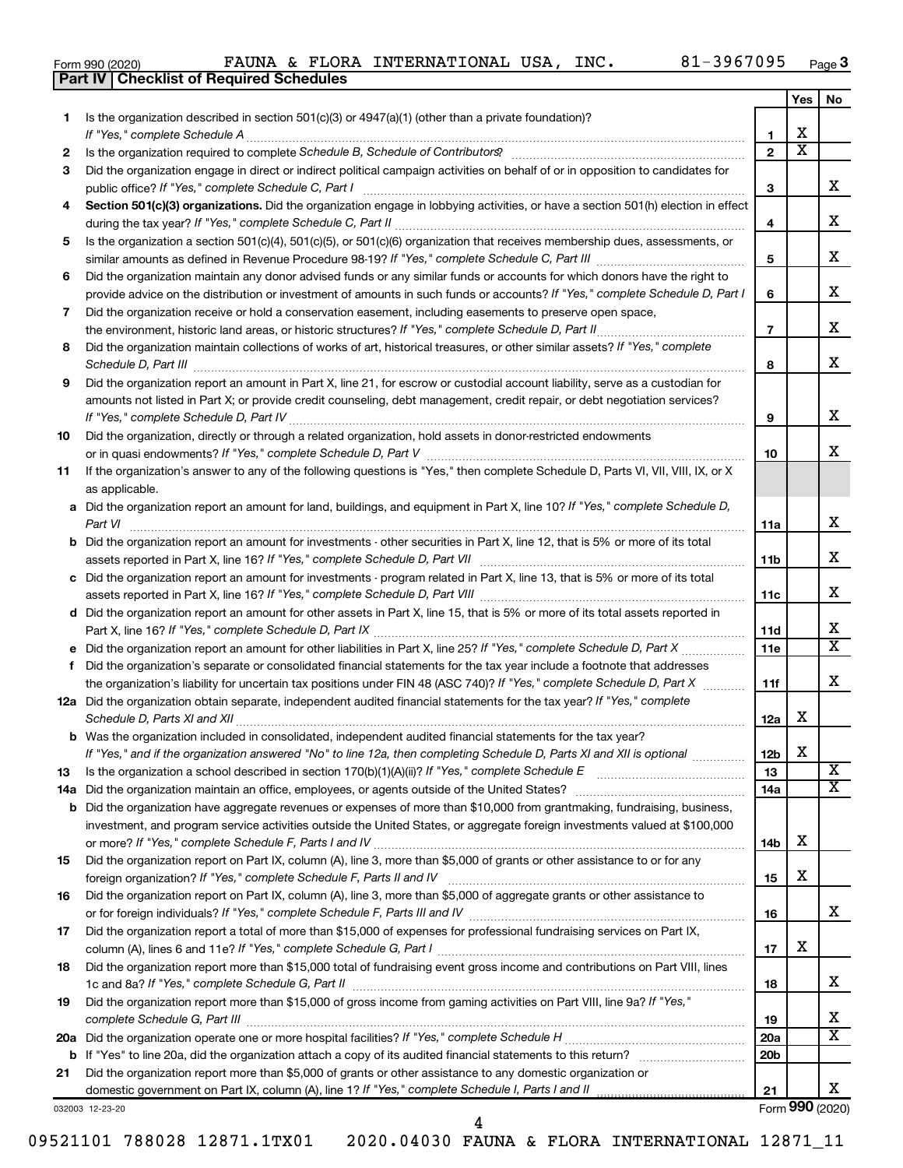|  | Form 990 (2020) |
|--|-----------------|
|  |                 |

**Part IV Checklist of Required Schedules**

|     |                                                                                                                                                                                                                                             |                 | Yes                   | No                         |
|-----|---------------------------------------------------------------------------------------------------------------------------------------------------------------------------------------------------------------------------------------------|-----------------|-----------------------|----------------------------|
| 1   | Is the organization described in section $501(c)(3)$ or $4947(a)(1)$ (other than a private foundation)?                                                                                                                                     |                 |                       |                            |
|     | If "Yes," complete Schedule A                                                                                                                                                                                                               | 1               | x                     |                            |
| 2   |                                                                                                                                                                                                                                             | $\overline{2}$  | $\overline{\text{x}}$ |                            |
| 3   | Did the organization engage in direct or indirect political campaign activities on behalf of or in opposition to candidates for                                                                                                             |                 |                       |                            |
|     | public office? If "Yes," complete Schedule C, Part I                                                                                                                                                                                        | З               |                       | X.                         |
| 4   | Section 501(c)(3) organizations. Did the organization engage in lobbying activities, or have a section 501(h) election in effect                                                                                                            |                 |                       |                            |
|     |                                                                                                                                                                                                                                             | 4               |                       | x                          |
| 5   | Is the organization a section 501(c)(4), 501(c)(5), or 501(c)(6) organization that receives membership dues, assessments, or                                                                                                                |                 |                       |                            |
|     |                                                                                                                                                                                                                                             | 5               |                       | x                          |
| 6   | Did the organization maintain any donor advised funds or any similar funds or accounts for which donors have the right to                                                                                                                   |                 |                       |                            |
|     | provide advice on the distribution or investment of amounts in such funds or accounts? If "Yes," complete Schedule D, Part I                                                                                                                | 6               |                       | х                          |
| 7   | Did the organization receive or hold a conservation easement, including easements to preserve open space,                                                                                                                                   |                 |                       |                            |
|     |                                                                                                                                                                                                                                             | $\overline{7}$  |                       | x                          |
| 8   | Did the organization maintain collections of works of art, historical treasures, or other similar assets? If "Yes," complete                                                                                                                |                 |                       |                            |
|     | Schedule D, Part III <b>Marting Community Contract Contract Contract Contract Contract Contract Contract Contract Contract Contract Contract Contract Contract Contract Contract Contract Contract Contract Contract Contract Co</b>        | 8               |                       | x                          |
| 9   | Did the organization report an amount in Part X, line 21, for escrow or custodial account liability, serve as a custodian for                                                                                                               |                 |                       |                            |
|     | amounts not listed in Part X; or provide credit counseling, debt management, credit repair, or debt negotiation services?                                                                                                                   |                 |                       |                            |
|     |                                                                                                                                                                                                                                             | 9               |                       | х                          |
| 10  | Did the organization, directly or through a related organization, hold assets in donor-restricted endowments                                                                                                                                |                 |                       |                            |
|     |                                                                                                                                                                                                                                             | 10              |                       | x                          |
| 11  | If the organization's answer to any of the following questions is "Yes," then complete Schedule D, Parts VI, VII, VIII, IX, or X                                                                                                            |                 |                       |                            |
|     | as applicable.                                                                                                                                                                                                                              |                 |                       |                            |
|     | a Did the organization report an amount for land, buildings, and equipment in Part X, line 10? If "Yes," complete Schedule D,                                                                                                               |                 |                       |                            |
|     |                                                                                                                                                                                                                                             | 11a             |                       | x                          |
|     | <b>b</b> Did the organization report an amount for investments - other securities in Part X, line 12, that is 5% or more of its total                                                                                                       |                 |                       |                            |
|     | assets reported in Part X, line 16? If "Yes," complete Schedule D, Part VII [11] [11] [12] [12] [12] [12] [12] [                                                                                                                            | 11 <sub>b</sub> |                       | x                          |
|     | c Did the organization report an amount for investments - program related in Part X, line 13, that is 5% or more of its total                                                                                                               |                 |                       |                            |
|     |                                                                                                                                                                                                                                             |                 |                       | x                          |
|     | d Did the organization report an amount for other assets in Part X, line 15, that is 5% or more of its total assets reported in                                                                                                             |                 |                       |                            |
|     |                                                                                                                                                                                                                                             |                 |                       | х                          |
|     |                                                                                                                                                                                                                                             | 11d<br>11e      |                       | $\overline{\texttt{x}}$    |
|     | Did the organization's separate or consolidated financial statements for the tax year include a footnote that addresses                                                                                                                     |                 |                       |                            |
| f.  | the organization's liability for uncertain tax positions under FIN 48 (ASC 740)? If "Yes," complete Schedule D, Part X                                                                                                                      | 11f             |                       | x                          |
|     | 12a Did the organization obtain separate, independent audited financial statements for the tax year? If "Yes," complete                                                                                                                     |                 |                       |                            |
|     | Schedule D, Parts XI and XII                                                                                                                                                                                                                | 12a             | x                     |                            |
|     |                                                                                                                                                                                                                                             |                 |                       |                            |
|     | <b>b</b> Was the organization included in consolidated, independent audited financial statements for the tax year?<br>If "Yes," and if the organization answered "No" to line 12a, then completing Schedule D, Parts XI and XII is optional | 12 <sub>b</sub> | X                     |                            |
|     |                                                                                                                                                                                                                                             |                 |                       | $\overline{\mathbf{X}}$    |
| 13  | Is the organization a school described in section $170(b)(1)(A)(ii)?$ If "Yes," complete Schedule E                                                                                                                                         | 13              |                       | x                          |
| 14a |                                                                                                                                                                                                                                             | 14a             |                       |                            |
| b   | Did the organization have aggregate revenues or expenses of more than \$10,000 from grantmaking, fundraising, business,                                                                                                                     |                 |                       |                            |
|     | investment, and program service activities outside the United States, or aggregate foreign investments valued at \$100,000                                                                                                                  |                 | x                     |                            |
|     |                                                                                                                                                                                                                                             | 14b             |                       |                            |
| 15  | Did the organization report on Part IX, column (A), line 3, more than \$5,000 of grants or other assistance to or for any                                                                                                                   |                 | x                     |                            |
|     |                                                                                                                                                                                                                                             | 15              |                       |                            |
| 16  | Did the organization report on Part IX, column (A), line 3, more than \$5,000 of aggregate grants or other assistance to                                                                                                                    |                 |                       | x                          |
|     |                                                                                                                                                                                                                                             | 16              |                       |                            |
| 17  | Did the organization report a total of more than \$15,000 of expenses for professional fundraising services on Part IX,                                                                                                                     |                 | х                     |                            |
|     |                                                                                                                                                                                                                                             | 17              |                       |                            |
| 18  | Did the organization report more than \$15,000 total of fundraising event gross income and contributions on Part VIII, lines                                                                                                                |                 |                       | x                          |
|     |                                                                                                                                                                                                                                             | 18              |                       |                            |
| 19  | Did the organization report more than \$15,000 of gross income from gaming activities on Part VIII, line 9a? If "Yes,"                                                                                                                      |                 |                       |                            |
|     |                                                                                                                                                                                                                                             | 19              |                       | х<br>$\overline{\text{X}}$ |
| 20a |                                                                                                                                                                                                                                             | <b>20a</b>      |                       |                            |
| b   |                                                                                                                                                                                                                                             | 20 <sub>b</sub> |                       |                            |
| 21  | Did the organization report more than \$5,000 of grants or other assistance to any domestic organization or                                                                                                                                 |                 |                       |                            |
|     |                                                                                                                                                                                                                                             | 21              |                       | x                          |
|     | 032003 12-23-20                                                                                                                                                                                                                             |                 |                       | Form 990 (2020)            |

4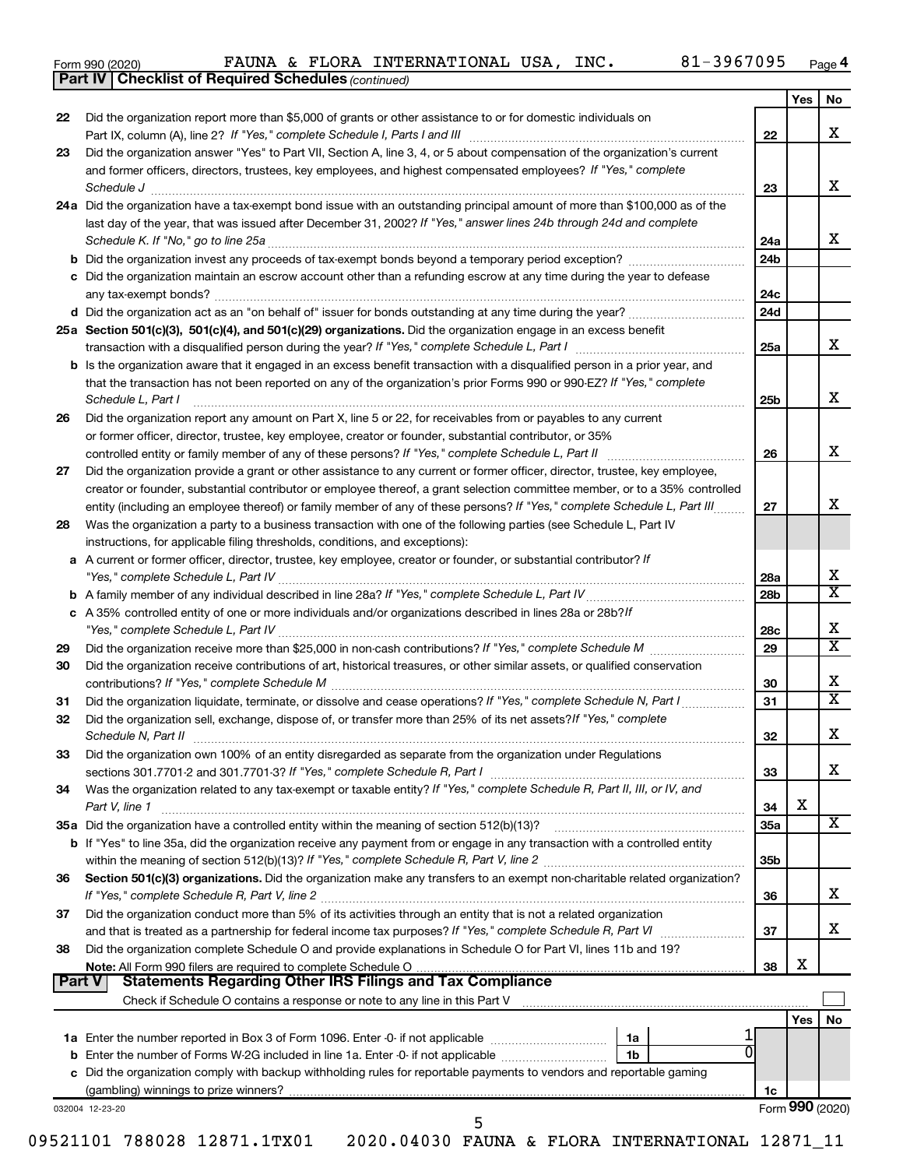| Form 990 (2020) |  |  |  |
|-----------------|--|--|--|
|-----------------|--|--|--|

**Part IV Checklist of Required Schedules**

*(continued)*

|        |                                                                                                                                                                                                                                                                                                                                                                                                                                                                                                            |                 | Yes I   | No                      |
|--------|------------------------------------------------------------------------------------------------------------------------------------------------------------------------------------------------------------------------------------------------------------------------------------------------------------------------------------------------------------------------------------------------------------------------------------------------------------------------------------------------------------|-----------------|---------|-------------------------|
| 22     | Did the organization report more than \$5,000 of grants or other assistance to or for domestic individuals on                                                                                                                                                                                                                                                                                                                                                                                              | 22              |         | х                       |
| 23     | Did the organization answer "Yes" to Part VII, Section A, line 3, 4, or 5 about compensation of the organization's current                                                                                                                                                                                                                                                                                                                                                                                 |                 |         |                         |
|        | and former officers, directors, trustees, key employees, and highest compensated employees? If "Yes," complete<br>$\textit{Schedule J} \textit{ \textbf{} \textbf{} \textbf{} \textbf{} \textbf{} \textbf{} \textbf{} \textbf{} \textbf{} \textbf{} \textbf{} \textbf{} \textbf{} \textbf{} \textbf{} \textbf{} \textbf{} \textbf{} \textbf{} \textbf{} \textbf{} \textbf{} \textbf{} \textbf{} \textbf{} \textbf{} \textbf{} \textbf{} \textbf{} \textbf{} \textbf{} \textbf{} \textbf{} \textbf{} \text$ | 23              |         | х                       |
|        | 24a Did the organization have a tax-exempt bond issue with an outstanding principal amount of more than \$100,000 as of the                                                                                                                                                                                                                                                                                                                                                                                |                 |         |                         |
|        | last day of the year, that was issued after December 31, 2002? If "Yes," answer lines 24b through 24d and complete                                                                                                                                                                                                                                                                                                                                                                                         | 24a             |         | X                       |
|        | b Did the organization invest any proceeds of tax-exempt bonds beyond a temporary period exception?                                                                                                                                                                                                                                                                                                                                                                                                        | 24b             |         |                         |
|        | c Did the organization maintain an escrow account other than a refunding escrow at any time during the year to defease                                                                                                                                                                                                                                                                                                                                                                                     | 24c             |         |                         |
|        |                                                                                                                                                                                                                                                                                                                                                                                                                                                                                                            | 24d             |         |                         |
|        | 25a Section 501(c)(3), 501(c)(4), and 501(c)(29) organizations. Did the organization engage in an excess benefit                                                                                                                                                                                                                                                                                                                                                                                           |                 |         |                         |
|        |                                                                                                                                                                                                                                                                                                                                                                                                                                                                                                            | 25a             |         | X                       |
|        | <b>b</b> Is the organization aware that it engaged in an excess benefit transaction with a disqualified person in a prior year, and<br>that the transaction has not been reported on any of the organization's prior Forms 990 or 990-EZ? If "Yes," complete<br>Schedule L, Part I                                                                                                                                                                                                                         | 25b             |         | X                       |
| 26     | Did the organization report any amount on Part X, line 5 or 22, for receivables from or payables to any current                                                                                                                                                                                                                                                                                                                                                                                            |                 |         |                         |
|        | or former officer, director, trustee, key employee, creator or founder, substantial contributor, or 35%                                                                                                                                                                                                                                                                                                                                                                                                    |                 |         |                         |
|        |                                                                                                                                                                                                                                                                                                                                                                                                                                                                                                            | 26              |         | x                       |
| 27     | Did the organization provide a grant or other assistance to any current or former officer, director, trustee, key employee,                                                                                                                                                                                                                                                                                                                                                                                |                 |         |                         |
|        | creator or founder, substantial contributor or employee thereof, a grant selection committee member, or to a 35% controlled                                                                                                                                                                                                                                                                                                                                                                                |                 |         | x                       |
|        | entity (including an employee thereof) or family member of any of these persons? If "Yes," complete Schedule L, Part III                                                                                                                                                                                                                                                                                                                                                                                   | 27              |         |                         |
| 28     | Was the organization a party to a business transaction with one of the following parties (see Schedule L, Part IV<br>instructions, for applicable filing thresholds, conditions, and exceptions):                                                                                                                                                                                                                                                                                                          |                 |         |                         |
|        | a A current or former officer, director, trustee, key employee, creator or founder, or substantial contributor? If                                                                                                                                                                                                                                                                                                                                                                                         | 28a             |         | Х                       |
|        |                                                                                                                                                                                                                                                                                                                                                                                                                                                                                                            | 28 <sub>b</sub> |         | $\overline{\texttt{x}}$ |
|        | c A 35% controlled entity of one or more individuals and/or organizations described in lines 28a or 28b?/f                                                                                                                                                                                                                                                                                                                                                                                                 | 28c             |         | X                       |
| 29     |                                                                                                                                                                                                                                                                                                                                                                                                                                                                                                            | 29              |         | $\overline{\texttt{x}}$ |
| 30     | Did the organization receive contributions of art, historical treasures, or other similar assets, or qualified conservation                                                                                                                                                                                                                                                                                                                                                                                | 30              |         | Х                       |
| 31     | Did the organization liquidate, terminate, or dissolve and cease operations? If "Yes," complete Schedule N, Part I                                                                                                                                                                                                                                                                                                                                                                                         | 31              |         | $\overline{\texttt{x}}$ |
| 32     | Did the organization sell, exchange, dispose of, or transfer more than 25% of its net assets? If "Yes," complete                                                                                                                                                                                                                                                                                                                                                                                           | 32              |         | Х                       |
| 33     | Did the organization own 100% of an entity disregarded as separate from the organization under Regulations                                                                                                                                                                                                                                                                                                                                                                                                 |                 |         |                         |
| 34     | Was the organization related to any tax-exempt or taxable entity? If "Yes," complete Schedule R, Part II, III, or IV, and                                                                                                                                                                                                                                                                                                                                                                                  | 33              |         | x                       |
|        | Part V, line 1                                                                                                                                                                                                                                                                                                                                                                                                                                                                                             | 34              | X       |                         |
|        |                                                                                                                                                                                                                                                                                                                                                                                                                                                                                                            |                 |         |                         |
|        |                                                                                                                                                                                                                                                                                                                                                                                                                                                                                                            | 35a             |         |                         |
|        | b If "Yes" to line 35a, did the organization receive any payment from or engage in any transaction with a controlled entity                                                                                                                                                                                                                                                                                                                                                                                | 35 <sub>b</sub> |         |                         |
| 36     | Section 501(c)(3) organizations. Did the organization make any transfers to an exempt non-charitable related organization?                                                                                                                                                                                                                                                                                                                                                                                 | 36              |         |                         |
| 37     | Did the organization conduct more than 5% of its activities through an entity that is not a related organization                                                                                                                                                                                                                                                                                                                                                                                           | 37              |         |                         |
| 38     | Did the organization complete Schedule O and provide explanations in Schedule O for Part VI, lines 11b and 19?                                                                                                                                                                                                                                                                                                                                                                                             |                 |         |                         |
| Part V | <b>Statements Regarding Other IRS Filings and Tax Compliance</b>                                                                                                                                                                                                                                                                                                                                                                                                                                           | 38              | х       |                         |
|        |                                                                                                                                                                                                                                                                                                                                                                                                                                                                                                            |                 |         |                         |
|        |                                                                                                                                                                                                                                                                                                                                                                                                                                                                                                            |                 | Yes $ $ |                         |
|        | 1a                                                                                                                                                                                                                                                                                                                                                                                                                                                                                                         |                 |         |                         |
|        | $\Omega$<br>1 <sub>b</sub>                                                                                                                                                                                                                                                                                                                                                                                                                                                                                 |                 |         |                         |
|        | c Did the organization comply with backup withholding rules for reportable payments to vendors and reportable gaming                                                                                                                                                                                                                                                                                                                                                                                       | 1c              |         | X<br>x<br>X<br>No       |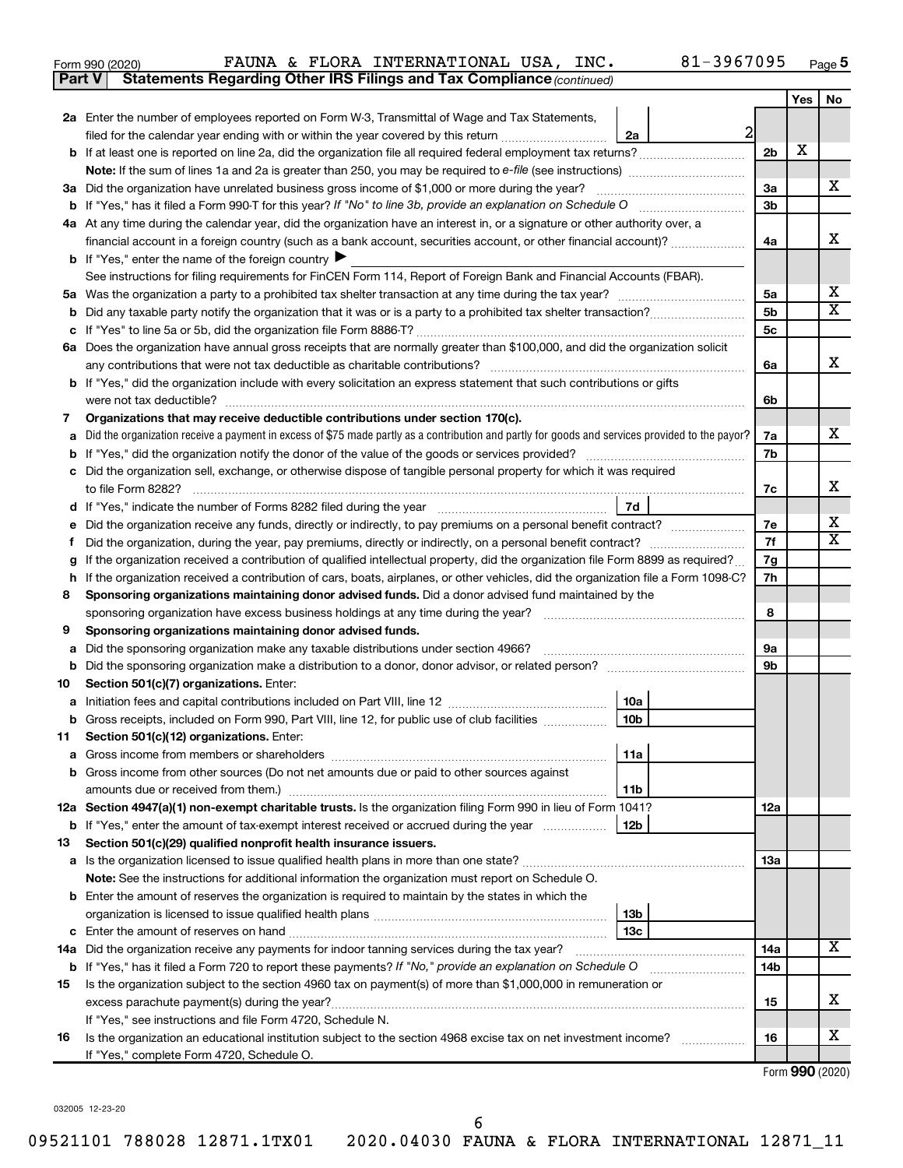| Form 990 (2020) |  |  | FAUNA & FLORA INTERNATIONAL USA, INC.                                               |  | 81-3967095 | Page |
|-----------------|--|--|-------------------------------------------------------------------------------------|--|------------|------|
|                 |  |  | <b>Part V</b> Statements Regarding Other IRS Filings and Tax Compliance (continued) |  |            |      |

|         |                                                                                                                                                             |                                  | Yes | No |  |  |  |
|---------|-------------------------------------------------------------------------------------------------------------------------------------------------------------|----------------------------------|-----|----|--|--|--|
|         | 2a Enter the number of employees reported on Form W-3, Transmittal of Wage and Tax Statements,                                                              |                                  |     |    |  |  |  |
|         | 2<br>filed for the calendar year ending with or within the year covered by this return<br>2a                                                                |                                  |     |    |  |  |  |
|         |                                                                                                                                                             | 2 <sub>b</sub>                   | х   |    |  |  |  |
|         |                                                                                                                                                             |                                  |     |    |  |  |  |
|         | 3a Did the organization have unrelated business gross income of \$1,000 or more during the year?                                                            | 3a                               |     | x  |  |  |  |
|         |                                                                                                                                                             | 3b                               |     |    |  |  |  |
|         | 4a At any time during the calendar year, did the organization have an interest in, or a signature or other authority over, a                                |                                  |     |    |  |  |  |
|         | financial account in a foreign country (such as a bank account, securities account, or other financial account)?                                            | 4a                               |     | х  |  |  |  |
|         | <b>b</b> If "Yes," enter the name of the foreign country $\blacktriangleright$                                                                              |                                  |     |    |  |  |  |
|         | See instructions for filing requirements for FinCEN Form 114, Report of Foreign Bank and Financial Accounts (FBAR).                                         |                                  |     | х  |  |  |  |
|         |                                                                                                                                                             | 5a                               |     | X  |  |  |  |
| b       |                                                                                                                                                             | 5 <sub>b</sub><br>5 <sub>c</sub> |     |    |  |  |  |
| с       | 6a Does the organization have annual gross receipts that are normally greater than \$100,000, and did the organization solicit                              |                                  |     |    |  |  |  |
|         | any contributions that were not tax deductible as charitable contributions?                                                                                 |                                  |     |    |  |  |  |
|         | b If "Yes," did the organization include with every solicitation an express statement that such contributions or gifts                                      | 6a                               |     | х  |  |  |  |
|         | were not tax deductible?                                                                                                                                    | 6b                               |     |    |  |  |  |
| 7       | Organizations that may receive deductible contributions under section 170(c).                                                                               |                                  |     |    |  |  |  |
| а       | Did the organization receive a payment in excess of \$75 made partly as a contribution and partly for goods and services provided to the payor?             | 7a                               |     | x  |  |  |  |
|         |                                                                                                                                                             | 7b                               |     |    |  |  |  |
| с       | Did the organization sell, exchange, or otherwise dispose of tangible personal property for which it was required                                           |                                  |     |    |  |  |  |
|         | to file Form 8282?                                                                                                                                          | 7c                               |     | x  |  |  |  |
| d       | 7d<br>If "Yes," indicate the number of Forms 8282 filed during the year [11,111] [11] Nes," indicate the number of Forms 8282 filed during the year         |                                  |     |    |  |  |  |
|         | Did the organization receive any funds, directly or indirectly, to pay premiums on a personal benefit contract?                                             | 7e                               |     | х  |  |  |  |
|         |                                                                                                                                                             | 7f                               |     | X  |  |  |  |
| g       | If the organization received a contribution of qualified intellectual property, did the organization file Form 8899 as required?                            | 7g                               |     |    |  |  |  |
| h       | If the organization received a contribution of cars, boats, airplanes, or other vehicles, did the organization file a Form 1098-C?                          | 7h                               |     |    |  |  |  |
| 8       | Sponsoring organizations maintaining donor advised funds. Did a donor advised fund maintained by the                                                        |                                  |     |    |  |  |  |
|         | sponsoring organization have excess business holdings at any time during the year?                                                                          | 8                                |     |    |  |  |  |
| 9       | Sponsoring organizations maintaining donor advised funds.                                                                                                   |                                  |     |    |  |  |  |
| а       | Did the sponsoring organization make any taxable distributions under section 4966?                                                                          | 9а                               |     |    |  |  |  |
| b       |                                                                                                                                                             | 9b                               |     |    |  |  |  |
| 10      | Section 501(c)(7) organizations. Enter:                                                                                                                     |                                  |     |    |  |  |  |
| а       | 10a<br>10 <sub>b</sub>                                                                                                                                      |                                  |     |    |  |  |  |
| b<br>11 | Gross receipts, included on Form 990, Part VIII, line 12, for public use of club facilities<br>Section 501(c)(12) organizations. Enter:                     |                                  |     |    |  |  |  |
|         | 11a                                                                                                                                                         |                                  |     |    |  |  |  |
|         | b Gross income from other sources (Do not net amounts due or paid to other sources against                                                                  |                                  |     |    |  |  |  |
|         | amounts due or received from them.)<br>11b                                                                                                                  |                                  |     |    |  |  |  |
|         | 12a Section 4947(a)(1) non-exempt charitable trusts. Is the organization filing Form 990 in lieu of Form 1041?                                              | 12a                              |     |    |  |  |  |
|         | <b>b</b> If "Yes," enter the amount of tax-exempt interest received or accrued during the year<br>12b                                                       |                                  |     |    |  |  |  |
| 13      | Section 501(c)(29) qualified nonprofit health insurance issuers.                                                                                            |                                  |     |    |  |  |  |
|         |                                                                                                                                                             | <b>13a</b>                       |     |    |  |  |  |
|         | Note: See the instructions for additional information the organization must report on Schedule O.                                                           |                                  |     |    |  |  |  |
|         | <b>b</b> Enter the amount of reserves the organization is required to maintain by the states in which the                                                   |                                  |     |    |  |  |  |
|         | 13b                                                                                                                                                         |                                  |     |    |  |  |  |
|         | 13 <sub>c</sub>                                                                                                                                             |                                  |     |    |  |  |  |
|         | 14a Did the organization receive any payments for indoor tanning services during the tax year?                                                              | 14a                              |     | х  |  |  |  |
|         | b If "Yes," has it filed a Form 720 to report these payments? If "No," provide an explanation on Schedule O<br><u> 1986 - John Bernstein, skriuwer en s</u> | 14b                              |     |    |  |  |  |
| 15      | Is the organization subject to the section 4960 tax on payment(s) of more than \$1,000,000 in remuneration or                                               |                                  |     |    |  |  |  |
|         |                                                                                                                                                             | 15                               |     | x  |  |  |  |
|         | If "Yes," see instructions and file Form 4720, Schedule N.                                                                                                  |                                  |     |    |  |  |  |
| 16      | Is the organization an educational institution subject to the section 4968 excise tax on net investment income?                                             | 16                               |     | х  |  |  |  |
|         | If "Yes," complete Form 4720, Schedule O.                                                                                                                   |                                  |     |    |  |  |  |

Form (2020) **990**

032005 12-23-20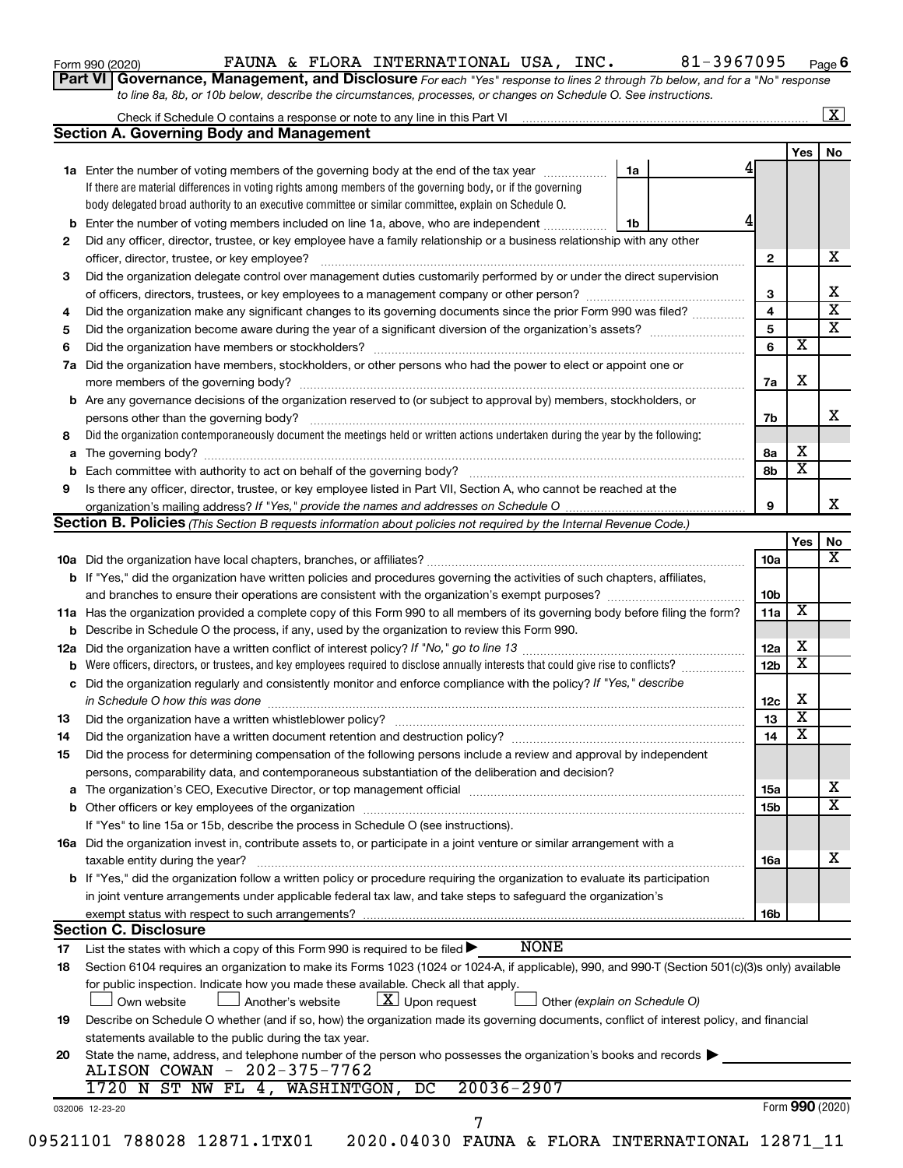|  |  |  | Form 990 (2020) |
|--|--|--|-----------------|
|--|--|--|-----------------|

#### Form 990 (2020) **PAUNA & FLORA INTERNATIONAL USA, INC.** 81-3967095  $_{\text{Page}}$

**6**

**Part VI** Governance, Management, and Disclosure For each "Yes" response to lines 2 through 7b below, and for a "No" response *to line 8a, 8b, or 10b below, describe the circumstances, processes, or changes on Schedule O. See instructions.*

|    | Check if Schedule O contains a response or note to any line in this Part VI [11] [12] Check if Schedule O contains a response or note to any line in this Part VI                                                                                         |                               |                        |                         | $\mathbf{X}$            |
|----|-----------------------------------------------------------------------------------------------------------------------------------------------------------------------------------------------------------------------------------------------------------|-------------------------------|------------------------|-------------------------|-------------------------|
|    | <b>Section A. Governing Body and Management</b>                                                                                                                                                                                                           |                               |                        |                         |                         |
|    |                                                                                                                                                                                                                                                           |                               |                        | Yes $ $                 | No                      |
|    | <b>1a</b> Enter the number of voting members of the governing body at the end of the tax year                                                                                                                                                             | 1a                            |                        |                         |                         |
|    | If there are material differences in voting rights among members of the governing body, or if the governing                                                                                                                                               |                               |                        |                         |                         |
|    | body delegated broad authority to an executive committee or similar committee, explain on Schedule O.                                                                                                                                                     |                               |                        |                         |                         |
| b  | Enter the number of voting members included on line 1a, above, who are independent                                                                                                                                                                        | 1b                            |                        |                         |                         |
| 2  | Did any officer, director, trustee, or key employee have a family relationship or a business relationship with any other                                                                                                                                  |                               |                        |                         |                         |
|    |                                                                                                                                                                                                                                                           |                               | 2                      |                         | х                       |
| 3  | Did the organization delegate control over management duties customarily performed by or under the direct supervision                                                                                                                                     |                               |                        |                         |                         |
|    |                                                                                                                                                                                                                                                           |                               | 3                      |                         | х                       |
| 4  | Did the organization make any significant changes to its governing documents since the prior Form 990 was filed?                                                                                                                                          |                               | 4                      |                         | $\overline{\mathbf{x}}$ |
| 5  |                                                                                                                                                                                                                                                           |                               | 5                      |                         | $\overline{\textbf{x}}$ |
| 6  |                                                                                                                                                                                                                                                           |                               | 6                      | $\overline{\textbf{x}}$ |                         |
| 7a | Did the organization have members, stockholders, or other persons who had the power to elect or appoint one or                                                                                                                                            |                               |                        |                         |                         |
|    |                                                                                                                                                                                                                                                           |                               | 7a                     | X                       |                         |
| b  | Are any governance decisions of the organization reserved to (or subject to approval by) members, stockholders, or                                                                                                                                        |                               |                        |                         |                         |
|    |                                                                                                                                                                                                                                                           |                               | 7b                     |                         | х                       |
| 8  | Did the organization contemporaneously document the meetings held or written actions undertaken during the year by the following:                                                                                                                         |                               |                        |                         |                         |
| а  |                                                                                                                                                                                                                                                           |                               | 8а                     | X                       |                         |
| b  |                                                                                                                                                                                                                                                           |                               | 8b                     | $\overline{\mathbf{x}}$ |                         |
| 9  | Is there any officer, director, trustee, or key employee listed in Part VII, Section A, who cannot be reached at the                                                                                                                                      |                               |                        |                         |                         |
|    |                                                                                                                                                                                                                                                           |                               | 9                      |                         | x                       |
|    | <b>Section B. Policies</b> (This Section B requests information about policies not required by the Internal Revenue Code.)                                                                                                                                |                               |                        |                         |                         |
|    |                                                                                                                                                                                                                                                           |                               |                        | Yes                     | No                      |
|    |                                                                                                                                                                                                                                                           |                               | 10a                    |                         | х                       |
|    | <b>b</b> If "Yes," did the organization have written policies and procedures governing the activities of such chapters, affiliates,                                                                                                                       |                               |                        |                         |                         |
|    |                                                                                                                                                                                                                                                           |                               | 10 <sub>b</sub>        |                         |                         |
|    | 11a Has the organization provided a complete copy of this Form 990 to all members of its governing body before filing the form?                                                                                                                           |                               | 11a                    | X                       |                         |
|    |                                                                                                                                                                                                                                                           |                               |                        |                         |                         |
|    | <b>b</b> Describe in Schedule O the process, if any, used by the organization to review this Form 990.                                                                                                                                                    |                               |                        | Х                       |                         |
|    |                                                                                                                                                                                                                                                           |                               | 12a<br>12 <sub>b</sub> | $\overline{\mathbf{X}}$ |                         |
| b  | Were officers, directors, or trustees, and key employees required to disclose annually interests that could give rise to conflicts?<br>Did the organization regularly and consistently monitor and enforce compliance with the policy? If "Yes," describe |                               |                        |                         |                         |
| с  |                                                                                                                                                                                                                                                           |                               |                        | Х                       |                         |
|    | in Schedule O how this was done encourance and an according to the state of the state of the state of the state of the state of the state of the state of the state of the state of the state of the state of the state of the                            |                               | 12c                    | $\overline{\textbf{x}}$ |                         |
| 13 |                                                                                                                                                                                                                                                           |                               | 13                     | $\overline{\mathbf{X}}$ |                         |
| 14 |                                                                                                                                                                                                                                                           |                               | 14                     |                         |                         |
| 15 | Did the process for determining compensation of the following persons include a review and approval by independent                                                                                                                                        |                               |                        |                         |                         |
|    | persons, comparability data, and contemporaneous substantiation of the deliberation and decision?                                                                                                                                                         |                               |                        |                         |                         |
| а  |                                                                                                                                                                                                                                                           |                               | 15a                    |                         | х                       |
|    |                                                                                                                                                                                                                                                           |                               | <b>15b</b>             |                         | $\overline{\mathbf{X}}$ |
|    | If "Yes" to line 15a or 15b, describe the process in Schedule O (see instructions).                                                                                                                                                                       |                               |                        |                         |                         |
|    | 16a Did the organization invest in, contribute assets to, or participate in a joint venture or similar arrangement with a                                                                                                                                 |                               |                        |                         |                         |
|    | taxable entity during the year?                                                                                                                                                                                                                           |                               | 16a                    |                         | х                       |
|    | b If "Yes," did the organization follow a written policy or procedure requiring the organization to evaluate its participation                                                                                                                            |                               |                        |                         |                         |
|    | in joint venture arrangements under applicable federal tax law, and take steps to safeguard the organization's                                                                                                                                            |                               |                        |                         |                         |
|    | exempt status with respect to such arrangements?                                                                                                                                                                                                          |                               | 16b                    |                         |                         |
|    | <b>Section C. Disclosure</b>                                                                                                                                                                                                                              |                               |                        |                         |                         |
| 17 | <b>NONE</b><br>List the states with which a copy of this Form 990 is required to be filed $\blacktriangleright$                                                                                                                                           |                               |                        |                         |                         |
| 18 | Section 6104 requires an organization to make its Forms 1023 (1024 or 1024-A, if applicable), 990, and 990-T (Section 501(c)(3)s only) available                                                                                                          |                               |                        |                         |                         |
|    | for public inspection. Indicate how you made these available. Check all that apply.<br>$\lfloor x \rfloor$ Upon request<br>Own website<br>Another's website                                                                                               | Other (explain on Schedule O) |                        |                         |                         |
| 19 | Describe on Schedule O whether (and if so, how) the organization made its governing documents, conflict of interest policy, and financial                                                                                                                 |                               |                        |                         |                         |
|    | statements available to the public during the tax year.                                                                                                                                                                                                   |                               |                        |                         |                         |
| 20 | State the name, address, and telephone number of the person who possesses the organization's books and records                                                                                                                                            |                               |                        |                         |                         |
|    | ALISON COWAN - 202-375-7762                                                                                                                                                                                                                               |                               |                        |                         |                         |
|    | $20036 - 2907$<br>1720 N ST NW FL 4, WASHINTGON, DC                                                                                                                                                                                                       |                               |                        |                         |                         |
|    |                                                                                                                                                                                                                                                           |                               |                        | Form 990 (2020)         |                         |
|    | 032006 12-23-20<br>7                                                                                                                                                                                                                                      |                               |                        |                         |                         |
|    | 09521101 788028 12871.1TX01<br>2020.04030 FAUNA & FLORA INTERNATIONAL 12871_11                                                                                                                                                                            |                               |                        |                         |                         |
|    |                                                                                                                                                                                                                                                           |                               |                        |                         |                         |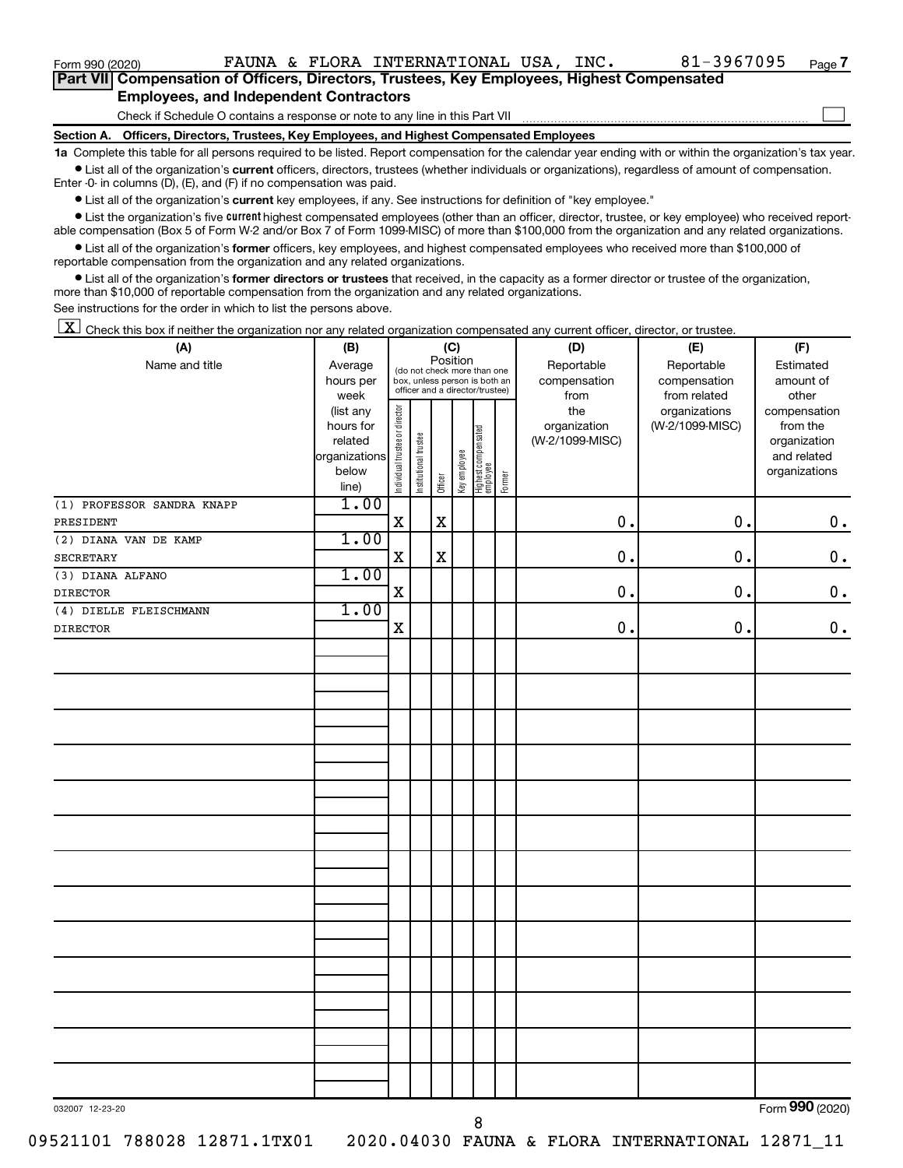$\Box$ 

| Part VII Compensation of Officers, Directors, Trustees, Key Employees, Highest Compensated |  |  |  |
|--------------------------------------------------------------------------------------------|--|--|--|
| <b>Employees, and Independent Contractors</b>                                              |  |  |  |

Check if Schedule O contains a response or note to any line in this Part VII

**Section A. Officers, Directors, Trustees, Key Employees, and Highest Compensated Employees**

**1a**  Complete this table for all persons required to be listed. Report compensation for the calendar year ending with or within the organization's tax year.  $\bullet$  List all of the organization's current officers, directors, trustees (whether individuals or organizations), regardless of amount of compensation.

Enter -0- in columns (D), (E), and (F) if no compensation was paid.

**•** List all of the organization's current key employees, if any. See instructions for definition of "key employee."

• List the organization's five *current* highest compensated employees (other than an officer, director, trustee, or key employee) who received reportable compensation (Box 5 of Form W-2 and/or Box 7 of Form 1099-MISC) of more than \$100,000 from the organization and any related organizations.

 $\bullet$  List all of the organization's former officers, key employees, and highest compensated employees who received more than \$100,000 of reportable compensation from the organization and any related organizations.

**•** List all of the organization's former directors or trustees that received, in the capacity as a former director or trustee of the organization, more than \$10,000 of reportable compensation from the organization and any related organizations.

See instructions for the order in which to list the persons above.

 $\boxed{\textbf{X}}$  Check this box if neither the organization nor any related organization compensated any current officer, director, or trustee.

| (A)                        | (B)                  |                                |                       |                                                                                 |              |                                   |        | (D)                        | (E)                        | (F)                    |
|----------------------------|----------------------|--------------------------------|-----------------------|---------------------------------------------------------------------------------|--------------|-----------------------------------|--------|----------------------------|----------------------------|------------------------|
| Name and title             | Average<br>hours per |                                |                       | (C)<br>Position<br>(do not check more than one<br>box, unless person is both an |              |                                   |        | Reportable<br>compensation | Reportable<br>compensation | Estimated<br>amount of |
|                            | week                 |                                |                       |                                                                                 |              | officer and a director/trustee)   |        | from                       | from related               | other                  |
|                            | (list any            |                                |                       |                                                                                 |              |                                   |        | the                        | organizations              | compensation           |
|                            | hours for            |                                |                       |                                                                                 |              |                                   |        | organization               | (W-2/1099-MISC)            | from the               |
|                            | related              |                                |                       |                                                                                 |              |                                   |        | (W-2/1099-MISC)            |                            | organization           |
|                            | organizations        |                                |                       |                                                                                 |              |                                   |        |                            |                            | and related            |
|                            | below<br>line)       | Individual trustee or director | Institutional trustee | Officer                                                                         | Key employee | Highest compensated<br>  employee | Former |                            |                            | organizations          |
| (1) PROFESSOR SANDRA KNAPP | 1.00                 |                                |                       |                                                                                 |              |                                   |        |                            |                            |                        |
| PRESIDENT                  |                      | $\mathbf X$                    |                       | $\mathbf X$                                                                     |              |                                   |        | 0.                         | 0.                         | $\mathbf 0$ .          |
| (2) DIANA VAN DE KAMP      | 1.00                 |                                |                       |                                                                                 |              |                                   |        |                            |                            |                        |
| <b>SECRETARY</b>           |                      | $\mathbf X$                    |                       | $\mathbf X$                                                                     |              |                                   |        | 0.                         | 0.                         | $\mathbf 0$ .          |
| (3) DIANA ALFANO           | 1.00                 |                                |                       |                                                                                 |              |                                   |        |                            |                            |                        |
| <b>DIRECTOR</b>            |                      | $\mathbf X$                    |                       |                                                                                 |              |                                   |        | $\mathbf 0$ .              | 0.                         | $\mathbf 0$ .          |
| (4) DIELLE FLEISCHMANN     | 1.00                 |                                |                       |                                                                                 |              |                                   |        |                            |                            |                        |
| <b>DIRECTOR</b>            |                      | $\mathbf X$                    |                       |                                                                                 |              |                                   |        | $0$ .                      | 0.                         | $\mathbf 0$ .          |
|                            |                      |                                |                       |                                                                                 |              |                                   |        |                            |                            |                        |
|                            |                      |                                |                       |                                                                                 |              |                                   |        |                            |                            |                        |
|                            |                      |                                |                       |                                                                                 |              |                                   |        |                            |                            |                        |
|                            |                      |                                |                       |                                                                                 |              |                                   |        |                            |                            |                        |
|                            |                      |                                |                       |                                                                                 |              |                                   |        |                            |                            |                        |
|                            |                      |                                |                       |                                                                                 |              |                                   |        |                            |                            |                        |
|                            |                      |                                |                       |                                                                                 |              |                                   |        |                            |                            |                        |
|                            |                      |                                |                       |                                                                                 |              |                                   |        |                            |                            |                        |
|                            |                      |                                |                       |                                                                                 |              |                                   |        |                            |                            |                        |
|                            |                      |                                |                       |                                                                                 |              |                                   |        |                            |                            |                        |
|                            |                      |                                |                       |                                                                                 |              |                                   |        |                            |                            |                        |
|                            |                      |                                |                       |                                                                                 |              |                                   |        |                            |                            |                        |
|                            |                      |                                |                       |                                                                                 |              |                                   |        |                            |                            |                        |
|                            |                      |                                |                       |                                                                                 |              |                                   |        |                            |                            |                        |
|                            |                      |                                |                       |                                                                                 |              |                                   |        |                            |                            |                        |
|                            |                      |                                |                       |                                                                                 |              |                                   |        |                            |                            |                        |
|                            |                      |                                |                       |                                                                                 |              |                                   |        |                            |                            |                        |
|                            |                      |                                |                       |                                                                                 |              |                                   |        |                            |                            |                        |
|                            |                      |                                |                       |                                                                                 |              |                                   |        |                            |                            |                        |
|                            |                      |                                |                       |                                                                                 |              |                                   |        |                            |                            |                        |
|                            |                      |                                |                       |                                                                                 |              |                                   |        |                            |                            |                        |
|                            |                      |                                |                       |                                                                                 |              |                                   |        |                            |                            |                        |
|                            |                      |                                |                       |                                                                                 |              |                                   |        |                            |                            |                        |
|                            |                      |                                |                       |                                                                                 |              |                                   |        |                            |                            |                        |
|                            |                      |                                |                       |                                                                                 |              |                                   |        |                            |                            |                        |
| 032007 12-23-20            |                      |                                |                       |                                                                                 |              |                                   |        |                            |                            | Form 990 (2020)        |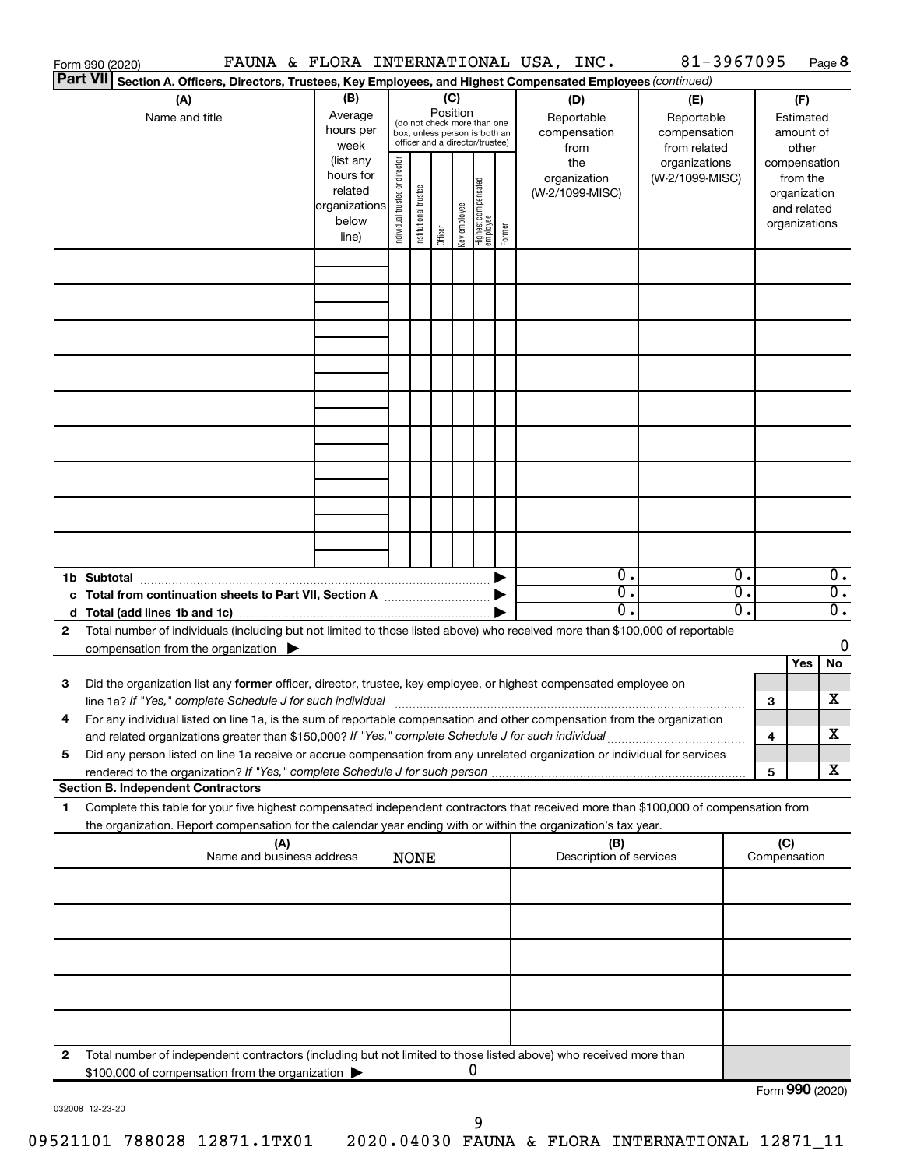|                 | Form 990 (2020)                                                                                                                      |               |                                |                                                              |          |              |                                   |        | FAUNA & FLORA INTERNATIONAL USA, INC. | 81-3967095      |    |                 |               | Page 8           |
|-----------------|--------------------------------------------------------------------------------------------------------------------------------------|---------------|--------------------------------|--------------------------------------------------------------|----------|--------------|-----------------------------------|--------|---------------------------------------|-----------------|----|-----------------|---------------|------------------|
| <b>Part VII</b> | Section A. Officers, Directors, Trustees, Key Employees, and Highest Compensated Employees (continued)                               |               |                                |                                                              |          |              |                                   |        |                                       |                 |    |                 |               |                  |
|                 | (A)                                                                                                                                  | (B)           |                                |                                                              | (C)      |              |                                   |        | (D)                                   | (E)             |    |                 | (F)           |                  |
|                 | Name and title                                                                                                                       | Average       |                                |                                                              | Position |              |                                   |        | Reportable                            | Reportable      |    |                 | Estimated     |                  |
|                 |                                                                                                                                      | hours per     |                                | (do not check more than one<br>box, unless person is both an |          |              |                                   |        | compensation                          | compensation    |    |                 | amount of     |                  |
|                 |                                                                                                                                      | week          |                                | officer and a director/trustee)                              |          |              |                                   |        | from                                  | from related    |    |                 | other         |                  |
|                 |                                                                                                                                      | (list any     |                                |                                                              |          |              |                                   |        | the                                   | organizations   |    |                 | compensation  |                  |
|                 |                                                                                                                                      | hours for     | Individual trustee or director |                                                              |          |              |                                   |        | organization                          | (W-2/1099-MISC) |    |                 | from the      |                  |
|                 |                                                                                                                                      | related       |                                | Institutional trustee                                        |          |              |                                   |        | (W-2/1099-MISC)                       |                 |    |                 | organization  |                  |
|                 |                                                                                                                                      | organizations |                                |                                                              |          | Key employee |                                   |        |                                       |                 |    |                 | and related   |                  |
|                 |                                                                                                                                      | below         |                                |                                                              |          |              |                                   |        |                                       |                 |    |                 | organizations |                  |
|                 |                                                                                                                                      | line)         |                                |                                                              | Officer  |              | Highest compensated<br>  employee | Former |                                       |                 |    |                 |               |                  |
|                 |                                                                                                                                      |               |                                |                                                              |          |              |                                   |        |                                       |                 |    |                 |               |                  |
|                 |                                                                                                                                      |               |                                |                                                              |          |              |                                   |        |                                       |                 |    |                 |               |                  |
|                 |                                                                                                                                      |               |                                |                                                              |          |              |                                   |        |                                       |                 |    |                 |               |                  |
|                 |                                                                                                                                      |               |                                |                                                              |          |              |                                   |        |                                       |                 |    |                 |               |                  |
|                 |                                                                                                                                      |               |                                |                                                              |          |              |                                   |        |                                       |                 |    |                 |               |                  |
|                 |                                                                                                                                      |               |                                |                                                              |          |              |                                   |        |                                       |                 |    |                 |               |                  |
|                 |                                                                                                                                      |               |                                |                                                              |          |              |                                   |        |                                       |                 |    |                 |               |                  |
|                 |                                                                                                                                      |               |                                |                                                              |          |              |                                   |        |                                       |                 |    |                 |               |                  |
|                 |                                                                                                                                      |               |                                |                                                              |          |              |                                   |        |                                       |                 |    |                 |               |                  |
|                 |                                                                                                                                      |               |                                |                                                              |          |              |                                   |        |                                       |                 |    |                 |               |                  |
|                 |                                                                                                                                      |               |                                |                                                              |          |              |                                   |        |                                       |                 |    |                 |               |                  |
|                 |                                                                                                                                      |               |                                |                                                              |          |              |                                   |        |                                       |                 |    |                 |               |                  |
|                 |                                                                                                                                      |               |                                |                                                              |          |              |                                   |        |                                       |                 |    |                 |               |                  |
|                 |                                                                                                                                      |               |                                |                                                              |          |              |                                   |        |                                       |                 |    |                 |               |                  |
|                 |                                                                                                                                      |               |                                |                                                              |          |              |                                   |        |                                       |                 |    |                 |               |                  |
|                 |                                                                                                                                      |               |                                |                                                              |          |              |                                   |        |                                       |                 |    |                 |               |                  |
|                 |                                                                                                                                      |               |                                |                                                              |          |              |                                   |        |                                       |                 |    |                 |               |                  |
|                 |                                                                                                                                      |               |                                |                                                              |          |              |                                   |        |                                       |                 |    |                 |               |                  |
|                 |                                                                                                                                      |               |                                |                                                              |          |              |                                   |        |                                       |                 |    |                 |               |                  |
|                 |                                                                                                                                      |               |                                |                                                              |          |              |                                   |        |                                       |                 |    |                 |               |                  |
|                 |                                                                                                                                      |               |                                |                                                              |          |              |                                   |        | σ.                                    |                 | 0. |                 |               | $\overline{0}$ . |
|                 |                                                                                                                                      |               |                                |                                                              |          |              |                                   |        | σ.                                    |                 | σ. |                 |               | $\overline{0}$ . |
|                 |                                                                                                                                      |               |                                |                                                              |          |              |                                   |        | Ο.                                    |                 | О. |                 |               | $\overline{0}$ . |
| 2               | Total number of individuals (including but not limited to those listed above) who received more than \$100,000 of reportable         |               |                                |                                                              |          |              |                                   |        |                                       |                 |    |                 |               |                  |
|                 | compensation from the organization $\blacktriangleright$                                                                             |               |                                |                                                              |          |              |                                   |        |                                       |                 |    |                 |               | 0                |
|                 |                                                                                                                                      |               |                                |                                                              |          |              |                                   |        |                                       |                 |    |                 | Yes           | No               |
| 3               | Did the organization list any former officer, director, trustee, key employee, or highest compensated employee on                    |               |                                |                                                              |          |              |                                   |        |                                       |                 |    |                 |               |                  |
|                 | line 1a? If "Yes," complete Schedule J for such individual manufactured contains and the set of the schedule J                       |               |                                |                                                              |          |              |                                   |        |                                       |                 |    | 3               |               | х                |
|                 | For any individual listed on line 1a, is the sum of reportable compensation and other compensation from the organization             |               |                                |                                                              |          |              |                                   |        |                                       |                 |    |                 |               |                  |
|                 | and related organizations greater than \$150,000? If "Yes," complete Schedule J for such individual                                  |               |                                |                                                              |          |              |                                   |        |                                       |                 |    | 4               |               | х                |
|                 |                                                                                                                                      |               |                                |                                                              |          |              |                                   |        |                                       |                 |    |                 |               |                  |
| 5               | Did any person listed on line 1a receive or accrue compensation from any unrelated organization or individual for services           |               |                                |                                                              |          |              |                                   |        |                                       |                 |    |                 |               |                  |
|                 |                                                                                                                                      |               |                                |                                                              |          |              |                                   |        |                                       |                 |    | 5               |               | х                |
|                 | <b>Section B. Independent Contractors</b>                                                                                            |               |                                |                                                              |          |              |                                   |        |                                       |                 |    |                 |               |                  |
| 1               | Complete this table for your five highest compensated independent contractors that received more than \$100,000 of compensation from |               |                                |                                                              |          |              |                                   |        |                                       |                 |    |                 |               |                  |
|                 | the organization. Report compensation for the calendar year ending with or within the organization's tax year.                       |               |                                |                                                              |          |              |                                   |        |                                       |                 |    |                 |               |                  |
|                 | (A)                                                                                                                                  |               |                                |                                                              |          |              |                                   |        | (B)                                   |                 |    | (C)             |               |                  |
|                 | Name and business address                                                                                                            |               |                                | <b>NONE</b>                                                  |          |              |                                   |        | Description of services               |                 |    | Compensation    |               |                  |
|                 |                                                                                                                                      |               |                                |                                                              |          |              |                                   |        |                                       |                 |    |                 |               |                  |
|                 |                                                                                                                                      |               |                                |                                                              |          |              |                                   |        |                                       |                 |    |                 |               |                  |
|                 |                                                                                                                                      |               |                                |                                                              |          |              |                                   |        |                                       |                 |    |                 |               |                  |
|                 |                                                                                                                                      |               |                                |                                                              |          |              |                                   |        |                                       |                 |    |                 |               |                  |
|                 |                                                                                                                                      |               |                                |                                                              |          |              |                                   |        |                                       |                 |    |                 |               |                  |
|                 |                                                                                                                                      |               |                                |                                                              |          |              |                                   |        |                                       |                 |    |                 |               |                  |
|                 |                                                                                                                                      |               |                                |                                                              |          |              |                                   |        |                                       |                 |    |                 |               |                  |
|                 |                                                                                                                                      |               |                                |                                                              |          |              |                                   |        |                                       |                 |    |                 |               |                  |
|                 |                                                                                                                                      |               |                                |                                                              |          |              |                                   |        |                                       |                 |    |                 |               |                  |
|                 |                                                                                                                                      |               |                                |                                                              |          |              |                                   |        |                                       |                 |    |                 |               |                  |
|                 |                                                                                                                                      |               |                                |                                                              |          |              |                                   |        |                                       |                 |    |                 |               |                  |
| 2               | Total number of independent contractors (including but not limited to those listed above) who received more than                     |               |                                |                                                              |          |              |                                   |        |                                       |                 |    |                 |               |                  |
|                 | \$100,000 of compensation from the organization                                                                                      |               |                                |                                                              |          | 0            |                                   |        |                                       |                 |    |                 |               |                  |
|                 |                                                                                                                                      |               |                                |                                                              |          |              |                                   |        |                                       |                 |    | Form 990 (2020) |               |                  |

032008 12-23-20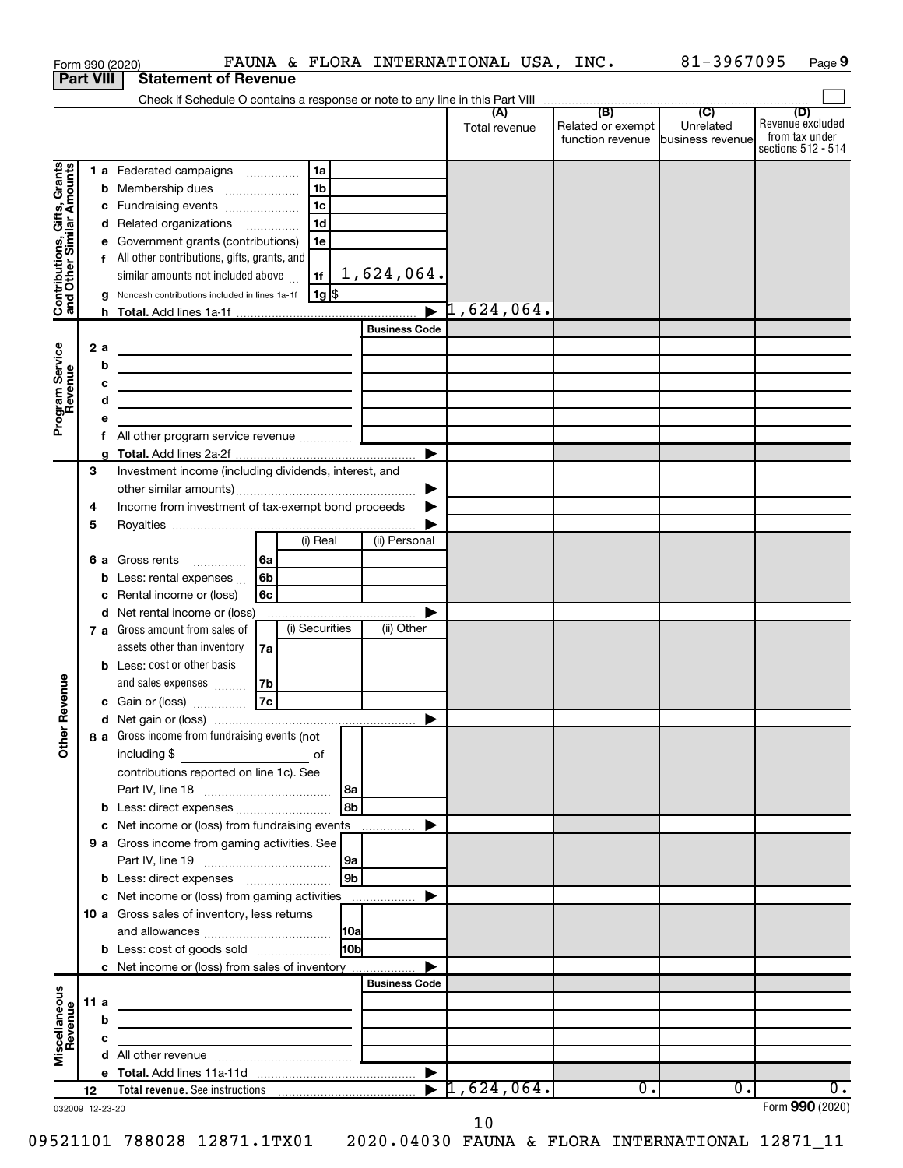|                                                        |                  |    | FAUNA & FLORA INTERNATIONAL USA, INC.<br>Form 990 (2020)                                                                                                                            |                       |                                  |                                                        | 81-3967095 | Page 9                             |
|--------------------------------------------------------|------------------|----|-------------------------------------------------------------------------------------------------------------------------------------------------------------------------------------|-----------------------|----------------------------------|--------------------------------------------------------|------------|------------------------------------|
|                                                        | <b>Part VIII</b> |    | <b>Statement of Revenue</b>                                                                                                                                                         |                       |                                  |                                                        |            |                                    |
|                                                        |                  |    |                                                                                                                                                                                     |                       | (A)                              | (B)                                                    | (C)        | (D)                                |
|                                                        |                  |    |                                                                                                                                                                                     |                       | Total revenue                    | Related or exempt<br>function revenue business revenue | Unrelated  | Revenue excluded<br>from tax under |
|                                                        |                  |    |                                                                                                                                                                                     |                       |                                  |                                                        |            | sections 512 - 514                 |
| Grants                                                 |                  |    | 1 a Federated campaigns<br>1a                                                                                                                                                       |                       |                                  |                                                        |            |                                    |
| Contributions, Gifts, Gran<br>and Other Similar Amount |                  |    | 1 <sub>b</sub><br><b>b</b> Membership dues                                                                                                                                          |                       |                                  |                                                        |            |                                    |
|                                                        |                  |    | 1 <sub>c</sub><br>c Fundraising events                                                                                                                                              |                       |                                  |                                                        |            |                                    |
|                                                        |                  |    | 1 <sub>d</sub><br>d Related organizations                                                                                                                                           |                       |                                  |                                                        |            |                                    |
|                                                        |                  |    | e Government grants (contributions)<br>1e<br>f All other contributions, gifts, grants, and                                                                                          |                       |                                  |                                                        |            |                                    |
|                                                        |                  |    | 1f<br>similar amounts not included above                                                                                                                                            | 1,624,064.            |                                  |                                                        |            |                                    |
|                                                        |                  |    | 1g   \$<br>g Noncash contributions included in lines 1a-1f                                                                                                                          |                       |                                  |                                                        |            |                                    |
|                                                        |                  |    |                                                                                                                                                                                     |                       | $\blacktriangleright$ 1,624,064. |                                                        |            |                                    |
|                                                        |                  |    |                                                                                                                                                                                     | <b>Business Code</b>  |                                  |                                                        |            |                                    |
|                                                        | 2a               |    | <u> 1989 - Johann Barbara, martxa alemaniar arg</u>                                                                                                                                 |                       |                                  |                                                        |            |                                    |
|                                                        |                  | b  | <u> 1989 - Johann Barbara, martxa alemaniar arg</u>                                                                                                                                 |                       |                                  |                                                        |            |                                    |
|                                                        |                  | с  | the contract of the contract of the contract of the contract of the contract of                                                                                                     |                       |                                  |                                                        |            |                                    |
|                                                        |                  | d  | <u> 1989 - Johann Barbara, martin amerikan basar dan berasal dan berasal dalam basar dalam basar dalam basar dala</u>                                                               |                       |                                  |                                                        |            |                                    |
| Program Service<br>Revenue                             |                  | е  |                                                                                                                                                                                     |                       |                                  |                                                        |            |                                    |
|                                                        |                  | f. |                                                                                                                                                                                     | $\blacktriangleright$ |                                  |                                                        |            |                                    |
|                                                        | 3                |    | Investment income (including dividends, interest, and                                                                                                                               |                       |                                  |                                                        |            |                                    |
|                                                        |                  |    |                                                                                                                                                                                     | ▶                     |                                  |                                                        |            |                                    |
|                                                        | 4                |    | Income from investment of tax-exempt bond proceeds                                                                                                                                  | ▶                     |                                  |                                                        |            |                                    |
|                                                        | 5                |    |                                                                                                                                                                                     |                       |                                  |                                                        |            |                                    |
|                                                        |                  |    | (i) Real                                                                                                                                                                            | (ii) Personal         |                                  |                                                        |            |                                    |
|                                                        |                  |    | l6a<br><b>6 a</b> Gross rents                                                                                                                                                       |                       |                                  |                                                        |            |                                    |
|                                                        |                  |    | <b>b</b> Less: rental expenses $\ldots$<br>6b                                                                                                                                       |                       |                                  |                                                        |            |                                    |
|                                                        |                  |    | c Rental income or (loss)<br>6c                                                                                                                                                     |                       |                                  |                                                        |            |                                    |
|                                                        |                  |    | d Net rental income or (loss)<br>(i) Securities<br>7 a Gross amount from sales of                                                                                                   | (ii) Other            |                                  |                                                        |            |                                    |
|                                                        |                  |    | assets other than inventory<br>7a                                                                                                                                                   |                       |                                  |                                                        |            |                                    |
|                                                        |                  |    | <b>b</b> Less: cost or other basis                                                                                                                                                  |                       |                                  |                                                        |            |                                    |
|                                                        |                  |    | and sales expenses<br>7b                                                                                                                                                            |                       |                                  |                                                        |            |                                    |
| evenue                                                 |                  |    | 7c<br>c Gain or (loss)                                                                                                                                                              |                       |                                  |                                                        |            |                                    |
| œ                                                      |                  |    |                                                                                                                                                                                     |                       |                                  |                                                        |            |                                    |
| Other                                                  |                  |    | 8 a Gross income from fundraising events (not                                                                                                                                       |                       |                                  |                                                        |            |                                    |
|                                                        |                  |    |                                                                                                                                                                                     |                       |                                  |                                                        |            |                                    |
|                                                        |                  |    | contributions reported on line 1c). See                                                                                                                                             |                       |                                  |                                                        |            |                                    |
|                                                        |                  |    |                                                                                                                                                                                     | l 8a<br>l 8b          |                                  |                                                        |            |                                    |
|                                                        |                  |    | c Net income or (loss) from fundraising events                                                                                                                                      |                       |                                  |                                                        |            |                                    |
|                                                        |                  |    | 9 a Gross income from gaming activities. See                                                                                                                                        |                       |                                  |                                                        |            |                                    |
|                                                        |                  |    |                                                                                                                                                                                     | l 9a                  |                                  |                                                        |            |                                    |
|                                                        |                  |    |                                                                                                                                                                                     | l 9b                  |                                  |                                                        |            |                                    |
|                                                        |                  |    | c Net income or (loss) from gaming activities                                                                                                                                       | ▶                     |                                  |                                                        |            |                                    |
|                                                        |                  |    | 10 a Gross sales of inventory, less returns                                                                                                                                         |                       |                                  |                                                        |            |                                    |
|                                                        |                  |    |                                                                                                                                                                                     | 10a                   |                                  |                                                        |            |                                    |
|                                                        |                  |    | <b>b</b> Less: cost of goods sold                                                                                                                                                   | l10bl                 |                                  |                                                        |            |                                    |
|                                                        |                  |    | c Net income or (loss) from sales of inventory                                                                                                                                      | <b>Business Code</b>  |                                  |                                                        |            |                                    |
|                                                        | 11 a             |    |                                                                                                                                                                                     |                       |                                  |                                                        |            |                                    |
|                                                        |                  | b  | <u> 1989 - Johann Barn, mars eta biztanleria (h. 1989).</u><br><u> 1989 - Johann John Stein, markin fan it ferstjer fan de ferstjer fan it ferstjer fan it ferstjer fan it fers</u> |                       |                                  |                                                        |            |                                    |
|                                                        |                  | с  | <u> 1980 - Andrea Andrew Maria (b. 1980)</u>                                                                                                                                        |                       |                                  |                                                        |            |                                    |
| Miscellaneous<br>Revenue                               |                  |    |                                                                                                                                                                                     |                       |                                  |                                                        |            |                                    |
|                                                        |                  |    |                                                                                                                                                                                     |                       |                                  |                                                        |            |                                    |
|                                                        | 12               |    | Total revenue. See instructions $\frac{1}{1624}$ , 624, 064.                                                                                                                        |                       |                                  | $\overline{0}$ .                                       | О.         | ο.                                 |
| 032009 12-23-20                                        |                  |    |                                                                                                                                                                                     |                       |                                  |                                                        |            | Form 990 (2020)                    |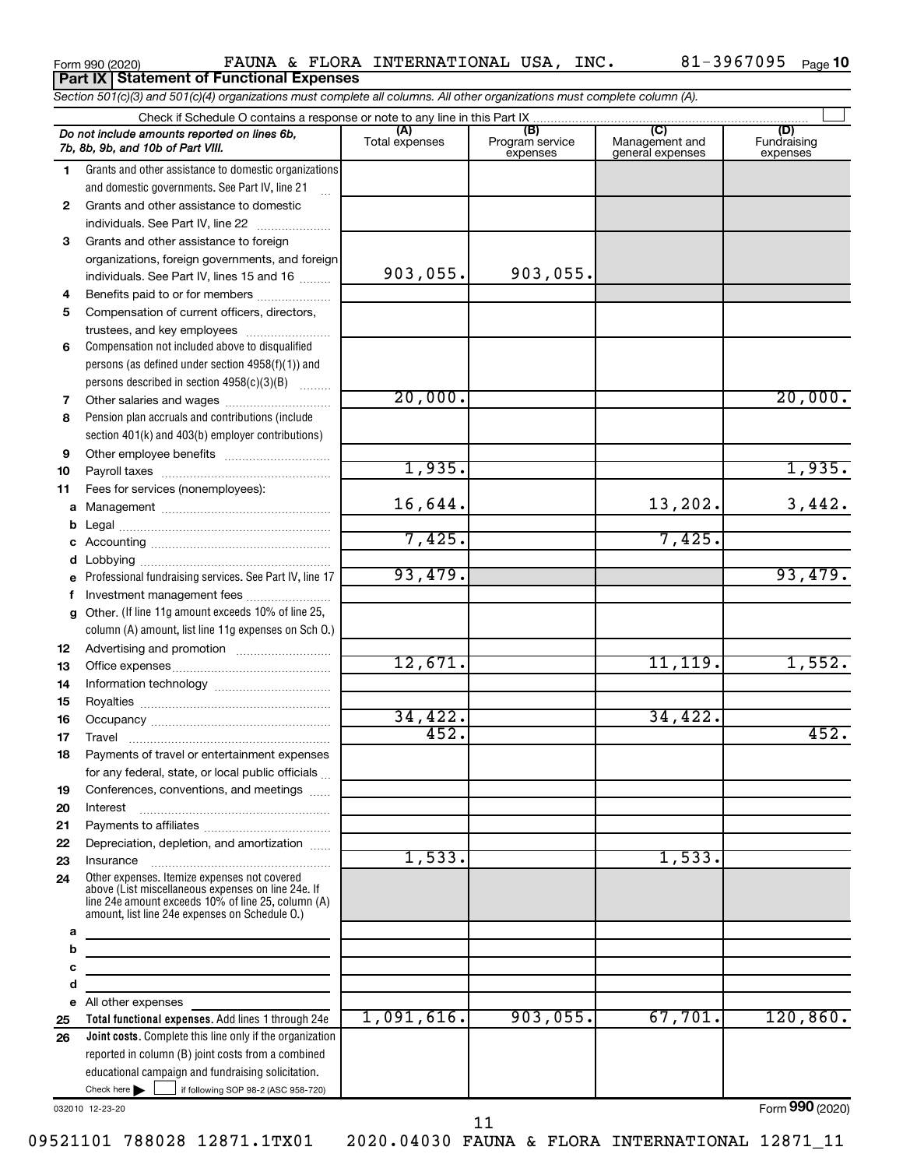|  | Form 990 (2020) |
|--|-----------------|
|--|-----------------|

Form 990 (2020) **PAUNA & FLORA INTERNATIONAL USA, INC.** 81-3967095  $_{\text{Page}}$ **Part IX Statement of Functional Expenses**

81-3967095 <sub>Page</sub> 10

Check here  $\begin{array}{c} \begin{array}{|c} \hline \end{array} \end{array}$  if following SOP 98-2 (ASC 958-720) **Total functional expenses.**  Add lines 1 through 24e **Joint costs.** Complete this line only if the organization **(A) (B) (C) (D)** Fundraising **1 2 3** Grants and other assistance to foreign **4 5 6 7 8 9 10 11 a** Management ~~~~~~~~~~~~~~~~ **b c d e f g 12 13 14 15 16 17 18 19 20 21 22 23 24 a b c d e 25 26** *Section 501(c)(3) and 501(c)(4) organizations must complete all columns. All other organizations must complete column (A).* Grants and other assistance to domestic organizations and domestic governments. See Part IV, line 21 Compensation not included above to disqualified persons (as defined under section 4958(f)(1)) and persons described in section  $4958(c)(3)(B)$   $\ldots$ Pension plan accruals and contributions (include section 401(k) and 403(b) employer contributions) Professional fundraising services. See Part IV, line 17 Other. (If line 11g amount exceeds 10% of line 25, column (A) amount, list line 11g expenses on Sch O.) Other expenses. Itemize expenses not covered above (List miscellaneous expenses on line 24e. If line 24e amount exceeds 10% of line 25, column (A) amount, list line 24e expenses on Schedule O.) reported in column (B) joint costs from a combined educational campaign and fundraising solicitation. Check if Schedule O contains a response or note to any line in this Part IX Total expenses Program service expenses Management and general expenses expenses .<br>... Grants and other assistance to domestic  $individuals. See Part IV, line 22$  ............ organizations, foreign governments, and foreign individuals. See Part IV, lines 15 and 16  $\ldots$ Benefits paid to or for members .................... Compensation of current officers, directors, trustees, and key employees ........................ Other salaries and wages ~~~~~~~~~~ Other employee benefits ~~~~~~~~~~ Payroll taxes ~~~~~~~~~~~~~~~~ Fees for services (nonemployees): Legal ~~~~~~~~~~~~~~~~~~~~ Accounting ~~~~~~~~~~~~~~~~~ Lobbying ~~~~~~~~~~~~~~~~~~ Investment management fees ........................ Advertising and promotion ........................... Office expenses ~~~~~~~~~~~~~~~ Information technology ~~~~~~~~~~~ Royalties ~~~~~~~~~~~~~~~~~~ Occupancy ~~~~~~~~~~~~~~~~~ Travel ~~~~~~~~~~~~~~~~~~~ Payments of travel or entertainment expenses for any federal, state, or local public officials ... Conferences, conventions, and meetings Interest ~~~~~~~~~~~~~~~~~~ Payments to affiliates ~~~~~~~~~~~~ Depreciation, depletion, and amortization ...... Insurance ~~~~~~~~~~~~~~~~~ All other expenses Check here  $\blacktriangleright$ *Do not include amounts reported on lines 6b, 7b, 8b, 9b, and 10b of Part VIII.*  $\Box$ 903,055. 903,055. 20,000. 20,000. 1,935. 1,935. 16,644. 13,202. 3,442. 7,425. 7,425. 93,479. 93,479. 12,671. 34,422. 34,422. 452. 452. 1,533. 1,533. 1,091,616. 903,055. 67,701. 120,860.

032010 12-23-20

11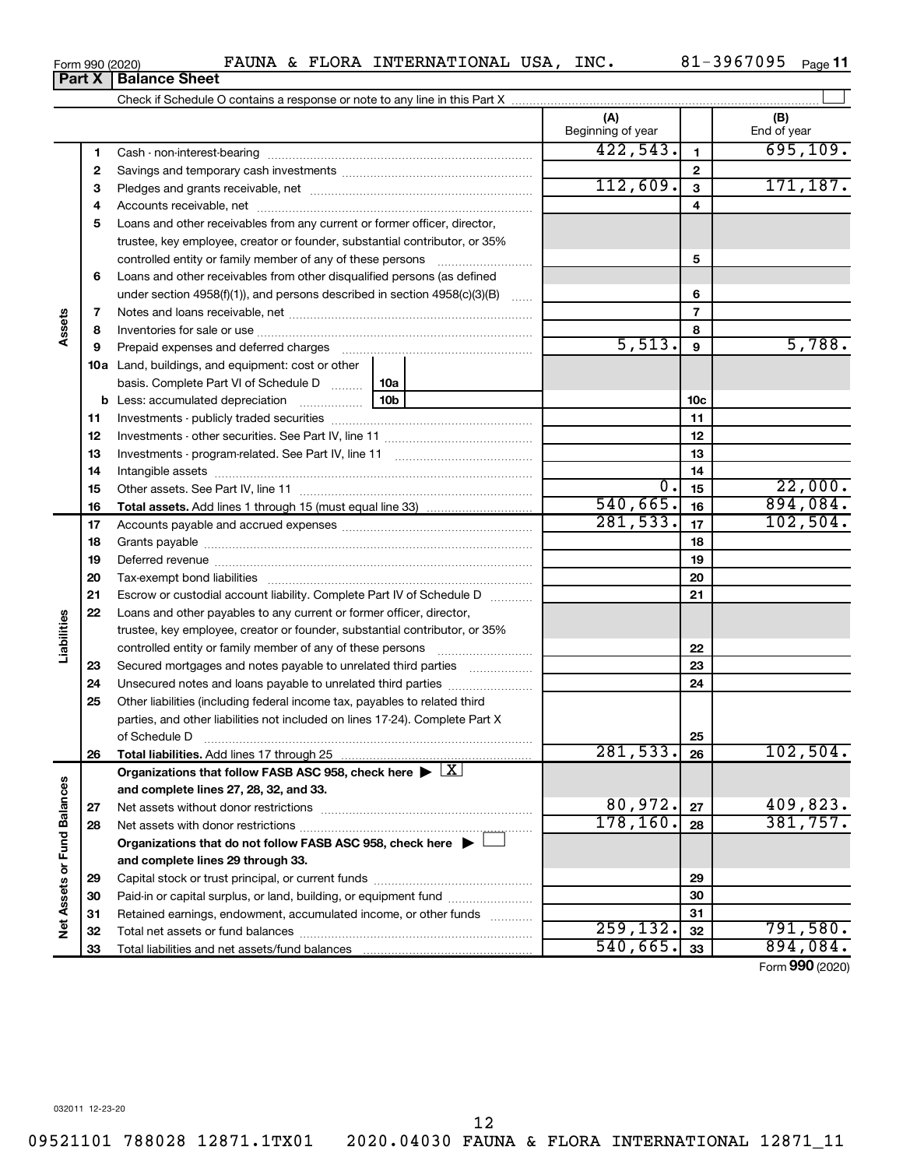**33**

**Part X Balance Sheet**

Total liabilities and net assets/fund balances

| Form 990 (2020) |  | FAUNA & FLORA INTERNATIONAL USA, | INC. | 81-3967095 | Page 11 |
|-----------------|--|----------------------------------|------|------------|---------|

|                             |          |                                                                                                                                                                                                                                |          | (A)<br>Beginning of year |                 | (B)<br>End of year |
|-----------------------------|----------|--------------------------------------------------------------------------------------------------------------------------------------------------------------------------------------------------------------------------------|----------|--------------------------|-----------------|--------------------|
|                             | 1        |                                                                                                                                                                                                                                |          | 422,543.                 | 1               | 695, 109.          |
|                             | 2        |                                                                                                                                                                                                                                |          |                          | $\mathbf{2}$    |                    |
|                             | 3        |                                                                                                                                                                                                                                | 112,609. | $\mathbf{3}$             | 171, 187.       |                    |
|                             | 4        |                                                                                                                                                                                                                                |          |                          | 4               |                    |
|                             | 5        | Loans and other receivables from any current or former officer, director,                                                                                                                                                      |          |                          |                 |                    |
|                             |          | trustee, key employee, creator or founder, substantial contributor, or 35%                                                                                                                                                     |          |                          |                 |                    |
|                             |          | controlled entity or family member of any of these persons                                                                                                                                                                     |          |                          | 5               |                    |
|                             | 6        | Loans and other receivables from other disqualified persons (as defined                                                                                                                                                        |          |                          |                 |                    |
|                             |          | under section $4958(f)(1)$ , and persons described in section $4958(c)(3)(B)$                                                                                                                                                  | $\ldots$ |                          | 6               |                    |
|                             | 7        |                                                                                                                                                                                                                                |          |                          | $\overline{7}$  |                    |
| Assets                      | 8        |                                                                                                                                                                                                                                |          |                          | 8               |                    |
|                             | 9        | Prepaid expenses and deferred charges [11] [11] prepaid expenses and deferred charges [11] [11] minimum and the Prepaid expenses and deferred charges [11] minimum and the Prepaid experiment of Prepaid experiment and the Pr |          | 5,513.                   | 9               | 5,788.             |
|                             |          | <b>10a</b> Land, buildings, and equipment: cost or other                                                                                                                                                                       |          |                          |                 |                    |
|                             |          | basis. Complete Part VI of Schedule D                                                                                                                                                                                          | 10a      |                          |                 |                    |
|                             |          | <b>b</b> Less: accumulated depreciation<br>$\overline{\phantom{a}}$                                                                                                                                                            | 10b      |                          | 10 <sub>c</sub> |                    |
|                             | 11       |                                                                                                                                                                                                                                |          |                          | 11              |                    |
|                             | 12       |                                                                                                                                                                                                                                |          |                          | 12              |                    |
|                             | 13       |                                                                                                                                                                                                                                |          | 13                       |                 |                    |
|                             | 14       |                                                                                                                                                                                                                                |          |                          | 14              |                    |
|                             | 15       |                                                                                                                                                                                                                                |          | $\overline{0}$ .         | 15              | 22,000.            |
|                             | 16       |                                                                                                                                                                                                                                |          | 540,665.                 | 16              | 894,084.           |
|                             | 17       |                                                                                                                                                                                                                                |          | 281,533.                 | 17              | 102,504.           |
|                             | 18       |                                                                                                                                                                                                                                |          | 18                       |                 |                    |
|                             | 19       | Deferred revenue manual contracts and contracts and contracts are contracted and contracts are contracted and contract are contracted and contract are contracted and contract are contracted and contract are contracted and  |          | 19                       |                 |                    |
|                             | 20       |                                                                                                                                                                                                                                |          |                          | 20              |                    |
|                             | 21       | Escrow or custodial account liability. Complete Part IV of Schedule D                                                                                                                                                          |          |                          | 21              |                    |
| Liabilities                 | 22       | Loans and other payables to any current or former officer, director,                                                                                                                                                           |          |                          |                 |                    |
|                             |          | trustee, key employee, creator or founder, substantial contributor, or 35%                                                                                                                                                     |          |                          | 22              |                    |
|                             |          | Secured mortgages and notes payable to unrelated third parties                                                                                                                                                                 |          |                          | 23              |                    |
|                             | 23<br>24 | Unsecured notes and loans payable to unrelated third parties                                                                                                                                                                   |          |                          | 24              |                    |
|                             | 25       | Other liabilities (including federal income tax, payables to related third                                                                                                                                                     |          |                          |                 |                    |
|                             |          | parties, and other liabilities not included on lines 17-24). Complete Part X                                                                                                                                                   |          |                          |                 |                    |
|                             |          | of Schedule D <b>www.arenamin.communities</b> and a series of Schedule D                                                                                                                                                       |          |                          | 25              |                    |
|                             | 26       |                                                                                                                                                                                                                                |          | 281, 533.                | 26              | $102,504$ .        |
|                             |          | Organizations that follow FASB ASC 958, check here $\blacktriangleright \lfloor \underline{X} \rfloor$                                                                                                                         |          |                          |                 |                    |
|                             |          | and complete lines 27, 28, 32, and 33.                                                                                                                                                                                         |          |                          |                 |                    |
|                             | 27       |                                                                                                                                                                                                                                |          | 80,972.                  | 27              | 409,823.           |
|                             | 28       |                                                                                                                                                                                                                                |          | 178, 160.                | 28              | 381,757.           |
|                             |          | Organizations that do not follow FASB ASC 958, check here $\blacktriangleright$                                                                                                                                                |          |                          |                 |                    |
| Net Assets or Fund Balances |          | and complete lines 29 through 33.                                                                                                                                                                                              |          |                          |                 |                    |
|                             | 29       |                                                                                                                                                                                                                                |          |                          | 29              |                    |
|                             | 30       | Paid-in or capital surplus, or land, building, or equipment fund                                                                                                                                                               |          |                          | 30              |                    |
|                             | 31       | Retained earnings, endowment, accumulated income, or other funds                                                                                                                                                               |          |                          | 31              |                    |
|                             | 32       |                                                                                                                                                                                                                                |          | 259, 132.                | 32              | 791,580.           |

Form (2020) **990**

**33**

 $540,665.$  33 894,084.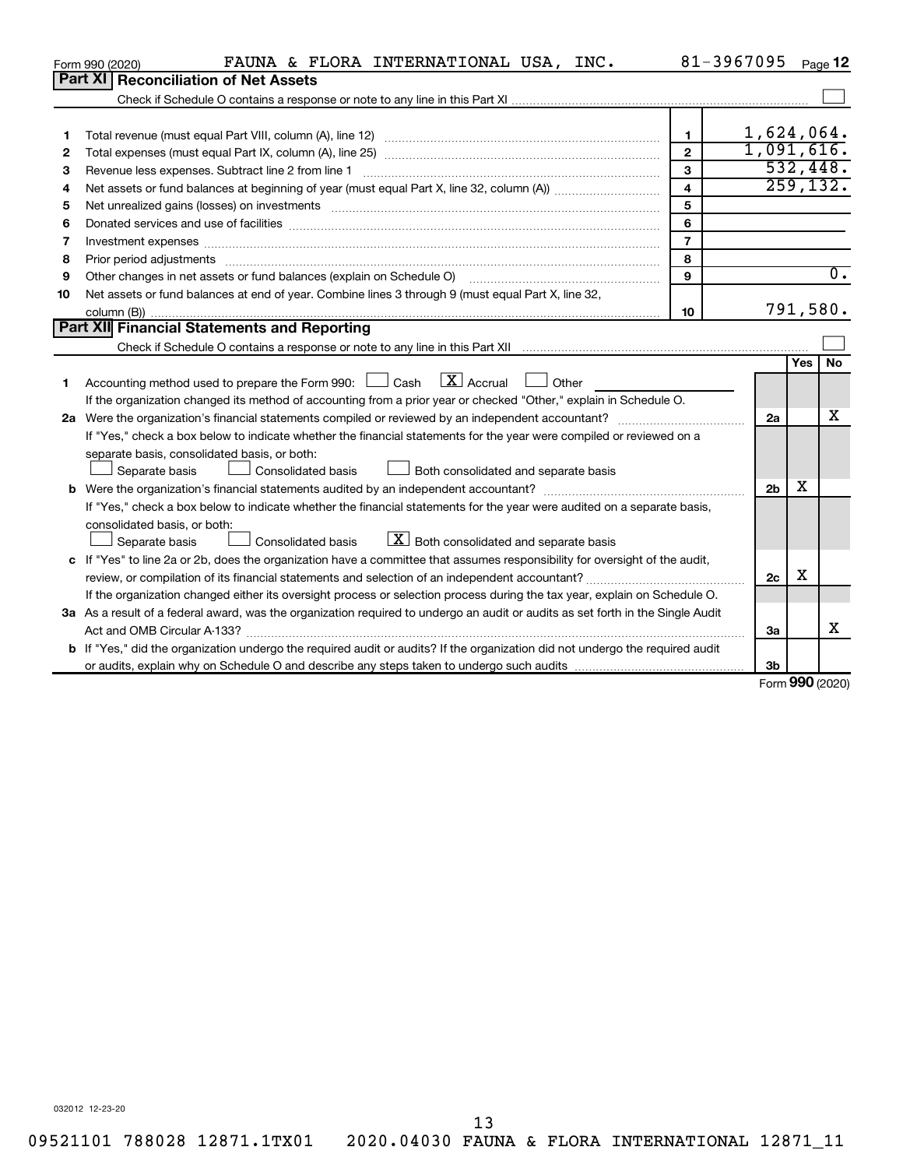|    | FAUNA & FLORA INTERNATIONAL USA, INC.<br>Form 990 (2020)                                                                        |                         | 81-3967095     |        | Page 12          |
|----|---------------------------------------------------------------------------------------------------------------------------------|-------------------------|----------------|--------|------------------|
|    | Part XI   Reconciliation of Net Assets                                                                                          |                         |                |        |                  |
|    |                                                                                                                                 |                         |                |        |                  |
|    |                                                                                                                                 |                         |                |        |                  |
| 1  |                                                                                                                                 | $\mathbf{1}$            | 1,624,064.     |        |                  |
| 2  |                                                                                                                                 | $\overline{2}$          | 1,091,616.     |        |                  |
| З  | Revenue less expenses. Subtract line 2 from line 1                                                                              | $\mathbf{3}$            |                |        | 532,448.         |
| 4  |                                                                                                                                 | $\overline{\mathbf{4}}$ |                |        | 259, 132.        |
| 5  |                                                                                                                                 | 5                       |                |        |                  |
| 6  |                                                                                                                                 | 6                       |                |        |                  |
| 7  | Investment expenses www.communication.com/www.communication.com/www.communication.com/www.com                                   | $\overline{7}$          |                |        |                  |
| 8  | Prior period adjustments www.communication.communication.com/news/communication.com/news/communication.com/new                  | 8                       |                |        |                  |
| 9  |                                                                                                                                 | 9                       |                |        | $\overline{0}$ . |
| 10 | Net assets or fund balances at end of year. Combine lines 3 through 9 (must equal Part X, line 32,                              |                         |                |        |                  |
|    |                                                                                                                                 | 10                      |                |        | 791,580.         |
|    | <b>Part XII</b> Financial Statements and Reporting                                                                              |                         |                |        |                  |
|    |                                                                                                                                 |                         |                |        |                  |
|    |                                                                                                                                 |                         |                | Yes    | <b>No</b>        |
| 1  | Accounting method used to prepare the Form 990: $\Box$ Cash $\Box X$ Accrual<br>  Other                                         |                         |                |        |                  |
|    | If the organization changed its method of accounting from a prior year or checked "Other," explain in Schedule O.               |                         |                |        |                  |
|    |                                                                                                                                 |                         | 2a             |        | х                |
|    | If "Yes," check a box below to indicate whether the financial statements for the year were compiled or reviewed on a            |                         |                |        |                  |
|    | separate basis, consolidated basis, or both:                                                                                    |                         |                |        |                  |
|    | Both consolidated and separate basis<br>Separate basis<br>Consolidated basis                                                    |                         |                |        |                  |
|    |                                                                                                                                 |                         | 2 <sub>b</sub> | х      |                  |
|    | If "Yes," check a box below to indicate whether the financial statements for the year were audited on a separate basis,         |                         |                |        |                  |
|    | consolidated basis, or both:                                                                                                    |                         |                |        |                  |
|    | $X$ Both consolidated and separate basis<br>Separate basis<br>Consolidated basis                                                |                         |                |        |                  |
|    | c If "Yes" to line 2a or 2b, does the organization have a committee that assumes responsibility for oversight of the audit,     |                         |                |        |                  |
|    |                                                                                                                                 |                         | 2c             | х      |                  |
|    | If the organization changed either its oversight process or selection process during the tax year, explain on Schedule O.       |                         |                |        |                  |
|    | 3a As a result of a federal award, was the organization required to undergo an audit or audits as set forth in the Single Audit |                         |                |        |                  |
|    |                                                                                                                                 |                         | За             |        | x                |
|    | b If "Yes," did the organization undergo the required audit or audits? If the organization did not undergo the required audit   |                         |                |        |                  |
|    |                                                                                                                                 |                         | 3b             | $\sim$ |                  |

Form (2020) **990**

032012 12-23-20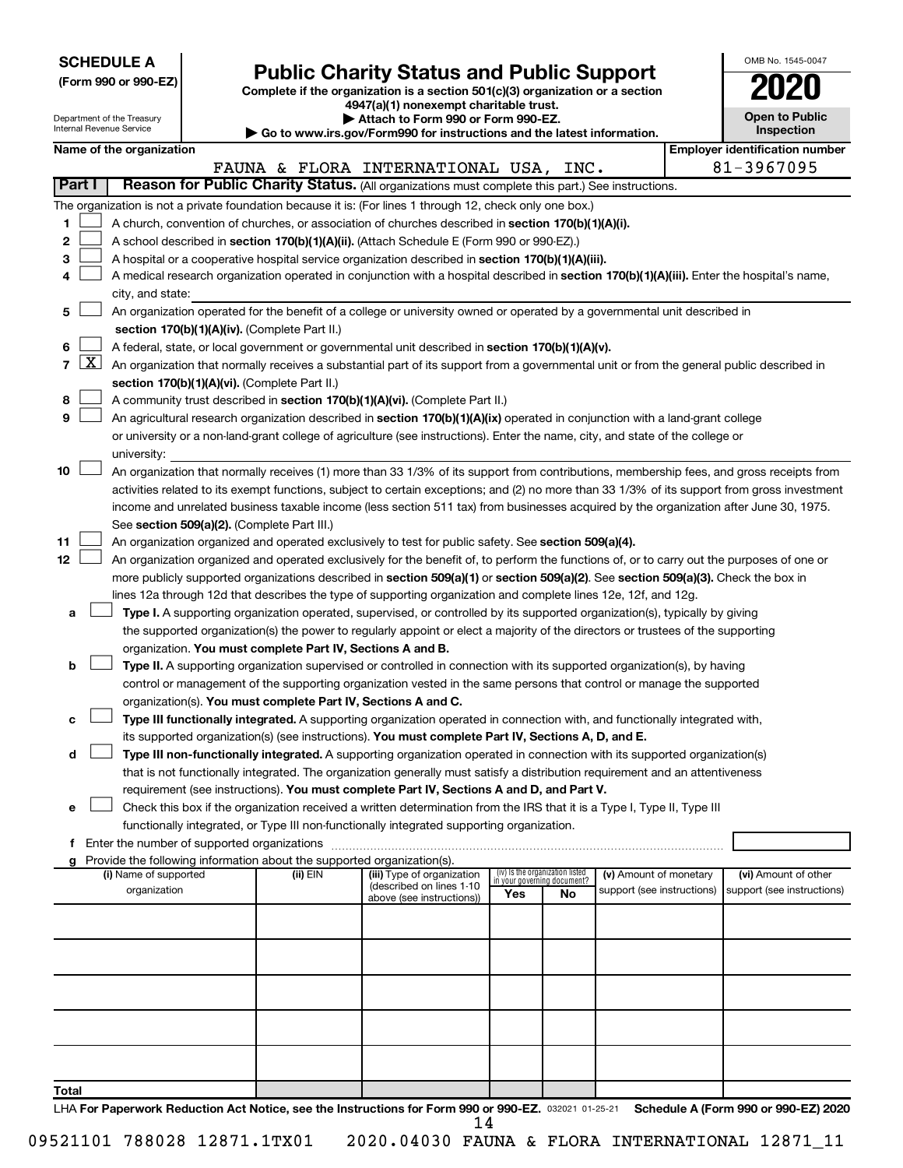**SCHEDULE A**

Department of the Treasury Internal Revenue Service

# Form 990 or 990-EZ) **Public Charity Status and Public Support**<br>
Complete if the organization is a section 501(c)(3) organization or a section<br> **2020**

**4947(a)(1) nonexempt charitable trust.**

**| Attach to Form 990 or Form 990-EZ.** 

**| Go to www.irs.gov/Form990 for instructions and the latest information.**

| OMB No. 1545-0047                   |
|-------------------------------------|
| 020                                 |
| <b>Open to Public</b><br>Inspection |
|                                     |

|                                       | Name of the organization                                                                                                                                                                                      |          |                                                        |     |                                                                |                            |  | <b>Employer identification number</b> |  |  |  |  |
|---------------------------------------|---------------------------------------------------------------------------------------------------------------------------------------------------------------------------------------------------------------|----------|--------------------------------------------------------|-----|----------------------------------------------------------------|----------------------------|--|---------------------------------------|--|--|--|--|
|                                       |                                                                                                                                                                                                               |          | FAUNA & FLORA INTERNATIONAL USA, INC.                  |     |                                                                |                            |  | 81-3967095                            |  |  |  |  |
| <b>Part I</b>                         | Reason for Public Charity Status. (All organizations must complete this part.) See instructions.                                                                                                              |          |                                                        |     |                                                                |                            |  |                                       |  |  |  |  |
|                                       | The organization is not a private foundation because it is: (For lines 1 through 12, check only one box.)                                                                                                     |          |                                                        |     |                                                                |                            |  |                                       |  |  |  |  |
| 1                                     | A church, convention of churches, or association of churches described in section 170(b)(1)(A)(i).                                                                                                            |          |                                                        |     |                                                                |                            |  |                                       |  |  |  |  |
| 2                                     | A school described in section 170(b)(1)(A)(ii). (Attach Schedule E (Form 990 or 990-EZ).)                                                                                                                     |          |                                                        |     |                                                                |                            |  |                                       |  |  |  |  |
| 3                                     | A hospital or a cooperative hospital service organization described in section 170(b)(1)(A)(iii).                                                                                                             |          |                                                        |     |                                                                |                            |  |                                       |  |  |  |  |
|                                       | A medical research organization operated in conjunction with a hospital described in section 170(b)(1)(A)(iii). Enter the hospital's name,<br>city, and state:                                                |          |                                                        |     |                                                                |                            |  |                                       |  |  |  |  |
| 5                                     | An organization operated for the benefit of a college or university owned or operated by a governmental unit described in                                                                                     |          |                                                        |     |                                                                |                            |  |                                       |  |  |  |  |
| 6                                     | section 170(b)(1)(A)(iv). (Complete Part II.)                                                                                                                                                                 |          |                                                        |     |                                                                |                            |  |                                       |  |  |  |  |
| $\lfloor x \rfloor$<br>$\overline{7}$ | A federal, state, or local government or governmental unit described in section 170(b)(1)(A)(v).                                                                                                              |          |                                                        |     |                                                                |                            |  |                                       |  |  |  |  |
|                                       | An organization that normally receives a substantial part of its support from a governmental unit or from the general public described in<br>section 170(b)(1)(A)(vi). (Complete Part II.)                    |          |                                                        |     |                                                                |                            |  |                                       |  |  |  |  |
|                                       |                                                                                                                                                                                                               |          |                                                        |     |                                                                |                            |  |                                       |  |  |  |  |
| 8                                     | A community trust described in section 170(b)(1)(A)(vi). (Complete Part II.)<br>An agricultural research organization described in section 170(b)(1)(A)(ix) operated in conjunction with a land-grant college |          |                                                        |     |                                                                |                            |  |                                       |  |  |  |  |
| 9                                     |                                                                                                                                                                                                               |          |                                                        |     |                                                                |                            |  |                                       |  |  |  |  |
|                                       | or university or a non-land-grant college of agriculture (see instructions). Enter the name, city, and state of the college or                                                                                |          |                                                        |     |                                                                |                            |  |                                       |  |  |  |  |
|                                       | university:                                                                                                                                                                                                   |          |                                                        |     |                                                                |                            |  |                                       |  |  |  |  |
| 10                                    | An organization that normally receives (1) more than 33 1/3% of its support from contributions, membership fees, and gross receipts from                                                                      |          |                                                        |     |                                                                |                            |  |                                       |  |  |  |  |
|                                       | activities related to its exempt functions, subject to certain exceptions; and (2) no more than 33 1/3% of its support from gross investment                                                                  |          |                                                        |     |                                                                |                            |  |                                       |  |  |  |  |
|                                       | income and unrelated business taxable income (less section 511 tax) from businesses acquired by the organization after June 30, 1975.                                                                         |          |                                                        |     |                                                                |                            |  |                                       |  |  |  |  |
|                                       | See section 509(a)(2). (Complete Part III.)                                                                                                                                                                   |          |                                                        |     |                                                                |                            |  |                                       |  |  |  |  |
| 11                                    | An organization organized and operated exclusively to test for public safety. See section 509(a)(4).                                                                                                          |          |                                                        |     |                                                                |                            |  |                                       |  |  |  |  |
| 12                                    | An organization organized and operated exclusively for the benefit of, to perform the functions of, or to carry out the purposes of one or                                                                    |          |                                                        |     |                                                                |                            |  |                                       |  |  |  |  |
|                                       | more publicly supported organizations described in section 509(a)(1) or section 509(a)(2). See section 509(a)(3). Check the box in                                                                            |          |                                                        |     |                                                                |                            |  |                                       |  |  |  |  |
|                                       | lines 12a through 12d that describes the type of supporting organization and complete lines 12e, 12f, and 12g.                                                                                                |          |                                                        |     |                                                                |                            |  |                                       |  |  |  |  |
| a                                     | Type I. A supporting organization operated, supervised, or controlled by its supported organization(s), typically by giving                                                                                   |          |                                                        |     |                                                                |                            |  |                                       |  |  |  |  |
|                                       | the supported organization(s) the power to regularly appoint or elect a majority of the directors or trustees of the supporting                                                                               |          |                                                        |     |                                                                |                            |  |                                       |  |  |  |  |
|                                       | organization. You must complete Part IV, Sections A and B.                                                                                                                                                    |          |                                                        |     |                                                                |                            |  |                                       |  |  |  |  |
| b                                     | Type II. A supporting organization supervised or controlled in connection with its supported organization(s), by having                                                                                       |          |                                                        |     |                                                                |                            |  |                                       |  |  |  |  |
|                                       | control or management of the supporting organization vested in the same persons that control or manage the supported                                                                                          |          |                                                        |     |                                                                |                            |  |                                       |  |  |  |  |
|                                       | organization(s). You must complete Part IV, Sections A and C.                                                                                                                                                 |          |                                                        |     |                                                                |                            |  |                                       |  |  |  |  |
| c                                     | Type III functionally integrated. A supporting organization operated in connection with, and functionally integrated with,                                                                                    |          |                                                        |     |                                                                |                            |  |                                       |  |  |  |  |
|                                       | its supported organization(s) (see instructions). You must complete Part IV, Sections A, D, and E.                                                                                                            |          |                                                        |     |                                                                |                            |  |                                       |  |  |  |  |
| d                                     | Type III non-functionally integrated. A supporting organization operated in connection with its supported organization(s)                                                                                     |          |                                                        |     |                                                                |                            |  |                                       |  |  |  |  |
|                                       | that is not functionally integrated. The organization generally must satisfy a distribution requirement and an attentiveness                                                                                  |          |                                                        |     |                                                                |                            |  |                                       |  |  |  |  |
|                                       | requirement (see instructions). You must complete Part IV, Sections A and D, and Part V.                                                                                                                      |          |                                                        |     |                                                                |                            |  |                                       |  |  |  |  |
| е                                     | Check this box if the organization received a written determination from the IRS that it is a Type I, Type II, Type III                                                                                       |          |                                                        |     |                                                                |                            |  |                                       |  |  |  |  |
|                                       | functionally integrated, or Type III non-functionally integrated supporting organization.                                                                                                                     |          |                                                        |     |                                                                |                            |  |                                       |  |  |  |  |
|                                       | f Enter the number of supported organizations                                                                                                                                                                 |          |                                                        |     |                                                                |                            |  |                                       |  |  |  |  |
|                                       | g Provide the following information about the supported organization(s).                                                                                                                                      |          |                                                        |     |                                                                |                            |  |                                       |  |  |  |  |
|                                       | (i) Name of supported                                                                                                                                                                                         | (ii) EIN | (iii) Type of organization<br>(described on lines 1-10 |     | (iv) Is the organization listed<br>in your governing document? | (v) Amount of monetary     |  | (vi) Amount of other                  |  |  |  |  |
|                                       | organization                                                                                                                                                                                                  |          | above (see instructions))                              | Yes | No                                                             | support (see instructions) |  | support (see instructions)            |  |  |  |  |
|                                       |                                                                                                                                                                                                               |          |                                                        |     |                                                                |                            |  |                                       |  |  |  |  |
|                                       |                                                                                                                                                                                                               |          |                                                        |     |                                                                |                            |  |                                       |  |  |  |  |
|                                       |                                                                                                                                                                                                               |          |                                                        |     |                                                                |                            |  |                                       |  |  |  |  |
|                                       |                                                                                                                                                                                                               |          |                                                        |     |                                                                |                            |  |                                       |  |  |  |  |
|                                       |                                                                                                                                                                                                               |          |                                                        |     |                                                                |                            |  |                                       |  |  |  |  |
|                                       |                                                                                                                                                                                                               |          |                                                        |     |                                                                |                            |  |                                       |  |  |  |  |
|                                       |                                                                                                                                                                                                               |          |                                                        |     |                                                                |                            |  |                                       |  |  |  |  |
|                                       |                                                                                                                                                                                                               |          |                                                        |     |                                                                |                            |  |                                       |  |  |  |  |
| Total                                 |                                                                                                                                                                                                               |          |                                                        |     |                                                                |                            |  |                                       |  |  |  |  |
|                                       | LHA For Paperwork Reduction Act Notice, see the Instructions for Form 990 or 990-EZ. 032021 01-25-21                                                                                                          |          |                                                        |     |                                                                |                            |  | Schedule A (Form 990 or 990-EZ) 2020  |  |  |  |  |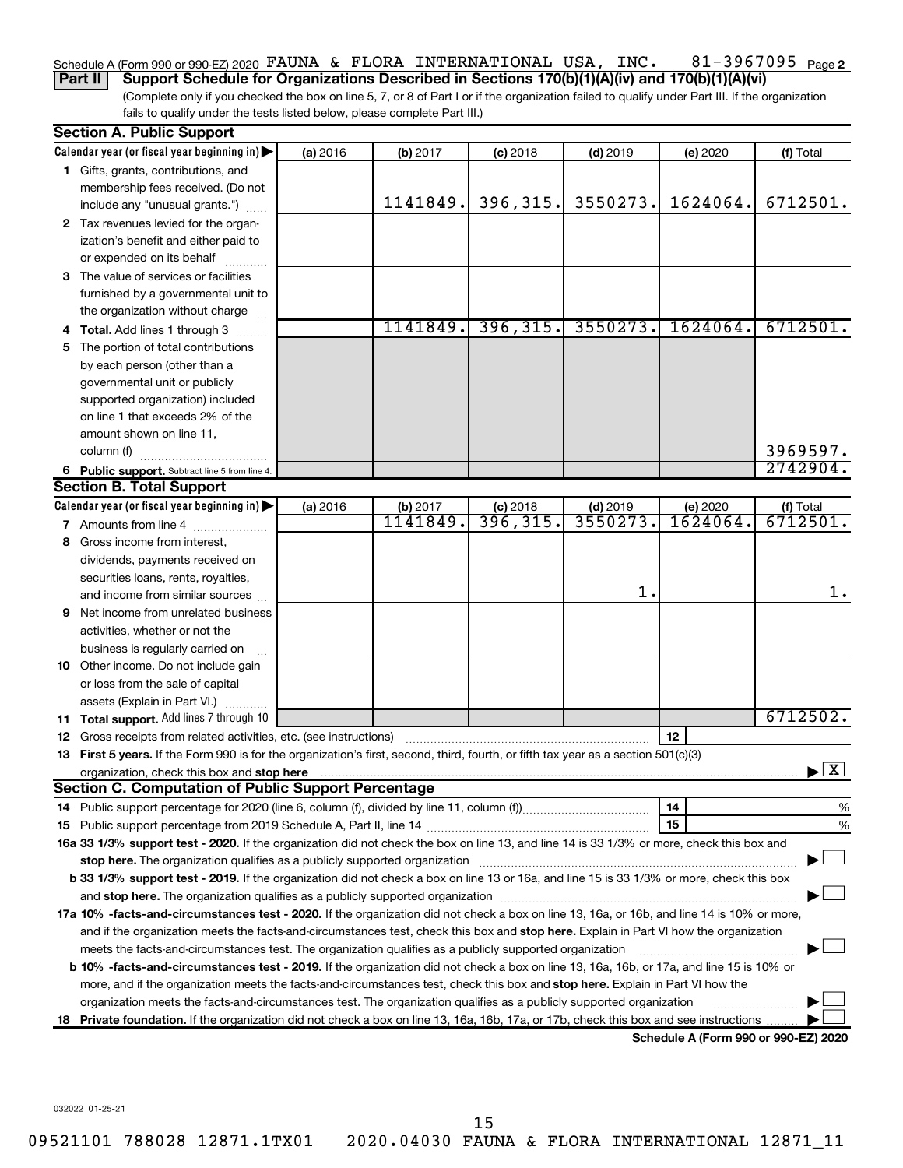#### 81-3967095 Page 2 Schedule A (Form 990 or 990-EZ) 2020  $\,$  FAUNA & FLORA INTERNATIONAL USA, INC.  $\,$  81-3967095  $\,$  Page

(Complete only if you checked the box on line 5, 7, or 8 of Part I or if the organization failed to qualify under Part III. If the organization fails to qualify under the tests listed below, please complete Part III.) **Part II Support Schedule for Organizations Described in Sections 170(b)(1)(A)(iv) and 170(b)(1)(A)(vi)**

| Calendar year (or fiscal year beginning in)<br>(a) 2016<br>(f) Total<br>(b) 2017<br>$(c)$ 2018<br>$(d)$ 2019<br>(e) 2020<br>1 Gifts, grants, contributions, and<br>membership fees received. (Do not<br>396, 315.<br>1141849.<br>3550273.<br>1624064.<br>6712501.<br>include any "unusual grants.")<br>2 Tax revenues levied for the organ-<br>ization's benefit and either paid to<br>or expended on its behalf<br>3 The value of services or facilities<br>furnished by a governmental unit to<br>the organization without charge<br>396, 315.<br>3550273.<br>1624064.<br>1141849.<br>6712501.<br>4 Total. Add lines 1 through 3<br>5 The portion of total contributions<br>by each person (other than a<br>governmental unit or publicly<br>supported organization) included<br>on line 1 that exceeds 2% of the<br>amount shown on line 11,<br>3969597.<br>column (f)<br>2742904.<br>6 Public support. Subtract line 5 from line 4.<br><b>Section B. Total Support</b><br>Calendar year (or fiscal year beginning in)<br>(a) 2016<br>$(d)$ 2019<br>(b) 2017<br>$(c)$ 2018<br>(e) 2020<br>(f) Total<br>1141849.<br>3550273.<br>$\overline{6712501}$ .<br>396,315.<br>1624064.<br>7 Amounts from line 4<br>8 Gross income from interest,<br>dividends, payments received on<br>securities loans, rents, royalties,<br>1.<br>and income from similar sources<br><b>9</b> Net income from unrelated business<br>activities, whether or not the<br>business is regularly carried on<br>10 Other income. Do not include gain<br>or loss from the sale of capital<br>assets (Explain in Part VI.)<br>6712502.<br>11 Total support. Add lines 7 through 10<br>12<br><b>12</b> Gross receipts from related activities, etc. (see instructions)<br>13 First 5 years. If the Form 990 is for the organization's first, second, third, fourth, or fifth tax year as a section 501(c)(3)<br>$\blacktriangleright$ $\boxed{\text{X}}$<br>organization, check this box and stop here <b>construction and construction</b> control and construction of the construction of the construction of the construction of the construction of the construction of the construction of<br><b>Section C. Computation of Public Support Percentage</b><br>14<br>15<br>16a 33 1/3% support test - 2020. If the organization did not check the box on line 13, and line 14 is 33 1/3% or more, check this box and |  | <b>Section A. Public Support</b> |  |  |  |  |  |    |  |  |  |
|-------------------------------------------------------------------------------------------------------------------------------------------------------------------------------------------------------------------------------------------------------------------------------------------------------------------------------------------------------------------------------------------------------------------------------------------------------------------------------------------------------------------------------------------------------------------------------------------------------------------------------------------------------------------------------------------------------------------------------------------------------------------------------------------------------------------------------------------------------------------------------------------------------------------------------------------------------------------------------------------------------------------------------------------------------------------------------------------------------------------------------------------------------------------------------------------------------------------------------------------------------------------------------------------------------------------------------------------------------------------------------------------------------------------------------------------------------------------------------------------------------------------------------------------------------------------------------------------------------------------------------------------------------------------------------------------------------------------------------------------------------------------------------------------------------------------------------------------------------------------------------------------------------------------------------------------------------------------------------------------------------------------------------------------------------------------------------------------------------------------------------------------------------------------------------------------------------------------------------------------------------------------------------------------------------------------------------------------------------------------------------------------|--|----------------------------------|--|--|--|--|--|----|--|--|--|
|                                                                                                                                                                                                                                                                                                                                                                                                                                                                                                                                                                                                                                                                                                                                                                                                                                                                                                                                                                                                                                                                                                                                                                                                                                                                                                                                                                                                                                                                                                                                                                                                                                                                                                                                                                                                                                                                                                                                                                                                                                                                                                                                                                                                                                                                                                                                                                                           |  |                                  |  |  |  |  |  |    |  |  |  |
|                                                                                                                                                                                                                                                                                                                                                                                                                                                                                                                                                                                                                                                                                                                                                                                                                                                                                                                                                                                                                                                                                                                                                                                                                                                                                                                                                                                                                                                                                                                                                                                                                                                                                                                                                                                                                                                                                                                                                                                                                                                                                                                                                                                                                                                                                                                                                                                           |  |                                  |  |  |  |  |  |    |  |  |  |
|                                                                                                                                                                                                                                                                                                                                                                                                                                                                                                                                                                                                                                                                                                                                                                                                                                                                                                                                                                                                                                                                                                                                                                                                                                                                                                                                                                                                                                                                                                                                                                                                                                                                                                                                                                                                                                                                                                                                                                                                                                                                                                                                                                                                                                                                                                                                                                                           |  |                                  |  |  |  |  |  |    |  |  |  |
|                                                                                                                                                                                                                                                                                                                                                                                                                                                                                                                                                                                                                                                                                                                                                                                                                                                                                                                                                                                                                                                                                                                                                                                                                                                                                                                                                                                                                                                                                                                                                                                                                                                                                                                                                                                                                                                                                                                                                                                                                                                                                                                                                                                                                                                                                                                                                                                           |  |                                  |  |  |  |  |  |    |  |  |  |
|                                                                                                                                                                                                                                                                                                                                                                                                                                                                                                                                                                                                                                                                                                                                                                                                                                                                                                                                                                                                                                                                                                                                                                                                                                                                                                                                                                                                                                                                                                                                                                                                                                                                                                                                                                                                                                                                                                                                                                                                                                                                                                                                                                                                                                                                                                                                                                                           |  |                                  |  |  |  |  |  |    |  |  |  |
|                                                                                                                                                                                                                                                                                                                                                                                                                                                                                                                                                                                                                                                                                                                                                                                                                                                                                                                                                                                                                                                                                                                                                                                                                                                                                                                                                                                                                                                                                                                                                                                                                                                                                                                                                                                                                                                                                                                                                                                                                                                                                                                                                                                                                                                                                                                                                                                           |  |                                  |  |  |  |  |  |    |  |  |  |
|                                                                                                                                                                                                                                                                                                                                                                                                                                                                                                                                                                                                                                                                                                                                                                                                                                                                                                                                                                                                                                                                                                                                                                                                                                                                                                                                                                                                                                                                                                                                                                                                                                                                                                                                                                                                                                                                                                                                                                                                                                                                                                                                                                                                                                                                                                                                                                                           |  |                                  |  |  |  |  |  |    |  |  |  |
|                                                                                                                                                                                                                                                                                                                                                                                                                                                                                                                                                                                                                                                                                                                                                                                                                                                                                                                                                                                                                                                                                                                                                                                                                                                                                                                                                                                                                                                                                                                                                                                                                                                                                                                                                                                                                                                                                                                                                                                                                                                                                                                                                                                                                                                                                                                                                                                           |  |                                  |  |  |  |  |  |    |  |  |  |
|                                                                                                                                                                                                                                                                                                                                                                                                                                                                                                                                                                                                                                                                                                                                                                                                                                                                                                                                                                                                                                                                                                                                                                                                                                                                                                                                                                                                                                                                                                                                                                                                                                                                                                                                                                                                                                                                                                                                                                                                                                                                                                                                                                                                                                                                                                                                                                                           |  |                                  |  |  |  |  |  |    |  |  |  |
|                                                                                                                                                                                                                                                                                                                                                                                                                                                                                                                                                                                                                                                                                                                                                                                                                                                                                                                                                                                                                                                                                                                                                                                                                                                                                                                                                                                                                                                                                                                                                                                                                                                                                                                                                                                                                                                                                                                                                                                                                                                                                                                                                                                                                                                                                                                                                                                           |  |                                  |  |  |  |  |  |    |  |  |  |
|                                                                                                                                                                                                                                                                                                                                                                                                                                                                                                                                                                                                                                                                                                                                                                                                                                                                                                                                                                                                                                                                                                                                                                                                                                                                                                                                                                                                                                                                                                                                                                                                                                                                                                                                                                                                                                                                                                                                                                                                                                                                                                                                                                                                                                                                                                                                                                                           |  |                                  |  |  |  |  |  |    |  |  |  |
|                                                                                                                                                                                                                                                                                                                                                                                                                                                                                                                                                                                                                                                                                                                                                                                                                                                                                                                                                                                                                                                                                                                                                                                                                                                                                                                                                                                                                                                                                                                                                                                                                                                                                                                                                                                                                                                                                                                                                                                                                                                                                                                                                                                                                                                                                                                                                                                           |  |                                  |  |  |  |  |  |    |  |  |  |
|                                                                                                                                                                                                                                                                                                                                                                                                                                                                                                                                                                                                                                                                                                                                                                                                                                                                                                                                                                                                                                                                                                                                                                                                                                                                                                                                                                                                                                                                                                                                                                                                                                                                                                                                                                                                                                                                                                                                                                                                                                                                                                                                                                                                                                                                                                                                                                                           |  |                                  |  |  |  |  |  |    |  |  |  |
|                                                                                                                                                                                                                                                                                                                                                                                                                                                                                                                                                                                                                                                                                                                                                                                                                                                                                                                                                                                                                                                                                                                                                                                                                                                                                                                                                                                                                                                                                                                                                                                                                                                                                                                                                                                                                                                                                                                                                                                                                                                                                                                                                                                                                                                                                                                                                                                           |  |                                  |  |  |  |  |  |    |  |  |  |
|                                                                                                                                                                                                                                                                                                                                                                                                                                                                                                                                                                                                                                                                                                                                                                                                                                                                                                                                                                                                                                                                                                                                                                                                                                                                                                                                                                                                                                                                                                                                                                                                                                                                                                                                                                                                                                                                                                                                                                                                                                                                                                                                                                                                                                                                                                                                                                                           |  |                                  |  |  |  |  |  |    |  |  |  |
|                                                                                                                                                                                                                                                                                                                                                                                                                                                                                                                                                                                                                                                                                                                                                                                                                                                                                                                                                                                                                                                                                                                                                                                                                                                                                                                                                                                                                                                                                                                                                                                                                                                                                                                                                                                                                                                                                                                                                                                                                                                                                                                                                                                                                                                                                                                                                                                           |  |                                  |  |  |  |  |  |    |  |  |  |
|                                                                                                                                                                                                                                                                                                                                                                                                                                                                                                                                                                                                                                                                                                                                                                                                                                                                                                                                                                                                                                                                                                                                                                                                                                                                                                                                                                                                                                                                                                                                                                                                                                                                                                                                                                                                                                                                                                                                                                                                                                                                                                                                                                                                                                                                                                                                                                                           |  |                                  |  |  |  |  |  |    |  |  |  |
|                                                                                                                                                                                                                                                                                                                                                                                                                                                                                                                                                                                                                                                                                                                                                                                                                                                                                                                                                                                                                                                                                                                                                                                                                                                                                                                                                                                                                                                                                                                                                                                                                                                                                                                                                                                                                                                                                                                                                                                                                                                                                                                                                                                                                                                                                                                                                                                           |  |                                  |  |  |  |  |  |    |  |  |  |
|                                                                                                                                                                                                                                                                                                                                                                                                                                                                                                                                                                                                                                                                                                                                                                                                                                                                                                                                                                                                                                                                                                                                                                                                                                                                                                                                                                                                                                                                                                                                                                                                                                                                                                                                                                                                                                                                                                                                                                                                                                                                                                                                                                                                                                                                                                                                                                                           |  |                                  |  |  |  |  |  |    |  |  |  |
|                                                                                                                                                                                                                                                                                                                                                                                                                                                                                                                                                                                                                                                                                                                                                                                                                                                                                                                                                                                                                                                                                                                                                                                                                                                                                                                                                                                                                                                                                                                                                                                                                                                                                                                                                                                                                                                                                                                                                                                                                                                                                                                                                                                                                                                                                                                                                                                           |  |                                  |  |  |  |  |  |    |  |  |  |
|                                                                                                                                                                                                                                                                                                                                                                                                                                                                                                                                                                                                                                                                                                                                                                                                                                                                                                                                                                                                                                                                                                                                                                                                                                                                                                                                                                                                                                                                                                                                                                                                                                                                                                                                                                                                                                                                                                                                                                                                                                                                                                                                                                                                                                                                                                                                                                                           |  |                                  |  |  |  |  |  |    |  |  |  |
|                                                                                                                                                                                                                                                                                                                                                                                                                                                                                                                                                                                                                                                                                                                                                                                                                                                                                                                                                                                                                                                                                                                                                                                                                                                                                                                                                                                                                                                                                                                                                                                                                                                                                                                                                                                                                                                                                                                                                                                                                                                                                                                                                                                                                                                                                                                                                                                           |  |                                  |  |  |  |  |  |    |  |  |  |
|                                                                                                                                                                                                                                                                                                                                                                                                                                                                                                                                                                                                                                                                                                                                                                                                                                                                                                                                                                                                                                                                                                                                                                                                                                                                                                                                                                                                                                                                                                                                                                                                                                                                                                                                                                                                                                                                                                                                                                                                                                                                                                                                                                                                                                                                                                                                                                                           |  |                                  |  |  |  |  |  |    |  |  |  |
|                                                                                                                                                                                                                                                                                                                                                                                                                                                                                                                                                                                                                                                                                                                                                                                                                                                                                                                                                                                                                                                                                                                                                                                                                                                                                                                                                                                                                                                                                                                                                                                                                                                                                                                                                                                                                                                                                                                                                                                                                                                                                                                                                                                                                                                                                                                                                                                           |  |                                  |  |  |  |  |  |    |  |  |  |
|                                                                                                                                                                                                                                                                                                                                                                                                                                                                                                                                                                                                                                                                                                                                                                                                                                                                                                                                                                                                                                                                                                                                                                                                                                                                                                                                                                                                                                                                                                                                                                                                                                                                                                                                                                                                                                                                                                                                                                                                                                                                                                                                                                                                                                                                                                                                                                                           |  |                                  |  |  |  |  |  |    |  |  |  |
|                                                                                                                                                                                                                                                                                                                                                                                                                                                                                                                                                                                                                                                                                                                                                                                                                                                                                                                                                                                                                                                                                                                                                                                                                                                                                                                                                                                                                                                                                                                                                                                                                                                                                                                                                                                                                                                                                                                                                                                                                                                                                                                                                                                                                                                                                                                                                                                           |  |                                  |  |  |  |  |  | 1. |  |  |  |
|                                                                                                                                                                                                                                                                                                                                                                                                                                                                                                                                                                                                                                                                                                                                                                                                                                                                                                                                                                                                                                                                                                                                                                                                                                                                                                                                                                                                                                                                                                                                                                                                                                                                                                                                                                                                                                                                                                                                                                                                                                                                                                                                                                                                                                                                                                                                                                                           |  |                                  |  |  |  |  |  |    |  |  |  |
|                                                                                                                                                                                                                                                                                                                                                                                                                                                                                                                                                                                                                                                                                                                                                                                                                                                                                                                                                                                                                                                                                                                                                                                                                                                                                                                                                                                                                                                                                                                                                                                                                                                                                                                                                                                                                                                                                                                                                                                                                                                                                                                                                                                                                                                                                                                                                                                           |  |                                  |  |  |  |  |  |    |  |  |  |
|                                                                                                                                                                                                                                                                                                                                                                                                                                                                                                                                                                                                                                                                                                                                                                                                                                                                                                                                                                                                                                                                                                                                                                                                                                                                                                                                                                                                                                                                                                                                                                                                                                                                                                                                                                                                                                                                                                                                                                                                                                                                                                                                                                                                                                                                                                                                                                                           |  |                                  |  |  |  |  |  |    |  |  |  |
|                                                                                                                                                                                                                                                                                                                                                                                                                                                                                                                                                                                                                                                                                                                                                                                                                                                                                                                                                                                                                                                                                                                                                                                                                                                                                                                                                                                                                                                                                                                                                                                                                                                                                                                                                                                                                                                                                                                                                                                                                                                                                                                                                                                                                                                                                                                                                                                           |  |                                  |  |  |  |  |  |    |  |  |  |
|                                                                                                                                                                                                                                                                                                                                                                                                                                                                                                                                                                                                                                                                                                                                                                                                                                                                                                                                                                                                                                                                                                                                                                                                                                                                                                                                                                                                                                                                                                                                                                                                                                                                                                                                                                                                                                                                                                                                                                                                                                                                                                                                                                                                                                                                                                                                                                                           |  |                                  |  |  |  |  |  |    |  |  |  |
|                                                                                                                                                                                                                                                                                                                                                                                                                                                                                                                                                                                                                                                                                                                                                                                                                                                                                                                                                                                                                                                                                                                                                                                                                                                                                                                                                                                                                                                                                                                                                                                                                                                                                                                                                                                                                                                                                                                                                                                                                                                                                                                                                                                                                                                                                                                                                                                           |  |                                  |  |  |  |  |  |    |  |  |  |
|                                                                                                                                                                                                                                                                                                                                                                                                                                                                                                                                                                                                                                                                                                                                                                                                                                                                                                                                                                                                                                                                                                                                                                                                                                                                                                                                                                                                                                                                                                                                                                                                                                                                                                                                                                                                                                                                                                                                                                                                                                                                                                                                                                                                                                                                                                                                                                                           |  |                                  |  |  |  |  |  |    |  |  |  |
|                                                                                                                                                                                                                                                                                                                                                                                                                                                                                                                                                                                                                                                                                                                                                                                                                                                                                                                                                                                                                                                                                                                                                                                                                                                                                                                                                                                                                                                                                                                                                                                                                                                                                                                                                                                                                                                                                                                                                                                                                                                                                                                                                                                                                                                                                                                                                                                           |  |                                  |  |  |  |  |  |    |  |  |  |
|                                                                                                                                                                                                                                                                                                                                                                                                                                                                                                                                                                                                                                                                                                                                                                                                                                                                                                                                                                                                                                                                                                                                                                                                                                                                                                                                                                                                                                                                                                                                                                                                                                                                                                                                                                                                                                                                                                                                                                                                                                                                                                                                                                                                                                                                                                                                                                                           |  |                                  |  |  |  |  |  |    |  |  |  |
|                                                                                                                                                                                                                                                                                                                                                                                                                                                                                                                                                                                                                                                                                                                                                                                                                                                                                                                                                                                                                                                                                                                                                                                                                                                                                                                                                                                                                                                                                                                                                                                                                                                                                                                                                                                                                                                                                                                                                                                                                                                                                                                                                                                                                                                                                                                                                                                           |  |                                  |  |  |  |  |  |    |  |  |  |
|                                                                                                                                                                                                                                                                                                                                                                                                                                                                                                                                                                                                                                                                                                                                                                                                                                                                                                                                                                                                                                                                                                                                                                                                                                                                                                                                                                                                                                                                                                                                                                                                                                                                                                                                                                                                                                                                                                                                                                                                                                                                                                                                                                                                                                                                                                                                                                                           |  |                                  |  |  |  |  |  |    |  |  |  |
|                                                                                                                                                                                                                                                                                                                                                                                                                                                                                                                                                                                                                                                                                                                                                                                                                                                                                                                                                                                                                                                                                                                                                                                                                                                                                                                                                                                                                                                                                                                                                                                                                                                                                                                                                                                                                                                                                                                                                                                                                                                                                                                                                                                                                                                                                                                                                                                           |  |                                  |  |  |  |  |  | %  |  |  |  |
|                                                                                                                                                                                                                                                                                                                                                                                                                                                                                                                                                                                                                                                                                                                                                                                                                                                                                                                                                                                                                                                                                                                                                                                                                                                                                                                                                                                                                                                                                                                                                                                                                                                                                                                                                                                                                                                                                                                                                                                                                                                                                                                                                                                                                                                                                                                                                                                           |  |                                  |  |  |  |  |  | %  |  |  |  |
|                                                                                                                                                                                                                                                                                                                                                                                                                                                                                                                                                                                                                                                                                                                                                                                                                                                                                                                                                                                                                                                                                                                                                                                                                                                                                                                                                                                                                                                                                                                                                                                                                                                                                                                                                                                                                                                                                                                                                                                                                                                                                                                                                                                                                                                                                                                                                                                           |  |                                  |  |  |  |  |  |    |  |  |  |
| stop here. The organization qualifies as a publicly supported organization manufactured content and the support of the state of the state of the state of the state of the state of the state of the state of the state of the                                                                                                                                                                                                                                                                                                                                                                                                                                                                                                                                                                                                                                                                                                                                                                                                                                                                                                                                                                                                                                                                                                                                                                                                                                                                                                                                                                                                                                                                                                                                                                                                                                                                                                                                                                                                                                                                                                                                                                                                                                                                                                                                                            |  |                                  |  |  |  |  |  |    |  |  |  |
| b 33 1/3% support test - 2019. If the organization did not check a box on line 13 or 16a, and line 15 is 33 1/3% or more, check this box                                                                                                                                                                                                                                                                                                                                                                                                                                                                                                                                                                                                                                                                                                                                                                                                                                                                                                                                                                                                                                                                                                                                                                                                                                                                                                                                                                                                                                                                                                                                                                                                                                                                                                                                                                                                                                                                                                                                                                                                                                                                                                                                                                                                                                                  |  |                                  |  |  |  |  |  |    |  |  |  |
|                                                                                                                                                                                                                                                                                                                                                                                                                                                                                                                                                                                                                                                                                                                                                                                                                                                                                                                                                                                                                                                                                                                                                                                                                                                                                                                                                                                                                                                                                                                                                                                                                                                                                                                                                                                                                                                                                                                                                                                                                                                                                                                                                                                                                                                                                                                                                                                           |  |                                  |  |  |  |  |  |    |  |  |  |
| 17a 10% -facts-and-circumstances test - 2020. If the organization did not check a box on line 13, 16a, or 16b, and line 14 is 10% or more,                                                                                                                                                                                                                                                                                                                                                                                                                                                                                                                                                                                                                                                                                                                                                                                                                                                                                                                                                                                                                                                                                                                                                                                                                                                                                                                                                                                                                                                                                                                                                                                                                                                                                                                                                                                                                                                                                                                                                                                                                                                                                                                                                                                                                                                |  |                                  |  |  |  |  |  |    |  |  |  |
| and if the organization meets the facts-and-circumstances test, check this box and stop here. Explain in Part VI how the organization                                                                                                                                                                                                                                                                                                                                                                                                                                                                                                                                                                                                                                                                                                                                                                                                                                                                                                                                                                                                                                                                                                                                                                                                                                                                                                                                                                                                                                                                                                                                                                                                                                                                                                                                                                                                                                                                                                                                                                                                                                                                                                                                                                                                                                                     |  |                                  |  |  |  |  |  |    |  |  |  |
| meets the facts-and-circumstances test. The organization qualifies as a publicly supported organization                                                                                                                                                                                                                                                                                                                                                                                                                                                                                                                                                                                                                                                                                                                                                                                                                                                                                                                                                                                                                                                                                                                                                                                                                                                                                                                                                                                                                                                                                                                                                                                                                                                                                                                                                                                                                                                                                                                                                                                                                                                                                                                                                                                                                                                                                   |  |                                  |  |  |  |  |  |    |  |  |  |
| <b>b 10%</b> -facts-and-circumstances test - 2019. If the organization did not check a box on line 13, 16a, 16b, or 17a, and line 15 is 10% or                                                                                                                                                                                                                                                                                                                                                                                                                                                                                                                                                                                                                                                                                                                                                                                                                                                                                                                                                                                                                                                                                                                                                                                                                                                                                                                                                                                                                                                                                                                                                                                                                                                                                                                                                                                                                                                                                                                                                                                                                                                                                                                                                                                                                                            |  |                                  |  |  |  |  |  |    |  |  |  |
| more, and if the organization meets the facts-and-circumstances test, check this box and stop here. Explain in Part VI how the                                                                                                                                                                                                                                                                                                                                                                                                                                                                                                                                                                                                                                                                                                                                                                                                                                                                                                                                                                                                                                                                                                                                                                                                                                                                                                                                                                                                                                                                                                                                                                                                                                                                                                                                                                                                                                                                                                                                                                                                                                                                                                                                                                                                                                                            |  |                                  |  |  |  |  |  |    |  |  |  |
| organization meets the facts-and-circumstances test. The organization qualifies as a publicly supported organization                                                                                                                                                                                                                                                                                                                                                                                                                                                                                                                                                                                                                                                                                                                                                                                                                                                                                                                                                                                                                                                                                                                                                                                                                                                                                                                                                                                                                                                                                                                                                                                                                                                                                                                                                                                                                                                                                                                                                                                                                                                                                                                                                                                                                                                                      |  |                                  |  |  |  |  |  |    |  |  |  |
| 18 Private foundation. If the organization did not check a box on line 13, 16a, 16b, 17a, or 17b, check this box and see instructions<br>Schedule A (Form 990 or 990-F7) 2020                                                                                                                                                                                                                                                                                                                                                                                                                                                                                                                                                                                                                                                                                                                                                                                                                                                                                                                                                                                                                                                                                                                                                                                                                                                                                                                                                                                                                                                                                                                                                                                                                                                                                                                                                                                                                                                                                                                                                                                                                                                                                                                                                                                                             |  |                                  |  |  |  |  |  |    |  |  |  |

**Schedule A (Form 990 or 990-EZ) 2020**

032022 01-25-21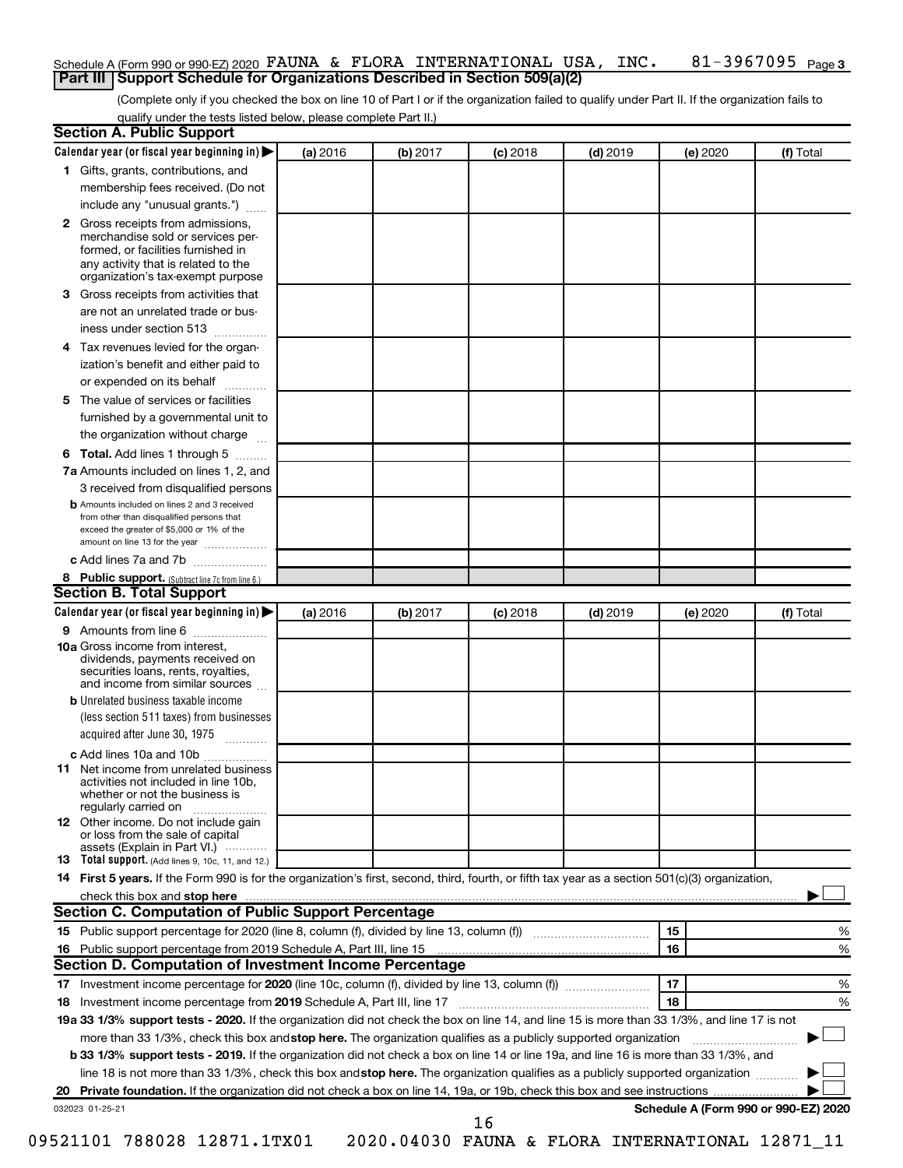#### 81-3967095 Page 3 Schedule A (Form 990 or 990-EZ) 2020  $\,$  FAUNA & FLORA INTERNATIONAL USA, INC.  $\,$  81-3967095  $\,$  Page **Part III Support Schedule for Organizations Described in Section 509(a)(2)**

(Complete only if you checked the box on line 10 of Part I or if the organization failed to qualify under Part II. If the organization fails to qualify under the tests listed below, please complete Part II.)

| <b>Section A. Public Support</b>                                                                                                                                                                                       |          |          |            |            |          |                                      |
|------------------------------------------------------------------------------------------------------------------------------------------------------------------------------------------------------------------------|----------|----------|------------|------------|----------|--------------------------------------|
| Calendar year (or fiscal year beginning in)                                                                                                                                                                            | (a) 2016 | (b) 2017 | $(c)$ 2018 | $(d)$ 2019 | (e) 2020 | (f) Total                            |
| 1 Gifts, grants, contributions, and                                                                                                                                                                                    |          |          |            |            |          |                                      |
| membership fees received. (Do not                                                                                                                                                                                      |          |          |            |            |          |                                      |
| include any "unusual grants.")                                                                                                                                                                                         |          |          |            |            |          |                                      |
| 2 Gross receipts from admissions,<br>merchandise sold or services per-<br>formed, or facilities furnished in<br>any activity that is related to the<br>organization's tax-exempt purpose                               |          |          |            |            |          |                                      |
| <b>3</b> Gross receipts from activities that                                                                                                                                                                           |          |          |            |            |          |                                      |
| are not an unrelated trade or bus-                                                                                                                                                                                     |          |          |            |            |          |                                      |
| iness under section 513                                                                                                                                                                                                |          |          |            |            |          |                                      |
| 4 Tax revenues levied for the organ-                                                                                                                                                                                   |          |          |            |            |          |                                      |
| ization's benefit and either paid to                                                                                                                                                                                   |          |          |            |            |          |                                      |
| or expended on its behalf                                                                                                                                                                                              |          |          |            |            |          |                                      |
| 5 The value of services or facilities                                                                                                                                                                                  |          |          |            |            |          |                                      |
| furnished by a governmental unit to                                                                                                                                                                                    |          |          |            |            |          |                                      |
| the organization without charge                                                                                                                                                                                        |          |          |            |            |          |                                      |
| <b>6 Total.</b> Add lines 1 through 5                                                                                                                                                                                  |          |          |            |            |          |                                      |
| 7a Amounts included on lines 1, 2, and                                                                                                                                                                                 |          |          |            |            |          |                                      |
| 3 received from disqualified persons                                                                                                                                                                                   |          |          |            |            |          |                                      |
| <b>b</b> Amounts included on lines 2 and 3 received<br>from other than disqualified persons that<br>exceed the greater of \$5,000 or 1% of the<br>amount on line 13 for the year                                       |          |          |            |            |          |                                      |
| c Add lines 7a and 7b                                                                                                                                                                                                  |          |          |            |            |          |                                      |
| 8 Public support. (Subtract line 7c from line 6.)                                                                                                                                                                      |          |          |            |            |          |                                      |
| <b>Section B. Total Support</b>                                                                                                                                                                                        |          |          |            |            |          |                                      |
| Calendar year (or fiscal year beginning in) $\blacktriangleright$                                                                                                                                                      | (a) 2016 | (b) 2017 | $(c)$ 2018 | $(d)$ 2019 | (e) 2020 | (f) Total                            |
| 9 Amounts from line 6                                                                                                                                                                                                  |          |          |            |            |          |                                      |
| <b>10a</b> Gross income from interest,<br>dividends, payments received on<br>securities loans, rents, royalties,<br>and income from similar sources                                                                    |          |          |            |            |          |                                      |
| <b>b</b> Unrelated business taxable income                                                                                                                                                                             |          |          |            |            |          |                                      |
| (less section 511 taxes) from businesses                                                                                                                                                                               |          |          |            |            |          |                                      |
| acquired after June 30, 1975<br>$\overline{\phantom{a}}$                                                                                                                                                               |          |          |            |            |          |                                      |
| c Add lines 10a and 10b                                                                                                                                                                                                |          |          |            |            |          |                                      |
| <b>11</b> Net income from unrelated business<br>activities not included in line 10b.<br>whether or not the business is<br>regularly carried on                                                                         |          |          |            |            |          |                                      |
| <b>12</b> Other income. Do not include gain<br>or loss from the sale of capital<br>assets (Explain in Part VI.)                                                                                                        |          |          |            |            |          |                                      |
| <b>13</b> Total support. (Add lines 9, 10c, 11, and 12.)                                                                                                                                                               |          |          |            |            |          |                                      |
| 14 First 5 years. If the Form 990 is for the organization's first, second, third, fourth, or fifth tax year as a section 501(c)(3) organization,                                                                       |          |          |            |            |          |                                      |
| check this box and stop here <b>contained and stop here contained and stop here contained and stop here contained and stop here contained and stop here contained and stop here contained and stop here contained </b> |          |          |            |            |          |                                      |
| <b>Section C. Computation of Public Support Percentage</b>                                                                                                                                                             |          |          |            |            |          |                                      |
| 15 Public support percentage for 2020 (line 8, column (f), divided by line 13, column (f) <i></i>                                                                                                                      |          |          |            |            | 15       | %                                    |
| 16 Public support percentage from 2019 Schedule A, Part III, line 15                                                                                                                                                   |          |          |            |            | 16       | %                                    |
| Section D. Computation of Investment Income Percentage                                                                                                                                                                 |          |          |            |            |          |                                      |
|                                                                                                                                                                                                                        |          |          |            |            | 17       | %                                    |
| 18 Investment income percentage from 2019 Schedule A, Part III, line 17                                                                                                                                                |          |          |            |            | 18       | %                                    |
| 19a 33 1/3% support tests - 2020. If the organization did not check the box on line 14, and line 15 is more than 33 1/3%, and line 17 is not                                                                           |          |          |            |            |          |                                      |
| more than 33 1/3%, check this box and stop here. The organization qualifies as a publicly supported organization                                                                                                       |          |          |            |            |          |                                      |
| b 33 1/3% support tests - 2019. If the organization did not check a box on line 14 or line 19a, and line 16 is more than 33 1/3%, and                                                                                  |          |          |            |            |          |                                      |
| line 18 is not more than 33 1/3%, check this box and stop here. The organization qualifies as a publicly supported organization                                                                                        |          |          |            |            |          |                                      |
|                                                                                                                                                                                                                        |          |          |            |            |          |                                      |
| 032023 01-25-21                                                                                                                                                                                                        |          |          | 16         |            |          | Schedule A (Form 990 or 990-EZ) 2020 |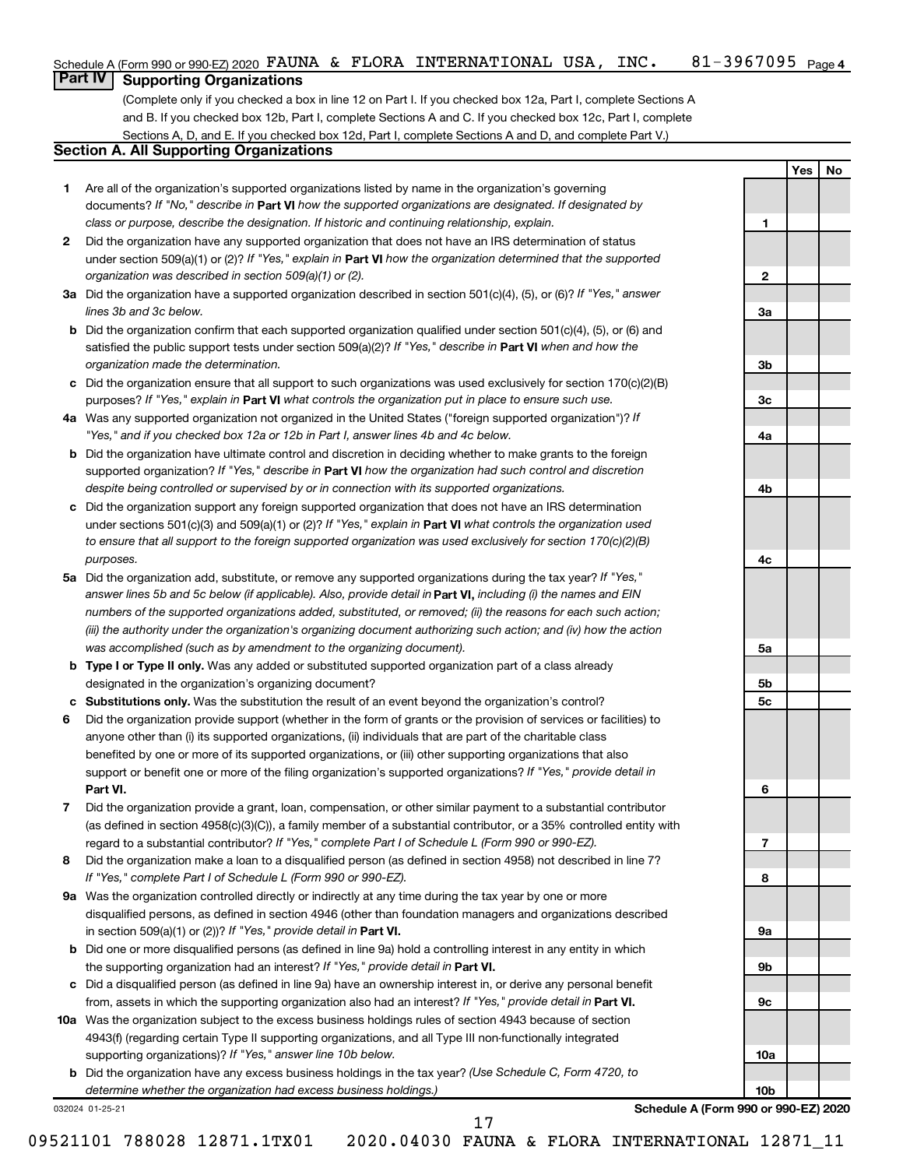| Schedule A (Form 990 or 990-EZ) 2020 FAUNA & FLORA INTERNATIONAL USA, |  |  |  |  |  | INC. | 81-3967095 <sub>Page 4</sub> |
|-----------------------------------------------------------------------|--|--|--|--|--|------|------------------------------|
|-----------------------------------------------------------------------|--|--|--|--|--|------|------------------------------|

#### **Part IV Supporting Organizations**

(Complete only if you checked a box in line 12 on Part I. If you checked box 12a, Part I, complete Sections A and B. If you checked box 12b, Part I, complete Sections A and C. If you checked box 12c, Part I, complete Sections A, D, and E. If you checked box 12d, Part I, complete Sections A and D, and complete Part V.)

### **Section A. All Supporting Organizations**

- **1** Are all of the organization's supported organizations listed by name in the organization's governing documents? If "No," describe in Part VI how the supported organizations are designated. If designated by *class or purpose, describe the designation. If historic and continuing relationship, explain.*
- **2** Did the organization have any supported organization that does not have an IRS determination of status under section 509(a)(1) or (2)? If "Yes," explain in Part **VI** how the organization determined that the supported *organization was described in section 509(a)(1) or (2).*
- **3a** Did the organization have a supported organization described in section 501(c)(4), (5), or (6)? If "Yes," answer *lines 3b and 3c below.*
- **b** Did the organization confirm that each supported organization qualified under section 501(c)(4), (5), or (6) and satisfied the public support tests under section 509(a)(2)? If "Yes," describe in Part VI when and how the *organization made the determination.*
- **c** Did the organization ensure that all support to such organizations was used exclusively for section 170(c)(2)(B) purposes? If "Yes," explain in Part VI what controls the organization put in place to ensure such use.
- **4 a** *If* Was any supported organization not organized in the United States ("foreign supported organization")? *"Yes," and if you checked box 12a or 12b in Part I, answer lines 4b and 4c below.*
- **b** Did the organization have ultimate control and discretion in deciding whether to make grants to the foreign supported organization? If "Yes," describe in Part VI how the organization had such control and discretion *despite being controlled or supervised by or in connection with its supported organizations.*
- **c** Did the organization support any foreign supported organization that does not have an IRS determination under sections 501(c)(3) and 509(a)(1) or (2)? If "Yes," explain in Part VI what controls the organization used *to ensure that all support to the foreign supported organization was used exclusively for section 170(c)(2)(B) purposes.*
- **5a** Did the organization add, substitute, or remove any supported organizations during the tax year? If "Yes," answer lines 5b and 5c below (if applicable). Also, provide detail in **Part VI,** including (i) the names and EIN *numbers of the supported organizations added, substituted, or removed; (ii) the reasons for each such action; (iii) the authority under the organization's organizing document authorizing such action; and (iv) how the action was accomplished (such as by amendment to the organizing document).*
- **b Type I or Type II only.** Was any added or substituted supported organization part of a class already designated in the organization's organizing document?
- **c Substitutions only.**  Was the substitution the result of an event beyond the organization's control?
- **6** Did the organization provide support (whether in the form of grants or the provision of services or facilities) to **Part VI.** support or benefit one or more of the filing organization's supported organizations? If "Yes," provide detail in anyone other than (i) its supported organizations, (ii) individuals that are part of the charitable class benefited by one or more of its supported organizations, or (iii) other supporting organizations that also
- **7** Did the organization provide a grant, loan, compensation, or other similar payment to a substantial contributor regard to a substantial contributor? If "Yes," complete Part I of Schedule L (Form 990 or 990-EZ). (as defined in section 4958(c)(3)(C)), a family member of a substantial contributor, or a 35% controlled entity with
- **8** Did the organization make a loan to a disqualified person (as defined in section 4958) not described in line 7? *If "Yes," complete Part I of Schedule L (Form 990 or 990-EZ).*
- **9 a** Was the organization controlled directly or indirectly at any time during the tax year by one or more in section 509(a)(1) or (2))? If "Yes," provide detail in **Part VI.** disqualified persons, as defined in section 4946 (other than foundation managers and organizations described
- **b** Did one or more disqualified persons (as defined in line 9a) hold a controlling interest in any entity in which the supporting organization had an interest? If "Yes," provide detail in Part VI.
- **c** Did a disqualified person (as defined in line 9a) have an ownership interest in, or derive any personal benefit from, assets in which the supporting organization also had an interest? If "Yes," provide detail in Part VI.
- **10 a** Was the organization subject to the excess business holdings rules of section 4943 because of section supporting organizations)? If "Yes," answer line 10b below. 4943(f) (regarding certain Type II supporting organizations, and all Type III non-functionally integrated
	- **b** Did the organization have any excess business holdings in the tax year? (Use Schedule C, Form 4720, to *determine whether the organization had excess business holdings.)*

032024 01-25-21

**Schedule A (Form 990 or 990-EZ) 2020**

**Yes No**

**1**

**2**

**3a**

**3b**

**3c**

**4a**

**4b**

**4c**

**5a**

**5b 5c**

**6**

**7**

**8**

**9a**

**9b**

**9c**

**10a**

**10b**

09521101 788028 12871.1TX01 2020.04030 FAUNA & FLORA INTERNATIONAL 12871\_11

17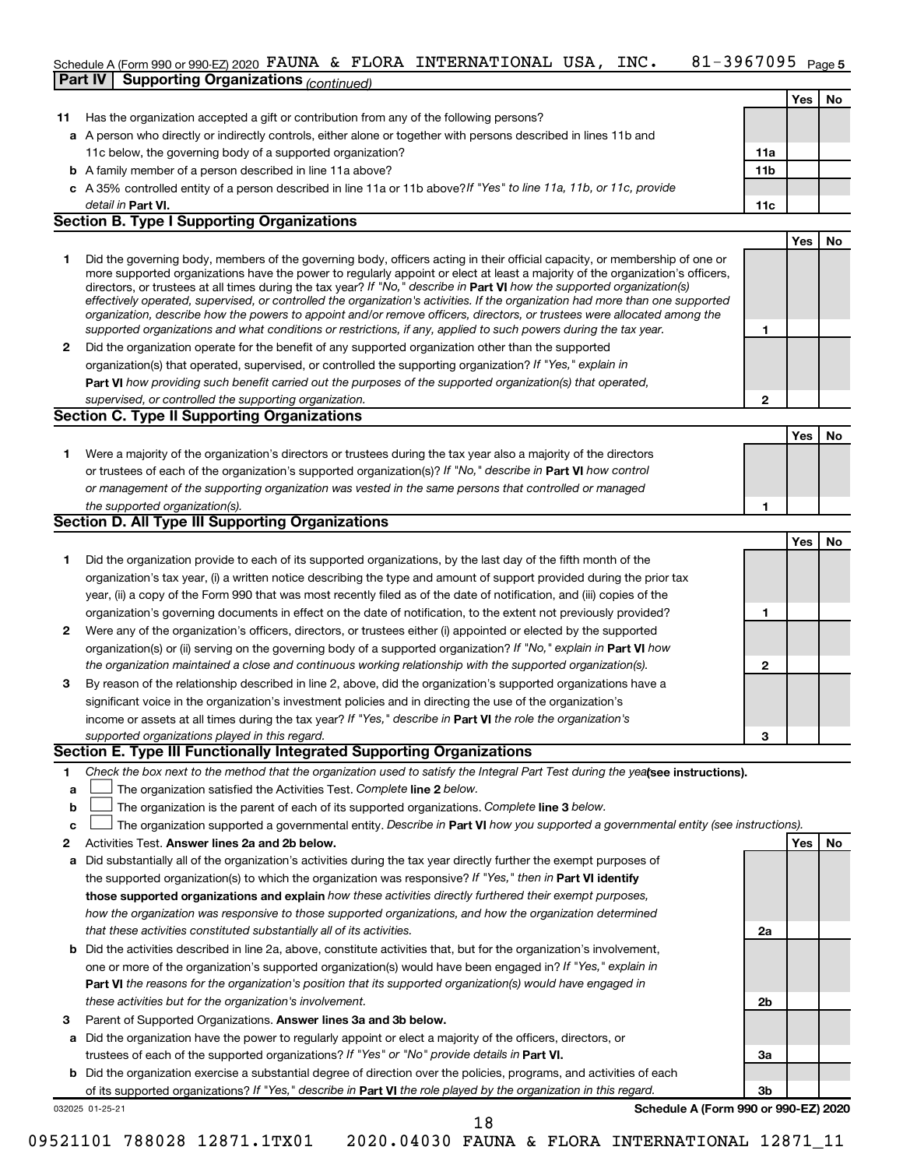## Schedule A (Form 990 or 990-EZ) 2020 FAUNA & FLORA INTERNATIONAL USA, INC. 81-3967095 <sub>Page 5</sub>

|    | <b>Part IV   Supporting Organizations (continued)</b>                                                                                                                                                                                                                                                                                                                                                                                                                                                                                                                                                                                                                                                                                                                    |                 |     |    |
|----|--------------------------------------------------------------------------------------------------------------------------------------------------------------------------------------------------------------------------------------------------------------------------------------------------------------------------------------------------------------------------------------------------------------------------------------------------------------------------------------------------------------------------------------------------------------------------------------------------------------------------------------------------------------------------------------------------------------------------------------------------------------------------|-----------------|-----|----|
|    |                                                                                                                                                                                                                                                                                                                                                                                                                                                                                                                                                                                                                                                                                                                                                                          |                 | Yes | No |
| 11 | Has the organization accepted a gift or contribution from any of the following persons?                                                                                                                                                                                                                                                                                                                                                                                                                                                                                                                                                                                                                                                                                  |                 |     |    |
|    | a A person who directly or indirectly controls, either alone or together with persons described in lines 11b and                                                                                                                                                                                                                                                                                                                                                                                                                                                                                                                                                                                                                                                         |                 |     |    |
|    | 11c below, the governing body of a supported organization?                                                                                                                                                                                                                                                                                                                                                                                                                                                                                                                                                                                                                                                                                                               | 11a             |     |    |
|    | <b>b</b> A family member of a person described in line 11a above?                                                                                                                                                                                                                                                                                                                                                                                                                                                                                                                                                                                                                                                                                                        | 11 <sub>b</sub> |     |    |
|    | c A 35% controlled entity of a person described in line 11a or 11b above?If "Yes" to line 11a, 11b, or 11c, provide                                                                                                                                                                                                                                                                                                                                                                                                                                                                                                                                                                                                                                                      |                 |     |    |
|    | detail in <b>Part VI.</b>                                                                                                                                                                                                                                                                                                                                                                                                                                                                                                                                                                                                                                                                                                                                                | 11c             |     |    |
|    | <b>Section B. Type I Supporting Organizations</b>                                                                                                                                                                                                                                                                                                                                                                                                                                                                                                                                                                                                                                                                                                                        |                 |     |    |
|    |                                                                                                                                                                                                                                                                                                                                                                                                                                                                                                                                                                                                                                                                                                                                                                          |                 | Yes | No |
| 1  | Did the governing body, members of the governing body, officers acting in their official capacity, or membership of one or<br>more supported organizations have the power to regularly appoint or elect at least a majority of the organization's officers,<br>directors, or trustees at all times during the tax year? If "No," describe in Part VI how the supported organization(s)<br>effectively operated, supervised, or controlled the organization's activities. If the organization had more than one supported<br>organization, describe how the powers to appoint and/or remove officers, directors, or trustees were allocated among the<br>supported organizations and what conditions or restrictions, if any, applied to such powers during the tax year. | 1               |     |    |
| 2  | Did the organization operate for the benefit of any supported organization other than the supported                                                                                                                                                                                                                                                                                                                                                                                                                                                                                                                                                                                                                                                                      |                 |     |    |
|    | organization(s) that operated, supervised, or controlled the supporting organization? If "Yes," explain in                                                                                                                                                                                                                                                                                                                                                                                                                                                                                                                                                                                                                                                               |                 |     |    |
|    | Part VI how providing such benefit carried out the purposes of the supported organization(s) that operated,                                                                                                                                                                                                                                                                                                                                                                                                                                                                                                                                                                                                                                                              |                 |     |    |
|    | supervised, or controlled the supporting organization.                                                                                                                                                                                                                                                                                                                                                                                                                                                                                                                                                                                                                                                                                                                   | 2               |     |    |
|    | <b>Section C. Type II Supporting Organizations</b>                                                                                                                                                                                                                                                                                                                                                                                                                                                                                                                                                                                                                                                                                                                       |                 |     |    |
|    |                                                                                                                                                                                                                                                                                                                                                                                                                                                                                                                                                                                                                                                                                                                                                                          |                 | Yes | No |
| 1. | Were a majority of the organization's directors or trustees during the tax year also a majority of the directors                                                                                                                                                                                                                                                                                                                                                                                                                                                                                                                                                                                                                                                         |                 |     |    |
|    | or trustees of each of the organization's supported organization(s)? If "No," describe in Part VI how control                                                                                                                                                                                                                                                                                                                                                                                                                                                                                                                                                                                                                                                            |                 |     |    |
|    | or management of the supporting organization was vested in the same persons that controlled or managed                                                                                                                                                                                                                                                                                                                                                                                                                                                                                                                                                                                                                                                                   |                 |     |    |
|    | the supported organization(s).                                                                                                                                                                                                                                                                                                                                                                                                                                                                                                                                                                                                                                                                                                                                           | 1               |     |    |
|    | <b>Section D. All Type III Supporting Organizations</b>                                                                                                                                                                                                                                                                                                                                                                                                                                                                                                                                                                                                                                                                                                                  |                 |     |    |
|    |                                                                                                                                                                                                                                                                                                                                                                                                                                                                                                                                                                                                                                                                                                                                                                          |                 | Yes | No |
| 1  | Did the organization provide to each of its supported organizations, by the last day of the fifth month of the                                                                                                                                                                                                                                                                                                                                                                                                                                                                                                                                                                                                                                                           |                 |     |    |
|    | organization's tax year, (i) a written notice describing the type and amount of support provided during the prior tax                                                                                                                                                                                                                                                                                                                                                                                                                                                                                                                                                                                                                                                    |                 |     |    |
|    | year, (ii) a copy of the Form 990 that was most recently filed as of the date of notification, and (iii) copies of the                                                                                                                                                                                                                                                                                                                                                                                                                                                                                                                                                                                                                                                   |                 |     |    |
|    | organization's governing documents in effect on the date of notification, to the extent not previously provided?                                                                                                                                                                                                                                                                                                                                                                                                                                                                                                                                                                                                                                                         | 1               |     |    |
| 2  | Were any of the organization's officers, directors, or trustees either (i) appointed or elected by the supported                                                                                                                                                                                                                                                                                                                                                                                                                                                                                                                                                                                                                                                         |                 |     |    |
|    | organization(s) or (ii) serving on the governing body of a supported organization? If "No," explain in Part VI how                                                                                                                                                                                                                                                                                                                                                                                                                                                                                                                                                                                                                                                       |                 |     |    |
|    | the organization maintained a close and continuous working relationship with the supported organization(s).                                                                                                                                                                                                                                                                                                                                                                                                                                                                                                                                                                                                                                                              | 2               |     |    |
| 3  | By reason of the relationship described in line 2, above, did the organization's supported organizations have a                                                                                                                                                                                                                                                                                                                                                                                                                                                                                                                                                                                                                                                          |                 |     |    |
|    | significant voice in the organization's investment policies and in directing the use of the organization's                                                                                                                                                                                                                                                                                                                                                                                                                                                                                                                                                                                                                                                               |                 |     |    |
|    | income or assets at all times during the tax year? If "Yes," describe in Part VI the role the organization's                                                                                                                                                                                                                                                                                                                                                                                                                                                                                                                                                                                                                                                             |                 |     |    |
|    | supported organizations played in this regard.                                                                                                                                                                                                                                                                                                                                                                                                                                                                                                                                                                                                                                                                                                                           | з               |     |    |
|    | Section E. Type III Functionally Integrated Supporting Organizations                                                                                                                                                                                                                                                                                                                                                                                                                                                                                                                                                                                                                                                                                                     |                 |     |    |
| 1  | Check the box next to the method that the organization used to satisfy the Integral Part Test during the yealsee instructions).                                                                                                                                                                                                                                                                                                                                                                                                                                                                                                                                                                                                                                          |                 |     |    |
| a  | The organization satisfied the Activities Test. Complete line 2 below.                                                                                                                                                                                                                                                                                                                                                                                                                                                                                                                                                                                                                                                                                                   |                 |     |    |
| b  | The organization is the parent of each of its supported organizations. Complete line 3 below.                                                                                                                                                                                                                                                                                                                                                                                                                                                                                                                                                                                                                                                                            |                 |     |    |
| c  | The organization supported a governmental entity. Describe in Part VI how you supported a governmental entity (see instructions).                                                                                                                                                                                                                                                                                                                                                                                                                                                                                                                                                                                                                                        |                 |     |    |
| 2  | Activities Test. Answer lines 2a and 2b below.                                                                                                                                                                                                                                                                                                                                                                                                                                                                                                                                                                                                                                                                                                                           |                 | Yes | No |
| а  | Did substantially all of the organization's activities during the tax year directly further the exempt purposes of                                                                                                                                                                                                                                                                                                                                                                                                                                                                                                                                                                                                                                                       |                 |     |    |
|    | the supported organization(s) to which the organization was responsive? If "Yes," then in Part VI identify                                                                                                                                                                                                                                                                                                                                                                                                                                                                                                                                                                                                                                                               |                 |     |    |
|    | those supported organizations and explain how these activities directly furthered their exempt purposes,                                                                                                                                                                                                                                                                                                                                                                                                                                                                                                                                                                                                                                                                 |                 |     |    |
|    | how the organization was responsive to those supported organizations, and how the organization determined                                                                                                                                                                                                                                                                                                                                                                                                                                                                                                                                                                                                                                                                |                 |     |    |
|    | that these activities constituted substantially all of its activities.                                                                                                                                                                                                                                                                                                                                                                                                                                                                                                                                                                                                                                                                                                   | 2a              |     |    |
|    | <b>b</b> Did the activities described in line 2a, above, constitute activities that but for the organization's involvement                                                                                                                                                                                                                                                                                                                                                                                                                                                                                                                                                                                                                                               |                 |     |    |

- **b Part VI**  *the reasons for the organization's position that its supported organization(s) would have engaged in* one or more of the organization's supported organization(s) would have been engaged in? If "Yes," explain in *these activities but for the organization's involvement.* Did the activities described in line 2a, above, constitute activities that, but for the organization's involvement,
- 3 Parent of Supported Organizations. Answer lines 3a and 3b below.
- **a** Did the organization have the power to regularly appoint or elect a majority of the officers, directors, or trustees of each of the supported organizations? If "Yes" or "No" provide details in Part VI.
- 032025 01-25-21 **b** Did the organization exercise a substantial degree of direction over the policies, programs, and activities of each of its supported organizations? If "Yes," describe in Part VI the role played by the organization in this regard.

**Schedule A (Form 990 or 990-EZ) 2020**

**2b**

**3a**

**3b**

18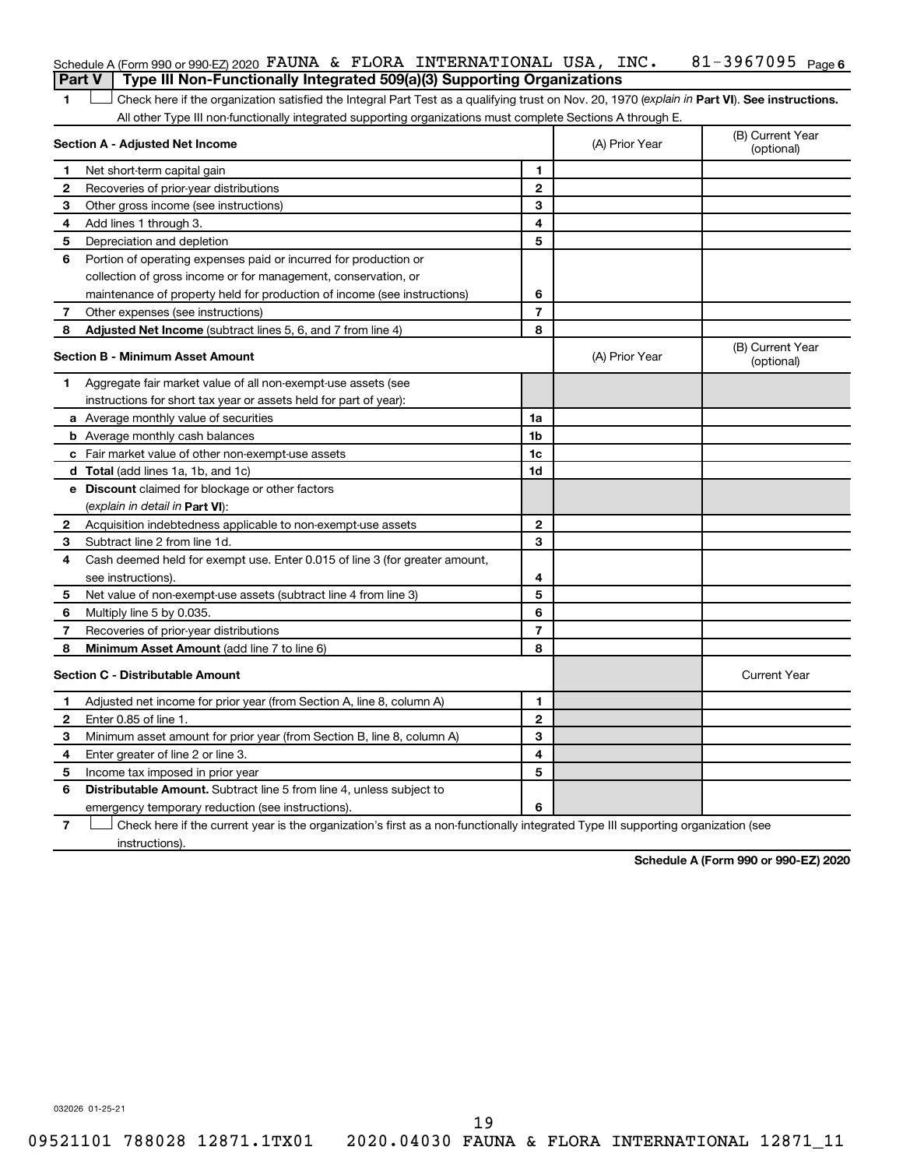|                | Schedule A (Form 990 or 990-EZ) 2020 FAUNA & FLORA INTERNATIONAL USA, INC.                                                                     |                |                | 81-3967095 $Page 6$            |
|----------------|------------------------------------------------------------------------------------------------------------------------------------------------|----------------|----------------|--------------------------------|
|                | Type III Non-Functionally Integrated 509(a)(3) Supporting Organizations<br>Part V                                                              |                |                |                                |
| 1              | Check here if the organization satisfied the Integral Part Test as a qualifying trust on Nov. 20, 1970 (explain in Part VI). See instructions. |                |                |                                |
|                | All other Type III non-functionally integrated supporting organizations must complete Sections A through E.                                    |                |                |                                |
|                | Section A - Adjusted Net Income                                                                                                                |                | (A) Prior Year | (B) Current Year<br>(optional) |
| 1              | Net short-term capital gain                                                                                                                    | 1              |                |                                |
| 2              | Recoveries of prior-year distributions                                                                                                         | $\mathbf{2}$   |                |                                |
| 3              | Other gross income (see instructions)                                                                                                          | 3              |                |                                |
| 4              | Add lines 1 through 3.                                                                                                                         | 4              |                |                                |
| 5              | Depreciation and depletion                                                                                                                     | 5              |                |                                |
| 6              | Portion of operating expenses paid or incurred for production or                                                                               |                |                |                                |
|                | collection of gross income or for management, conservation, or                                                                                 |                |                |                                |
|                | maintenance of property held for production of income (see instructions)                                                                       | 6              |                |                                |
| 7              | Other expenses (see instructions)                                                                                                              | 7              |                |                                |
| 8              | Adjusted Net Income (subtract lines 5, 6, and 7 from line 4)                                                                                   | 8              |                |                                |
|                | Section B - Minimum Asset Amount                                                                                                               |                | (A) Prior Year | (B) Current Year<br>(optional) |
| 1              | Aggregate fair market value of all non-exempt-use assets (see                                                                                  |                |                |                                |
|                | instructions for short tax year or assets held for part of year):                                                                              |                |                |                                |
|                | a Average monthly value of securities                                                                                                          | 1a             |                |                                |
|                | <b>b</b> Average monthly cash balances                                                                                                         | 1b             |                |                                |
|                | c Fair market value of other non-exempt-use assets                                                                                             | 1c             |                |                                |
|                | d Total (add lines 1a, 1b, and 1c)                                                                                                             | 1d             |                |                                |
|                | e Discount claimed for blockage or other factors                                                                                               |                |                |                                |
|                | (explain in detail in <b>Part VI</b> ):                                                                                                        |                |                |                                |
| 2              | Acquisition indebtedness applicable to non-exempt-use assets                                                                                   | $\mathbf{2}$   |                |                                |
| 3              | Subtract line 2 from line 1d.                                                                                                                  | 3              |                |                                |
| 4              | Cash deemed held for exempt use. Enter 0.015 of line 3 (for greater amount,                                                                    |                |                |                                |
|                | see instructions).                                                                                                                             | 4              |                |                                |
| 5              | Net value of non-exempt-use assets (subtract line 4 from line 3)                                                                               | 5              |                |                                |
| 6              | Multiply line 5 by 0.035.                                                                                                                      | 6              |                |                                |
| 7              | Recoveries of prior-year distributions                                                                                                         | $\overline{7}$ |                |                                |
| 8              | Minimum Asset Amount (add line 7 to line 6)                                                                                                    | 8              |                |                                |
|                | <b>Section C - Distributable Amount</b>                                                                                                        |                |                | <b>Current Year</b>            |
|                | Adjusted net income for prior year (from Section A, line 8, column A)                                                                          | 1              |                |                                |
| 2              | Enter 0.85 of line 1.                                                                                                                          | $\mathbf{2}$   |                |                                |
| 3              | Minimum asset amount for prior year (from Section B, line 8, column A)                                                                         | 3              |                |                                |
| 4              | Enter greater of line 2 or line 3.                                                                                                             | 4              |                |                                |
| 5              | Income tax imposed in prior year                                                                                                               | 5              |                |                                |
| 6              | Distributable Amount. Subtract line 5 from line 4, unless subject to                                                                           |                |                |                                |
|                | emergency temporary reduction (see instructions).                                                                                              | 6              |                |                                |
| $\overline{7}$ | Check here if the current year is the organization's first as a non-functionally integrated Type III supporting organization (see              |                |                |                                |

instructions).

**Schedule A (Form 990 or 990-EZ) 2020**

032026 01-25-21

19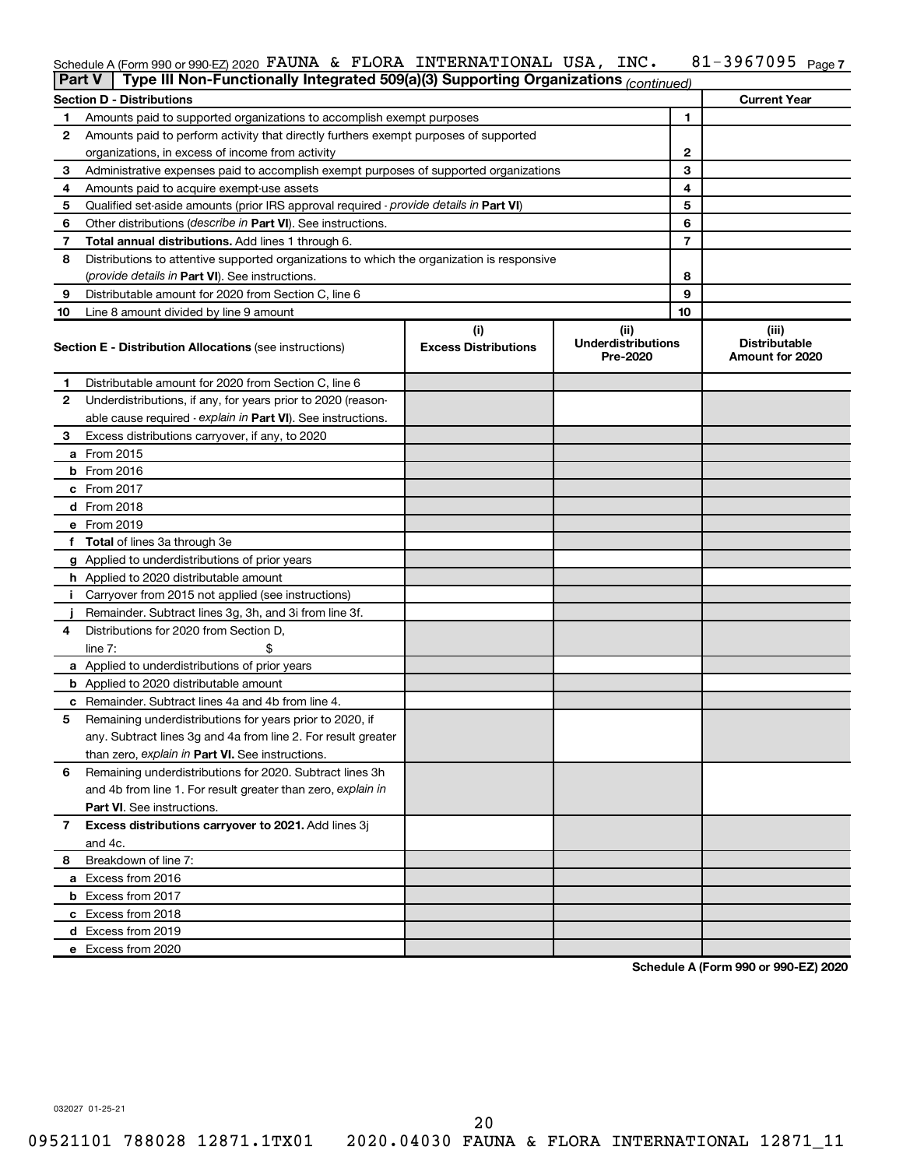#### 81-3967095 Page 7 Schedule A (Form 990 or 990-EZ) 2020  $\,$  FAUNA & FLORA INTERNATIONAL USA, INC.  $\,$  81-3967095  $\,$  Page

| <b>Part V</b> | Type III Non-Functionally Integrated 509(a)(3) Supporting Organizations (continued)        |                             |                                       |              |                                         |
|---------------|--------------------------------------------------------------------------------------------|-----------------------------|---------------------------------------|--------------|-----------------------------------------|
|               | <b>Section D - Distributions</b>                                                           |                             |                                       |              | <b>Current Year</b>                     |
| 1             | Amounts paid to supported organizations to accomplish exempt purposes                      |                             |                                       | 1            |                                         |
| 2             | Amounts paid to perform activity that directly furthers exempt purposes of supported       |                             |                                       |              |                                         |
|               | organizations, in excess of income from activity                                           |                             |                                       | $\mathbf{2}$ |                                         |
| 3             | Administrative expenses paid to accomplish exempt purposes of supported organizations      |                             |                                       | 3            |                                         |
| 4             | Amounts paid to acquire exempt-use assets                                                  |                             |                                       | 4            |                                         |
| 5             | Qualified set-aside amounts (prior IRS approval required - provide details in Part VI)     |                             |                                       | 5            |                                         |
| 6             | Other distributions ( <i>describe in Part VI</i> ). See instructions.                      |                             |                                       | 6            |                                         |
| 7             | Total annual distributions. Add lines 1 through 6.                                         |                             |                                       | 7            |                                         |
| 8             | Distributions to attentive supported organizations to which the organization is responsive |                             |                                       |              |                                         |
|               | ( <i>provide details in Part VI</i> ). See instructions.                                   |                             |                                       | 8            |                                         |
| 9             | Distributable amount for 2020 from Section C, line 6                                       |                             |                                       | 9            |                                         |
| 10            | Line 8 amount divided by line 9 amount                                                     |                             |                                       | 10           |                                         |
|               |                                                                                            | (i)                         | (iii)                                 |              | (iii)                                   |
|               | <b>Section E - Distribution Allocations (see instructions)</b>                             | <b>Excess Distributions</b> | <b>Underdistributions</b><br>Pre-2020 |              | <b>Distributable</b><br>Amount for 2020 |
| 1             | Distributable amount for 2020 from Section C, line 6                                       |                             |                                       |              |                                         |
| 2             | Underdistributions, if any, for years prior to 2020 (reason-                               |                             |                                       |              |                                         |
|               | able cause required - explain in Part VI). See instructions.                               |                             |                                       |              |                                         |
| 3             | Excess distributions carryover, if any, to 2020                                            |                             |                                       |              |                                         |
|               | a From 2015                                                                                |                             |                                       |              |                                         |
|               | <b>b</b> From 2016                                                                         |                             |                                       |              |                                         |
|               | c From 2017                                                                                |                             |                                       |              |                                         |
|               | d From 2018                                                                                |                             |                                       |              |                                         |
|               | e From 2019                                                                                |                             |                                       |              |                                         |
|               | f Total of lines 3a through 3e                                                             |                             |                                       |              |                                         |
|               | g Applied to underdistributions of prior years                                             |                             |                                       |              |                                         |
|               | h Applied to 2020 distributable amount                                                     |                             |                                       |              |                                         |
| Ť.            | Carryover from 2015 not applied (see instructions)                                         |                             |                                       |              |                                         |
|               | Remainder. Subtract lines 3g, 3h, and 3i from line 3f.                                     |                             |                                       |              |                                         |
| 4             | Distributions for 2020 from Section D,                                                     |                             |                                       |              |                                         |
|               | line $7:$                                                                                  |                             |                                       |              |                                         |
|               | a Applied to underdistributions of prior years                                             |                             |                                       |              |                                         |
|               | <b>b</b> Applied to 2020 distributable amount                                              |                             |                                       |              |                                         |
|               | c Remainder. Subtract lines 4a and 4b from line 4.                                         |                             |                                       |              |                                         |
| 5             | Remaining underdistributions for years prior to 2020, if                                   |                             |                                       |              |                                         |
|               | any. Subtract lines 3g and 4a from line 2. For result greater                              |                             |                                       |              |                                         |
|               | than zero, explain in Part VI. See instructions.                                           |                             |                                       |              |                                         |
| 6             | Remaining underdistributions for 2020. Subtract lines 3h                                   |                             |                                       |              |                                         |
|               | and 4b from line 1. For result greater than zero, explain in                               |                             |                                       |              |                                         |
|               | <b>Part VI.</b> See instructions.                                                          |                             |                                       |              |                                         |
| 7             | Excess distributions carryover to 2021. Add lines 3j                                       |                             |                                       |              |                                         |
|               | and 4c.                                                                                    |                             |                                       |              |                                         |
| 8             | Breakdown of line 7:                                                                       |                             |                                       |              |                                         |
|               | a Excess from 2016                                                                         |                             |                                       |              |                                         |
|               | <b>b</b> Excess from 2017                                                                  |                             |                                       |              |                                         |
|               | c Excess from 2018                                                                         |                             |                                       |              |                                         |
|               | d Excess from 2019                                                                         |                             |                                       |              |                                         |
|               | e Excess from 2020                                                                         |                             |                                       |              |                                         |

**Schedule A (Form 990 or 990-EZ) 2020**

032027 01-25-21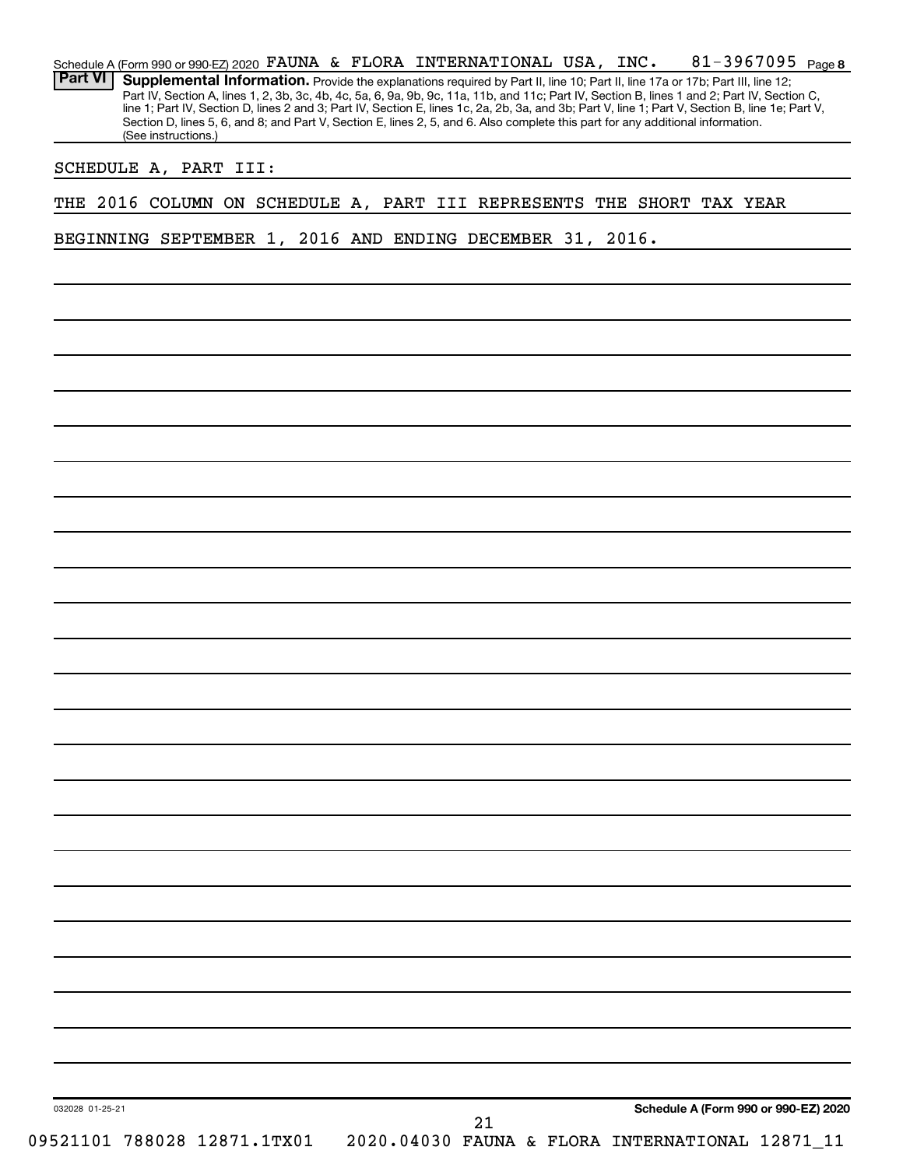| <b>Part VI</b> | Supplemental Information. Provide the explanations required by Part II, line 10; Part II, line 17a or 17b; Part III, line 12;<br>Section D, lines 5, 6, and 8; and Part V, Section E, lines 2, 5, and 6. Also complete this part for any additional information.<br>(See instructions.) |  |  |  |  | Part IV, Section A, lines 1, 2, 3b, 3c, 4b, 4c, 5a, 6, 9a, 9b, 9c, 11a, 11b, and 11c; Part IV, Section B, lines 1 and 2; Part IV, Section C,<br>line 1; Part IV, Section D, lines 2 and 3; Part IV, Section E, lines 1c, 2a, 2b, 3a, and 3b; Part V, line 1; Part V, Section B, line 1e; Part V, |
|----------------|-----------------------------------------------------------------------------------------------------------------------------------------------------------------------------------------------------------------------------------------------------------------------------------------|--|--|--|--|--------------------------------------------------------------------------------------------------------------------------------------------------------------------------------------------------------------------------------------------------------------------------------------------------|
|                | SCHEDULE A, PART III:                                                                                                                                                                                                                                                                   |  |  |  |  |                                                                                                                                                                                                                                                                                                  |
|                | THE 2016 COLUMN ON SCHEDULE A, PART III REPRESENTS THE SHORT TAX YEAR                                                                                                                                                                                                                   |  |  |  |  |                                                                                                                                                                                                                                                                                                  |
|                |                                                                                                                                                                                                                                                                                         |  |  |  |  |                                                                                                                                                                                                                                                                                                  |
|                | BEGINNING SEPTEMBER 1, 2016 AND ENDING DECEMBER 31, 2016.                                                                                                                                                                                                                               |  |  |  |  |                                                                                                                                                                                                                                                                                                  |
|                |                                                                                                                                                                                                                                                                                         |  |  |  |  |                                                                                                                                                                                                                                                                                                  |
|                |                                                                                                                                                                                                                                                                                         |  |  |  |  |                                                                                                                                                                                                                                                                                                  |
|                |                                                                                                                                                                                                                                                                                         |  |  |  |  |                                                                                                                                                                                                                                                                                                  |
|                |                                                                                                                                                                                                                                                                                         |  |  |  |  |                                                                                                                                                                                                                                                                                                  |
|                |                                                                                                                                                                                                                                                                                         |  |  |  |  |                                                                                                                                                                                                                                                                                                  |
|                |                                                                                                                                                                                                                                                                                         |  |  |  |  |                                                                                                                                                                                                                                                                                                  |
|                |                                                                                                                                                                                                                                                                                         |  |  |  |  |                                                                                                                                                                                                                                                                                                  |
|                |                                                                                                                                                                                                                                                                                         |  |  |  |  |                                                                                                                                                                                                                                                                                                  |
|                |                                                                                                                                                                                                                                                                                         |  |  |  |  |                                                                                                                                                                                                                                                                                                  |
|                |                                                                                                                                                                                                                                                                                         |  |  |  |  |                                                                                                                                                                                                                                                                                                  |
|                |                                                                                                                                                                                                                                                                                         |  |  |  |  |                                                                                                                                                                                                                                                                                                  |
|                |                                                                                                                                                                                                                                                                                         |  |  |  |  |                                                                                                                                                                                                                                                                                                  |
|                |                                                                                                                                                                                                                                                                                         |  |  |  |  |                                                                                                                                                                                                                                                                                                  |
|                |                                                                                                                                                                                                                                                                                         |  |  |  |  |                                                                                                                                                                                                                                                                                                  |
|                |                                                                                                                                                                                                                                                                                         |  |  |  |  |                                                                                                                                                                                                                                                                                                  |
|                |                                                                                                                                                                                                                                                                                         |  |  |  |  |                                                                                                                                                                                                                                                                                                  |
|                |                                                                                                                                                                                                                                                                                         |  |  |  |  |                                                                                                                                                                                                                                                                                                  |
|                |                                                                                                                                                                                                                                                                                         |  |  |  |  |                                                                                                                                                                                                                                                                                                  |
|                |                                                                                                                                                                                                                                                                                         |  |  |  |  |                                                                                                                                                                                                                                                                                                  |
|                |                                                                                                                                                                                                                                                                                         |  |  |  |  |                                                                                                                                                                                                                                                                                                  |
|                |                                                                                                                                                                                                                                                                                         |  |  |  |  |                                                                                                                                                                                                                                                                                                  |
|                |                                                                                                                                                                                                                                                                                         |  |  |  |  |                                                                                                                                                                                                                                                                                                  |
|                |                                                                                                                                                                                                                                                                                         |  |  |  |  |                                                                                                                                                                                                                                                                                                  |
|                |                                                                                                                                                                                                                                                                                         |  |  |  |  |                                                                                                                                                                                                                                                                                                  |
|                |                                                                                                                                                                                                                                                                                         |  |  |  |  |                                                                                                                                                                                                                                                                                                  |
|                |                                                                                                                                                                                                                                                                                         |  |  |  |  |                                                                                                                                                                                                                                                                                                  |
|                |                                                                                                                                                                                                                                                                                         |  |  |  |  |                                                                                                                                                                                                                                                                                                  |
|                |                                                                                                                                                                                                                                                                                         |  |  |  |  |                                                                                                                                                                                                                                                                                                  |
|                |                                                                                                                                                                                                                                                                                         |  |  |  |  |                                                                                                                                                                                                                                                                                                  |
|                |                                                                                                                                                                                                                                                                                         |  |  |  |  | Schedule A (Form 990 or 990-EZ) 2020                                                                                                                                                                                                                                                             |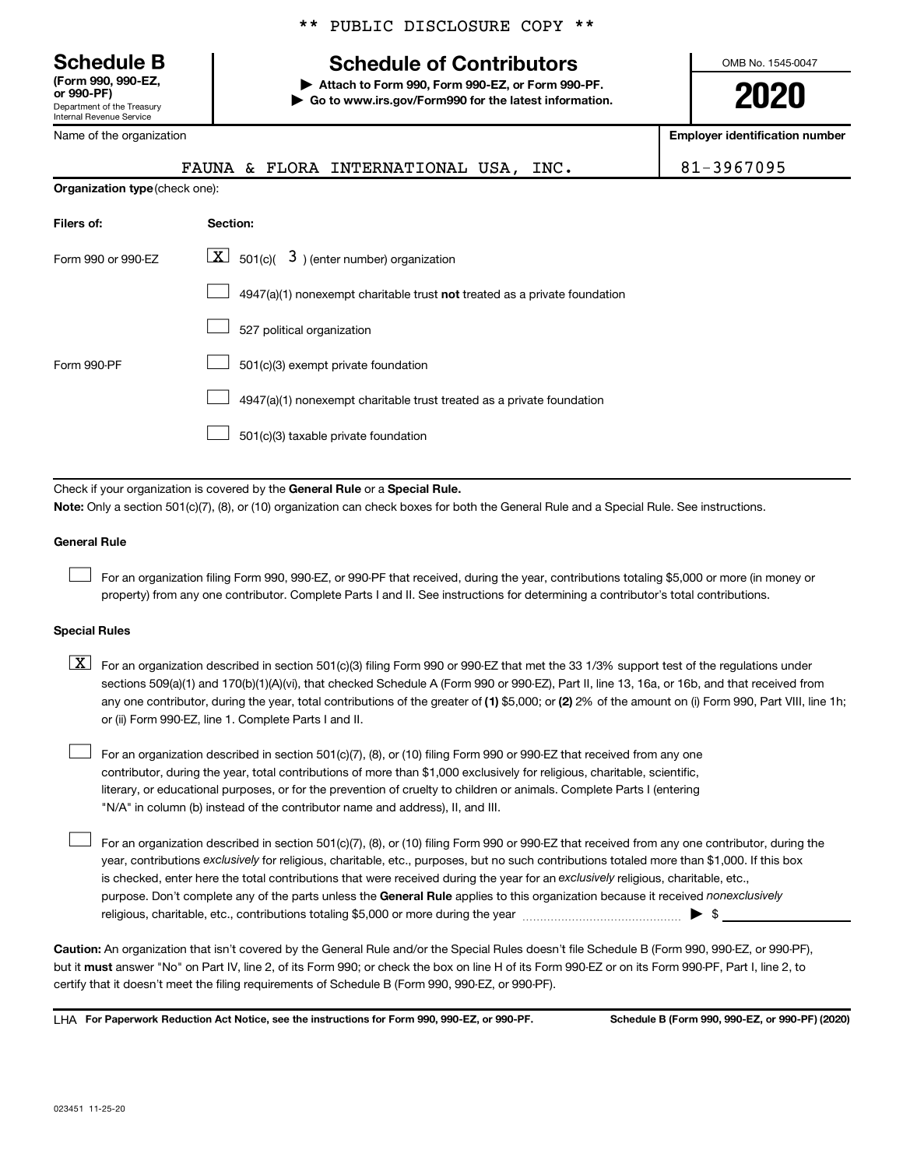**(Form 990, 990-EZ,**

Department of the Treasury Internal Revenue Service

Name of the organization

### \*\* PUBLIC DISCLOSURE COPY \*\*

## **Schedule B Schedule of Contributors**

**or 990-PF) | Attach to Form 990, Form 990-EZ, or Form 990-PF. | Go to www.irs.gov/Form990 for the latest information.** OMB No. 1545-0047

**2020**

**Employer identification number**

|                                       | & FLORA INTERNATIONAL USA,<br>INC.<br>FAUNA                                        | 81-3967095 |
|---------------------------------------|------------------------------------------------------------------------------------|------------|
| <b>Organization type (check one):</b> |                                                                                    |            |
| Filers of:                            | Section:                                                                           |            |
| Form 990 or 990-EZ                    | $\boxed{\mathbf{X}}$ 501(c)( 3) (enter number) organization                        |            |
|                                       | $4947(a)(1)$ nonexempt charitable trust <b>not</b> treated as a private foundation |            |
|                                       | 527 political organization                                                         |            |
| Form 990-PF                           | 501(c)(3) exempt private foundation                                                |            |

4947(a)(1) nonexempt charitable trust treated as a private foundation  $\Box$ 

501(c)(3) taxable private foundation  $\Box$ 

Check if your organization is covered by the General Rule or a Special Rule.

**Note:**  Only a section 501(c)(7), (8), or (10) organization can check boxes for both the General Rule and a Special Rule. See instructions.

#### **General Rule**

 $\Box$ 

 $\Box$ 

For an organization filing Form 990, 990-EZ, or 990-PF that received, during the year, contributions totaling \$5,000 or more (in money or property) from any one contributor. Complete Parts I and II. See instructions for determining a contributor's total contributions.

#### **Special Rules**

any one contributor, during the year, total contributions of the greater of (1) \$5,000; or (2) 2% of the amount on (i) Form 990, Part VIII, line 1h;  $\boxed{\text{X}}$  For an organization described in section 501(c)(3) filing Form 990 or 990-EZ that met the 33 1/3% support test of the regulations under sections 509(a)(1) and 170(b)(1)(A)(vi), that checked Schedule A (Form 990 or 990-EZ), Part II, line 13, 16a, or 16b, and that received from or (ii) Form 990-EZ, line 1. Complete Parts I and II.

For an organization described in section 501(c)(7), (8), or (10) filing Form 990 or 990-EZ that received from any one contributor, during the year, total contributions of more than \$1,000 exclusively for religious, charitable, scientific, literary, or educational purposes, or for the prevention of cruelty to children or animals. Complete Parts I (entering "N/A" in column (b) instead of the contributor name and address), II, and III.  $\Box$ 

purpose. Don't complete any of the parts unless the General Rule applies to this organization because it received nonexclusively year, contributions exclusively for religious, charitable, etc., purposes, but no such contributions totaled more than \$1,000. If this box is checked, enter here the total contributions that were received during the year for an exclusively religious, charitable, etc., For an organization described in section 501(c)(7), (8), or (10) filing Form 990 or 990-EZ that received from any one contributor, during the religious, charitable, etc., contributions totaling \$5,000 or more during the year  $~\ldots\ldots\ldots\ldots\ldots\ldots\ldots\ldots\blacktriangleright~$ \$

**Caution:**  An organization that isn't covered by the General Rule and/or the Special Rules doesn't file Schedule B (Form 990, 990-EZ, or 990-PF),  **must** but it answer "No" on Part IV, line 2, of its Form 990; or check the box on line H of its Form 990-EZ or on its Form 990-PF, Part I, line 2, to certify that it doesn't meet the filing requirements of Schedule B (Form 990, 990-EZ, or 990-PF).

**For Paperwork Reduction Act Notice, see the instructions for Form 990, 990-EZ, or 990-PF. Schedule B (Form 990, 990-EZ, or 990-PF) (2020)** LHA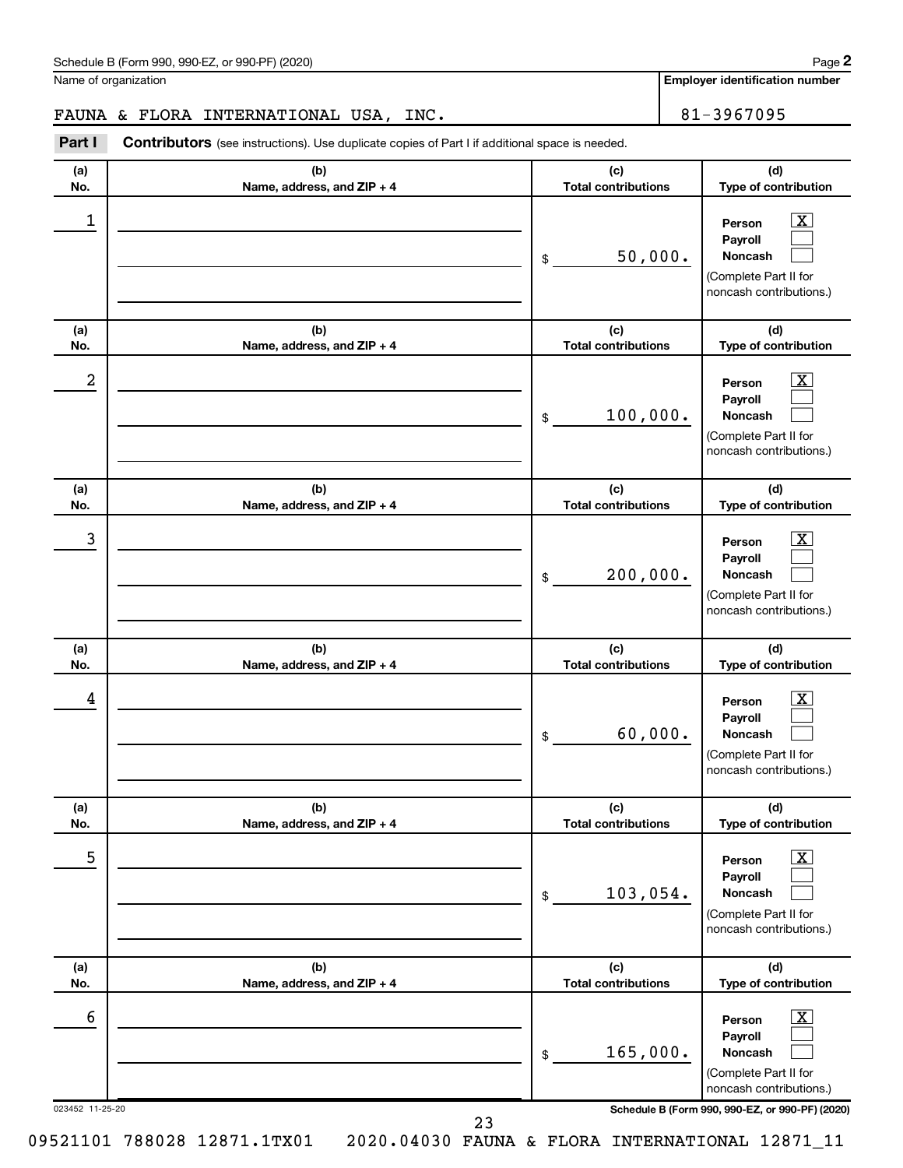| Schedule B (Form 990, 990-EZ, or 990-PF) (2020)<br>. The state of the state $\mathcal{L}$ is the state of the state of the state of the state of the state of the state of the state of the state of the state of the state of the state of the state of the state of the state of th | Page |
|---------------------------------------------------------------------------------------------------------------------------------------------------------------------------------------------------------------------------------------------------------------------------------------|------|
|---------------------------------------------------------------------------------------------------------------------------------------------------------------------------------------------------------------------------------------------------------------------------------------|------|

Name of organization

**Employer identification number**

## FAUNA & FLORA INTERNATIONAL USA, INC. 81-3967095

**Part I** Contributors (see instructions). Use duplicate copies of Part I if additional space is needed.

| (a)<br>No.           | (b)<br>Name, address, and ZIP + 4 | (c)<br><b>Total contributions</b> | (d)<br>Type of contribution                                                                                                                                 |
|----------------------|-----------------------------------|-----------------------------------|-------------------------------------------------------------------------------------------------------------------------------------------------------------|
| 1                    |                                   | 50,000.<br>\$                     | $\overline{\mathbf{x}}$<br>Person<br>Payroll<br>Noncash<br>(Complete Part II for<br>noncash contributions.)                                                 |
| (a)<br>No.           | (b)<br>Name, address, and ZIP + 4 | (c)<br><b>Total contributions</b> | (d)<br>Type of contribution                                                                                                                                 |
| 2                    |                                   | 100,000.<br>\$                    | $\overline{\mathbf{x}}$<br>Person<br>Payroll<br>Noncash<br>(Complete Part II for<br>noncash contributions.)                                                 |
| (a)<br>No.           | (b)<br>Name, address, and ZIP + 4 | (c)<br><b>Total contributions</b> | (d)<br>Type of contribution                                                                                                                                 |
| 3                    |                                   | 200,000.<br>\$                    | $\overline{\mathbf{X}}$<br>Person<br>Payroll<br><b>Noncash</b><br>(Complete Part II for<br>noncash contributions.)                                          |
| (a)<br>No.           | (b)<br>Name, address, and ZIP + 4 | (c)<br><b>Total contributions</b> | (d)<br>Type of contribution                                                                                                                                 |
| 4                    |                                   | 60,000.<br>\$                     | $\overline{\mathbf{X}}$<br>Person<br>Payroll<br>Noncash<br>(Complete Part II for<br>noncash contributions.)                                                 |
| (a)<br>No.           | (b)<br>Name, address, and ZIP + 4 | (c)<br><b>Total contributions</b> | (d)<br>Type of contribution                                                                                                                                 |
| 5                    |                                   | 103,054.<br>\$                    | $\boxed{\mathbf{X}}$<br>Person<br>Payroll<br>Noncash<br>(Complete Part II for<br>noncash contributions.)                                                    |
|                      | (b)                               | (c)                               | (d)<br>Type of contribution                                                                                                                                 |
| (a)<br>No.           | Name, address, and ZIP + 4        | <b>Total contributions</b>        |                                                                                                                                                             |
| 6<br>023452 11-25-20 | 23                                | 165,000.<br>\$                    | $\boxed{\mathbf{X}}$<br>Person<br>Payroll<br>Noncash<br>(Complete Part II for<br>noncash contributions.)<br>Schedule B (Form 990, 990-EZ, or 990-PF) (2020) |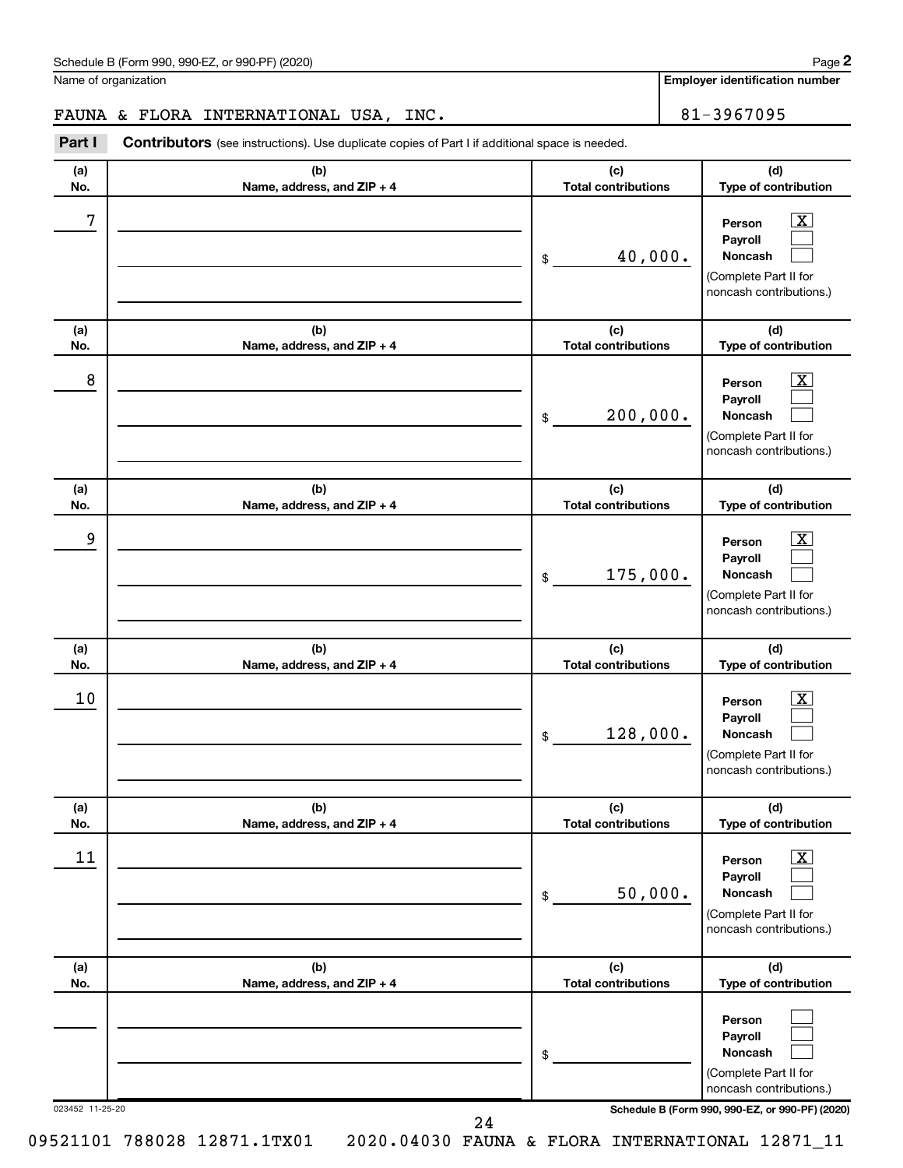| Schedule B (Form 990, 990-EZ, or 990-PF) (2020)<br>. The state of the state $\mathcal{L}$ is the state of the state of the state of the state of the state of the state of the state of the state of the state of the state of the state of the state of the state of the state of th | Page |
|---------------------------------------------------------------------------------------------------------------------------------------------------------------------------------------------------------------------------------------------------------------------------------------|------|
|---------------------------------------------------------------------------------------------------------------------------------------------------------------------------------------------------------------------------------------------------------------------------------------|------|

Name of organization

**Employer identification number**

## FAUNA & FLORA INTERNATIONAL USA, INC. 81-3967095

**Part I** Contributors (see instructions). Use duplicate copies of Part I if additional space is needed.

| (a)<br>No.      | (b)<br>Name, address, and ZIP + 4 | (c)<br><b>Total contributions</b> | (d)<br>Type of contribution                                                                                                         |
|-----------------|-----------------------------------|-----------------------------------|-------------------------------------------------------------------------------------------------------------------------------------|
| 7               |                                   | 40,000.<br>\$                     | $\overline{\textbf{X}}$<br>Person<br>Payroll<br><b>Noncash</b><br>(Complete Part II for<br>noncash contributions.)                  |
| (a)<br>No.      | (b)<br>Name, address, and ZIP + 4 | (c)<br><b>Total contributions</b> | (d)<br>Type of contribution                                                                                                         |
| 8               |                                   | 200,000.<br>\$                    | $\overline{\text{X}}$<br>Person<br>Payroll<br><b>Noncash</b><br>(Complete Part II for<br>noncash contributions.)                    |
| (a)<br>No.      | (b)<br>Name, address, and ZIP + 4 | (c)<br><b>Total contributions</b> | (d)<br>Type of contribution                                                                                                         |
| 9               |                                   | 175,000.<br>\$                    | $\overline{\text{X}}$<br>Person<br>Payroll<br><b>Noncash</b><br>(Complete Part II for<br>noncash contributions.)                    |
| (a)<br>No.      | (b)<br>Name, address, and ZIP + 4 | (c)<br><b>Total contributions</b> | (d)<br>Type of contribution                                                                                                         |
| 10              |                                   | 128,000.<br>\$                    | $\overline{\textbf{X}}$<br>Person<br>Payroll<br><b>Noncash</b><br>(Complete Part II for<br>noncash contributions.)                  |
| (a)<br>No.      | (b)<br>Name, address, and ZIP + 4 | (c)<br><b>Total contributions</b> | (d)<br>Type of contribution                                                                                                         |
| 11              |                                   | 50,000.<br>\$                     | $\overline{\textbf{X}}$<br>Person<br>Payroll<br>Noncash<br>(Complete Part II for<br>noncash contributions.)                         |
| (a)<br>No.      | (b)<br>Name, address, and ZIP + 4 | (c)<br><b>Total contributions</b> | (d)<br>Type of contribution                                                                                                         |
| 023452 11-25-20 |                                   | \$                                | Person<br>Payroll<br>Noncash<br>(Complete Part II for<br>noncash contributions.)<br>Schedule B (Form 990, 990-EZ, or 990-PF) (2020) |
|                 | 24                                |                                   |                                                                                                                                     |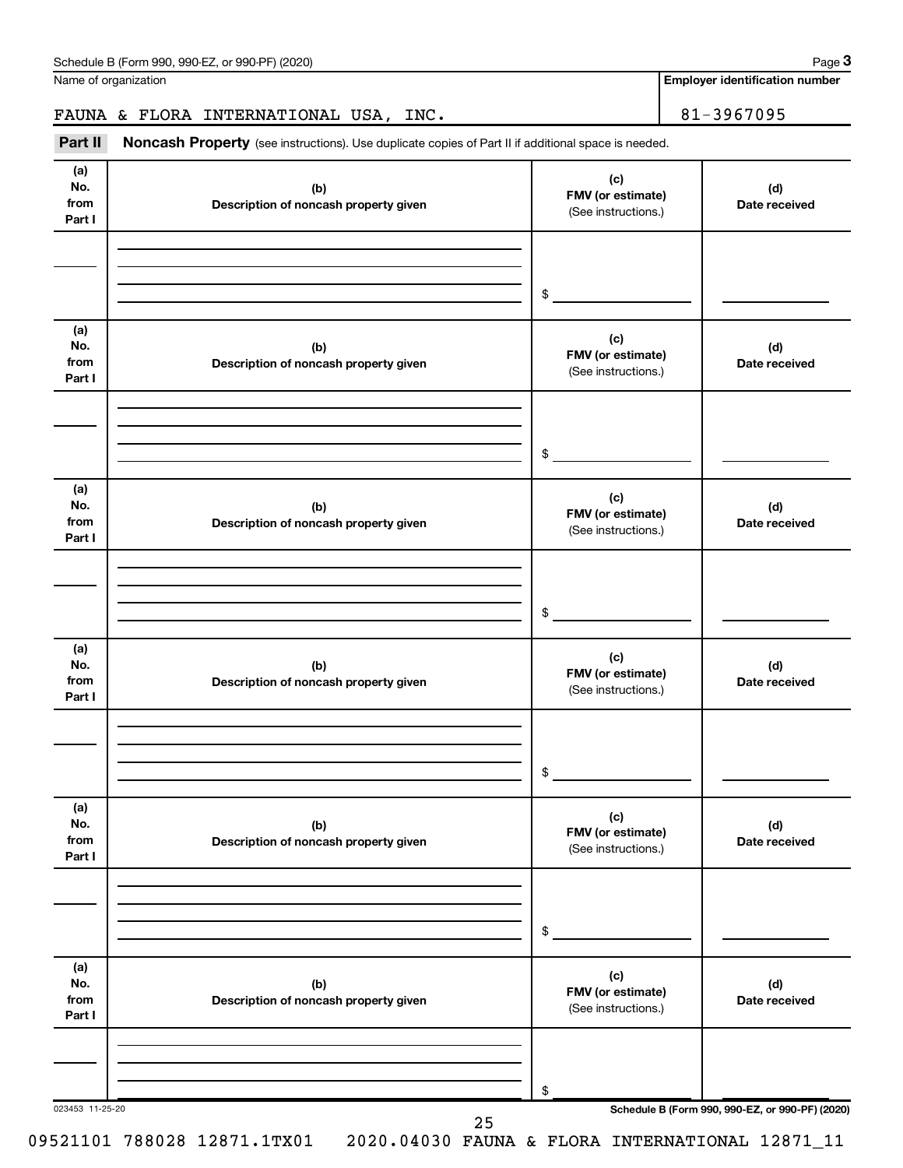Name of organization

**Employer identification number**

### FAUNA & FLORA INTERNATIONAL USA, INC. 81-3967095

Part II Noncash Property (see instructions). Use duplicate copies of Part II if additional space is needed.

| No.<br>from<br>Part I        | (b)<br>Description of noncash property given | (c)<br>FMV (or estimate)<br>(See instructions.) | (d)<br>Date received                            |
|------------------------------|----------------------------------------------|-------------------------------------------------|-------------------------------------------------|
|                              |                                              | \$                                              |                                                 |
| (a)<br>No.<br>from<br>Part I | (b)<br>Description of noncash property given | (c)<br>FMV (or estimate)<br>(See instructions.) | (d)<br>Date received                            |
|                              |                                              | \$                                              |                                                 |
| (a)<br>No.<br>from<br>Part I | (b)<br>Description of noncash property given | (c)<br>FMV (or estimate)<br>(See instructions.) | (d)<br>Date received                            |
|                              |                                              | \$                                              |                                                 |
| (a)<br>No.<br>from<br>Part I | (b)<br>Description of noncash property given | (c)<br>FMV (or estimate)<br>(See instructions.) | (d)<br>Date received                            |
|                              |                                              | \$                                              |                                                 |
| (a)<br>No.<br>from<br>Part I | (b)<br>Description of noncash property given | (c)<br>FMV (or estimate)<br>(See instructions.) | (d)<br>Date received                            |
|                              |                                              | \$                                              |                                                 |
| (a)<br>No.<br>from<br>Part I | (b)<br>Description of noncash property given | (c)<br>FMV (or estimate)<br>(See instructions.) | (d)<br>Date received                            |
|                              |                                              | \$                                              | Schedule B (Form 990, 990-EZ, or 990-PF) (2020) |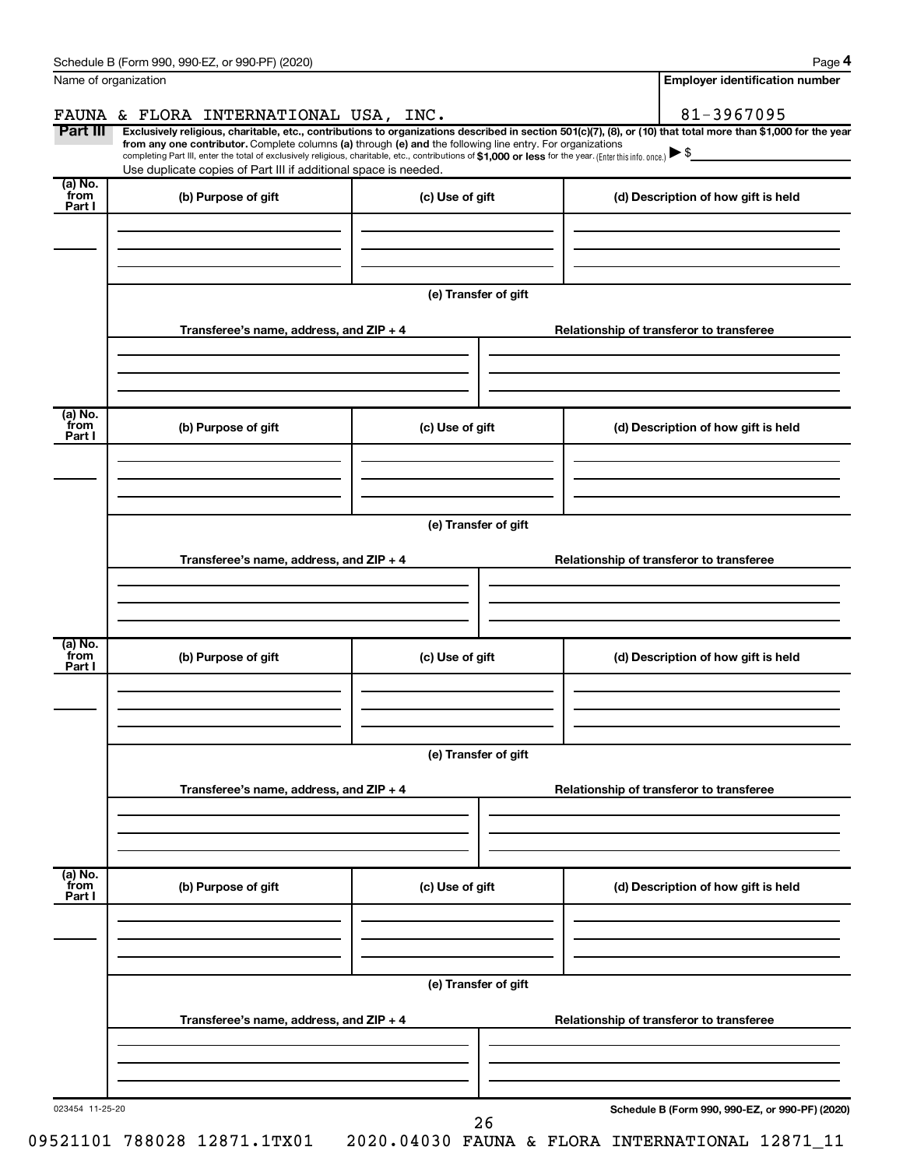| Name of organization      |                                                                                                                                                                                                                                                                                                                                                               |                      | <b>Employer identification number</b>                                                                                                                          |
|---------------------------|---------------------------------------------------------------------------------------------------------------------------------------------------------------------------------------------------------------------------------------------------------------------------------------------------------------------------------------------------------------|----------------------|----------------------------------------------------------------------------------------------------------------------------------------------------------------|
|                           | FAUNA & FLORA INTERNATIONAL USA, INC.                                                                                                                                                                                                                                                                                                                         |                      | 81-3967095                                                                                                                                                     |
| Part III                  | from any one contributor. Complete columns (a) through (e) and the following line entry. For organizations<br>completing Part III, enter the total of exclusively religious, charitable, etc., contributions of \$1,000 or less for the year. (Enter this info. once.) $\triangleright$ \$<br>Use duplicate copies of Part III if additional space is needed. |                      | Exclusively religious, charitable, etc., contributions to organizations described in section 501(c)(7), (8), or (10) that total more than \$1,000 for the year |
| (a) No.<br>from<br>Part I | (b) Purpose of gift                                                                                                                                                                                                                                                                                                                                           | (c) Use of gift      | (d) Description of how gift is held                                                                                                                            |
|                           |                                                                                                                                                                                                                                                                                                                                                               | (e) Transfer of gift |                                                                                                                                                                |
|                           | Transferee's name, address, and $ZIP + 4$                                                                                                                                                                                                                                                                                                                     |                      | Relationship of transferor to transferee                                                                                                                       |
| (a) No.<br>from<br>Part I | (b) Purpose of gift                                                                                                                                                                                                                                                                                                                                           | (c) Use of gift      | (d) Description of how gift is held                                                                                                                            |
|                           |                                                                                                                                                                                                                                                                                                                                                               |                      |                                                                                                                                                                |
|                           |                                                                                                                                                                                                                                                                                                                                                               | (e) Transfer of gift |                                                                                                                                                                |
|                           | Transferee's name, address, and $ZIP + 4$                                                                                                                                                                                                                                                                                                                     |                      | Relationship of transferor to transferee                                                                                                                       |
| (a) No.<br>from<br>Part I | (b) Purpose of gift                                                                                                                                                                                                                                                                                                                                           | (c) Use of gift      | (d) Description of how gift is held                                                                                                                            |
|                           |                                                                                                                                                                                                                                                                                                                                                               | (e) Transfer of gift |                                                                                                                                                                |
|                           | Transferee's name, address, and $ZIP + 4$                                                                                                                                                                                                                                                                                                                     |                      | Relationship of transferor to transferee                                                                                                                       |
| (a) No.<br>from           |                                                                                                                                                                                                                                                                                                                                                               |                      |                                                                                                                                                                |
| Part I                    | (b) Purpose of gift                                                                                                                                                                                                                                                                                                                                           | (c) Use of gift      | (d) Description of how gift is held                                                                                                                            |
|                           |                                                                                                                                                                                                                                                                                                                                                               | (e) Transfer of gift |                                                                                                                                                                |
|                           | Transferee's name, address, and ZIP + 4                                                                                                                                                                                                                                                                                                                       |                      | Relationship of transferor to transferee                                                                                                                       |
| 023454 11-25-20           |                                                                                                                                                                                                                                                                                                                                                               |                      | Schedule B (Form 990, 990-EZ, or 990-PF) (2020)                                                                                                                |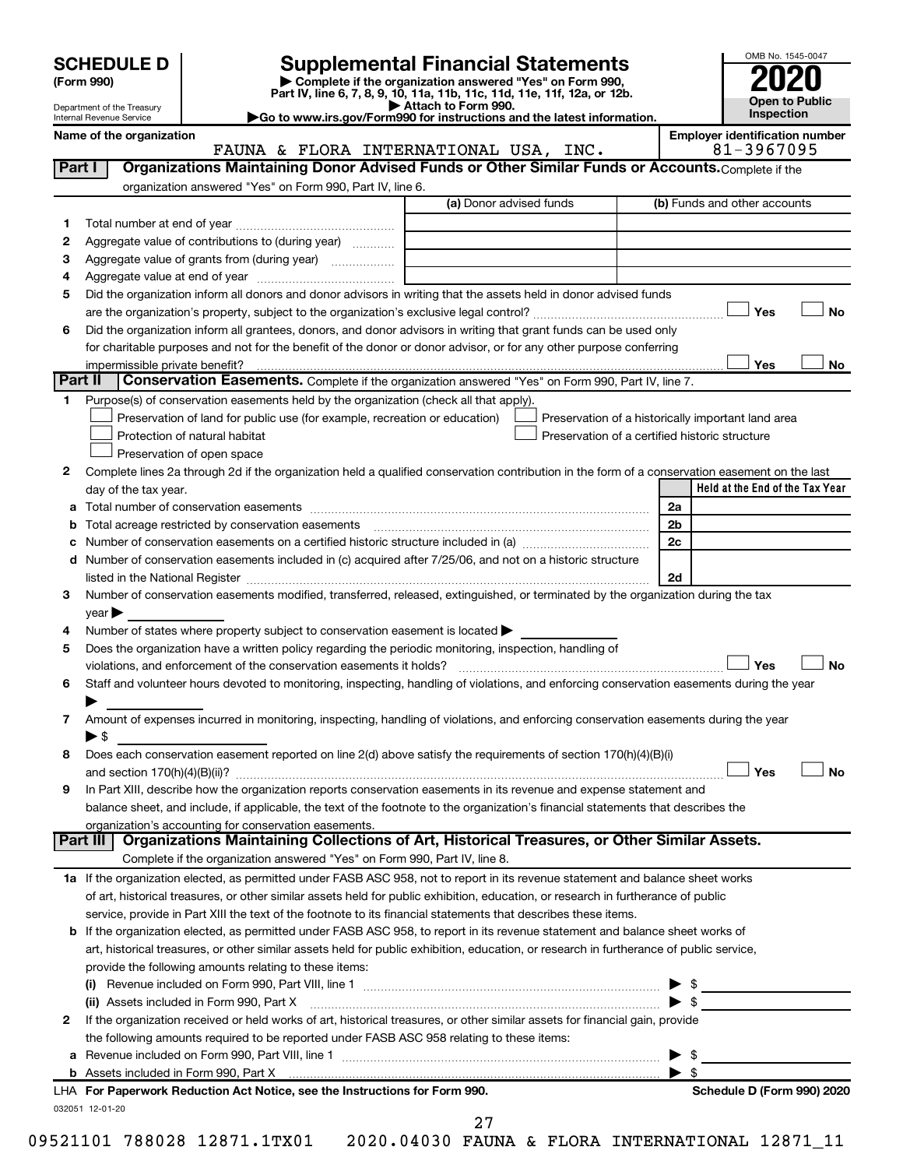| <b>SCHEDULE D</b> |  |
|-------------------|--|
|-------------------|--|

| (Form 990) |
|------------|
|            |

# **SCHEDULE D Supplemental Financial Statements**<br> **Form 990 2020**<br> **Part IV** line 6.7.8.9.10, 11a, 11b, 11d, 11d, 11d, 11d, 11d, 12a, 0r, 12b

**(Form 990) | Complete if the organization answered "Yes" on Form 990, Part IV, line 6, 7, 8, 9, 10, 11a, 11b, 11c, 11d, 11e, 11f, 12a, or 12b.**

**| Attach to Form 990. |Go to www.irs.gov/Form990 for instructions and the latest information.**



Department of the Treasury Internal Revenue Service

Name of the organization<br>**EMPLORE INTERNATIONAL USA, INC.** 81-3967095 FAUNA & FLORA INTERNATIONAL USA, INC.

| Part I  | Organizations Maintaining Donor Advised Funds or Other Similar Funds or Accounts. Complete if the<br>organization answered "Yes" on Form 990, Part IV, line 6. |                         |                                                    |
|---------|----------------------------------------------------------------------------------------------------------------------------------------------------------------|-------------------------|----------------------------------------------------|
|         |                                                                                                                                                                | (a) Donor advised funds | (b) Funds and other accounts                       |
| 1       |                                                                                                                                                                |                         |                                                    |
| 2       | Aggregate value of contributions to (during year)                                                                                                              |                         |                                                    |
| 3       | Aggregate value of grants from (during year)                                                                                                                   |                         |                                                    |
| 4       |                                                                                                                                                                |                         |                                                    |
| 5       | Did the organization inform all donors and donor advisors in writing that the assets held in donor advised funds                                               |                         |                                                    |
|         |                                                                                                                                                                |                         | Yes<br>No                                          |
| 6       | Did the organization inform all grantees, donors, and donor advisors in writing that grant funds can be used only                                              |                         |                                                    |
|         | for charitable purposes and not for the benefit of the donor or donor advisor, or for any other purpose conferring                                             |                         |                                                    |
|         |                                                                                                                                                                |                         | Yes<br>No                                          |
| Part II | Conservation Easements. Complete if the organization answered "Yes" on Form 990, Part IV, line 7.                                                              |                         |                                                    |
| 1       | Purpose(s) of conservation easements held by the organization (check all that apply).                                                                          |                         |                                                    |
|         | Preservation of land for public use (for example, recreation or education)                                                                                     |                         | Preservation of a historically important land area |
|         | Protection of natural habitat                                                                                                                                  |                         | Preservation of a certified historic structure     |
|         | Preservation of open space                                                                                                                                     |                         |                                                    |
| 2       | Complete lines 2a through 2d if the organization held a qualified conservation contribution in the form of a conservation easement on the last                 |                         |                                                    |
|         | day of the tax year.                                                                                                                                           |                         | Held at the End of the Tax Year                    |
| а       |                                                                                                                                                                |                         | 2a                                                 |
| b       |                                                                                                                                                                |                         | 2 <sub>b</sub>                                     |
|         |                                                                                                                                                                |                         | 2c                                                 |
|         | d Number of conservation easements included in (c) acquired after 7/25/06, and not on a historic structure                                                     |                         |                                                    |
|         |                                                                                                                                                                |                         | 2d                                                 |
| 3       | Number of conservation easements modified, transferred, released, extinguished, or terminated by the organization during the tax                               |                         |                                                    |
|         | $year \blacktriangleright$                                                                                                                                     |                         |                                                    |
| 4       | Number of states where property subject to conservation easement is located >                                                                                  |                         |                                                    |
| 5       | Does the organization have a written policy regarding the periodic monitoring, inspection, handling of                                                         |                         |                                                    |
|         | violations, and enforcement of the conservation easements it holds?                                                                                            |                         | Yes<br><b>No</b>                                   |
| 6       | Staff and volunteer hours devoted to monitoring, inspecting, handling of violations, and enforcing conservation easements during the year                      |                         |                                                    |
|         |                                                                                                                                                                |                         |                                                    |
| 7       | Amount of expenses incurred in monitoring, inspecting, handling of violations, and enforcing conservation easements during the year                            |                         |                                                    |
|         | $\blacktriangleright$ \$                                                                                                                                       |                         |                                                    |
| 8       | Does each conservation easement reported on line 2(d) above satisfy the requirements of section 170(h)(4)(B)(i)                                                |                         |                                                    |
|         |                                                                                                                                                                |                         | Yes<br>No                                          |
| 9       | In Part XIII, describe how the organization reports conservation easements in its revenue and expense statement and                                            |                         |                                                    |
|         | balance sheet, and include, if applicable, the text of the footnote to the organization's financial statements that describes the                              |                         |                                                    |
|         | organization's accounting for conservation easements.                                                                                                          |                         |                                                    |
|         | Organizations Maintaining Collections of Art, Historical Treasures, or Other Similar Assets.<br>Part III                                                       |                         |                                                    |
|         | Complete if the organization answered "Yes" on Form 990, Part IV, line 8.                                                                                      |                         |                                                    |
|         | 1a If the organization elected, as permitted under FASB ASC 958, not to report in its revenue statement and balance sheet works                                |                         |                                                    |
|         | of art, historical treasures, or other similar assets held for public exhibition, education, or research in furtherance of public                              |                         |                                                    |
|         | service, provide in Part XIII the text of the footnote to its financial statements that describes these items.                                                 |                         |                                                    |
|         | <b>b</b> If the organization elected, as permitted under FASB ASC 958, to report in its revenue statement and balance sheet works of                           |                         |                                                    |
|         | art, historical treasures, or other similar assets held for public exhibition, education, or research in furtherance of public service,                        |                         |                                                    |
|         | provide the following amounts relating to these items:                                                                                                         |                         |                                                    |
|         |                                                                                                                                                                |                         |                                                    |
|         | (ii) Assets included in Form 990, Part X                                                                                                                       |                         | $\blacktriangleright$ \$                           |
| 2       | If the organization received or held works of art, historical treasures, or other similar assets for financial gain, provide                                   |                         |                                                    |
|         | the following amounts required to be reported under FASB ASC 958 relating to these items:                                                                      |                         |                                                    |
|         |                                                                                                                                                                |                         | - \$                                               |
|         |                                                                                                                                                                |                         | $\blacktriangleright$ s                            |
|         | LHA For Paperwork Reduction Act Notice, see the Instructions for Form 990.                                                                                     |                         | Schedule D (Form 990) 2020                         |
|         | 032051 12-01-20                                                                                                                                                | 27                      |                                                    |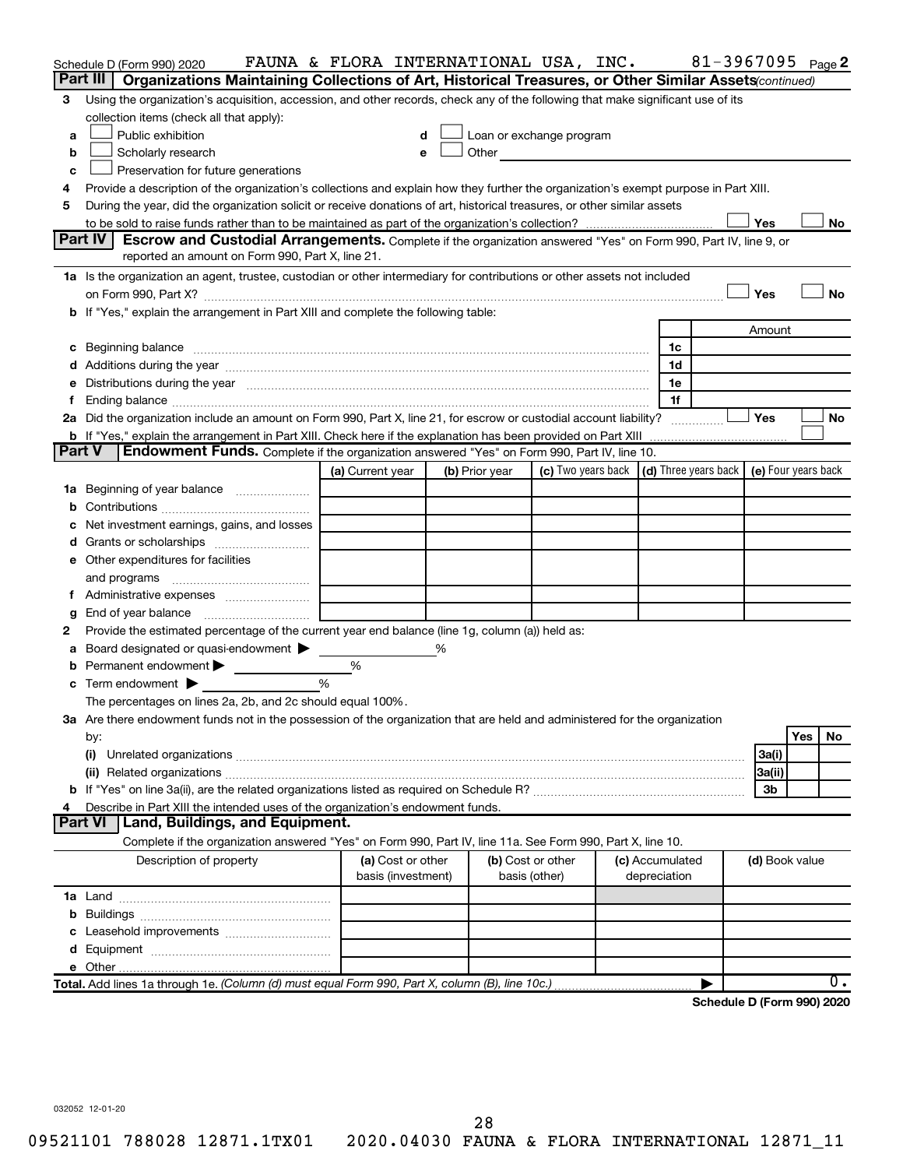|               | Schedule D (Form 990) 2020                                                                                                                                                                                                           | FAUNA & FLORA INTERNATIONAL USA, INC. |   |                |                                              |                 | 81-3967095 Page 2                                                           |                |     |     |
|---------------|--------------------------------------------------------------------------------------------------------------------------------------------------------------------------------------------------------------------------------------|---------------------------------------|---|----------------|----------------------------------------------|-----------------|-----------------------------------------------------------------------------|----------------|-----|-----|
|               | Part III<br>Organizations Maintaining Collections of Art, Historical Treasures, or Other Similar Assets (continued)                                                                                                                  |                                       |   |                |                                              |                 |                                                                             |                |     |     |
| 3             | Using the organization's acquisition, accession, and other records, check any of the following that make significant use of its                                                                                                      |                                       |   |                |                                              |                 |                                                                             |                |     |     |
|               | collection items (check all that apply):                                                                                                                                                                                             |                                       |   |                |                                              |                 |                                                                             |                |     |     |
| a             | Public exhibition                                                                                                                                                                                                                    |                                       |   |                | Loan or exchange program                     |                 |                                                                             |                |     |     |
| b             | Scholarly research                                                                                                                                                                                                                   |                                       |   |                | Other <u>the contract of the contract of</u> |                 |                                                                             |                |     |     |
| c             | Preservation for future generations                                                                                                                                                                                                  |                                       |   |                |                                              |                 |                                                                             |                |     |     |
| 4             | Provide a description of the organization's collections and explain how they further the organization's exempt purpose in Part XIII.                                                                                                 |                                       |   |                |                                              |                 |                                                                             |                |     |     |
| 5             | During the year, did the organization solicit or receive donations of art, historical treasures, or other similar assets                                                                                                             |                                       |   |                |                                              |                 |                                                                             |                |     |     |
|               |                                                                                                                                                                                                                                      |                                       |   |                |                                              |                 |                                                                             | Yes            |     | No  |
|               | Part IV I<br>Escrow and Custodial Arrangements. Complete if the organization answered "Yes" on Form 990, Part IV, line 9, or                                                                                                         |                                       |   |                |                                              |                 |                                                                             |                |     |     |
|               | reported an amount on Form 990, Part X, line 21.                                                                                                                                                                                     |                                       |   |                |                                              |                 |                                                                             |                |     |     |
|               | 1a Is the organization an agent, trustee, custodian or other intermediary for contributions or other assets not included                                                                                                             |                                       |   |                |                                              |                 |                                                                             |                |     |     |
|               | on Form 990, Part X? [11] matter continuum matter contract to the contract of the contract of the contract of t                                                                                                                      |                                       |   |                |                                              |                 |                                                                             | Yes            |     | No  |
|               | b If "Yes," explain the arrangement in Part XIII and complete the following table:                                                                                                                                                   |                                       |   |                |                                              |                 |                                                                             |                |     |     |
|               |                                                                                                                                                                                                                                      |                                       |   |                |                                              |                 |                                                                             | Amount         |     |     |
|               | c Beginning balance <b>contract to the contract of the contract of the contract of the contract of the contract of the contract of the contract of the contract of the contract of the contract of the contract of the contract </b> |                                       |   |                |                                              | 1c              |                                                                             |                |     |     |
|               |                                                                                                                                                                                                                                      |                                       |   |                |                                              | 1d              |                                                                             |                |     |     |
| е             | Distributions during the year manufactured and an account of the year manufactured and the year manufactured and the year manufactured and the year manufactured and the year manufactured and the year manufactured and the y       |                                       |   |                |                                              | 1e              |                                                                             |                |     |     |
| f.            | Ending balance measurements are all the contract of the contract of the contract of the contract of the contract of the contract of the contract of the contract of the contract of the contract of the contract of the contra       |                                       |   |                |                                              | 1f              |                                                                             |                |     |     |
|               | 2a Did the organization include an amount on Form 990, Part X, line 21, for escrow or custodial account liability?                                                                                                                   |                                       |   |                |                                              |                 |                                                                             | Yes            |     | No  |
|               | <b>b</b> If "Yes," explain the arrangement in Part XIII. Check here if the explanation has been provided on Part XIII                                                                                                                |                                       |   |                |                                              |                 |                                                                             |                |     |     |
| <b>Part V</b> | Endowment Funds. Complete if the organization answered "Yes" on Form 990, Part IV, line 10.                                                                                                                                          |                                       |   |                |                                              |                 |                                                                             |                |     |     |
|               |                                                                                                                                                                                                                                      | (a) Current year                      |   | (b) Prior year |                                              |                 | (c) Two years back $\vert$ (d) Three years back $\vert$ (e) Four years back |                |     |     |
|               | 1a Beginning of year balance                                                                                                                                                                                                         |                                       |   |                |                                              |                 |                                                                             |                |     |     |
| b             |                                                                                                                                                                                                                                      |                                       |   |                |                                              |                 |                                                                             |                |     |     |
| с             | Net investment earnings, gains, and losses                                                                                                                                                                                           |                                       |   |                |                                              |                 |                                                                             |                |     |     |
| d             |                                                                                                                                                                                                                                      |                                       |   |                |                                              |                 |                                                                             |                |     |     |
|               | e Other expenditures for facilities                                                                                                                                                                                                  |                                       |   |                |                                              |                 |                                                                             |                |     |     |
|               | and programs                                                                                                                                                                                                                         |                                       |   |                |                                              |                 |                                                                             |                |     |     |
|               | f Administrative expenses                                                                                                                                                                                                            |                                       |   |                |                                              |                 |                                                                             |                |     |     |
| g             |                                                                                                                                                                                                                                      |                                       |   |                |                                              |                 |                                                                             |                |     |     |
| 2             | Provide the estimated percentage of the current year end balance (line 1g, column (a)) held as:                                                                                                                                      |                                       |   |                |                                              |                 |                                                                             |                |     |     |
| а             | Board designated or quasi-endowment                                                                                                                                                                                                  |                                       | % |                |                                              |                 |                                                                             |                |     |     |
| b             | Permanent endowment                                                                                                                                                                                                                  | %                                     |   |                |                                              |                 |                                                                             |                |     |     |
| с             | Term endowment $\blacktriangleright$                                                                                                                                                                                                 | $\frac{0}{0}$                         |   |                |                                              |                 |                                                                             |                |     |     |
|               | The percentages on lines 2a, 2b, and 2c should equal 100%.                                                                                                                                                                           |                                       |   |                |                                              |                 |                                                                             |                |     |     |
|               | 3a Are there endowment funds not in the possession of the organization that are held and administered for the organization                                                                                                           |                                       |   |                |                                              |                 |                                                                             |                |     |     |
|               | by:                                                                                                                                                                                                                                  |                                       |   |                |                                              |                 |                                                                             |                | Yes | No. |
|               | (i)                                                                                                                                                                                                                                  |                                       |   |                |                                              |                 |                                                                             | 3a(i)          |     |     |
|               |                                                                                                                                                                                                                                      |                                       |   |                |                                              |                 |                                                                             | 3a(ii)         |     |     |
|               |                                                                                                                                                                                                                                      |                                       |   |                |                                              |                 |                                                                             | 3b             |     |     |
| 4             | Describe in Part XIII the intended uses of the organization's endowment funds.                                                                                                                                                       |                                       |   |                |                                              |                 |                                                                             |                |     |     |
|               | Part VI<br>  Land, Buildings, and Equipment.                                                                                                                                                                                         |                                       |   |                |                                              |                 |                                                                             |                |     |     |
|               | Complete if the organization answered "Yes" on Form 990, Part IV, line 11a. See Form 990, Part X, line 10.                                                                                                                           |                                       |   |                |                                              |                 |                                                                             |                |     |     |
|               | Description of property                                                                                                                                                                                                              | (a) Cost or other                     |   |                | (b) Cost or other                            | (c) Accumulated |                                                                             | (d) Book value |     |     |
|               |                                                                                                                                                                                                                                      | basis (investment)                    |   |                | basis (other)                                | depreciation    |                                                                             |                |     |     |
|               |                                                                                                                                                                                                                                      |                                       |   |                |                                              |                 |                                                                             |                |     |     |
| b             |                                                                                                                                                                                                                                      |                                       |   |                |                                              |                 |                                                                             |                |     |     |
| с             | Leasehold improvements                                                                                                                                                                                                               |                                       |   |                |                                              |                 |                                                                             |                |     |     |
| d             |                                                                                                                                                                                                                                      |                                       |   |                |                                              |                 |                                                                             |                |     |     |
|               |                                                                                                                                                                                                                                      |                                       |   |                |                                              |                 |                                                                             |                |     |     |
|               | Total. Add lines 1a through 1e. (Column (d) must equal Form 990, Part X, column (B), line 10c.)                                                                                                                                      |                                       |   |                |                                              |                 |                                                                             |                |     | ο.  |
|               |                                                                                                                                                                                                                                      |                                       |   |                |                                              |                 | Schedule D (Form 990) 2020                                                  |                |     |     |

032052 12-01-20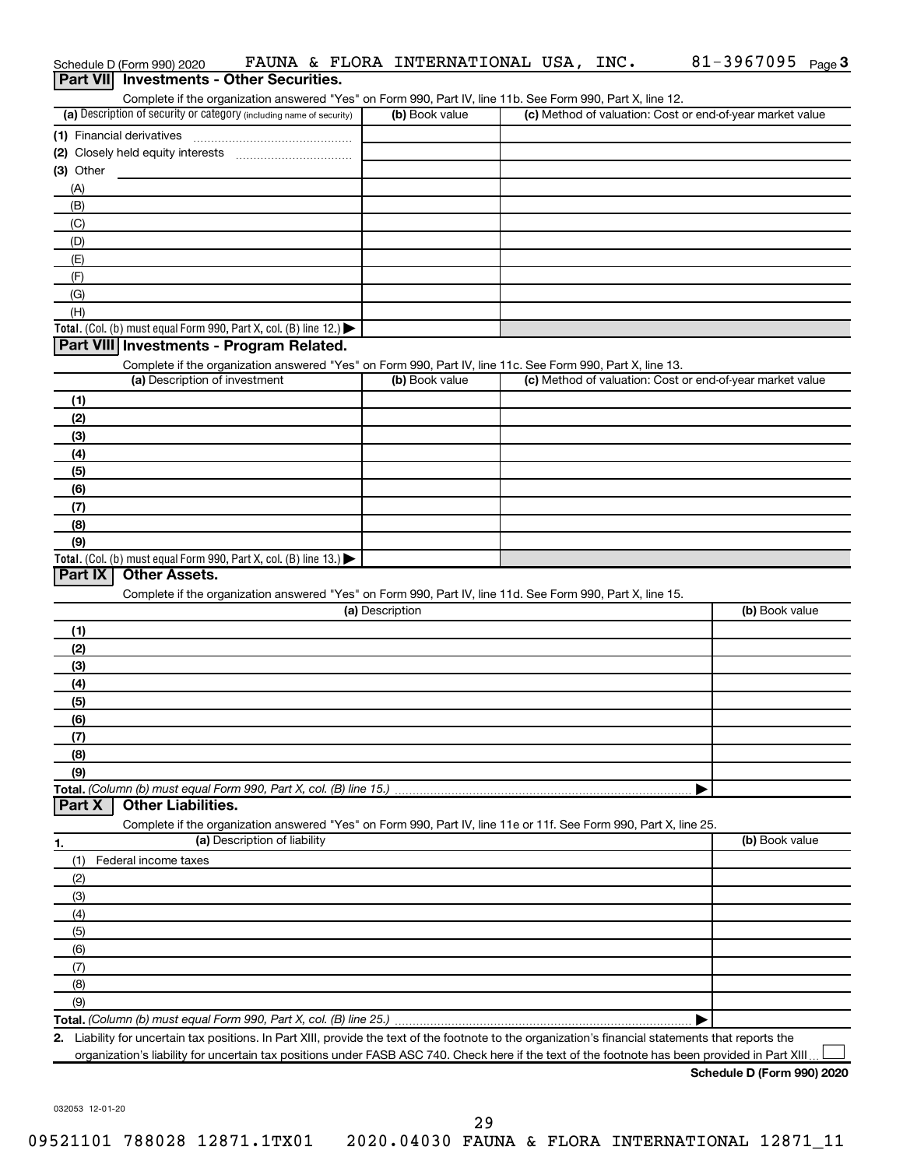|                  | Schedule D (Form 990) 2020    |                                                                                                                                                                                                                                                                                                         | FAUNA & FLORA INTERNATIONAL USA, INC. |  |                                                           | 81-3967095 $_{Page}$ 3 |  |
|------------------|-------------------------------|---------------------------------------------------------------------------------------------------------------------------------------------------------------------------------------------------------------------------------------------------------------------------------------------------------|---------------------------------------|--|-----------------------------------------------------------|------------------------|--|
| <b>Part VIII</b> |                               | <b>Investments - Other Securities.</b>                                                                                                                                                                                                                                                                  |                                       |  |                                                           |                        |  |
|                  |                               | Complete if the organization answered "Yes" on Form 990, Part IV, line 11b. See Form 990, Part X, line 12.                                                                                                                                                                                              |                                       |  |                                                           |                        |  |
|                  |                               | (a) Description of security or category (including name of security)                                                                                                                                                                                                                                    | (b) Book value                        |  | (c) Method of valuation: Cost or end-of-year market value |                        |  |
|                  | (1) Financial derivatives     |                                                                                                                                                                                                                                                                                                         |                                       |  |                                                           |                        |  |
|                  |                               |                                                                                                                                                                                                                                                                                                         |                                       |  |                                                           |                        |  |
| $(3)$ Other      |                               |                                                                                                                                                                                                                                                                                                         |                                       |  |                                                           |                        |  |
| (A)              |                               |                                                                                                                                                                                                                                                                                                         |                                       |  |                                                           |                        |  |
| (B)              |                               |                                                                                                                                                                                                                                                                                                         |                                       |  |                                                           |                        |  |
| (C)              |                               |                                                                                                                                                                                                                                                                                                         |                                       |  |                                                           |                        |  |
| (D)              |                               |                                                                                                                                                                                                                                                                                                         |                                       |  |                                                           |                        |  |
| (E)              |                               |                                                                                                                                                                                                                                                                                                         |                                       |  |                                                           |                        |  |
| (F)              |                               |                                                                                                                                                                                                                                                                                                         |                                       |  |                                                           |                        |  |
| (G)              |                               |                                                                                                                                                                                                                                                                                                         |                                       |  |                                                           |                        |  |
| (H)              |                               |                                                                                                                                                                                                                                                                                                         |                                       |  |                                                           |                        |  |
|                  |                               | Total. (Col. (b) must equal Form 990, Part X, col. (B) line 12.)                                                                                                                                                                                                                                        |                                       |  |                                                           |                        |  |
|                  |                               | Part VIII Investments - Program Related.                                                                                                                                                                                                                                                                |                                       |  |                                                           |                        |  |
|                  |                               | Complete if the organization answered "Yes" on Form 990, Part IV, line 11c. See Form 990, Part X, line 13.                                                                                                                                                                                              |                                       |  |                                                           |                        |  |
|                  | (a) Description of investment |                                                                                                                                                                                                                                                                                                         | (b) Book value                        |  | (c) Method of valuation: Cost or end-of-year market value |                        |  |
| (1)              |                               |                                                                                                                                                                                                                                                                                                         |                                       |  |                                                           |                        |  |
| (2)              |                               |                                                                                                                                                                                                                                                                                                         |                                       |  |                                                           |                        |  |
| (3)              |                               |                                                                                                                                                                                                                                                                                                         |                                       |  |                                                           |                        |  |
| (4)              |                               |                                                                                                                                                                                                                                                                                                         |                                       |  |                                                           |                        |  |
| (5)              |                               |                                                                                                                                                                                                                                                                                                         |                                       |  |                                                           |                        |  |
| (6)              |                               |                                                                                                                                                                                                                                                                                                         |                                       |  |                                                           |                        |  |
| (7)              |                               |                                                                                                                                                                                                                                                                                                         |                                       |  |                                                           |                        |  |
| (8)              |                               |                                                                                                                                                                                                                                                                                                         |                                       |  |                                                           |                        |  |
| (9)              |                               |                                                                                                                                                                                                                                                                                                         |                                       |  |                                                           |                        |  |
|                  |                               | Total. (Col. (b) must equal Form 990, Part X, col. (B) line 13.) $\blacktriangleright$                                                                                                                                                                                                                  |                                       |  |                                                           |                        |  |
| Part IX          | <b>Other Assets.</b>          |                                                                                                                                                                                                                                                                                                         |                                       |  |                                                           |                        |  |
|                  |                               | Complete if the organization answered "Yes" on Form 990, Part IV, line 11d. See Form 990, Part X, line 15.                                                                                                                                                                                              |                                       |  |                                                           |                        |  |
|                  |                               |                                                                                                                                                                                                                                                                                                         | (a) Description                       |  |                                                           | (b) Book value         |  |
| (1)              |                               |                                                                                                                                                                                                                                                                                                         |                                       |  |                                                           |                        |  |
| (2)              |                               |                                                                                                                                                                                                                                                                                                         |                                       |  |                                                           |                        |  |
| (3)              |                               |                                                                                                                                                                                                                                                                                                         |                                       |  |                                                           |                        |  |
| (4)              |                               |                                                                                                                                                                                                                                                                                                         |                                       |  |                                                           |                        |  |
| (5)              |                               |                                                                                                                                                                                                                                                                                                         |                                       |  |                                                           |                        |  |
| (6)              |                               |                                                                                                                                                                                                                                                                                                         |                                       |  |                                                           |                        |  |
| (7)              |                               |                                                                                                                                                                                                                                                                                                         |                                       |  |                                                           |                        |  |
| (8)              |                               |                                                                                                                                                                                                                                                                                                         |                                       |  |                                                           |                        |  |
| (9)              |                               |                                                                                                                                                                                                                                                                                                         |                                       |  |                                                           |                        |  |
|                  | <b>Other Liabilities.</b>     | Total. (Column (b) must equal Form 990, Part X, col. (B) line 15.)                                                                                                                                                                                                                                      |                                       |  |                                                           |                        |  |
| Part X           |                               |                                                                                                                                                                                                                                                                                                         |                                       |  |                                                           |                        |  |
|                  |                               | Complete if the organization answered "Yes" on Form 990, Part IV, line 11e or 11f. See Form 990, Part X, line 25.<br>(a) Description of liability                                                                                                                                                       |                                       |  |                                                           | (b) Book value         |  |
| 1.               |                               |                                                                                                                                                                                                                                                                                                         |                                       |  |                                                           |                        |  |
| (1)              | Federal income taxes          |                                                                                                                                                                                                                                                                                                         |                                       |  |                                                           |                        |  |
| (2)              |                               |                                                                                                                                                                                                                                                                                                         |                                       |  |                                                           |                        |  |
| (3)              |                               |                                                                                                                                                                                                                                                                                                         |                                       |  |                                                           |                        |  |
| (4)              |                               |                                                                                                                                                                                                                                                                                                         |                                       |  |                                                           |                        |  |
| (5)              |                               |                                                                                                                                                                                                                                                                                                         |                                       |  |                                                           |                        |  |
| (6)              |                               |                                                                                                                                                                                                                                                                                                         |                                       |  |                                                           |                        |  |
| (7)              |                               |                                                                                                                                                                                                                                                                                                         |                                       |  |                                                           |                        |  |
| (8)              |                               |                                                                                                                                                                                                                                                                                                         |                                       |  |                                                           |                        |  |
| (9)              |                               |                                                                                                                                                                                                                                                                                                         |                                       |  |                                                           |                        |  |
|                  |                               |                                                                                                                                                                                                                                                                                                         |                                       |  |                                                           |                        |  |
|                  |                               | 2. Liability for uncertain tax positions. In Part XIII, provide the text of the footnote to the organization's financial statements that reports the<br>organization's liability for uncertain tax positions under FASB ASC 740. Check here if the text of the footnote has been provided in Part XIII. |                                       |  |                                                           |                        |  |

**Schedule D (Form 990) 2020**

032053 12-01-20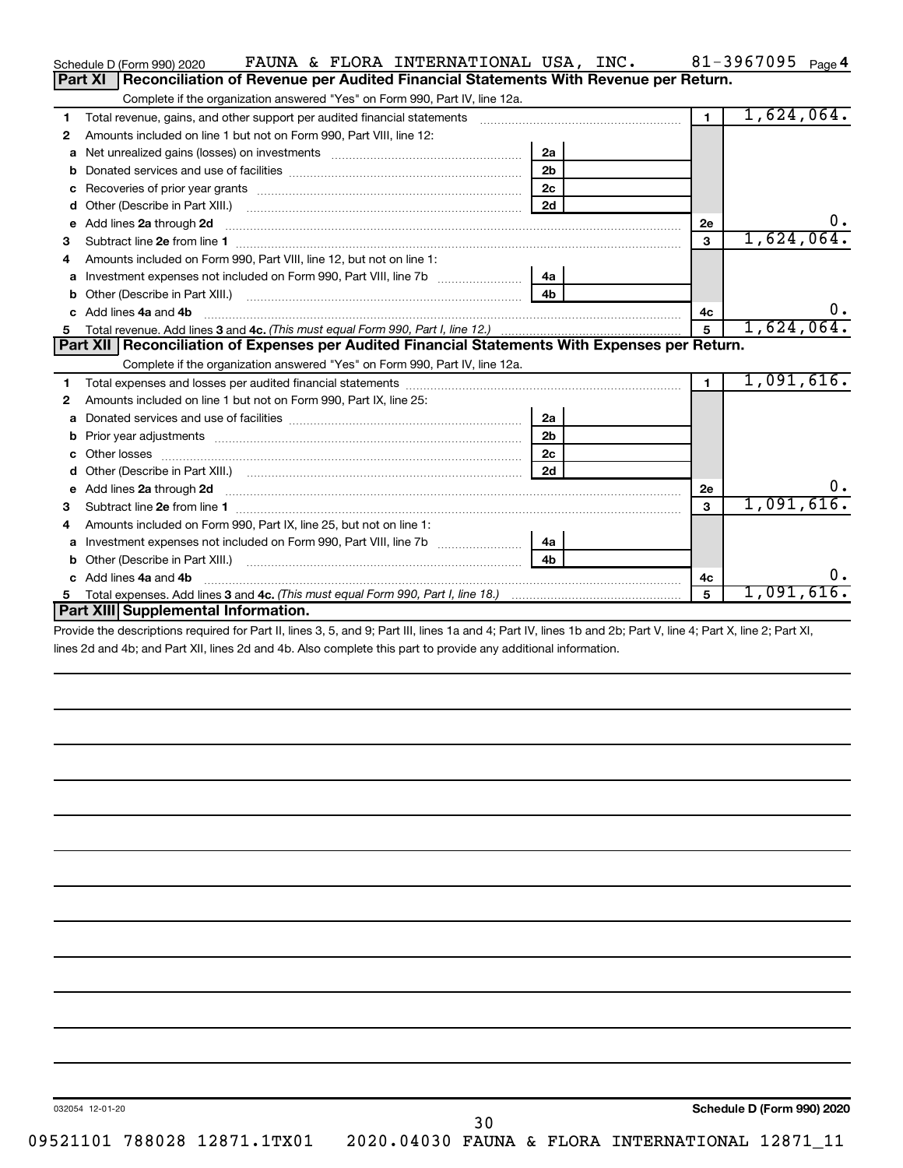| FAUNA & FLORA INTERNATIONAL USA, INC.<br>Schedule D (Form 990) 2020                              |                | 81-3967095 $_{Page 4}$ |
|--------------------------------------------------------------------------------------------------|----------------|------------------------|
| Reconciliation of Revenue per Audited Financial Statements With Revenue per Return.<br>Part XI   |                |                        |
| Complete if the organization answered "Yes" on Form 990, Part IV, line 12a.                      |                |                        |
| Total revenue, gains, and other support per audited financial statements<br>1                    | $\blacksquare$ | 1,624,064.             |
| Amounts included on line 1 but not on Form 990, Part VIII, line 12:<br>2                         |                |                        |
| 2a<br>a                                                                                          |                |                        |
| 2 <sub>b</sub><br>b                                                                              |                |                        |
| 2c<br>c                                                                                          |                |                        |
| 2d<br>d                                                                                          |                |                        |
| Add lines 2a through 2d<br>е                                                                     | <b>2e</b>      | υ.                     |
| З                                                                                                | 3              | 1,624,064.             |
| Amounts included on Form 990, Part VIII, line 12, but not on line 1:<br>4                        |                |                        |
| 4a<br>a                                                                                          |                |                        |
| 4 <sub>b</sub>                                                                                   |                |                        |
| Add lines 4a and 4b<br>C.                                                                        | 4c             | $0$ .                  |
| 5                                                                                                | 5              | 1,624,064.             |
|                                                                                                  |                |                        |
| Part XII   Reconciliation of Expenses per Audited Financial Statements With Expenses per Return. |                |                        |
| Complete if the organization answered "Yes" on Form 990, Part IV, line 12a.                      |                |                        |
| 1                                                                                                | $\blacksquare$ | 1,091,616.             |
| Amounts included on line 1 but not on Form 990, Part IX, line 25:<br>2                           |                |                        |
| 2a<br>a                                                                                          |                |                        |
| 2 <sub>b</sub><br>b                                                                              |                |                        |
| 2c<br>Other losses<br>c                                                                          |                |                        |
| 2d<br>d                                                                                          |                |                        |
| e                                                                                                | 2e             | 0.                     |
| з                                                                                                | $\mathbf{a}$   | 1,091,616.             |
| Amounts included on Form 990, Part IX, line 25, but not on line 1:<br>4                          |                |                        |
| 4a<br>a                                                                                          |                |                        |
| 4 <sub>b</sub><br>Other (Describe in Part XIII.)<br>b                                            |                |                        |
| Add lines 4a and 4b                                                                              | 4c             | 0.                     |
| 5.<br>Part XIII Supplemental Information.                                                        | 5              | 1,091,616.             |

Provide the descriptions required for Part II, lines 3, 5, and 9; Part III, lines 1a and 4; Part IV, lines 1b and 2b; Part V, line 4; Part X, line 2; Part XI, lines 2d and 4b; and Part XII, lines 2d and 4b. Also complete this part to provide any additional information.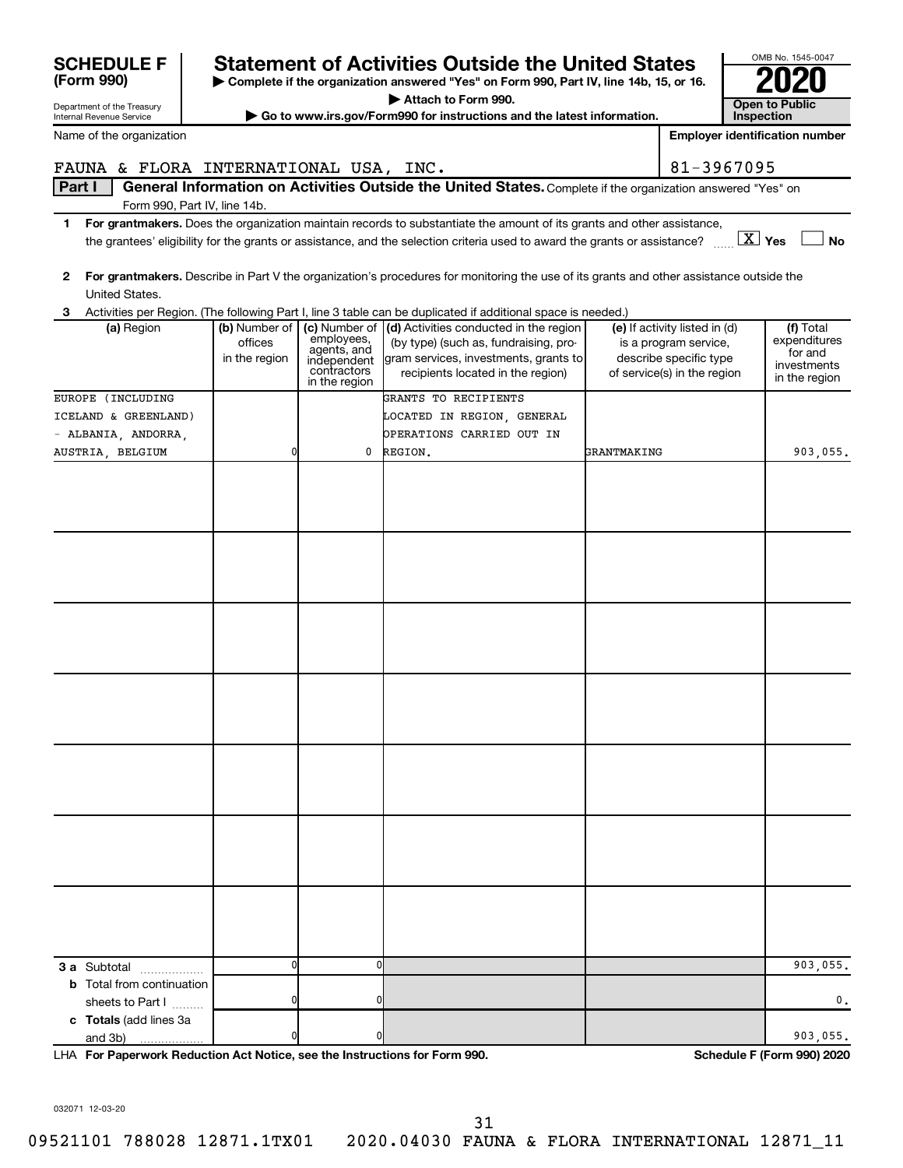| FAUNA & FLORA INTERNATIONAL USA, INC.                                      |                          |                              |                                                                                                                                                                                                                                                                       |                    | 81-3967095                                             |                              |
|----------------------------------------------------------------------------|--------------------------|------------------------------|-----------------------------------------------------------------------------------------------------------------------------------------------------------------------------------------------------------------------------------------------------------------------|--------------------|--------------------------------------------------------|------------------------------|
| Part I                                                                     |                          |                              | General Information on Activities Outside the United States. Complete if the organization answered "Yes" on                                                                                                                                                           |                    |                                                        |                              |
| Form 990, Part IV, line 14b.                                               |                          |                              |                                                                                                                                                                                                                                                                       |                    |                                                        |                              |
| 1.                                                                         |                          |                              | For grantmakers. Does the organization maintain records to substantiate the amount of its grants and other assistance,<br>the grantees' eligibility for the grants or assistance, and the selection criteria used to award the grants or assistance? $\ldots$ $X$ Yes |                    |                                                        | <b>No</b>                    |
|                                                                            |                          |                              |                                                                                                                                                                                                                                                                       |                    |                                                        |                              |
| $\mathbf{2}$                                                               |                          |                              | For grantmakers. Describe in Part V the organization's procedures for monitoring the use of its grants and other assistance outside the                                                                                                                               |                    |                                                        |                              |
| United States.                                                             |                          |                              |                                                                                                                                                                                                                                                                       |                    |                                                        |                              |
| 3                                                                          |                          |                              | Activities per Region. (The following Part I, line 3 table can be duplicated if additional space is needed.)                                                                                                                                                          |                    |                                                        |                              |
| (a) Region                                                                 | (b) Number of<br>offices | (c) Number of<br>employees,  | (d) Activities conducted in the region<br>(by type) (such as, fundraising, pro-                                                                                                                                                                                       |                    | (e) If activity listed in (d)<br>is a program service, | (f) Total<br>expenditures    |
|                                                                            | in the region            | agents, and<br>independent   | gram services, investments, grants to                                                                                                                                                                                                                                 |                    | describe specific type                                 | for and                      |
|                                                                            |                          | contractors<br>in the region | recipients located in the region)                                                                                                                                                                                                                                     |                    | of service(s) in the region                            | investments<br>in the region |
| EUROPE (INCLUDING                                                          |                          |                              | GRANTS TO RECIPIENTS                                                                                                                                                                                                                                                  |                    |                                                        |                              |
| ICELAND & GREENLAND)                                                       |                          |                              | LOCATED IN REGION, GENERAL                                                                                                                                                                                                                                            |                    |                                                        |                              |
| - ALBANIA, ANDORRA,                                                        |                          |                              | OPERATIONS CARRIED OUT IN                                                                                                                                                                                                                                             |                    |                                                        |                              |
| AUSTRIA, BELGIUM                                                           | 0                        | 0                            | REGION.                                                                                                                                                                                                                                                               | <b>GRANTMAKING</b> |                                                        | 903,055.                     |
|                                                                            |                          |                              |                                                                                                                                                                                                                                                                       |                    |                                                        |                              |
|                                                                            |                          |                              |                                                                                                                                                                                                                                                                       |                    |                                                        |                              |
|                                                                            |                          |                              |                                                                                                                                                                                                                                                                       |                    |                                                        |                              |
|                                                                            |                          |                              |                                                                                                                                                                                                                                                                       |                    |                                                        |                              |
|                                                                            |                          |                              |                                                                                                                                                                                                                                                                       |                    |                                                        |                              |
|                                                                            |                          |                              |                                                                                                                                                                                                                                                                       |                    |                                                        |                              |
|                                                                            |                          |                              |                                                                                                                                                                                                                                                                       |                    |                                                        |                              |
|                                                                            |                          |                              |                                                                                                                                                                                                                                                                       |                    |                                                        |                              |
|                                                                            |                          |                              |                                                                                                                                                                                                                                                                       |                    |                                                        |                              |
|                                                                            |                          |                              |                                                                                                                                                                                                                                                                       |                    |                                                        |                              |
|                                                                            |                          |                              |                                                                                                                                                                                                                                                                       |                    |                                                        |                              |
|                                                                            |                          |                              |                                                                                                                                                                                                                                                                       |                    |                                                        |                              |
|                                                                            |                          |                              |                                                                                                                                                                                                                                                                       |                    |                                                        |                              |
|                                                                            |                          |                              |                                                                                                                                                                                                                                                                       |                    |                                                        |                              |
|                                                                            |                          |                              |                                                                                                                                                                                                                                                                       |                    |                                                        |                              |
|                                                                            |                          |                              |                                                                                                                                                                                                                                                                       |                    |                                                        |                              |
|                                                                            |                          |                              |                                                                                                                                                                                                                                                                       |                    |                                                        |                              |
|                                                                            |                          |                              |                                                                                                                                                                                                                                                                       |                    |                                                        |                              |
|                                                                            |                          |                              |                                                                                                                                                                                                                                                                       |                    |                                                        |                              |
|                                                                            |                          |                              |                                                                                                                                                                                                                                                                       |                    |                                                        |                              |
|                                                                            |                          |                              |                                                                                                                                                                                                                                                                       |                    |                                                        |                              |
|                                                                            |                          |                              |                                                                                                                                                                                                                                                                       |                    |                                                        |                              |
|                                                                            |                          |                              |                                                                                                                                                                                                                                                                       |                    |                                                        |                              |
|                                                                            |                          |                              |                                                                                                                                                                                                                                                                       |                    |                                                        |                              |
|                                                                            |                          |                              |                                                                                                                                                                                                                                                                       |                    |                                                        |                              |
| 3 a Subtotal                                                               | 0                        | $\mathbf 0$                  |                                                                                                                                                                                                                                                                       |                    |                                                        | 903,055.                     |
| <b>b</b> Total from continuation                                           |                          |                              |                                                                                                                                                                                                                                                                       |                    |                                                        |                              |
| sheets to Part I                                                           | 0                        | 0                            |                                                                                                                                                                                                                                                                       |                    |                                                        | 0.                           |
| c Totals (add lines 3a                                                     |                          |                              |                                                                                                                                                                                                                                                                       |                    |                                                        |                              |
| and 3b)                                                                    | 0                        | 0                            |                                                                                                                                                                                                                                                                       |                    |                                                        | 903,055.                     |
| LHA For Paperwork Reduction Act Notice, see the Instructions for Form 990. |                          |                              |                                                                                                                                                                                                                                                                       |                    |                                                        | Schedule F (Form 990) 2020   |

Department of the Treasury Internal Revenue Service Name of the organization

**(Form 990)**

# **SCHEDULE F** Statement of Activities Outside the United States  $\begin{bmatrix} 2008 & 1545-06 \\ \text{Term} & 990 \end{bmatrix}$

**| Complete if the organization answered "Yes" on Form 990, Part IV, line 14b, 15, or 16. | Attach to Form 990.**

**| Go to www.irs.gov/Form990 for instructions and the latest information. Open to Public** 

032071 12-03-20

09521101 788028 12871.1TX01 2020.04030 FAUNA & FLORA INTERNATIONAL 12871\_11





**Employer identification number**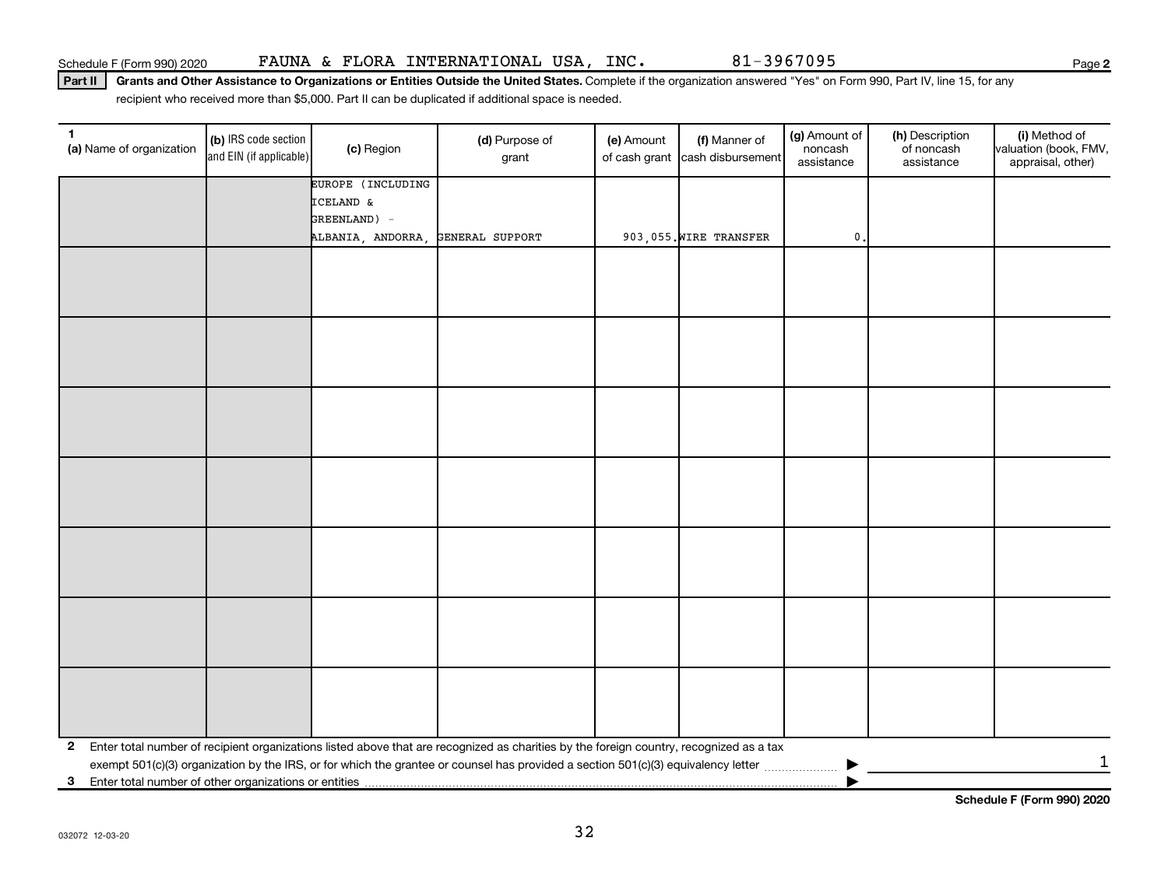Part II | Grants and Other Assistance to Organizations or Entities Outside the United States. Complete if the organization answered "Yes" on Form 990, Part IV, line 15, for any recipient who received more than \$5,000. Part II can be duplicated if additional space is needed.

| 1<br>(a) Name of organization                              | (b) IRS code section<br>and EIN (if applicable) | (c) Region        | (d) Purpose of<br>grant                                                                                                                 | (e) Amount<br>of cash grant | (f) Manner of<br>cash disbursement | (g) Amount of<br>noncash<br>assistance | (h) Description<br>of noncash<br>assistance | (i) Method of<br>valuation (book, FMV,<br>appraisal, other) |
|------------------------------------------------------------|-------------------------------------------------|-------------------|-----------------------------------------------------------------------------------------------------------------------------------------|-----------------------------|------------------------------------|----------------------------------------|---------------------------------------------|-------------------------------------------------------------|
|                                                            |                                                 | EUROPE (INCLUDING |                                                                                                                                         |                             |                                    |                                        |                                             |                                                             |
|                                                            |                                                 | ICELAND &         |                                                                                                                                         |                             |                                    |                                        |                                             |                                                             |
|                                                            |                                                 | GREENLAND) -      |                                                                                                                                         |                             |                                    |                                        |                                             |                                                             |
|                                                            |                                                 | ALBANIA, ANDORRA, | GENERAL SUPPORT                                                                                                                         |                             | 903,055. WIRE TRANSFER             | $\mathbf{0}$                           |                                             |                                                             |
|                                                            |                                                 |                   |                                                                                                                                         |                             |                                    |                                        |                                             |                                                             |
|                                                            |                                                 |                   |                                                                                                                                         |                             |                                    |                                        |                                             |                                                             |
|                                                            |                                                 |                   |                                                                                                                                         |                             |                                    |                                        |                                             |                                                             |
|                                                            |                                                 |                   |                                                                                                                                         |                             |                                    |                                        |                                             |                                                             |
|                                                            |                                                 |                   |                                                                                                                                         |                             |                                    |                                        |                                             |                                                             |
|                                                            |                                                 |                   |                                                                                                                                         |                             |                                    |                                        |                                             |                                                             |
|                                                            |                                                 |                   |                                                                                                                                         |                             |                                    |                                        |                                             |                                                             |
|                                                            |                                                 |                   |                                                                                                                                         |                             |                                    |                                        |                                             |                                                             |
|                                                            |                                                 |                   |                                                                                                                                         |                             |                                    |                                        |                                             |                                                             |
|                                                            |                                                 |                   |                                                                                                                                         |                             |                                    |                                        |                                             |                                                             |
|                                                            |                                                 |                   |                                                                                                                                         |                             |                                    |                                        |                                             |                                                             |
|                                                            |                                                 |                   |                                                                                                                                         |                             |                                    |                                        |                                             |                                                             |
|                                                            |                                                 |                   |                                                                                                                                         |                             |                                    |                                        |                                             |                                                             |
|                                                            |                                                 |                   |                                                                                                                                         |                             |                                    |                                        |                                             |                                                             |
|                                                            |                                                 |                   |                                                                                                                                         |                             |                                    |                                        |                                             |                                                             |
|                                                            |                                                 |                   |                                                                                                                                         |                             |                                    |                                        |                                             |                                                             |
|                                                            |                                                 |                   |                                                                                                                                         |                             |                                    |                                        |                                             |                                                             |
|                                                            |                                                 |                   |                                                                                                                                         |                             |                                    |                                        |                                             |                                                             |
|                                                            |                                                 |                   |                                                                                                                                         |                             |                                    |                                        |                                             |                                                             |
|                                                            |                                                 |                   |                                                                                                                                         |                             |                                    |                                        |                                             |                                                             |
|                                                            |                                                 |                   |                                                                                                                                         |                             |                                    |                                        |                                             |                                                             |
|                                                            |                                                 |                   |                                                                                                                                         |                             |                                    |                                        |                                             |                                                             |
|                                                            |                                                 |                   |                                                                                                                                         |                             |                                    |                                        |                                             |                                                             |
| $\mathbf{2}$                                               |                                                 |                   | Enter total number of recipient organizations listed above that are recognized as charities by the foreign country, recognized as a tax |                             |                                    |                                        |                                             | $\mathbf{1}$                                                |
| Enter total number of other organizations or entities<br>3 |                                                 |                   |                                                                                                                                         |                             |                                    |                                        |                                             |                                                             |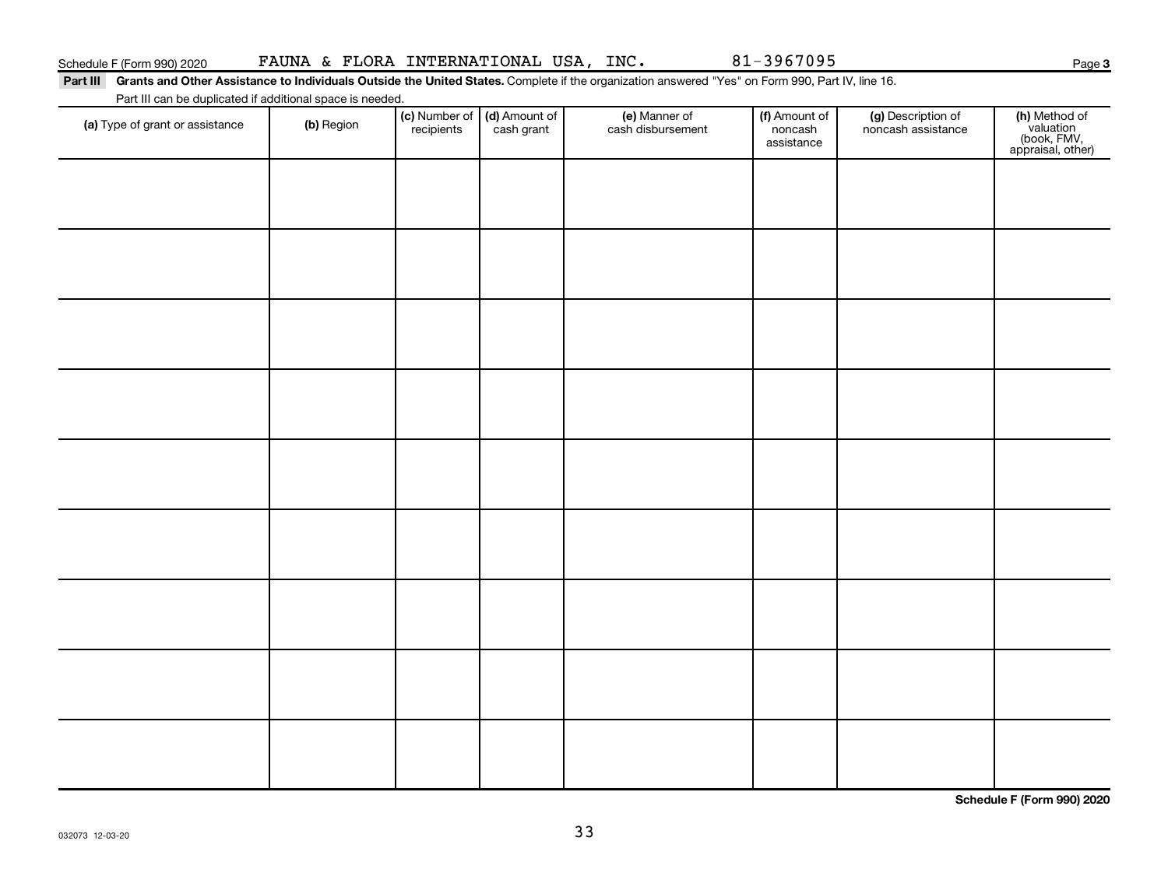| Schedule F (Form 990) 2020 |  | FAUNA & FLORA INTERNATIONAL USA, INC. |  |  |
|----------------------------|--|---------------------------------------|--|--|
|----------------------------|--|---------------------------------------|--|--|

81-3967095

**3**

Part III Grants and Other Assistance to Individuals Outside the United States. Complete if the organization answered "Yes" on Form 990, Part IV, line 16. Part III can be duplicated if additional space is needed.

| (a) Type of grant or assistance | (b) Region | (c) Number of (d) Amount of<br>recipients cash grant | (e) Manner of<br>cash disbursement | (f) Amount of<br>noncash<br>assistance | (g) Description of<br>noncash assistance | (h) Method of<br>valuation<br>(book, FMV,<br>appraisal, other) |
|---------------------------------|------------|------------------------------------------------------|------------------------------------|----------------------------------------|------------------------------------------|----------------------------------------------------------------|
|                                 |            |                                                      |                                    |                                        |                                          |                                                                |
|                                 |            |                                                      |                                    |                                        |                                          |                                                                |
|                                 |            |                                                      |                                    |                                        |                                          |                                                                |
|                                 |            |                                                      |                                    |                                        |                                          |                                                                |
|                                 |            |                                                      |                                    |                                        |                                          |                                                                |
|                                 |            |                                                      |                                    |                                        |                                          |                                                                |
|                                 |            |                                                      |                                    |                                        |                                          |                                                                |
|                                 |            |                                                      |                                    |                                        |                                          |                                                                |
|                                 |            |                                                      |                                    |                                        |                                          |                                                                |

**Schedule F (Form 990) 2020**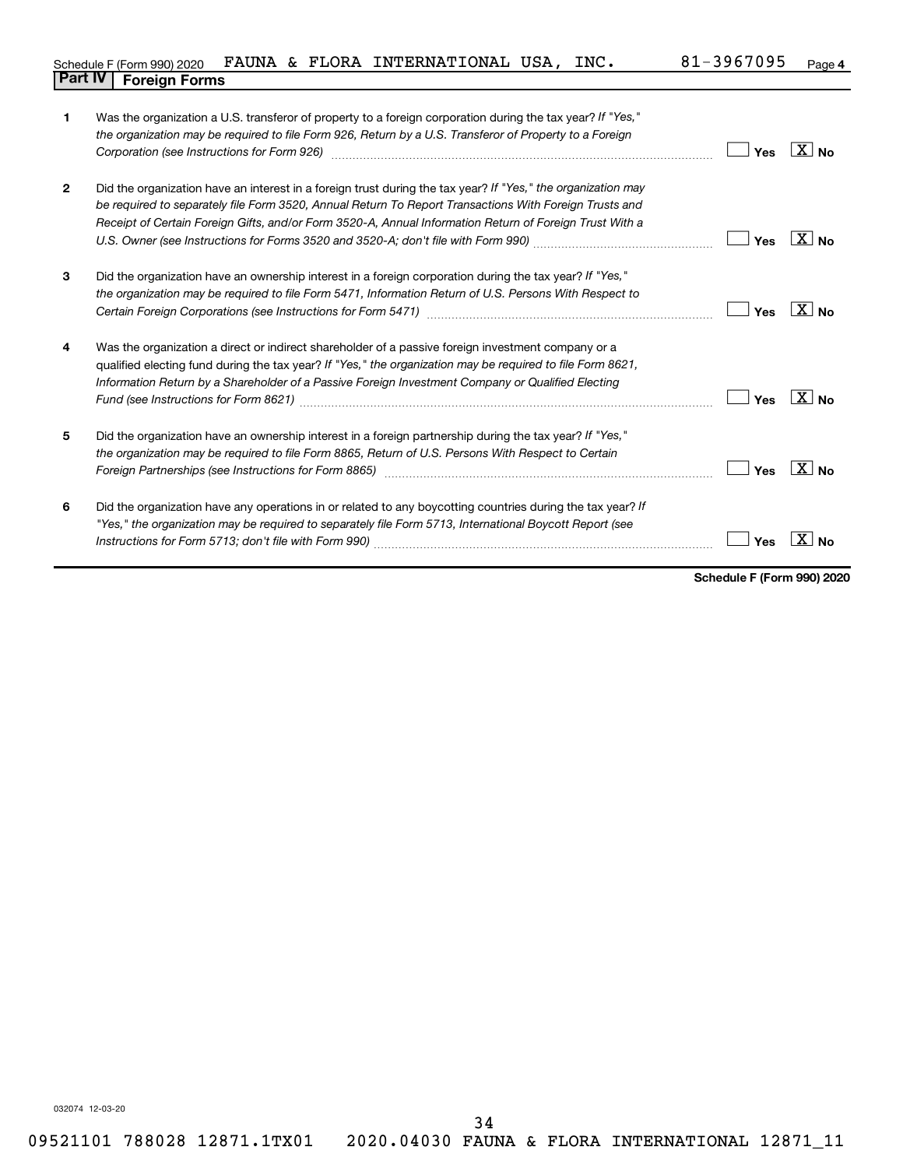|                                |  | Schedule F (Form 990) 2020 FAUNA & FLORA INTERNATIONAL USA, INC. |  | 81-3967095 <sub>Page 4</sub> |  |
|--------------------------------|--|------------------------------------------------------------------|--|------------------------------|--|
| <b>Part IV   Foreign Forms</b> |  |                                                                  |  |                              |  |

| 1              | Was the organization a U.S. transferor of property to a foreign corporation during the tax year? If "Yes,"<br>the organization may be required to file Form 926, Return by a U.S. Transferor of Property to a Foreign<br>Corporation (see Instructions for Form 926) [11] matter continuum matter of the Instruction (see Instructions for Form 926) | Yes | $\overline{X}$ No     |
|----------------|------------------------------------------------------------------------------------------------------------------------------------------------------------------------------------------------------------------------------------------------------------------------------------------------------------------------------------------------------|-----|-----------------------|
| $\overline{2}$ | Did the organization have an interest in a foreign trust during the tax year? If "Yes," the organization may<br>be required to separately file Form 3520, Annual Return To Report Transactions With Foreign Trusts and<br>Receipt of Certain Foreign Gifts, and/or Form 3520-A, Annual Information Return of Foreign Trust With a                    | Yes | $\overline{X}$ No     |
| 3              | Did the organization have an ownership interest in a foreign corporation during the tax year? If "Yes,"<br>the organization may be required to file Form 5471, Information Return of U.S. Persons With Respect to                                                                                                                                    | Yes | $X_{\text{No}}$       |
| 4              | Was the organization a direct or indirect shareholder of a passive foreign investment company or a<br>qualified electing fund during the tax year? If "Yes," the organization may be required to file Form 8621,<br>Information Return by a Shareholder of a Passive Foreign Investment Company or Qualified Electing                                | Yes | $\overline{X}$ No     |
| 5              | Did the organization have an ownership interest in a foreign partnership during the tax year? If "Yes,"<br>the organization may be required to file Form 8865, Return of U.S. Persons With Respect to Certain<br>Foreign Partnerships (see Instructions for Form 8865)                                                                               | Yes | $\boxed{\text{X}}$ No |
| 6              | Did the organization have any operations in or related to any boycotting countries during the tax year? If<br>"Yes," the organization may be required to separately file Form 5713, International Boycott Report (see                                                                                                                                | Yes |                       |

**Schedule F (Form 990) 2020**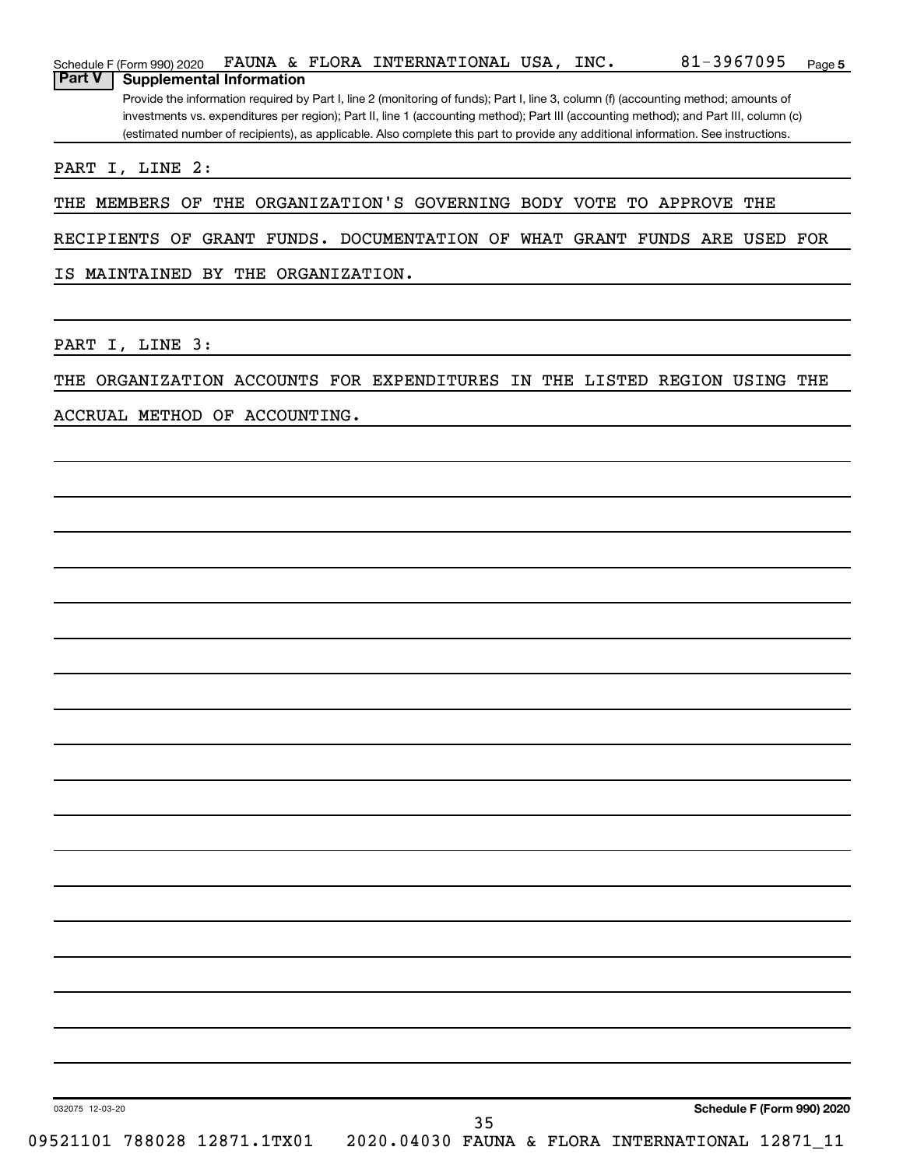|               | Schedule F (Form 990) 2020      |  | FAUNA & FLORA INTERNATIONAL USA, INC. |  | 81-3967095                                                                                                                            | Page 5 |
|---------------|---------------------------------|--|---------------------------------------|--|---------------------------------------------------------------------------------------------------------------------------------------|--------|
| <b>Part V</b> | <b>Supplemental Information</b> |  |                                       |  |                                                                                                                                       |        |
|               |                                 |  |                                       |  | Provide the information required by Part I, line 2 (monitoring of funds); Part I, line 3, column (f) (accounting method; amounts of   |        |
|               |                                 |  |                                       |  | investments vs. expenditures per region); Part II, line 1 (accounting method); Part III (accounting method); and Part III, column (c) |        |
|               |                                 |  |                                       |  | (estimated number of recipients), as applicable. Also complete this part to provide any additional information. See instructions.     |        |
|               |                                 |  |                                       |  |                                                                                                                                       |        |

PART I, LINE 2:

THE MEMBERS OF THE ORGANIZATION'S GOVERNING BODY VOTE TO APPROVE THE

RECIPIENTS OF GRANT FUNDS. DOCUMENTATION OF WHAT GRANT FUNDS ARE USED FOR

IS MAINTAINED BY THE ORGANIZATION.

PART I, LINE 3:

THE ORGANIZATION ACCOUNTS FOR EXPENDITURES IN THE LISTED REGION USING THE

ACCRUAL METHOD OF ACCOUNTING.

032075 12-03-20

35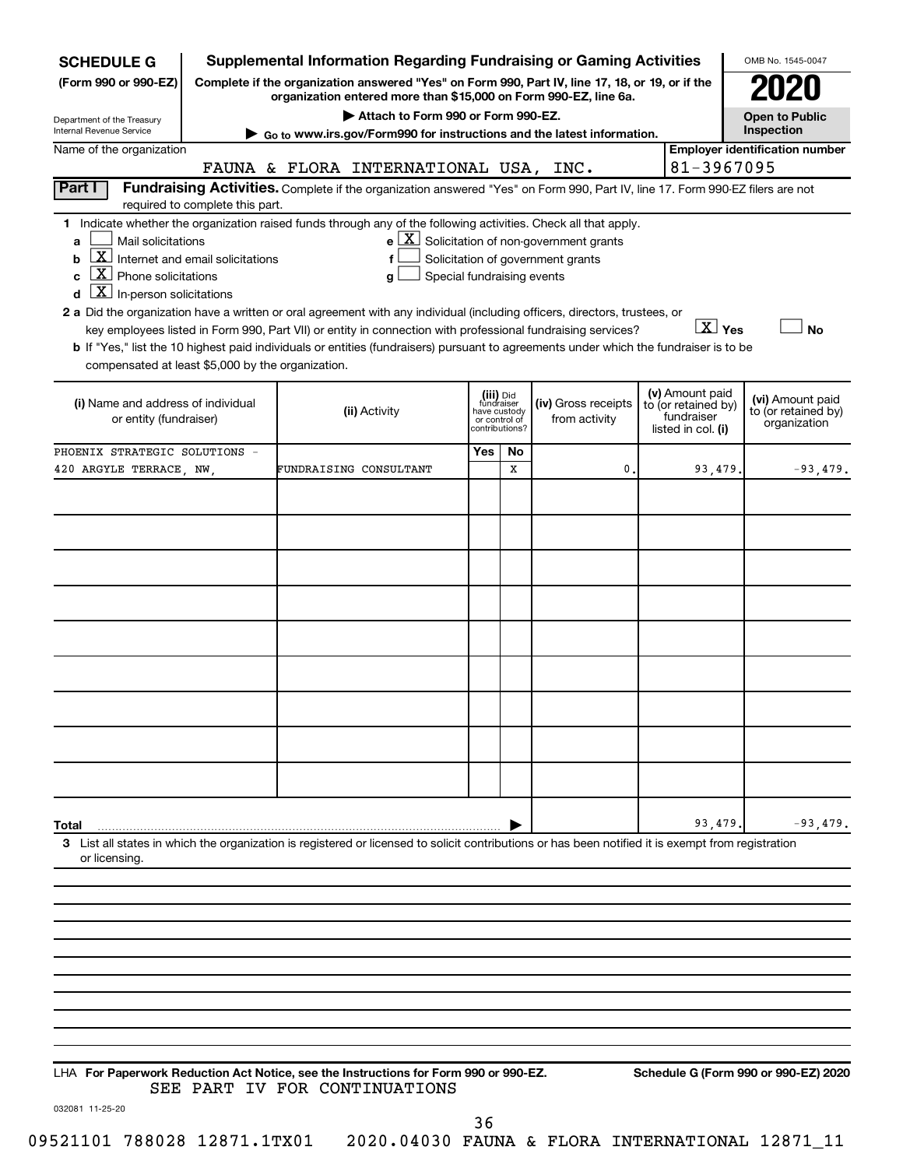| <b>SCHEDULE G</b>                                                                                                                                                                                                                                                                                                                                                                          |                                  | <b>Supplemental Information Regarding Fundraising or Gaming Activities</b>                                                                                             |                                                           |               |                                                                                                   |                                                                            | OMB No. 1545-0047                                       |
|--------------------------------------------------------------------------------------------------------------------------------------------------------------------------------------------------------------------------------------------------------------------------------------------------------------------------------------------------------------------------------------------|----------------------------------|------------------------------------------------------------------------------------------------------------------------------------------------------------------------|-----------------------------------------------------------|---------------|---------------------------------------------------------------------------------------------------|----------------------------------------------------------------------------|---------------------------------------------------------|
| (Form 990 or 990-EZ)                                                                                                                                                                                                                                                                                                                                                                       |                                  | Complete if the organization answered "Yes" on Form 990, Part IV, line 17, 18, or 19, or if the<br>organization entered more than \$15,000 on Form 990-EZ, line 6a.    |                                                           |               |                                                                                                   |                                                                            |                                                         |
| Department of the Treasury<br>Internal Revenue Service                                                                                                                                                                                                                                                                                                                                     |                                  | Attach to Form 990 or Form 990-EZ.<br>▶ Go to www.irs.gov/Form990 for instructions and the latest information.                                                         |                                                           |               |                                                                                                   |                                                                            | <b>Open to Public</b><br>Inspection                     |
| Name of the organization                                                                                                                                                                                                                                                                                                                                                                   |                                  |                                                                                                                                                                        |                                                           |               |                                                                                                   | 81-3967095                                                                 | <b>Employer identification number</b>                   |
| Part I                                                                                                                                                                                                                                                                                                                                                                                     |                                  | FAUNA & FLORA INTERNATIONAL USA, INC.<br>Fundraising Activities. Complete if the organization answered "Yes" on Form 990, Part IV, line 17. Form 990-EZ filers are not |                                                           |               |                                                                                                   |                                                                            |                                                         |
|                                                                                                                                                                                                                                                                                                                                                                                            | required to complete this part.  |                                                                                                                                                                        |                                                           |               |                                                                                                   |                                                                            |                                                         |
| 1 Indicate whether the organization raised funds through any of the following activities. Check all that apply.<br>Mail solicitations<br>a<br><u>x</u><br>b<br>$\mathbf{X}$<br>Phone solicitations<br>C<br>$\boxed{\textbf{X}}$ In-person solicitations<br>d<br>2 a Did the organization have a written or oral agreement with any individual (including officers, directors, trustees, or | Internet and email solicitations | f<br>Special fundraising events<br>a<br>key employees listed in Form 990, Part VII) or entity in connection with professional fundraising services?                    |                                                           |               | $e$ $\boxed{\text{X}}$ Solicitation of non-government grants<br>Solicitation of government grants | $\boxed{\text{X}}$ Yes                                                     | <b>No</b>                                               |
| compensated at least \$5,000 by the organization.                                                                                                                                                                                                                                                                                                                                          |                                  | b If "Yes," list the 10 highest paid individuals or entities (fundraisers) pursuant to agreements under which the fundraiser is to be                                  |                                                           |               |                                                                                                   |                                                                            |                                                         |
| (i) Name and address of individual<br>or entity (fundraiser)                                                                                                                                                                                                                                                                                                                               |                                  | (ii) Activity                                                                                                                                                          | (iii) Did<br>fundraiser<br>have custody<br>contributions? | or control of | (iv) Gross receipts<br>from activity                                                              | (v) Amount paid<br>to (or retained by)<br>fundraiser<br>listed in col. (i) | (vi) Amount paid<br>to (or retained by)<br>organization |
| PHOENIX STRATEGIC SOLUTIONS -                                                                                                                                                                                                                                                                                                                                                              |                                  |                                                                                                                                                                        | Yes                                                       | No            |                                                                                                   |                                                                            |                                                         |
| 420 ARGYLE TERRACE, NW,                                                                                                                                                                                                                                                                                                                                                                    |                                  | FUNDRAISING CONSULTANT                                                                                                                                                 |                                                           | х             | 0                                                                                                 | 93,479.                                                                    | $-93,479.$                                              |
|                                                                                                                                                                                                                                                                                                                                                                                            |                                  |                                                                                                                                                                        |                                                           |               |                                                                                                   |                                                                            |                                                         |
|                                                                                                                                                                                                                                                                                                                                                                                            |                                  |                                                                                                                                                                        |                                                           |               |                                                                                                   |                                                                            |                                                         |
|                                                                                                                                                                                                                                                                                                                                                                                            |                                  |                                                                                                                                                                        |                                                           |               |                                                                                                   |                                                                            |                                                         |
|                                                                                                                                                                                                                                                                                                                                                                                            |                                  |                                                                                                                                                                        |                                                           |               |                                                                                                   |                                                                            |                                                         |
|                                                                                                                                                                                                                                                                                                                                                                                            |                                  |                                                                                                                                                                        |                                                           |               |                                                                                                   |                                                                            |                                                         |
|                                                                                                                                                                                                                                                                                                                                                                                            |                                  |                                                                                                                                                                        |                                                           |               |                                                                                                   |                                                                            |                                                         |
|                                                                                                                                                                                                                                                                                                                                                                                            |                                  |                                                                                                                                                                        |                                                           |               |                                                                                                   |                                                                            |                                                         |
|                                                                                                                                                                                                                                                                                                                                                                                            |                                  |                                                                                                                                                                        |                                                           |               |                                                                                                   |                                                                            |                                                         |
|                                                                                                                                                                                                                                                                                                                                                                                            |                                  |                                                                                                                                                                        |                                                           |               |                                                                                                   |                                                                            |                                                         |
|                                                                                                                                                                                                                                                                                                                                                                                            |                                  |                                                                                                                                                                        |                                                           |               |                                                                                                   |                                                                            |                                                         |
|                                                                                                                                                                                                                                                                                                                                                                                            |                                  |                                                                                                                                                                        |                                                           |               |                                                                                                   |                                                                            |                                                         |
|                                                                                                                                                                                                                                                                                                                                                                                            |                                  |                                                                                                                                                                        |                                                           |               |                                                                                                   |                                                                            |                                                         |
| Total                                                                                                                                                                                                                                                                                                                                                                                      |                                  |                                                                                                                                                                        |                                                           |               |                                                                                                   | 93,479.                                                                    | $-93,479.$                                              |
| 3 List all states in which the organization is registered or licensed to solicit contributions or has been notified it is exempt from registration<br>or licensing.                                                                                                                                                                                                                        |                                  |                                                                                                                                                                        |                                                           |               |                                                                                                   |                                                                            |                                                         |
|                                                                                                                                                                                                                                                                                                                                                                                            |                                  |                                                                                                                                                                        |                                                           |               |                                                                                                   |                                                                            |                                                         |
|                                                                                                                                                                                                                                                                                                                                                                                            |                                  |                                                                                                                                                                        |                                                           |               |                                                                                                   |                                                                            |                                                         |
|                                                                                                                                                                                                                                                                                                                                                                                            |                                  |                                                                                                                                                                        |                                                           |               |                                                                                                   |                                                                            |                                                         |
|                                                                                                                                                                                                                                                                                                                                                                                            |                                  |                                                                                                                                                                        |                                                           |               |                                                                                                   |                                                                            |                                                         |
|                                                                                                                                                                                                                                                                                                                                                                                            |                                  |                                                                                                                                                                        |                                                           |               |                                                                                                   |                                                                            |                                                         |
|                                                                                                                                                                                                                                                                                                                                                                                            |                                  |                                                                                                                                                                        |                                                           |               |                                                                                                   |                                                                            |                                                         |
|                                                                                                                                                                                                                                                                                                                                                                                            |                                  |                                                                                                                                                                        |                                                           |               |                                                                                                   |                                                                            |                                                         |
| LHA For Paperwork Reduction Act Notice, see the Instructions for Form 990 or 990-EZ.                                                                                                                                                                                                                                                                                                       |                                  | SEE PART IV FOR CONTINUATIONS                                                                                                                                          |                                                           |               |                                                                                                   |                                                                            | Schedule G (Form 990 or 990-EZ) 2020                    |
| 032081 11-25-20                                                                                                                                                                                                                                                                                                                                                                            |                                  |                                                                                                                                                                        | 36                                                        |               |                                                                                                   |                                                                            |                                                         |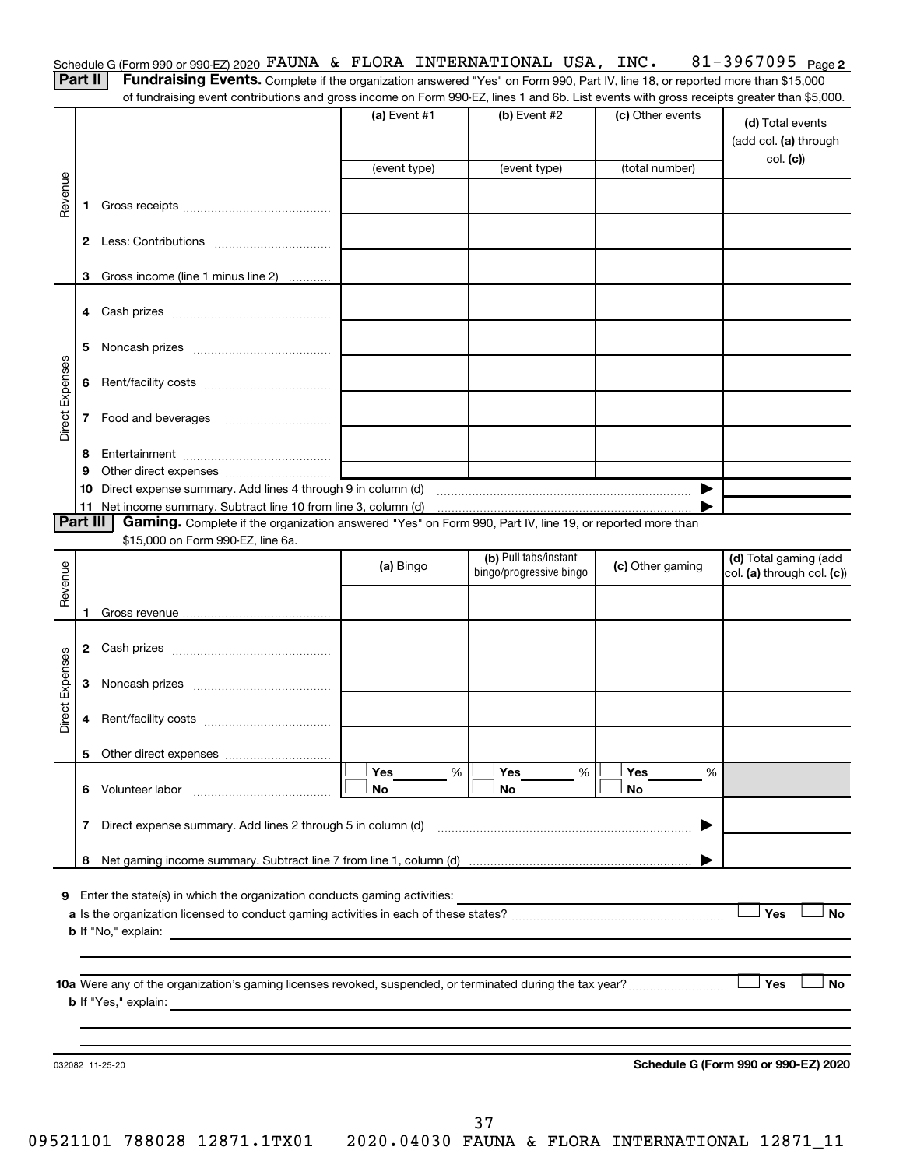|                                                                                                                                                                                                                                      |  |  |  |  |  | Schedule G (Form 990 or 990-EZ) 2020 FAUNA & FLORA INTERNATIONAL USA, | INC. | 3967095 | Page 2 |
|--------------------------------------------------------------------------------------------------------------------------------------------------------------------------------------------------------------------------------------|--|--|--|--|--|-----------------------------------------------------------------------|------|---------|--------|
| <b>The Company's Company's Company's Company's Company's Company's Company's Company's Company's Company's Company's Company's Company's Company's Company's Company's Company's Company's Company's Company's Company's Company</b> |  |  |  |  |  |                                                                       |      |         |        |

Part II | Fundraising Events. Complete if the organization answered "Yes" on Form 990, Part IV, line 18, or reported more than \$15,000 of fundraising event contributions and gross income on Form 990-EZ, lines 1 and 6b. List events with gross receipts greater than \$5,000.

|                 |              |                                                                                                                                                                                                                                | (a) Event #1<br>(event type) | (b) Event #2<br>(event type)                            | (c) Other events<br>(total number) | (d) Total events<br>(add col. (a) through<br>col. (c) |
|-----------------|--------------|--------------------------------------------------------------------------------------------------------------------------------------------------------------------------------------------------------------------------------|------------------------------|---------------------------------------------------------|------------------------------------|-------------------------------------------------------|
|                 |              |                                                                                                                                                                                                                                |                              |                                                         |                                    |                                                       |
| Revenue         | 1.           |                                                                                                                                                                                                                                |                              |                                                         |                                    |                                                       |
|                 | 2            |                                                                                                                                                                                                                                |                              |                                                         |                                    |                                                       |
|                 | 3            | Gross income (line 1 minus line 2)                                                                                                                                                                                             |                              |                                                         |                                    |                                                       |
|                 |              |                                                                                                                                                                                                                                |                              |                                                         |                                    |                                                       |
|                 | 5            |                                                                                                                                                                                                                                |                              |                                                         |                                    |                                                       |
|                 | 6            |                                                                                                                                                                                                                                |                              |                                                         |                                    |                                                       |
| Direct Expenses | $\mathbf{7}$ |                                                                                                                                                                                                                                |                              |                                                         |                                    |                                                       |
|                 | 8            |                                                                                                                                                                                                                                |                              |                                                         |                                    |                                                       |
|                 | 9            | Other direct expenses of the state of the state of the state of the state of the state of the state of the state of the state of the state of the state of the state of the state of the state of the state of the state of th |                              |                                                         |                                    |                                                       |
|                 |              |                                                                                                                                                                                                                                |                              |                                                         |                                    |                                                       |
|                 |              |                                                                                                                                                                                                                                |                              |                                                         |                                    |                                                       |
| <b>Part III</b> |              | Gaming. Complete if the organization answered "Yes" on Form 990, Part IV, line 19, or reported more than<br>\$15,000 on Form 990-EZ, line 6a.                                                                                  |                              |                                                         |                                    |                                                       |
|                 |              |                                                                                                                                                                                                                                |                              | (b) Pull tabs/instant                                   |                                    | (d) Total gaming (add                                 |
| Revenue         |              |                                                                                                                                                                                                                                | (a) Bingo                    | bingo/progressive bingo                                 | (c) Other gaming                   | col. (a) through col. (c))                            |
|                 |              |                                                                                                                                                                                                                                |                              |                                                         |                                    |                                                       |
|                 | 1.           |                                                                                                                                                                                                                                |                              |                                                         |                                    |                                                       |
|                 |              |                                                                                                                                                                                                                                |                              |                                                         |                                    |                                                       |
|                 | 3            |                                                                                                                                                                                                                                |                              |                                                         |                                    |                                                       |
| Direct Expenses | 4            |                                                                                                                                                                                                                                |                              |                                                         |                                    |                                                       |
|                 | 5.           |                                                                                                                                                                                                                                |                              |                                                         |                                    |                                                       |
|                 |              |                                                                                                                                                                                                                                | %<br>Yes                     | %<br>Yes                                                | Yes<br>%<br>No                     |                                                       |
|                 |              |                                                                                                                                                                                                                                | No                           | No.                                                     |                                    |                                                       |
|                 |              | 7 Direct expense summary. Add lines 2 through 5 in column (d) [11] matter contracts are summary. Add lines 2 through 5 in column (d)                                                                                           |                              |                                                         | ▶                                  |                                                       |
|                 |              |                                                                                                                                                                                                                                |                              |                                                         |                                    |                                                       |
|                 |              |                                                                                                                                                                                                                                |                              |                                                         |                                    |                                                       |
|                 |              | 9 Enter the state(s) in which the organization conducts gaming activities:                                                                                                                                                     |                              | <u> 1989 - Andrea Stadt, fransk politiker (d. 1989)</u> |                                    | Yes<br><b>No</b>                                      |
|                 |              |                                                                                                                                                                                                                                |                              |                                                         |                                    |                                                       |
|                 |              |                                                                                                                                                                                                                                |                              |                                                         |                                    |                                                       |
|                 |              |                                                                                                                                                                                                                                |                              |                                                         |                                    |                                                       |
|                 |              |                                                                                                                                                                                                                                |                              |                                                         |                                    | Yes<br><b>No</b>                                      |
|                 |              |                                                                                                                                                                                                                                |                              |                                                         |                                    |                                                       |
|                 |              | 032082 11-25-20                                                                                                                                                                                                                |                              |                                                         |                                    | Schedule G (Form 990 or 990-EZ) 2020                  |
|                 |              |                                                                                                                                                                                                                                |                              |                                                         |                                    |                                                       |
|                 |              |                                                                                                                                                                                                                                |                              |                                                         |                                    |                                                       |
|                 |              |                                                                                                                                                                                                                                |                              | 37                                                      |                                    |                                                       |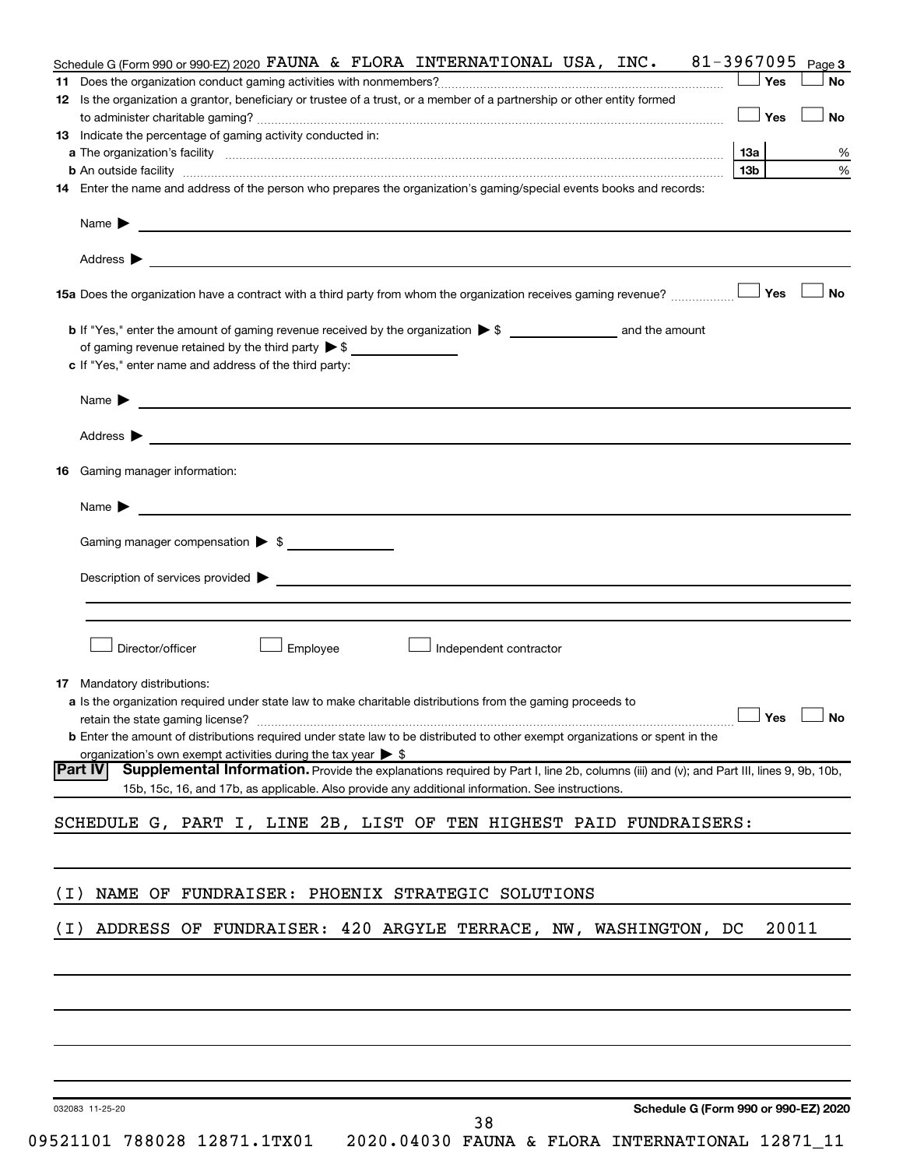|       | Schedule G (Form 990 or 990-EZ) 2020 FAUNA & FLORA INTERNATIONAL USA, INC. $81-3967095$                                                                                                                                            |                      | Page 3    |
|-------|------------------------------------------------------------------------------------------------------------------------------------------------------------------------------------------------------------------------------------|----------------------|-----------|
|       |                                                                                                                                                                                                                                    | Yes                  | No        |
|       | 12 Is the organization a grantor, beneficiary or trustee of a trust, or a member of a partnership or other entity formed                                                                                                           | Yes                  | <b>No</b> |
|       | 13 Indicate the percentage of gaming activity conducted in:                                                                                                                                                                        |                      |           |
|       |                                                                                                                                                                                                                                    | 13а                  | %         |
|       |                                                                                                                                                                                                                                    | 13 <sub>b</sub>      | %         |
|       | 14 Enter the name and address of the person who prepares the organization's gaming/special events books and records:                                                                                                               |                      |           |
|       | Name $\blacktriangleright$<br><u> 1989 - Johann Barbara, martin a bhaile ann an t-</u>                                                                                                                                             |                      |           |
|       |                                                                                                                                                                                                                                    |                      |           |
|       |                                                                                                                                                                                                                                    | Yes                  | No        |
|       |                                                                                                                                                                                                                                    |                      |           |
|       | of gaming revenue retained by the third party $\triangleright$ \$                                                                                                                                                                  |                      |           |
|       | c If "Yes," enter name and address of the third party:                                                                                                                                                                             |                      |           |
|       | Name $\blacktriangleright$<br><u> 1989 - Johann Barbara, martin amerikan basal dan berasal dan berasal dalam basal dan berasal dalam berasal da</u>                                                                                |                      |           |
|       |                                                                                                                                                                                                                                    |                      |           |
| 16    | Gaming manager information:                                                                                                                                                                                                        |                      |           |
|       | Name $\blacktriangleright$                                                                                                                                                                                                         |                      |           |
|       | Gaming manager compensation > \$                                                                                                                                                                                                   |                      |           |
|       |                                                                                                                                                                                                                                    |                      |           |
|       |                                                                                                                                                                                                                                    |                      |           |
|       |                                                                                                                                                                                                                                    |                      |           |
|       | Director/officer<br>Employee<br>Independent contractor                                                                                                                                                                             |                      |           |
|       | <b>17</b> Mandatory distributions:                                                                                                                                                                                                 |                      |           |
|       | <b>a</b> Is the organization required under state law to make charitable distributions from the gaming proceeds to                                                                                                                 |                      |           |
|       |                                                                                                                                                                                                                                    | $\Box$ Yes $\Box$ No |           |
|       | <b>b</b> Enter the amount of distributions required under state law to be distributed to other exempt organizations or spent in the                                                                                                |                      |           |
|       | organization's own exempt activities during the tax year $\triangleright$ \$<br> Part IV<br>Supplemental Information. Provide the explanations required by Part I, line 2b, columns (iii) and (v); and Part III, lines 9, 9b, 10b, |                      |           |
|       | 15b, 15c, 16, and 17b, as applicable. Also provide any additional information. See instructions.                                                                                                                                   |                      |           |
|       | SCHEDULE G, PART I, LINE 2B, LIST OF TEN HIGHEST PAID FUNDRAISERS:                                                                                                                                                                 |                      |           |
|       |                                                                                                                                                                                                                                    |                      |           |
| ( I ) | NAME OF FUNDRAISER: PHOENIX STRATEGIC SOLUTIONS                                                                                                                                                                                    |                      |           |
|       |                                                                                                                                                                                                                                    |                      |           |
| ( I ) | ADDRESS OF FUNDRAISER: 420 ARGYLE TERRACE, NW, WASHINGTON, DC                                                                                                                                                                      | 20011                |           |
|       |                                                                                                                                                                                                                                    |                      |           |
|       |                                                                                                                                                                                                                                    |                      |           |
|       |                                                                                                                                                                                                                                    |                      |           |
|       |                                                                                                                                                                                                                                    |                      |           |
|       |                                                                                                                                                                                                                                    |                      |           |

032083 11-25-20

38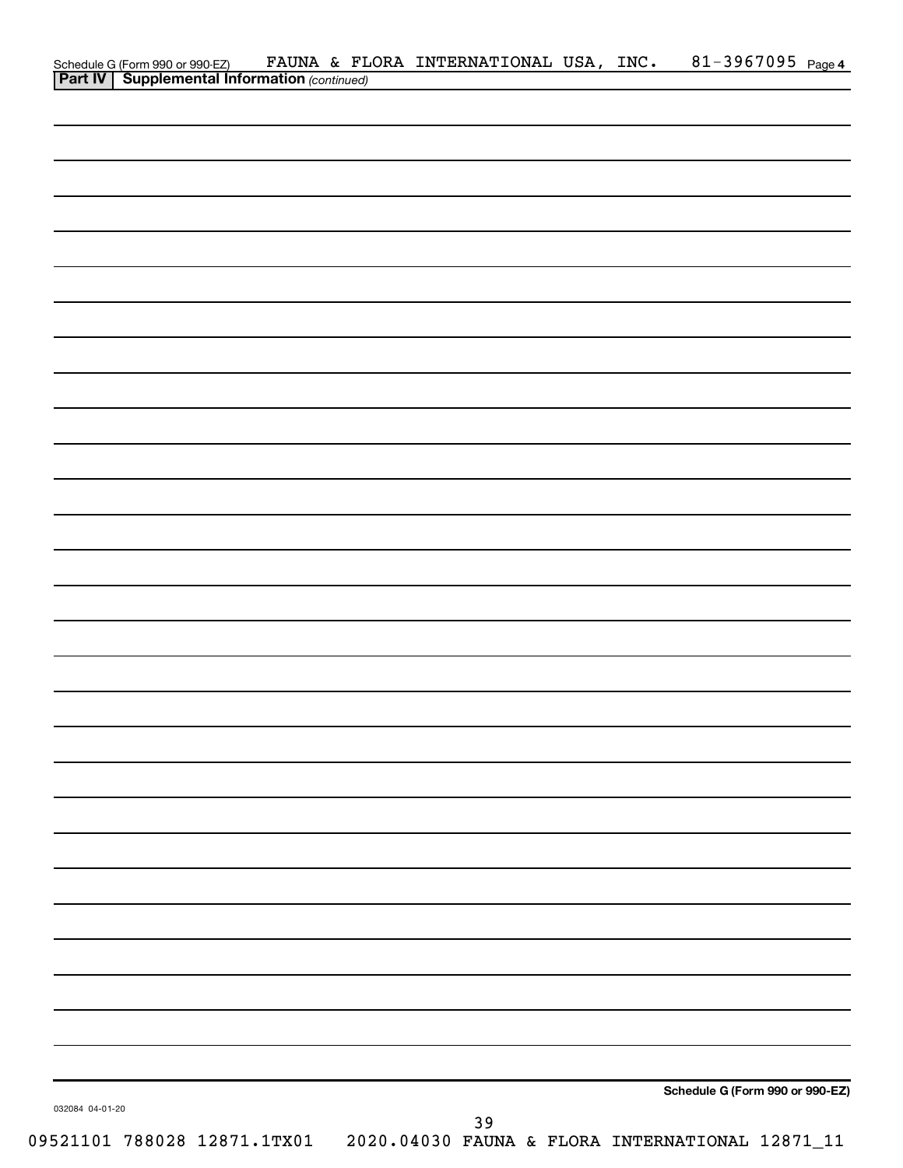| Schedule G (Form 990 or 990-EZ) FAUNA & FL<br><b>Part IV</b> Supplemental Information (continued) |  | FAUNA & FLORA INTERNATIONAL USA, INC. |  | 81-3967095 Page 4               |  |
|---------------------------------------------------------------------------------------------------|--|---------------------------------------|--|---------------------------------|--|
|                                                                                                   |  |                                       |  |                                 |  |
|                                                                                                   |  |                                       |  |                                 |  |
|                                                                                                   |  |                                       |  |                                 |  |
|                                                                                                   |  |                                       |  |                                 |  |
|                                                                                                   |  |                                       |  |                                 |  |
|                                                                                                   |  |                                       |  |                                 |  |
|                                                                                                   |  |                                       |  |                                 |  |
|                                                                                                   |  |                                       |  |                                 |  |
|                                                                                                   |  |                                       |  |                                 |  |
|                                                                                                   |  |                                       |  |                                 |  |
|                                                                                                   |  |                                       |  |                                 |  |
|                                                                                                   |  |                                       |  |                                 |  |
|                                                                                                   |  |                                       |  |                                 |  |
|                                                                                                   |  |                                       |  |                                 |  |
|                                                                                                   |  |                                       |  |                                 |  |
|                                                                                                   |  |                                       |  |                                 |  |
|                                                                                                   |  |                                       |  |                                 |  |
|                                                                                                   |  |                                       |  |                                 |  |
|                                                                                                   |  |                                       |  |                                 |  |
|                                                                                                   |  |                                       |  |                                 |  |
|                                                                                                   |  |                                       |  |                                 |  |
|                                                                                                   |  |                                       |  |                                 |  |
|                                                                                                   |  |                                       |  |                                 |  |
|                                                                                                   |  |                                       |  |                                 |  |
|                                                                                                   |  |                                       |  |                                 |  |
|                                                                                                   |  |                                       |  |                                 |  |
|                                                                                                   |  |                                       |  |                                 |  |
|                                                                                                   |  |                                       |  |                                 |  |
|                                                                                                   |  |                                       |  |                                 |  |
|                                                                                                   |  |                                       |  |                                 |  |
|                                                                                                   |  |                                       |  |                                 |  |
|                                                                                                   |  |                                       |  |                                 |  |
|                                                                                                   |  |                                       |  |                                 |  |
|                                                                                                   |  |                                       |  |                                 |  |
|                                                                                                   |  |                                       |  |                                 |  |
|                                                                                                   |  |                                       |  |                                 |  |
|                                                                                                   |  |                                       |  |                                 |  |
|                                                                                                   |  |                                       |  |                                 |  |
|                                                                                                   |  |                                       |  |                                 |  |
|                                                                                                   |  |                                       |  |                                 |  |
|                                                                                                   |  |                                       |  |                                 |  |
|                                                                                                   |  |                                       |  | Schedule G (Form 990 or 990-EZ) |  |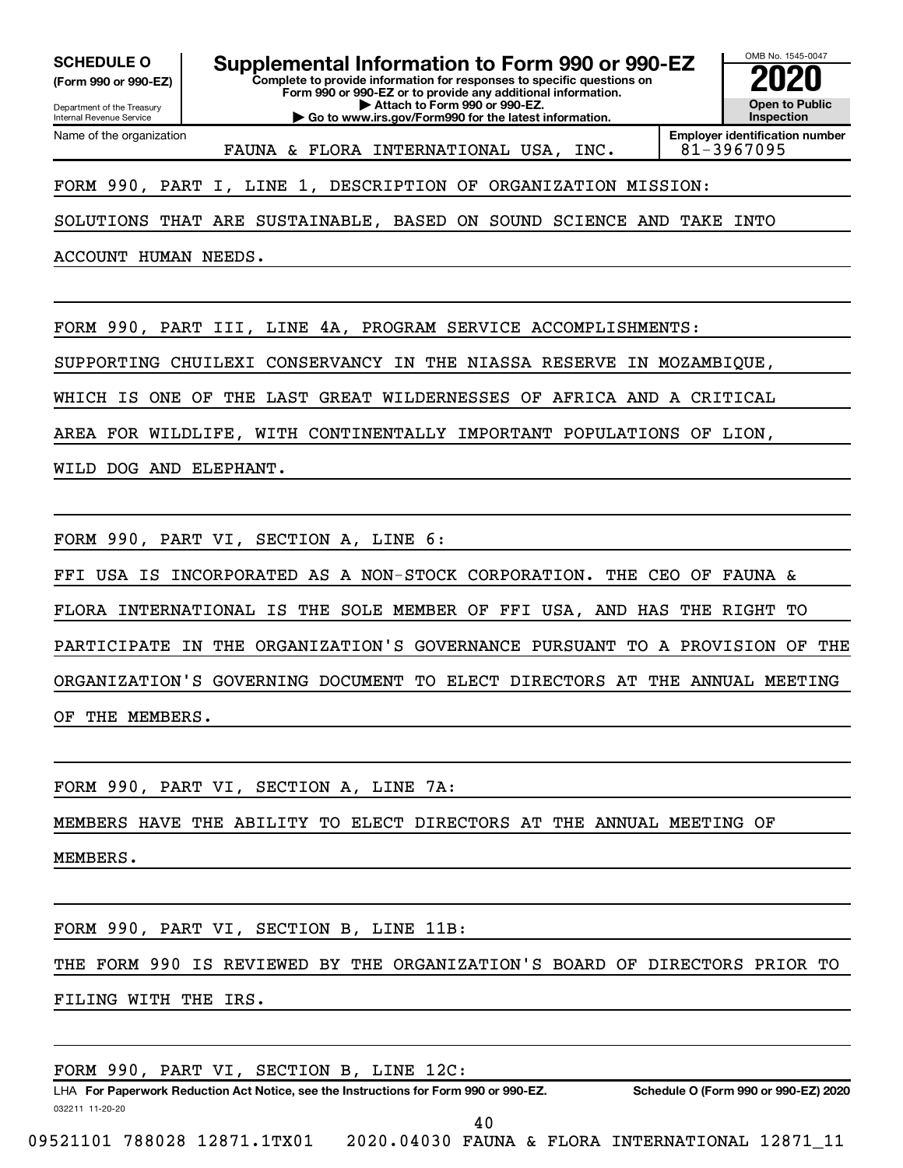**(Form 990 or 990-EZ)**

**Complete to provide information for responses to specific questions on Form 990 or 990-EZ or to provide any additional information. | Attach to Form 990 or 990-EZ. | Go to www.irs.gov/Form990 for the latest information. SCHEDULE O Supplemental Information to Form 990 or 990-EZ 2020**<br>(Form 990 or 990-EZ) **2020** 

OMB No. 1545-0047 **Open to Public Inspection Employer identification number**

Department of the Treasury Internal Revenue Service Name of the organization

FAUNA & FLORA INTERNATIONAL USA, INC. 81-3967095

FORM 990, PART I, LINE 1, DESCRIPTION OF ORGANIZATION MISSION:

SOLUTIONS THAT ARE SUSTAINABLE, BASED ON SOUND SCIENCE AND TAKE INTO

ACCOUNT HUMAN NEEDS.

FORM 990, PART III, LINE 4A, PROGRAM SERVICE ACCOMPLISHMENTS:

SUPPORTING CHUILEXI CONSERVANCY IN THE NIASSA RESERVE IN MOZAMBIQUE,

WHICH IS ONE OF THE LAST GREAT WILDERNESSES OF AFRICA AND A CRITICAL

AREA FOR WILDLIFE, WITH CONTINENTALLY IMPORTANT POPULATIONS OF LION,

WILD DOG AND ELEPHANT.

FORM 990, PART VI, SECTION A, LINE 6:

FFI USA IS INCORPORATED AS A NON-STOCK CORPORATION. THE CEO OF FAUNA & FLORA INTERNATIONAL IS THE SOLE MEMBER OF FFI USA, AND HAS THE RIGHT TO PARTICIPATE IN THE ORGANIZATION'S GOVERNANCE PURSUANT TO A PROVISION OF THE ORGANIZATION'S GOVERNING DOCUMENT TO ELECT DIRECTORS AT THE ANNUAL MEETING OF THE MEMBERS.

FORM 990, PART VI, SECTION A, LINE 7A:

MEMBERS HAVE THE ABILITY TO ELECT DIRECTORS AT THE ANNUAL MEETING OF

MEMBERS.

FORM 990, PART VI, SECTION B, LINE 11B:

THE FORM 990 IS REVIEWED BY THE ORGANIZATION'S BOARD OF DIRECTORS PRIOR TO

FILING WITH THE IRS.

FORM 990, PART VI, SECTION B, LINE 12C:

032211 11-20-20 **For Paperwork Reduction Act Notice, see the Instructions for Form 990 or 990-EZ. Schedule O (Form 990 or 990-EZ) 2020** LHA 40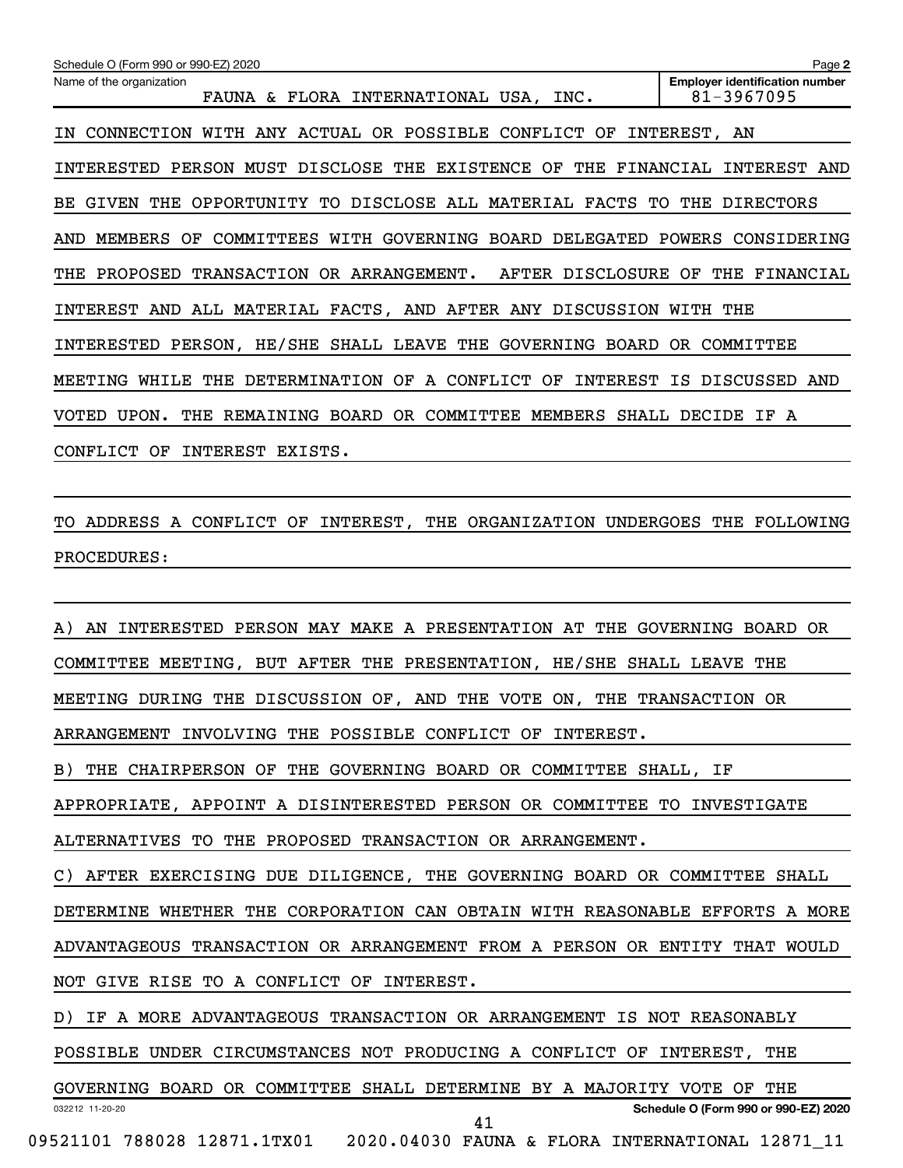| Schedule O (Form 990 or 990-EZ) 2020                                                            | Page 2                                              |
|-------------------------------------------------------------------------------------------------|-----------------------------------------------------|
| Name of the organization<br>FAUNA & FLORA INTERNATIONAL USA, INC.                               | <b>Employer identification number</b><br>81-3967095 |
| WITH ANY ACTUAL OR POSSIBLE CONFLICT<br>OF<br>CONNECTION<br>ΤN                                  | INTEREST,<br>AN                                     |
| MUST DISCLOSE<br><b>EXISTENCE</b><br>OF<br>INTERESTED<br>PERSON<br>THE<br>THE                   | FINANCIAL<br>INTEREST<br>AND                        |
| DISCLOSE ALL MATERIAL<br>THE<br><b>FACTS</b><br>GIVEN<br>OPPORTUNITY TO<br>TO.<br>BE.           | THE<br>DIRECTORS                                    |
| WITH GOVERNING<br>BOARD DELEGATED<br>MEMBERS<br>COMMITTEES<br>AND<br>OF                         | POWERS<br>CONSIDERING                               |
| TRANSACTION<br>OR ARRANGEMENT.<br>AFTER DISCLOSURE<br>PROPOSED<br>THE                           | OF<br>THE<br>FINANCIAL                              |
| ALL MATERIAL FACTS, AND AFTER ANY DISCUSSION<br>AND<br>INTEREST                                 | WITH<br>THE                                         |
| PERSON, HE/SHE SHALL LEAVE<br>THE<br>GOVERNING<br>BOARD<br>INTERESTED                           | COMMITTEE<br>OR.                                    |
| <b>DETERMINATION</b><br>CONFLICT<br>OF<br><b>INTEREST</b><br>MEETING<br>WHILE<br>THE<br>OF<br>A | <b>DISCUSSED</b><br>AND<br>IS                       |
| BOARD<br>UPON.<br>OR<br>COMMITTEE<br>MEMBERS<br>SHALL<br><b>VOTED</b><br>THE<br>REMAINING       | DECIDE<br>ΙF<br>A                                   |
| CONFLICT<br>INTEREST<br>ΟF<br>EXISTS.                                                           |                                                     |

TO ADDRESS A CONFLICT OF INTEREST, THE ORGANIZATION UNDERGOES THE FOLLOWING PROCEDURES:

032212 11-20-20 **Schedule O (Form 990 or 990-EZ) 2020** A) AN INTERESTED PERSON MAY MAKE A PRESENTATION AT THE GOVERNING BOARD OR COMMITTEE MEETING, BUT AFTER THE PRESENTATION, HE/SHE SHALL LEAVE THE MEETING DURING THE DISCUSSION OF, AND THE VOTE ON, THE TRANSACTION OR ARRANGEMENT INVOLVING THE POSSIBLE CONFLICT OF INTEREST. B) THE CHAIRPERSON OF THE GOVERNING BOARD OR COMMITTEE SHALL, IF APPROPRIATE, APPOINT A DISINTERESTED PERSON OR COMMITTEE TO INVESTIGATE ALTERNATIVES TO THE PROPOSED TRANSACTION OR ARRANGEMENT. C) AFTER EXERCISING DUE DILIGENCE, THE GOVERNING BOARD OR COMMITTEE SHALL DETERMINE WHETHER THE CORPORATION CAN OBTAIN WITH REASONABLE EFFORTS A MORE ADVANTAGEOUS TRANSACTION OR ARRANGEMENT FROM A PERSON OR ENTITY THAT WOULD NOT GIVE RISE TO A CONFLICT OF INTEREST. D) IF A MORE ADVANTAGEOUS TRANSACTION OR ARRANGEMENT IS NOT REASONABLY POSSIBLE UNDER CIRCUMSTANCES NOT PRODUCING A CONFLICT OF INTEREST, THE GOVERNING BOARD OR COMMITTEE SHALL DETERMINE BY A MAJORITY VOTE OF THE 41

<sup>09521101 788028 12871.1</sup>TX01 2020.04030 FAUNA & FLORA INTERNATIONAL 12871\_11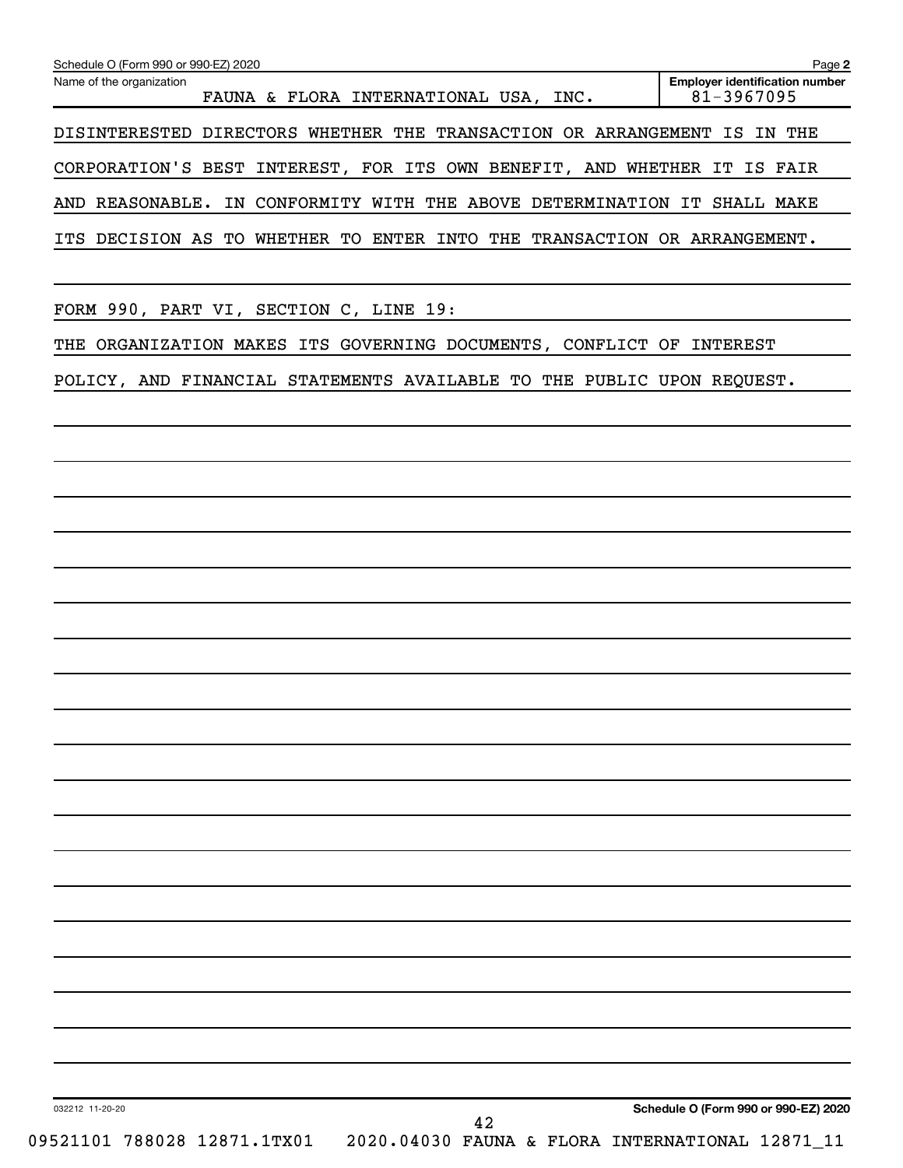| Name of the organization                                                 | <b>Employer identification number</b><br>81-3967095 |
|--------------------------------------------------------------------------|-----------------------------------------------------|
| FAUNA & FLORA INTERNATIONAL USA, INC.                                    |                                                     |
| DISINTERESTED DIRECTORS WHETHER THE TRANSACTION OR ARRANGEMENT IS IN THE |                                                     |
| CORPORATION'S BEST INTEREST, FOR ITS OWN BENEFIT, AND WHETHER IT IS FAIR |                                                     |
| AND REASONABLE. IN CONFORMITY WITH THE ABOVE DETERMINATION IT SHALL MAKE |                                                     |
| ITS DECISION AS TO WHETHER TO ENTER INTO THE TRANSACTION OR ARRANGEMENT. |                                                     |
|                                                                          |                                                     |
| FORM 990, PART VI, SECTION C, LINE 19:                                   |                                                     |
| THE ORGANIZATION MAKES ITS GOVERNING DOCUMENTS, CONFLICT OF INTEREST     |                                                     |
| POLICY, AND FINANCIAL STATEMENTS AVAILABLE TO THE PUBLIC UPON REQUEST.   |                                                     |
|                                                                          |                                                     |
|                                                                          |                                                     |
|                                                                          |                                                     |
|                                                                          |                                                     |
|                                                                          |                                                     |
|                                                                          |                                                     |
|                                                                          |                                                     |
|                                                                          |                                                     |
|                                                                          |                                                     |
|                                                                          |                                                     |
|                                                                          |                                                     |
|                                                                          |                                                     |
|                                                                          |                                                     |
|                                                                          |                                                     |
|                                                                          |                                                     |
|                                                                          |                                                     |
|                                                                          |                                                     |
|                                                                          |                                                     |
|                                                                          |                                                     |
|                                                                          |                                                     |
|                                                                          |                                                     |
|                                                                          |                                                     |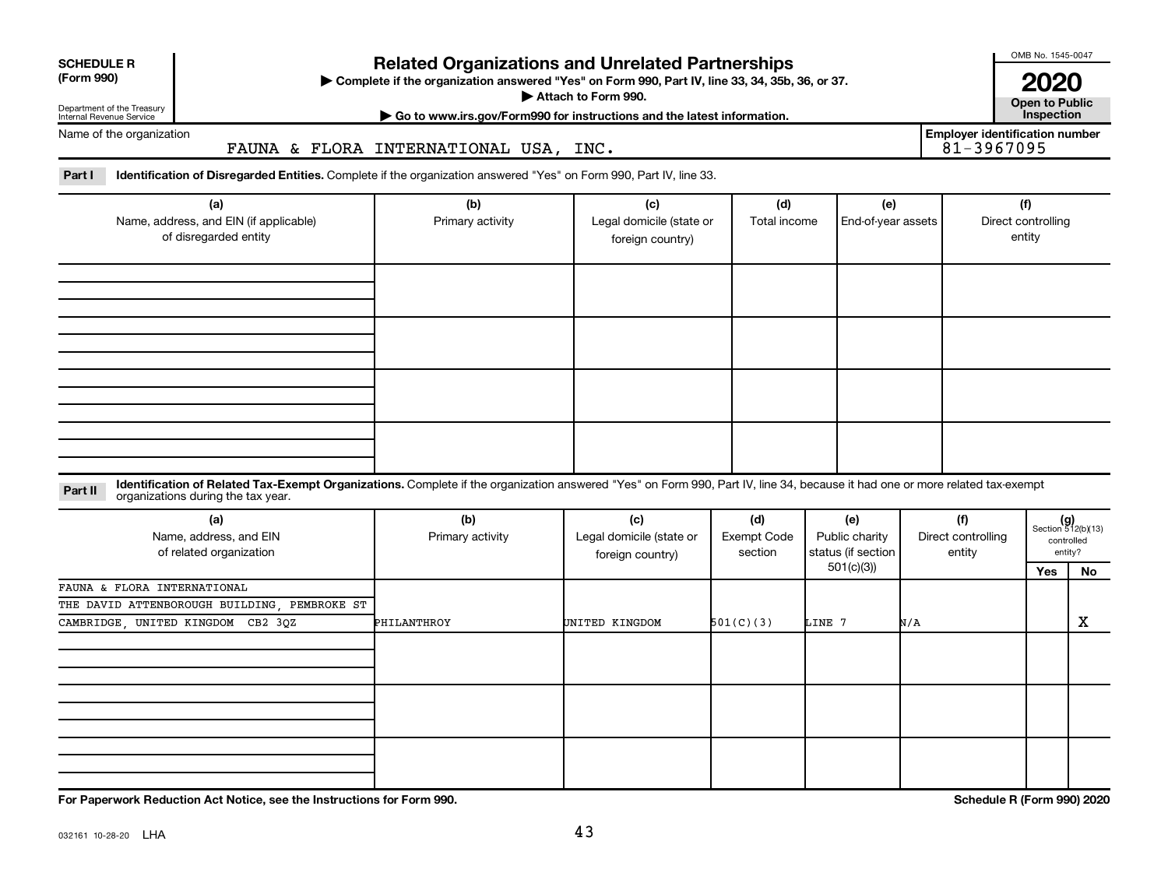| <b>SCHEDULE R</b> |
|-------------------|
|                   |

## Department of the Treasury

Internal Revenue Service

## **Related Organizations and Unrelated Partnerships**

**(Form 990) Complete if the organization answered "Yes" on Form 990, Part IV, line 33, 34, 35b, 36, or 37.** |

■ Attach to Form 990. **Dependent of Attach to Form 990.** Open to Public

**| Go to www.irs.gov/Form990 for instructions and the latest information. Inspection**

**Employer identification number**

OMB No. 1545-0047

**2020**<br>Open to Public

Name of the organization

FAUNA & FLORA INTERNATIONAL USA, INC.

Part I ldentification of Disregarded Entities. Complete if the organization answered "Yes" on Form 990, Part IV, line 33.

| (a)<br>Name, address, and EIN (if applicable)<br>of disregarded entity | (b)<br>Primary activity | (c)<br>Legal domicile (state or<br>foreign country) | (d)<br>Total income | (e)<br>End-of-year assets | (f)<br>Direct controlling<br>entity |
|------------------------------------------------------------------------|-------------------------|-----------------------------------------------------|---------------------|---------------------------|-------------------------------------|
|                                                                        |                         |                                                     |                     |                           |                                     |
|                                                                        |                         |                                                     |                     |                           |                                     |
|                                                                        |                         |                                                     |                     |                           |                                     |
|                                                                        |                         |                                                     |                     |                           |                                     |

#### **Part II** Identification of Related Tax-Exempt Organizations. Complete if the organization answered "Yes" on Form 990, Part IV, line 34, because it had one or more related tax-exempt<br>Part II acconizations during the tax ye organizations during the tax year.

| (a)<br>Name, address, and EIN<br>of related organization | (b)<br>Primary activity | (c)<br>Legal domicile (state or<br>foreign country) | (d)<br><b>Exempt Code</b><br>section | (e)<br>Public charity<br>status (if section | (f)<br>Direct controlling<br>entity |     | $(g)$<br>Section 512(b)(13)<br>controlled<br>entity? |
|----------------------------------------------------------|-------------------------|-----------------------------------------------------|--------------------------------------|---------------------------------------------|-------------------------------------|-----|------------------------------------------------------|
|                                                          |                         |                                                     |                                      | 501(c)(3))                                  |                                     | Yes | No                                                   |
| FAUNA & FLORA INTERNATIONAL                              |                         |                                                     |                                      |                                             |                                     |     |                                                      |
| THE DAVID ATTENBOROUGH BUILDING, PEMBROKE ST             |                         |                                                     |                                      |                                             |                                     |     |                                                      |
| CAMBRIDGE, UNITED KINGDOM CB2 3QZ                        | PHILANTHROY             | UNITED KINGDOM                                      | 501(C)(3)                            | LINE 7                                      | N/A                                 |     | X                                                    |
|                                                          |                         |                                                     |                                      |                                             |                                     |     |                                                      |
|                                                          |                         |                                                     |                                      |                                             |                                     |     |                                                      |
|                                                          |                         |                                                     |                                      |                                             |                                     |     |                                                      |
|                                                          |                         |                                                     |                                      |                                             |                                     |     |                                                      |
|                                                          |                         |                                                     |                                      |                                             |                                     |     |                                                      |
|                                                          |                         |                                                     |                                      |                                             |                                     |     |                                                      |
|                                                          |                         |                                                     |                                      |                                             |                                     |     |                                                      |
|                                                          |                         |                                                     |                                      |                                             |                                     |     |                                                      |
|                                                          |                         |                                                     |                                      |                                             |                                     |     |                                                      |

**For Paperwork Reduction Act Notice, see the Instructions for Form 990. Schedule R (Form 990) 2020**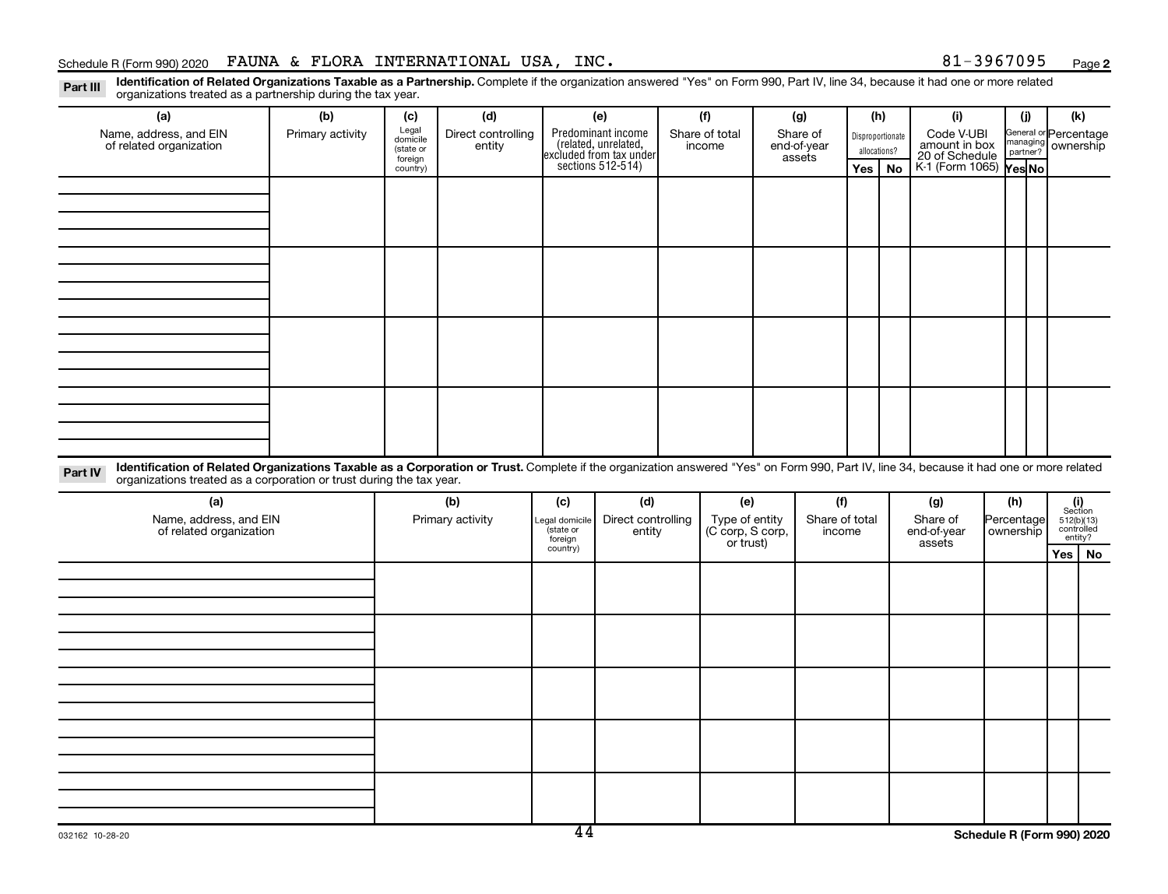**2**

Part III Identification of Related Organizations Taxable as a Partnership. Complete if the organization answered "Yes" on Form 990, Part IV, line 34, because it had one or more related<br>Read to the organizations tracted as organizations treated as a partnership during the tax year.

| (a)                                                                                                                                                                                                                                                                         | (b)              | (c)                 | (d)                |                     | (e)                                                                                        | (f)              | (g)            | (h)              |           | (i)                             | (j)        | (k)                                                     |  |
|-----------------------------------------------------------------------------------------------------------------------------------------------------------------------------------------------------------------------------------------------------------------------------|------------------|---------------------|--------------------|---------------------|--------------------------------------------------------------------------------------------|------------------|----------------|------------------|-----------|---------------------------------|------------|---------------------------------------------------------|--|
| Name, address, and EIN                                                                                                                                                                                                                                                      | Primary activity | Legal<br>domicile   | Direct controlling |                     | Predominant income<br>(related, unrelated,<br>excluded from tax under<br>sections 512-514) | Share of total   | Share of       | Disproportionate |           | Code V-UBI                      |            | General or Percentage                                   |  |
| of related organization                                                                                                                                                                                                                                                     |                  | (state or           | entity             |                     |                                                                                            | income           | end-of-year    | allocations?     |           | amount in box<br>20 of Schedule |            | managing ownership                                      |  |
|                                                                                                                                                                                                                                                                             |                  | foreign<br>country) |                    |                     |                                                                                            |                  | assets         | Yes              | <b>No</b> | K 1 (Form 1065) Yes No          |            |                                                         |  |
|                                                                                                                                                                                                                                                                             |                  |                     |                    |                     |                                                                                            |                  |                |                  |           |                                 |            |                                                         |  |
|                                                                                                                                                                                                                                                                             |                  |                     |                    |                     |                                                                                            |                  |                |                  |           |                                 |            |                                                         |  |
|                                                                                                                                                                                                                                                                             |                  |                     |                    |                     |                                                                                            |                  |                |                  |           |                                 |            |                                                         |  |
|                                                                                                                                                                                                                                                                             |                  |                     |                    |                     |                                                                                            |                  |                |                  |           |                                 |            |                                                         |  |
|                                                                                                                                                                                                                                                                             |                  |                     |                    |                     |                                                                                            |                  |                |                  |           |                                 |            |                                                         |  |
|                                                                                                                                                                                                                                                                             |                  |                     |                    |                     |                                                                                            |                  |                |                  |           |                                 |            |                                                         |  |
|                                                                                                                                                                                                                                                                             |                  |                     |                    |                     |                                                                                            |                  |                |                  |           |                                 |            |                                                         |  |
|                                                                                                                                                                                                                                                                             |                  |                     |                    |                     |                                                                                            |                  |                |                  |           |                                 |            |                                                         |  |
|                                                                                                                                                                                                                                                                             |                  |                     |                    |                     |                                                                                            |                  |                |                  |           |                                 |            |                                                         |  |
|                                                                                                                                                                                                                                                                             |                  |                     |                    |                     |                                                                                            |                  |                |                  |           |                                 |            |                                                         |  |
|                                                                                                                                                                                                                                                                             |                  |                     |                    |                     |                                                                                            |                  |                |                  |           |                                 |            |                                                         |  |
|                                                                                                                                                                                                                                                                             |                  |                     |                    |                     |                                                                                            |                  |                |                  |           |                                 |            |                                                         |  |
|                                                                                                                                                                                                                                                                             |                  |                     |                    |                     |                                                                                            |                  |                |                  |           |                                 |            |                                                         |  |
|                                                                                                                                                                                                                                                                             |                  |                     |                    |                     |                                                                                            |                  |                |                  |           |                                 |            |                                                         |  |
|                                                                                                                                                                                                                                                                             |                  |                     |                    |                     |                                                                                            |                  |                |                  |           |                                 |            |                                                         |  |
|                                                                                                                                                                                                                                                                             |                  |                     |                    |                     |                                                                                            |                  |                |                  |           |                                 |            |                                                         |  |
|                                                                                                                                                                                                                                                                             |                  |                     |                    |                     |                                                                                            |                  |                |                  |           |                                 |            |                                                         |  |
| Identification of Related Organizations Taxable as a Corporation or Trust. Complete if the organization answered "Yes" on Form 990, Part IV, line 34, because it had one or more related<br>Part IV<br>organizations treated as a corporation or trust during the tax year. |                  |                     |                    |                     |                                                                                            |                  |                |                  |           |                                 |            |                                                         |  |
| (a)                                                                                                                                                                                                                                                                         |                  |                     |                    |                     |                                                                                            |                  |                |                  |           |                                 |            |                                                         |  |
|                                                                                                                                                                                                                                                                             |                  |                     | (b)                | (c)                 | (d)                                                                                        | (e)              | (f)            |                  |           | (g)                             | (h)        |                                                         |  |
| Name, address, and EIN                                                                                                                                                                                                                                                      |                  |                     | Primary activity   | Legal domicile      | Direct controlling                                                                         | Type of entity   | Share of total |                  |           | Share of                        | Percentage |                                                         |  |
| of related organization                                                                                                                                                                                                                                                     |                  |                     |                    | state or<br>foreign | entity                                                                                     | (C corp, S corp, | income         |                  |           | end-of-year                     | ownership  | $(i)$<br>Section<br>512(b)(13)<br>controlled<br>entity? |  |
|                                                                                                                                                                                                                                                                             |                  |                     |                    | country)            |                                                                                            | or trust)        |                |                  |           | assets                          |            | Yes   No                                                |  |
|                                                                                                                                                                                                                                                                             |                  |                     |                    |                     |                                                                                            |                  |                |                  |           |                                 |            |                                                         |  |
|                                                                                                                                                                                                                                                                             |                  |                     |                    |                     |                                                                                            |                  |                |                  |           |                                 |            |                                                         |  |
|                                                                                                                                                                                                                                                                             |                  |                     |                    |                     |                                                                                            |                  |                |                  |           |                                 |            |                                                         |  |
|                                                                                                                                                                                                                                                                             |                  |                     |                    |                     |                                                                                            |                  |                |                  |           |                                 |            |                                                         |  |
|                                                                                                                                                                                                                                                                             |                  |                     |                    |                     |                                                                                            |                  |                |                  |           |                                 |            |                                                         |  |
|                                                                                                                                                                                                                                                                             |                  |                     |                    |                     |                                                                                            |                  |                |                  |           |                                 |            |                                                         |  |
|                                                                                                                                                                                                                                                                             |                  |                     |                    |                     |                                                                                            |                  |                |                  |           |                                 |            |                                                         |  |
|                                                                                                                                                                                                                                                                             |                  |                     |                    |                     |                                                                                            |                  |                |                  |           |                                 |            |                                                         |  |
|                                                                                                                                                                                                                                                                             |                  |                     |                    |                     |                                                                                            |                  |                |                  |           |                                 |            |                                                         |  |
|                                                                                                                                                                                                                                                                             |                  |                     |                    |                     |                                                                                            |                  |                |                  |           |                                 |            |                                                         |  |
|                                                                                                                                                                                                                                                                             |                  |                     |                    |                     |                                                                                            |                  |                |                  |           |                                 |            |                                                         |  |
|                                                                                                                                                                                                                                                                             |                  |                     |                    |                     |                                                                                            |                  |                |                  |           |                                 |            |                                                         |  |
|                                                                                                                                                                                                                                                                             |                  |                     |                    |                     |                                                                                            |                  |                |                  |           |                                 |            |                                                         |  |
|                                                                                                                                                                                                                                                                             |                  |                     |                    |                     |                                                                                            |                  |                |                  |           |                                 |            |                                                         |  |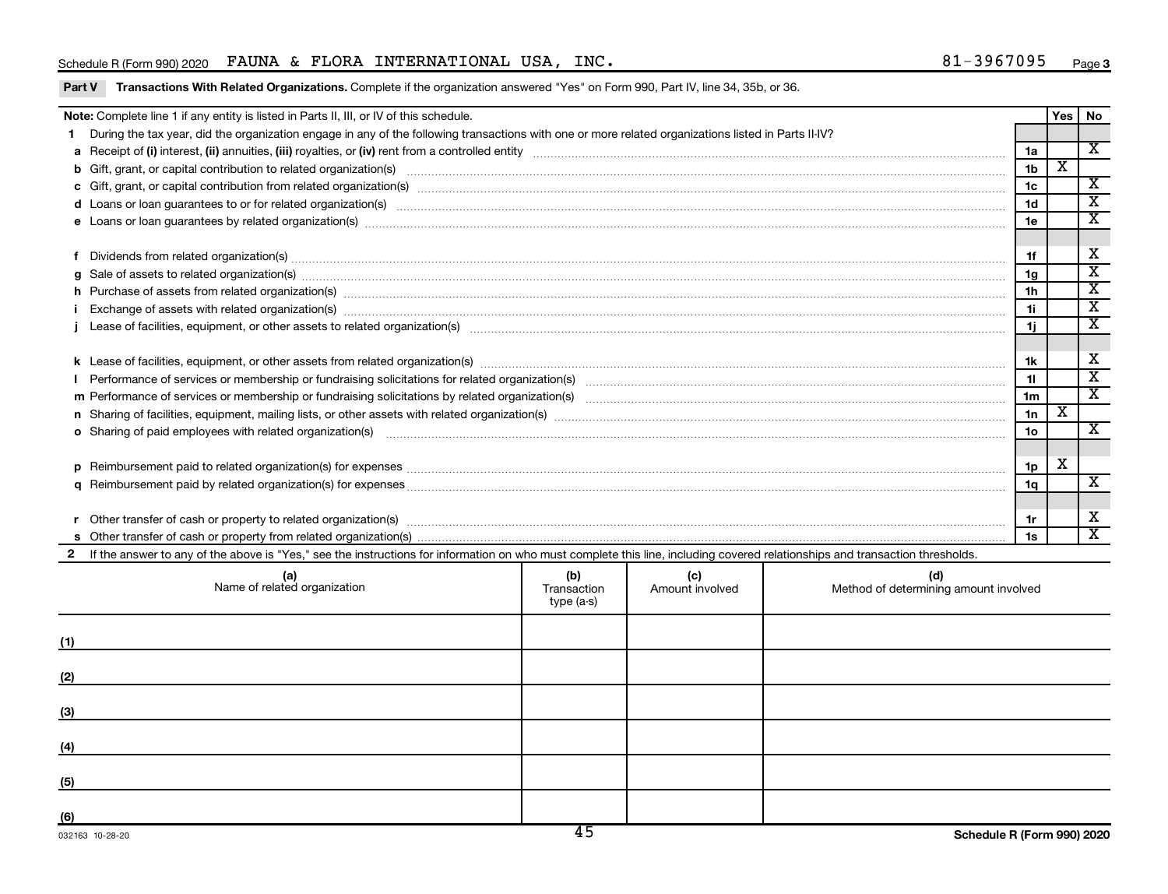#### Schedule R (Form 990) 2020 FAUNA & FLORA INTERNATIONAL USA, INC.  $81-3967095$  Page

| Note: Complete line 1 if any entity is listed in Parts II, III, or IV of this schedule. |                                                                                                                                                                                                                                |  |  |  |                |   |                         |  |  |
|-----------------------------------------------------------------------------------------|--------------------------------------------------------------------------------------------------------------------------------------------------------------------------------------------------------------------------------|--|--|--|----------------|---|-------------------------|--|--|
|                                                                                         | During the tax year, did the organization engage in any of the following transactions with one or more related organizations listed in Parts II-IV?                                                                            |  |  |  |                |   |                         |  |  |
|                                                                                         |                                                                                                                                                                                                                                |  |  |  |                |   |                         |  |  |
|                                                                                         | b Gift, grant, or capital contribution to related organization(s) manufaction contracts and contribution to related organization(s) manufaction contribution to related organization(s)                                        |  |  |  |                |   |                         |  |  |
|                                                                                         |                                                                                                                                                                                                                                |  |  |  | 1 <sub>c</sub> |   | $\overline{\mathbf{x}}$ |  |  |
|                                                                                         |                                                                                                                                                                                                                                |  |  |  |                |   |                         |  |  |
|                                                                                         |                                                                                                                                                                                                                                |  |  |  |                |   |                         |  |  |
|                                                                                         |                                                                                                                                                                                                                                |  |  |  |                |   |                         |  |  |
|                                                                                         | Dividends from related organization(s) machinesis and contract and contract and contract and contract and contract and contract and contract and contract and contract and contract and contract and contract and contract and |  |  |  | 1f             |   | $\overline{\mathbf{X}}$ |  |  |
| a                                                                                       | Sale of assets to related organization(s) material content and content and content and content and content and content and content and content and content and content and content and content and content and content and con |  |  |  | 1g             |   | $\overline{\texttt{x}}$ |  |  |
|                                                                                         | h Purchase of assets from related organization(s) www.assettion.com/www.assettion.com/www.assettion.com/www.assettion.com/www.assettion.com/www.assettion.com/www.assettion.com/www.assettion.com/www.assettion.com/www.assett |  |  |  |                |   |                         |  |  |
|                                                                                         | Exchange of assets with related organization(s) www.walescommunity.com/walescommunity/walescommunity/walescommunity/walescommunity/walescommunity/walescommunity/walescommunity/walescommunity/walescommunity/walescommunity/w |  |  |  |                |   |                         |  |  |
|                                                                                         |                                                                                                                                                                                                                                |  |  |  |                |   |                         |  |  |
|                                                                                         |                                                                                                                                                                                                                                |  |  |  |                |   |                         |  |  |
|                                                                                         |                                                                                                                                                                                                                                |  |  |  |                |   |                         |  |  |
|                                                                                         |                                                                                                                                                                                                                                |  |  |  |                |   |                         |  |  |
|                                                                                         |                                                                                                                                                                                                                                |  |  |  |                |   |                         |  |  |
|                                                                                         |                                                                                                                                                                                                                                |  |  |  |                |   |                         |  |  |
|                                                                                         | o Sharing of paid employees with related organization(s) manufactured and content to the content of the content of the content of the content of the content of the content of the content of the content of the content of th |  |  |  |                |   |                         |  |  |
|                                                                                         |                                                                                                                                                                                                                                |  |  |  |                |   |                         |  |  |
| D                                                                                       |                                                                                                                                                                                                                                |  |  |  | 1p             | x |                         |  |  |
|                                                                                         |                                                                                                                                                                                                                                |  |  |  | 1q             |   | X                       |  |  |
|                                                                                         |                                                                                                                                                                                                                                |  |  |  |                |   | $\overline{\mathbf{X}}$ |  |  |
|                                                                                         | Other transfer of cash or property to related organization(s) enconverse content to consume and content transfer of cash or property to related organization(s)                                                                |  |  |  |                |   |                         |  |  |
|                                                                                         |                                                                                                                                                                                                                                |  |  |  |                |   |                         |  |  |
|                                                                                         | If the answer to any of the above is "Yes," see the instructions for information on who must complete this line, including covered relationships and transaction thresholds.                                                   |  |  |  |                |   |                         |  |  |
|                                                                                         | (d)<br>(b)<br>(c)<br>(a)<br>Name of related organization<br>Transaction<br>Amount involved<br>Method of determining amount involved<br>type (a-s)                                                                              |  |  |  |                |   |                         |  |  |
|                                                                                         |                                                                                                                                                                                                                                |  |  |  |                |   |                         |  |  |

| (1)        |  |  |
|------------|--|--|
| (2)        |  |  |
| (3)        |  |  |
| (4)        |  |  |
|            |  |  |
| (5)<br>(6) |  |  |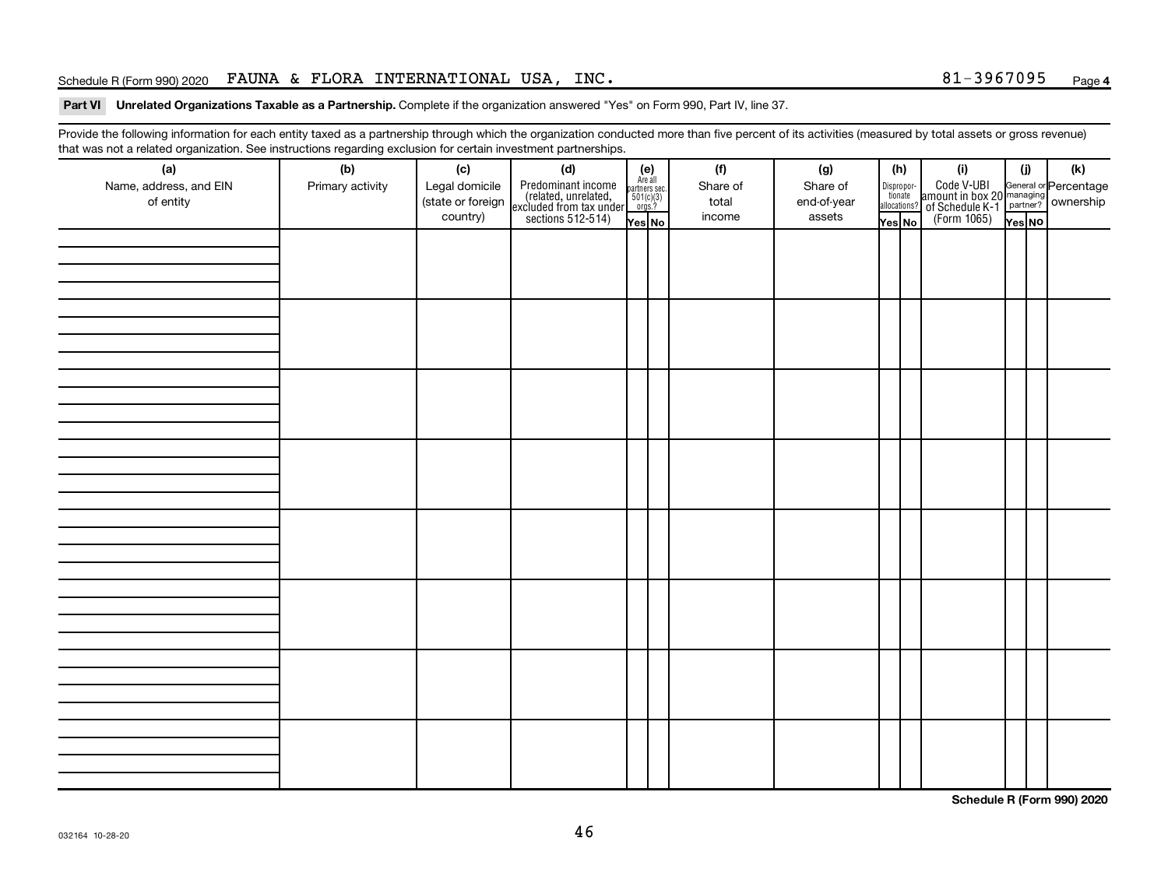#### Schedule R (Form 990) 2020 FAUNA & FLORA INTERNATIONAL USA, INC.  $81-3967095$  Page

#### Part VI Unrelated Organizations Taxable as a Partnership. Complete if the organization answered "Yes" on Form 990, Part IV, line 37.

Provide the following information for each entity taxed as a partnership through which the organization conducted more than five percent of its activities (measured by total assets or gross revenue) that was not a related organization. See instructions regarding exclusion for certain investment partnerships.

| <br>(a)                | (b)              | (c)               | . <b>. .</b><br><br>(d)                                                                    |                                                          | (f)      | (g)         | (h)                                   |  | (i)                                                                                              | (i)    |  | (k) |
|------------------------|------------------|-------------------|--------------------------------------------------------------------------------------------|----------------------------------------------------------|----------|-------------|---------------------------------------|--|--------------------------------------------------------------------------------------------------|--------|--|-----|
| Name, address, and EIN | Primary activity | Legal domicile    |                                                                                            | (e)<br>Are all<br>partners sec.<br>$501(c)(3)$<br>orgs.? | Share of | Share of    |                                       |  |                                                                                                  |        |  |     |
| of entity              |                  | (state or foreign |                                                                                            |                                                          | total    | end-of-year | Dispropor-<br>tionate<br>allocations? |  |                                                                                                  |        |  |     |
|                        |                  | country)          | Predominant income<br>(related, unrelated,<br>excluded from tax under<br>sections 512-514) | Yes No                                                   | income   | assets      | Yes No                                |  | Code V-UBI<br>amount in box 20 managing<br>of Schedule K-1<br>(Form 1065)<br>$\overline{Yes}$ No | Yes NO |  |     |
|                        |                  |                   |                                                                                            |                                                          |          |             |                                       |  |                                                                                                  |        |  |     |
|                        |                  |                   |                                                                                            |                                                          |          |             |                                       |  |                                                                                                  |        |  |     |
|                        |                  |                   |                                                                                            |                                                          |          |             |                                       |  |                                                                                                  |        |  |     |
|                        |                  |                   |                                                                                            |                                                          |          |             |                                       |  |                                                                                                  |        |  |     |
|                        |                  |                   |                                                                                            |                                                          |          |             |                                       |  |                                                                                                  |        |  |     |
|                        |                  |                   |                                                                                            |                                                          |          |             |                                       |  |                                                                                                  |        |  |     |
|                        |                  |                   |                                                                                            |                                                          |          |             |                                       |  |                                                                                                  |        |  |     |
|                        |                  |                   |                                                                                            |                                                          |          |             |                                       |  |                                                                                                  |        |  |     |
|                        |                  |                   |                                                                                            |                                                          |          |             |                                       |  |                                                                                                  |        |  |     |
|                        |                  |                   |                                                                                            |                                                          |          |             |                                       |  |                                                                                                  |        |  |     |
|                        |                  |                   |                                                                                            |                                                          |          |             |                                       |  |                                                                                                  |        |  |     |
|                        |                  |                   |                                                                                            |                                                          |          |             |                                       |  |                                                                                                  |        |  |     |
|                        |                  |                   |                                                                                            |                                                          |          |             |                                       |  |                                                                                                  |        |  |     |
|                        |                  |                   |                                                                                            |                                                          |          |             |                                       |  |                                                                                                  |        |  |     |
|                        |                  |                   |                                                                                            |                                                          |          |             |                                       |  |                                                                                                  |        |  |     |
|                        |                  |                   |                                                                                            |                                                          |          |             |                                       |  |                                                                                                  |        |  |     |
|                        |                  |                   |                                                                                            |                                                          |          |             |                                       |  |                                                                                                  |        |  |     |
|                        |                  |                   |                                                                                            |                                                          |          |             |                                       |  |                                                                                                  |        |  |     |
|                        |                  |                   |                                                                                            |                                                          |          |             |                                       |  |                                                                                                  |        |  |     |
|                        |                  |                   |                                                                                            |                                                          |          |             |                                       |  |                                                                                                  |        |  |     |
|                        |                  |                   |                                                                                            |                                                          |          |             |                                       |  |                                                                                                  |        |  |     |
|                        |                  |                   |                                                                                            |                                                          |          |             |                                       |  |                                                                                                  |        |  |     |
|                        |                  |                   |                                                                                            |                                                          |          |             |                                       |  |                                                                                                  |        |  |     |
|                        |                  |                   |                                                                                            |                                                          |          |             |                                       |  |                                                                                                  |        |  |     |
|                        |                  |                   |                                                                                            |                                                          |          |             |                                       |  |                                                                                                  |        |  |     |
|                        |                  |                   |                                                                                            |                                                          |          |             |                                       |  |                                                                                                  |        |  |     |
|                        |                  |                   |                                                                                            |                                                          |          |             |                                       |  |                                                                                                  |        |  |     |
|                        |                  |                   |                                                                                            |                                                          |          |             |                                       |  |                                                                                                  |        |  |     |
|                        |                  |                   |                                                                                            |                                                          |          |             |                                       |  |                                                                                                  |        |  |     |
|                        |                  |                   |                                                                                            |                                                          |          |             |                                       |  |                                                                                                  |        |  |     |
|                        |                  |                   |                                                                                            |                                                          |          |             |                                       |  |                                                                                                  |        |  |     |
|                        |                  |                   |                                                                                            |                                                          |          |             |                                       |  |                                                                                                  |        |  |     |
|                        |                  |                   |                                                                                            |                                                          |          |             |                                       |  |                                                                                                  |        |  |     |
|                        |                  |                   |                                                                                            |                                                          |          |             |                                       |  |                                                                                                  |        |  |     |
|                        |                  |                   |                                                                                            |                                                          |          |             |                                       |  |                                                                                                  |        |  |     |

**Schedule R (Form 990) 2020**